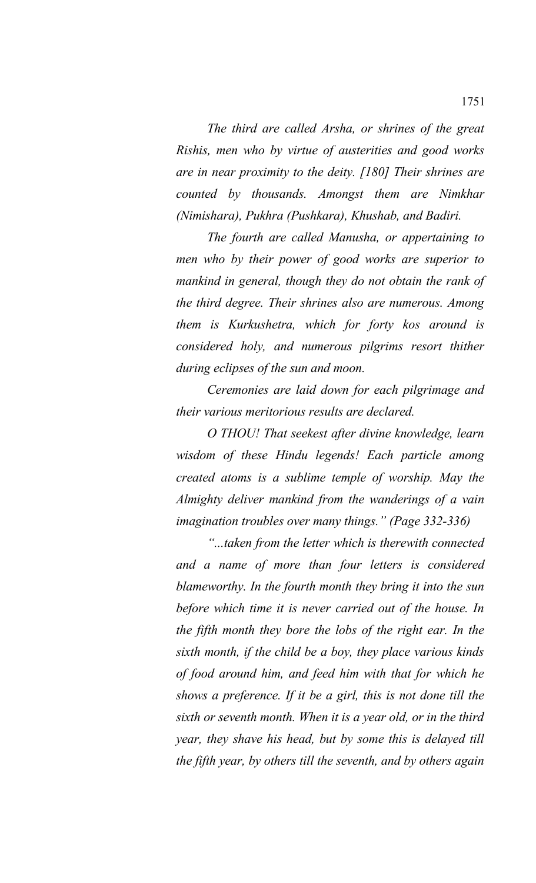*The third are called Arsha, or shrines of the great Rishis, men who by virtue of austerities and good works are in near proximity to the deity. [180] Their shrines are counted by thousands. Amongst them are Nimkhar (Nimishara), Pukhra (Pushkara), Khushab, and Badiri.*

*The fourth are called Manusha, or appertaining to men who by their power of good works are superior to mankind in general, though they do not obtain the rank of the third degree. Their shrines also are numerous. Among them is Kurkushetra, which for forty kos around is considered holy, and numerous pilgrims resort thither during eclipses of the sun and moon.* 

*Ceremonies are laid down for each pilgrimage and their various meritorious results are declared.*

*O THOU! That seekest after divine knowledge, learn wisdom of these Hindu legends! Each particle among created atoms is a sublime temple of worship. May the Almighty deliver mankind from the wanderings of a vain imagination troubles over many things." (Page 332-336)*

*"...taken from the letter which is therewith connected and a name of more than four letters is considered blameworthy. In the fourth month they bring it into the sun before which time it is never carried out of the house. In the fifth month they bore the lobs of the right ear. In the sixth month, if the child be a boy, they place various kinds of food around him, and feed him with that for which he shows a preference. If it be a girl, this is not done till the sixth or seventh month. When it is a year old, or in the third year, they shave his head, but by some this is delayed till the fifth year, by others till the seventh, and by others again*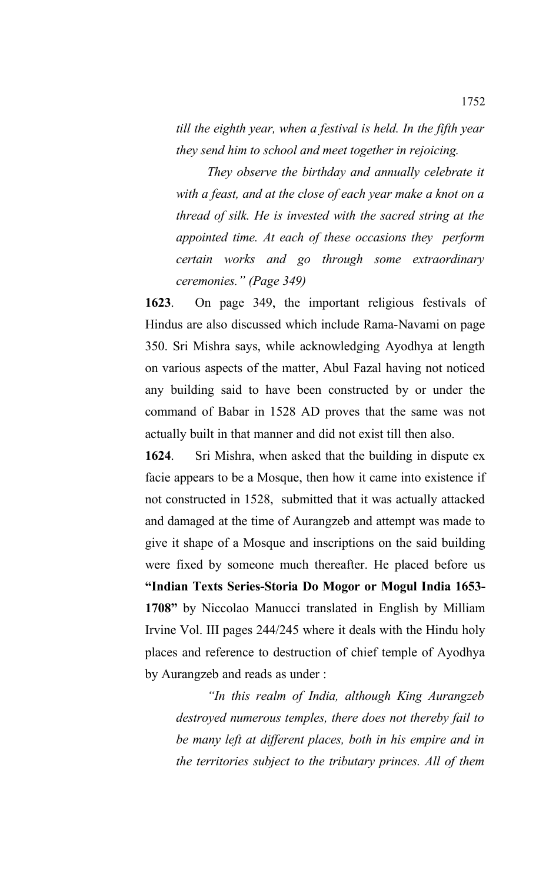*till the eighth year, when a festival is held. In the fifth year they send him to school and meet together in rejoicing.* 

*They observe the birthday and annually celebrate it with a feast, and at the close of each year make a knot on a thread of silk. He is invested with the sacred string at the appointed time. At each of these occasions they perform certain works and go through some extraordinary ceremonies." (Page 349)*

**1623**. On page 349, the important religious festivals of Hindus are also discussed which include Rama-Navami on page 350. Sri Mishra says, while acknowledging Ayodhya at length on various aspects of the matter, Abul Fazal having not noticed any building said to have been constructed by or under the command of Babar in 1528 AD proves that the same was not actually built in that manner and did not exist till then also.

**1624**. Sri Mishra, when asked that the building in dispute ex facie appears to be a Mosque, then how it came into existence if not constructed in 1528, submitted that it was actually attacked and damaged at the time of Aurangzeb and attempt was made to give it shape of a Mosque and inscriptions on the said building were fixed by someone much thereafter. He placed before us **"Indian Texts Series-Storia Do Mogor or Mogul India 1653- 1708"** by Niccolao Manucci translated in English by Milliam Irvine Vol. III pages 244/245 where it deals with the Hindu holy places and reference to destruction of chief temple of Ayodhya by Aurangzeb and reads as under :

*"In this realm of India, although King Aurangzeb destroyed numerous temples, there does not thereby fail to be many left at different places, both in his empire and in the territories subject to the tributary princes. All of them*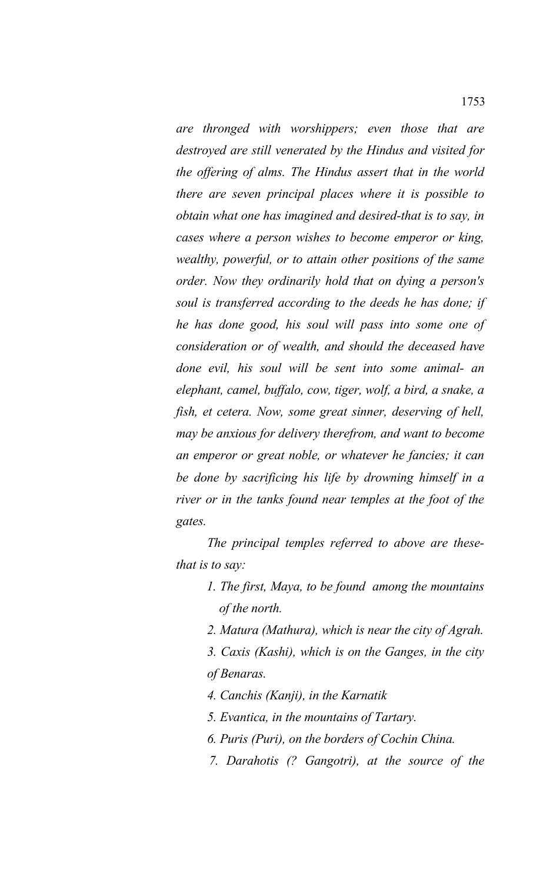*are thronged with worshippers; even those that are destroyed are still venerated by the Hindus and visited for the offering of alms. The Hindus assert that in the world there are seven principal places where it is possible to obtain what one has imagined and desired-that is to say, in cases where a person wishes to become emperor or king, wealthy, powerful, or to attain other positions of the same order. Now they ordinarily hold that on dying a person's soul is transferred according to the deeds he has done; if he has done good, his soul will pass into some one of consideration or of wealth, and should the deceased have done evil, his soul will be sent into some animal- an elephant, camel, buffalo, cow, tiger, wolf, a bird, a snake, a fish, et cetera. Now, some great sinner, deserving of hell, may be anxious for delivery therefrom, and want to become an emperor or great noble, or whatever he fancies; it can be done by sacrificing his life by drowning himself in a river or in the tanks found near temples at the foot of the gates.*

*The principal temples referred to above are thesethat is to say:*

- *1. The first, Maya, to be found among the mountains of the north.*
- *2. Matura (Mathura), which is near the city of Agrah.*
- *3. Caxis (Kashi), which is on the Ganges, in the city of Benaras.*
- *4. Canchis (Kanji), in the Karnatik*
- *5. Evantica, in the mountains of Tartary.*
- *6. Puris (Puri), on the borders of Cochin China.*
- *7. Darahotis (? Gangotri), at the source of the*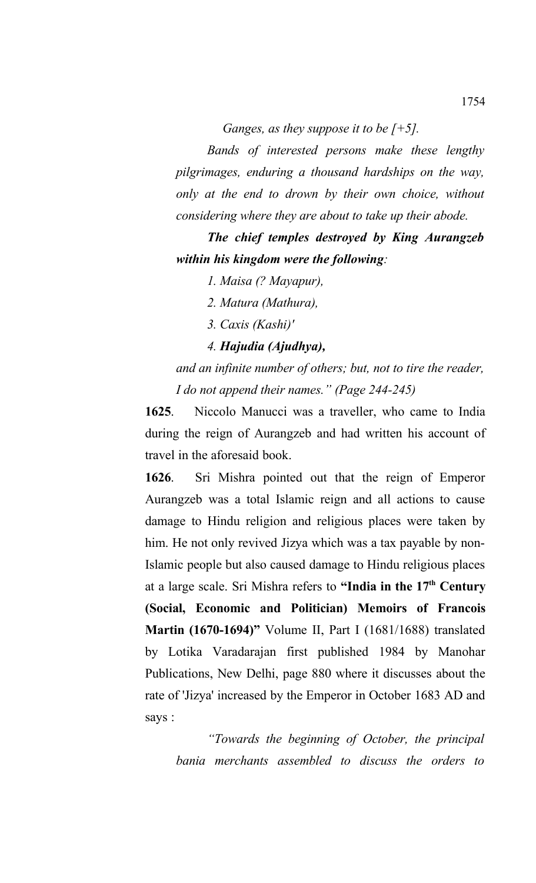*Ganges, as they suppose it to be [+5].*

*Bands of interested persons make these lengthy pilgrimages, enduring a thousand hardships on the way, only at the end to drown by their own choice, without considering where they are about to take up their abode.*

*The chief temples destroyed by King Aurangzeb within his kingdom were the following:*

*1. Maisa (? Mayapur),*

*2. Matura (Mathura),*

*3. Caxis (Kashi)'*

*4. Hajudia (Ajudhya),*

*and an infinite number of others; but, not to tire the reader, I do not append their names." (Page 244-245)*

**1625**. Niccolo Manucci was a traveller, who came to India during the reign of Aurangzeb and had written his account of travel in the aforesaid book.

**1626**. Sri Mishra pointed out that the reign of Emperor Aurangzeb was a total Islamic reign and all actions to cause damage to Hindu religion and religious places were taken by him. He not only revived Jizya which was a tax payable by non-Islamic people but also caused damage to Hindu religious places at a large scale. Sri Mishra refers to **"India in the 17th Century (Social, Economic and Politician) Memoirs of Francois Martin (1670-1694)"** Volume II, Part I (1681/1688) translated by Lotika Varadarajan first published 1984 by Manohar Publications, New Delhi, page 880 where it discusses about the rate of 'Jizya' increased by the Emperor in October 1683 AD and says :

*"Towards the beginning of October, the principal bania merchants assembled to discuss the orders to*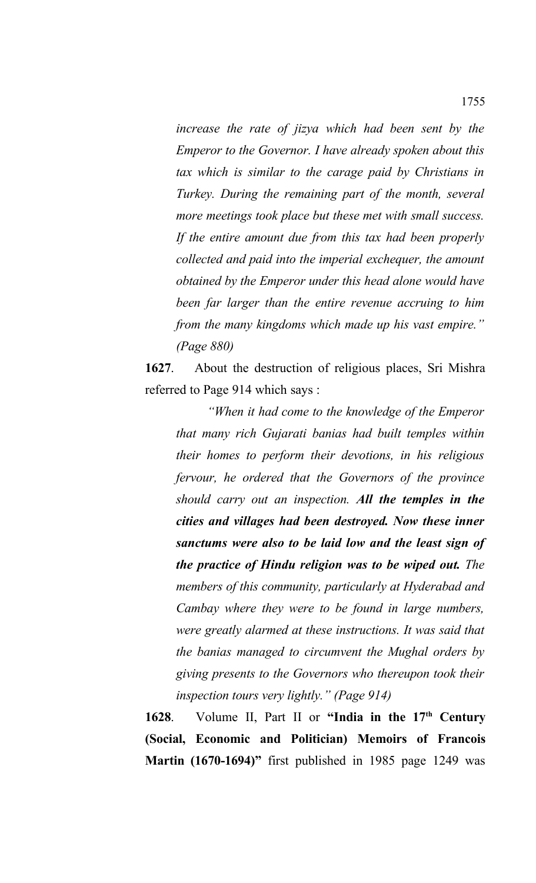*increase the rate of jizya which had been sent by the Emperor to the Governor. I have already spoken about this tax which is similar to the carage paid by Christians in Turkey. During the remaining part of the month, several more meetings took place but these met with small success. If the entire amount due from this tax had been properly collected and paid into the imperial exchequer, the amount obtained by the Emperor under this head alone would have been far larger than the entire revenue accruing to him from the many kingdoms which made up his vast empire." (Page 880)*

**1627**. About the destruction of religious places, Sri Mishra referred to Page 914 which says :

*"When it had come to the knowledge of the Emperor that many rich Gujarati banias had built temples within their homes to perform their devotions, in his religious fervour, he ordered that the Governors of the province should carry out an inspection. All the temples in the cities and villages had been destroyed. Now these inner sanctums were also to be laid low and the least sign of the practice of Hindu religion was to be wiped out. The members of this community, particularly at Hyderabad and Cambay where they were to be found in large numbers, were greatly alarmed at these instructions. It was said that the banias managed to circumvent the Mughal orders by giving presents to the Governors who thereupon took their inspection tours very lightly." (Page 914)*

**1628**. Volume II, Part II or **"India in the 17th Century (Social, Economic and Politician) Memoirs of Francois Martin (1670-1694)"** first published in 1985 page 1249 was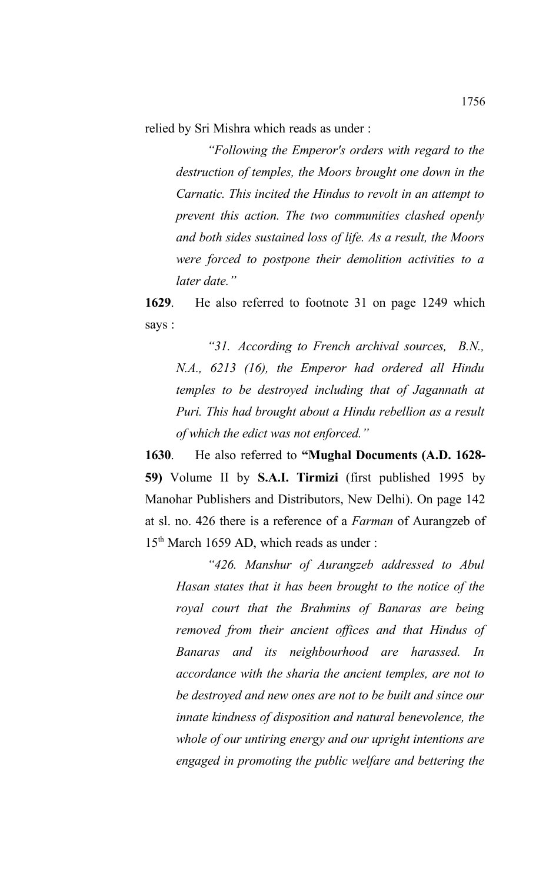relied by Sri Mishra which reads as under :

*"Following the Emperor's orders with regard to the destruction of temples, the Moors brought one down in the Carnatic. This incited the Hindus to revolt in an attempt to prevent this action. The two communities clashed openly and both sides sustained loss of life. As a result, the Moors were forced to postpone their demolition activities to a later date."* 

**1629**. He also referred to footnote 31 on page 1249 which says :

*"31. According to French archival sources, B.N., N.A., 6213 (16), the Emperor had ordered all Hindu temples to be destroyed including that of Jagannath at Puri. This had brought about a Hindu rebellion as a result of which the edict was not enforced."*

**1630**. He also referred to **"Mughal Documents (A.D. 1628- 59)** Volume II by **S.A.I. Tirmizi** (first published 1995 by Manohar Publishers and Distributors, New Delhi). On page 142 at sl. no. 426 there is a reference of a *Farman* of Aurangzeb of 15<sup>th</sup> March 1659 AD, which reads as under :

*"426. Manshur of Aurangzeb addressed to Abul Hasan states that it has been brought to the notice of the royal court that the Brahmins of Banaras are being removed from their ancient offices and that Hindus of Banaras and its neighbourhood are harassed. In accordance with the sharia the ancient temples, are not to be destroyed and new ones are not to be built and since our innate kindness of disposition and natural benevolence, the whole of our untiring energy and our upright intentions are engaged in promoting the public welfare and bettering the*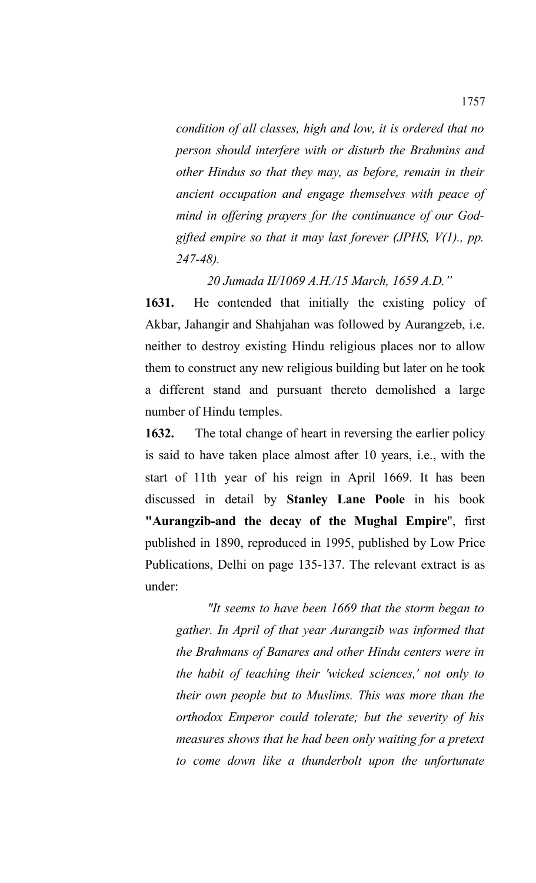*condition of all classes, high and low, it is ordered that no person should interfere with or disturb the Brahmins and other Hindus so that they may, as before, remain in their ancient occupation and engage themselves with peace of mind in offering prayers for the continuance of our Godgifted empire so that it may last forever (JPHS, V(1)., pp. 247-48).*

### *20 Jumada II/1069 A.H./15 March, 1659 A.D."*

**1631.** He contended that initially the existing policy of Akbar, Jahangir and Shahjahan was followed by Aurangzeb, i.e. neither to destroy existing Hindu religious places nor to allow them to construct any new religious building but later on he took a different stand and pursuant thereto demolished a large number of Hindu temples.

**1632.** The total change of heart in reversing the earlier policy is said to have taken place almost after 10 years, i.e., with the start of 11th year of his reign in April 1669. It has been discussed in detail by **Stanley Lane Poole** in his book **"Aurangzib-and the decay of the Mughal Empire**", first published in 1890, reproduced in 1995, published by Low Price Publications, Delhi on page 135-137. The relevant extract is as under:

*"It seems to have been 1669 that the storm began to gather. In April of that year Aurangzib was informed that the Brahmans of Banares and other Hindu centers were in the habit of teaching their 'wicked sciences,' not only to their own people but to Muslims. This was more than the orthodox Emperor could tolerate; but the severity of his measures shows that he had been only waiting for a pretext to come down like a thunderbolt upon the unfortunate*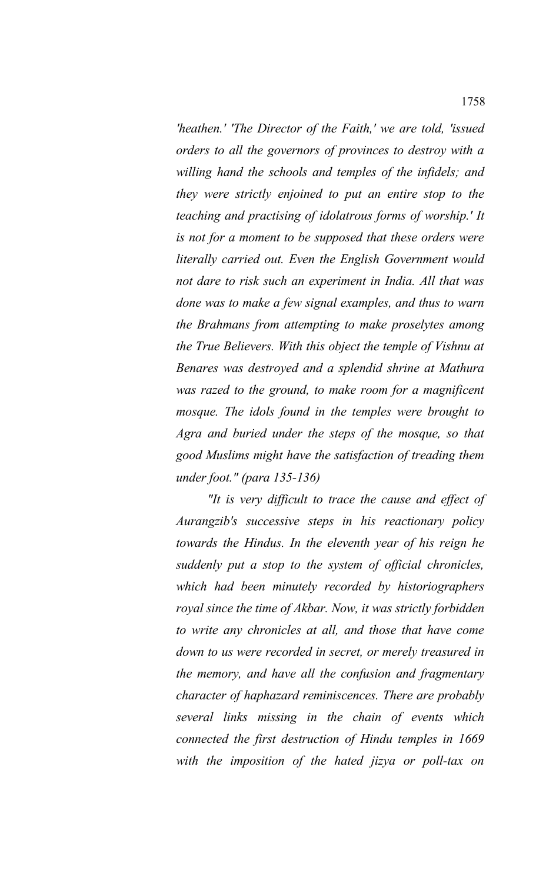*'heathen.' 'The Director of the Faith,' we are told, 'issued orders to all the governors of provinces to destroy with a willing hand the schools and temples of the infidels; and they were strictly enjoined to put an entire stop to the teaching and practising of idolatrous forms of worship.' It is not for a moment to be supposed that these orders were literally carried out. Even the English Government would not dare to risk such an experiment in India. All that was done was to make a few signal examples, and thus to warn the Brahmans from attempting to make proselytes among the True Believers. With this object the temple of Vishnu at Benares was destroyed and a splendid shrine at Mathura was razed to the ground, to make room for a magnificent mosque. The idols found in the temples were brought to Agra and buried under the steps of the mosque, so that good Muslims might have the satisfaction of treading them under foot." (para 135-136)*

*"It is very difficult to trace the cause and effect of Aurangzib's successive steps in his reactionary policy towards the Hindus. In the eleventh year of his reign he suddenly put a stop to the system of official chronicles, which had been minutely recorded by historiographers royal since the time of Akbar. Now, it was strictly forbidden to write any chronicles at all, and those that have come down to us were recorded in secret, or merely treasured in the memory, and have all the confusion and fragmentary character of haphazard reminiscences. There are probably several links missing in the chain of events which connected the first destruction of Hindu temples in 1669 with the imposition of the hated jizya or poll-tax on*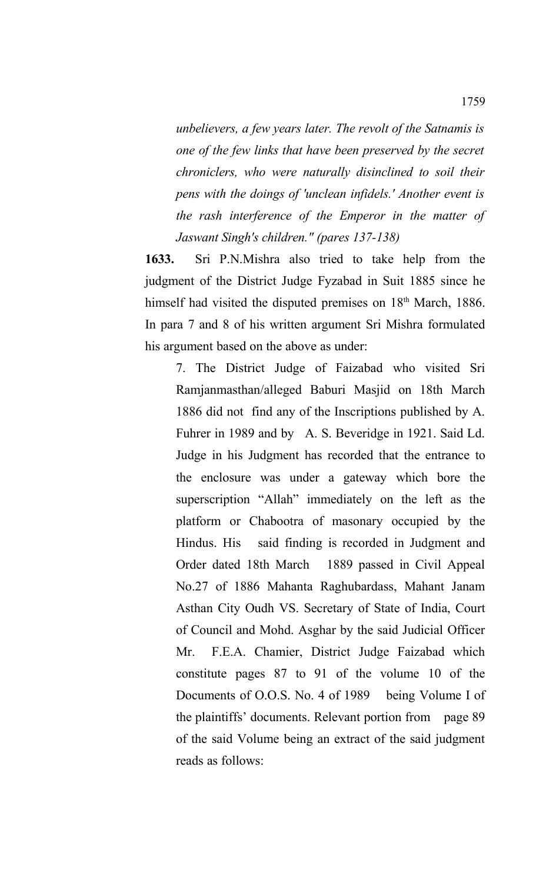*unbelievers, a few years later. The revolt of the Satnamis is one of the few links that have been preserved by the secret chroniclers, who were naturally disinclined to soil their pens with the doings of 'unclean infidels.' Another event is the rash interference of the Emperor in the matter of Jaswant Singh's children." (pares 137-138)*

**1633.** Sri P.N.Mishra also tried to take help from the judgment of the District Judge Fyzabad in Suit 1885 since he himself had visited the disputed premises on 18<sup>th</sup> March, 1886. In para 7 and 8 of his written argument Sri Mishra formulated his argument based on the above as under:

7. The District Judge of Faizabad who visited Sri Ramjanmasthan/alleged Baburi Masjid on 18th March 1886 did not find any of the Inscriptions published by A. Fuhrer in 1989 and by A. S. Beveridge in 1921. Said Ld. Judge in his Judgment has recorded that the entrance to the enclosure was under a gateway which bore the superscription "Allah" immediately on the left as the platform or Chabootra of masonary occupied by the Hindus. His said finding is recorded in Judgment and Order dated 18th March 1889 passed in Civil Appeal No.27 of 1886 Mahanta Raghubardass, Mahant Janam Asthan City Oudh VS. Secretary of State of India, Court of Council and Mohd. Asghar by the said Judicial Officer Mr. F.E.A. Chamier, District Judge Faizabad which constitute pages 87 to 91 of the volume 10 of the Documents of O.O.S. No. 4 of 1989 being Volume I of the plaintiffs' documents. Relevant portion from page 89 of the said Volume being an extract of the said judgment reads as follows: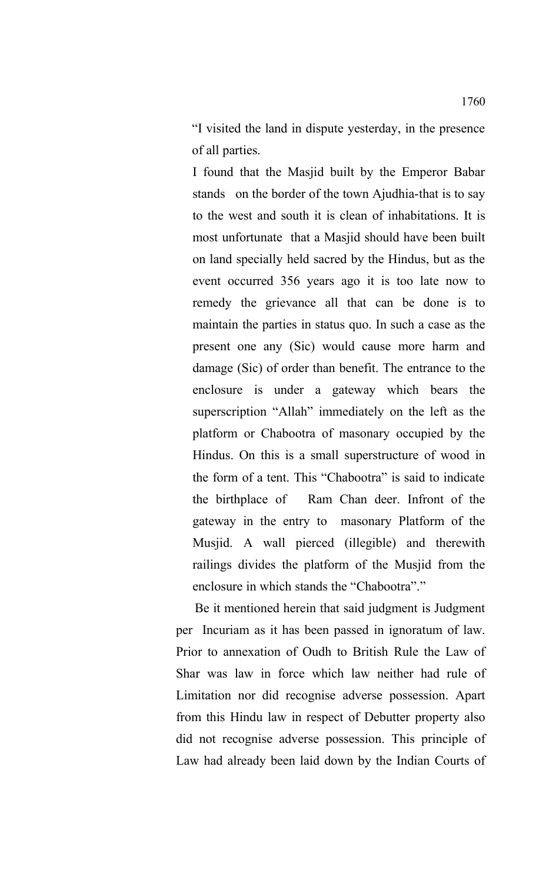"I visited the land in dispute yesterday, in the presence of all parties.

I found that the Masjid built by the Emperor Babar stands on the border of the town Ajudhia-that is to say to the west and south it is clean of inhabitations. It is most unfortunate that a Masjid should have been built on land specially held sacred by the Hindus, but as the event occurred 356 years ago it is too late now to remedy the grievance all that can be done is to maintain the parties in status quo. In such a case as the present one any (Sic) would cause more harm and damage (Sic) of order than benefit. The entrance to the enclosure is under a gateway which bears the superscription "Allah" immediately on the left as the platform or Chabootra of masonary occupied by the Hindus. On this is a small superstructure of wood in the form of a tent. This "Chabootra" is said to indicate the birthplace of Ram Chan deer. Infront of the gateway in the entry to masonary Platform of the Musjid. A wall pierced (illegible) and therewith railings divides the platform of the Musjid from the enclosure in which stands the "Chabootra"."

 Be it mentioned herein that said judgment is Judgment per Incuriam as it has been passed in ignoratum of law. Prior to annexation of Oudh to British Rule the Law of Shar was law in force which law neither had rule of Limitation nor did recognise adverse possession. Apart from this Hindu law in respect of Debutter property also did not recognise adverse possession. This principle of Law had already been laid down by the Indian Courts of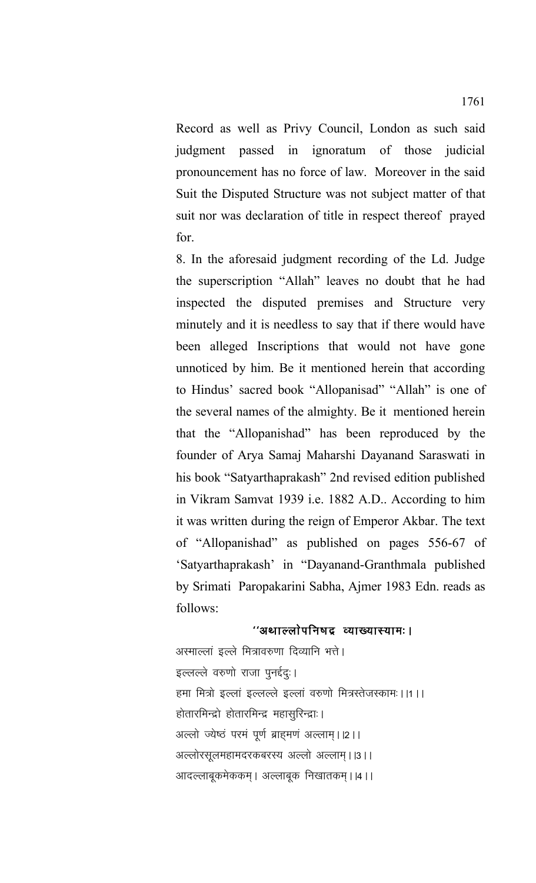Record as well as Privy Council, London as such said judgment passed in ignoratum of those judicial pronouncement has no force of law. Moreover in the said Suit the Disputed Structure was not subject matter of that suit nor was declaration of title in respect thereof prayed for.

8. In the aforesaid judgment recording of the Ld. Judge the superscription "Allah" leaves no doubt that he had inspected the disputed premises and Structure very minutely and it is needless to say that if there would have been alleged Inscriptions that would not have gone unnoticed by him. Be it mentioned herein that according to Hindus' sacred book "Allopanisad" "Allah" is one of the several names of the almighty. Be it mentioned herein that the "Allopanishad" has been reproduced by the founder of Arya Samaj Maharshi Dayanand Saraswati in his book "Satyarthaprakash" 2nd revised edition published in Vikram Samvat 1939 i.e. 1882 A.D.. According to him it was written during the reign of Emperor Akbar. The text of "Allopanishad" as published on pages 556-67 of 'Satyarthaprakash' in "Dayanand-Granthmala published by Srimati Paropakarini Sabha, Ajmer 1983 Edn. reads as follows:

### ''अथाल्लोपनिषद्र व्याख्यास्यामः ।

अस्माल्लां इल्ले मित्रावरुणा दिव्यानि भत्ते। इल्लल्ले वरुणो राजा पुनर्ददः। हमा मित्रो इल्लां इल्लल्ले इल्लां वरुणो मित्रस्तेजस्कामः ।।1।। होतारमिन्द्रो होतारमिन्द्र महासुरिन्द्राः । अल्लो ज्येष्ठं परमं पूर्ण ब्राहमणं अल्लाम् । ।२ । । अल्लोरसूलमहामदरकबरस्य अल्लो अल्लाम् । ।3 । । आदल्लाबूकमेककम् । अल्लाबूक निखातकम् । ।४ । ।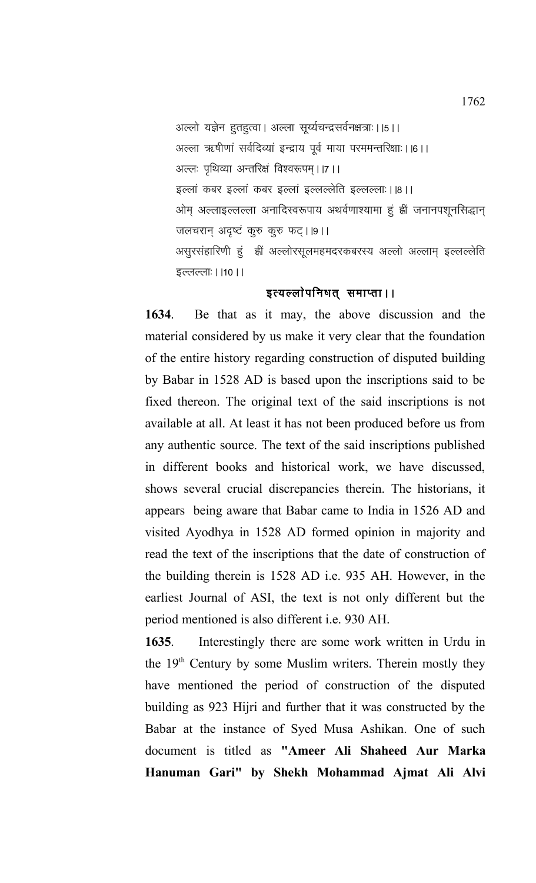अल्लो यज्ञेन हुतहुत्वा। अल्ला सूर्य्यचन्द्रसर्वनक्षत्राः । ।5।। अल्ला ऋषीणां सर्वदिव्यां इन्द्राय पूर्व माया परममन्तरिक्षाः । ।6 । । अल्लः पृथिव्या अन्तरिक्षं विश्वरूपम् । ।7 । । इल्लां कबर इल्लां कबर इल्लां इल्लल्लेति इल्लल्लाः ॥८।। ओम् अल्लाइल्लल्ला अनादिस्वरूपाय अथर्वणाश्यामा हुं ह्रीं जनानपशूनसिद्धान् जलचरान् अदृष्टं कुरु कुरु फट्। 9।। असुरसंहारिणी हुं ह्रीं अल्लोरसूलमहमदरकबरस्य अल्लो अल्लाम् इल्लल्लेति इल्लल्लाः । । 10 । ।

# इत्यल्लोपनिषत् समाप्ता ।।

**1634**. Be that as it may, the above discussion and the material considered by us make it very clear that the foundation of the entire history regarding construction of disputed building by Babar in 1528 AD is based upon the inscriptions said to be fixed thereon. The original text of the said inscriptions is not available at all. At least it has not been produced before us from any authentic source. The text of the said inscriptions published in different books and historical work, we have discussed, shows several crucial discrepancies therein. The historians, it appears being aware that Babar came to India in 1526 AD and visited Ayodhya in 1528 AD formed opinion in majority and read the text of the inscriptions that the date of construction of the building therein is 1528 AD i.e. 935 AH. However, in the earliest Journal of ASI, the text is not only different but the period mentioned is also different i.e. 930 AH.

**1635**. Interestingly there are some work written in Urdu in the 19<sup>th</sup> Century by some Muslim writers. Therein mostly they have mentioned the period of construction of the disputed building as 923 Hijri and further that it was constructed by the Babar at the instance of Syed Musa Ashikan. One of such document is titled as **"Ameer Ali Shaheed Aur Marka Hanuman Gari" by Shekh Mohammad Ajmat Ali Alvi**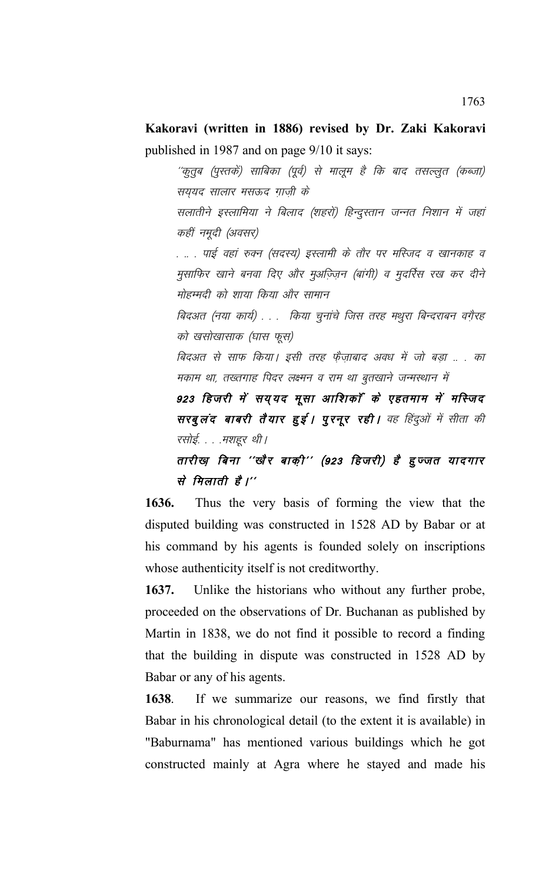**Kakoravi (written in 1886) revised by Dr. Zaki Kakoravi** published in 1987 and on page 9/10 it says:

''कूतूब (पुस्तकें) साबिका (पूर्व) से मालूम है कि बाद तसल्लूत (कब्जा) सययद सालार मसऊद ग़ाज़ी के सलातीने इस्लामिया ने बिलाद (शहरों) हिन्दुस्तान जन्नत निशान में जहां कहीं नमूदी (अवसर) . .. . पाई वहां रुक्न (सदस्य) इस्लामी के तौर पर मस्जिद व खानकाह व मुसाफिर खाने बनवा दिए और मुअज़्ज़िन (बांगी) व मुदर्रिस रख कर दीने मोहम्मदी को शाया किया और सामान बिदअत (नया कार्य) . . . किया चुनांचे जिस तरह मथुरा बिन्दराबन वगैरह को खसोखासाक (घास फूस) बिदअत से साफ किया। इसी तरह फैज़ाबाद अवध में जो बड़ा .. . का मकाम था, तख्तगाह पिदर लक्ष्मन व राम था बुतखाने जन्मस्थान में 923 हिजरी में सयुयद मूसा आशिकॉं के एहतमाम में मस्जिद सरबुलंद बाबरी तैयार हुई। पुरनूर रही। वह हिंदुओं में सीता की रसोई. . . . मशहूर थी।

तारीख़ बिना ''खौर बाक़ी'' (923 हिजरी) है हु ज्जत यादगार से मिलाती है।''

**1636.** Thus the very basis of forming the view that the disputed building was constructed in 1528 AD by Babar or at his command by his agents is founded solely on inscriptions whose authenticity itself is not creditworthy.

**1637.** Unlike the historians who without any further probe, proceeded on the observations of Dr. Buchanan as published by Martin in 1838, we do not find it possible to record a finding that the building in dispute was constructed in 1528 AD by Babar or any of his agents.

**1638**. If we summarize our reasons, we find firstly that Babar in his chronological detail (to the extent it is available) in "Baburnama" has mentioned various buildings which he got constructed mainly at Agra where he stayed and made his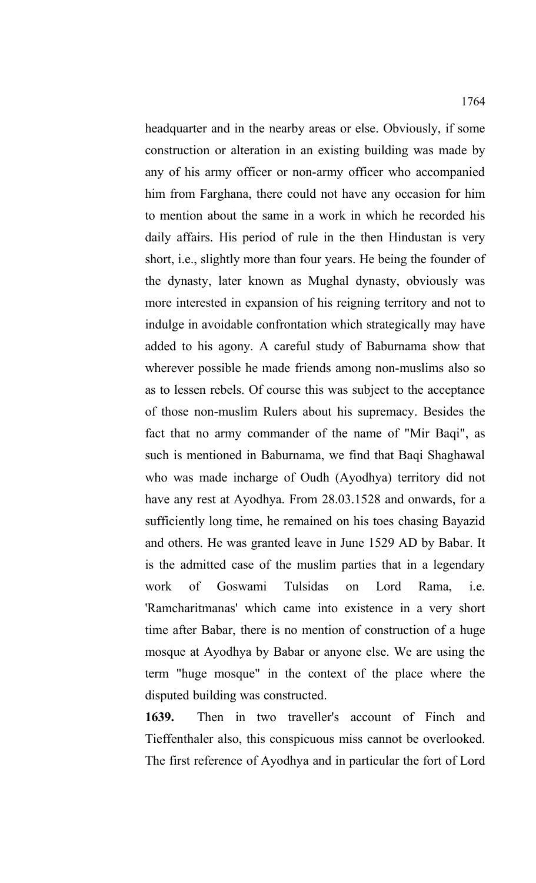headquarter and in the nearby areas or else. Obviously, if some construction or alteration in an existing building was made by any of his army officer or non-army officer who accompanied him from Farghana, there could not have any occasion for him to mention about the same in a work in which he recorded his daily affairs. His period of rule in the then Hindustan is very short, i.e., slightly more than four years. He being the founder of the dynasty, later known as Mughal dynasty, obviously was more interested in expansion of his reigning territory and not to indulge in avoidable confrontation which strategically may have added to his agony. A careful study of Baburnama show that wherever possible he made friends among non-muslims also so as to lessen rebels. Of course this was subject to the acceptance of those non-muslim Rulers about his supremacy. Besides the fact that no army commander of the name of "Mir Baqi", as such is mentioned in Baburnama, we find that Baqi Shaghawal who was made incharge of Oudh (Ayodhya) territory did not have any rest at Ayodhya. From 28.03.1528 and onwards, for a sufficiently long time, he remained on his toes chasing Bayazid and others. He was granted leave in June 1529 AD by Babar. It is the admitted case of the muslim parties that in a legendary work of Goswami Tulsidas on Lord Rama, i.e. 'Ramcharitmanas' which came into existence in a very short time after Babar, there is no mention of construction of a huge mosque at Ayodhya by Babar or anyone else. We are using the term "huge mosque" in the context of the place where the disputed building was constructed.

**1639.** Then in two traveller's account of Finch and Tieffenthaler also, this conspicuous miss cannot be overlooked. The first reference of Ayodhya and in particular the fort of Lord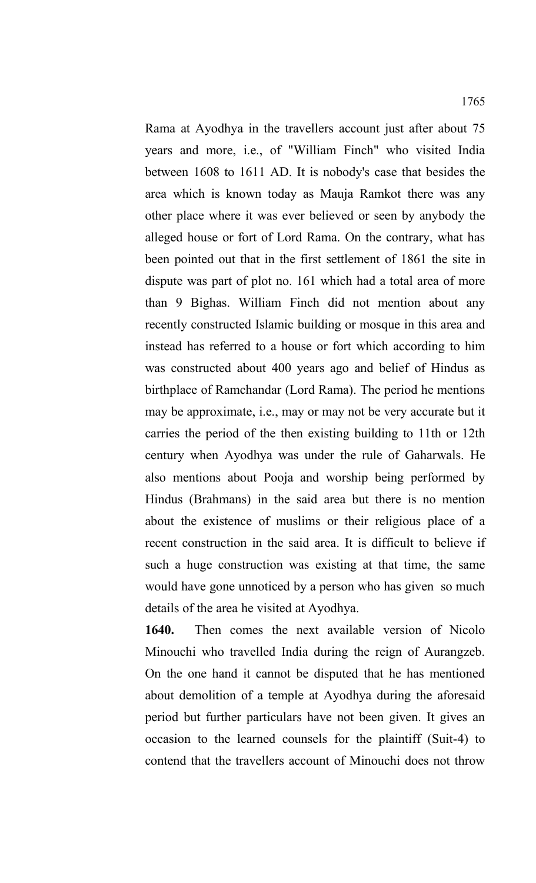Rama at Ayodhya in the travellers account just after about 75 years and more, i.e., of "William Finch" who visited India between 1608 to 1611 AD. It is nobody's case that besides the area which is known today as Mauja Ramkot there was any other place where it was ever believed or seen by anybody the alleged house or fort of Lord Rama. On the contrary, what has been pointed out that in the first settlement of 1861 the site in dispute was part of plot no. 161 which had a total area of more than 9 Bighas. William Finch did not mention about any recently constructed Islamic building or mosque in this area and instead has referred to a house or fort which according to him was constructed about 400 years ago and belief of Hindus as birthplace of Ramchandar (Lord Rama). The period he mentions may be approximate, i.e., may or may not be very accurate but it carries the period of the then existing building to 11th or 12th century when Ayodhya was under the rule of Gaharwals. He also mentions about Pooja and worship being performed by Hindus (Brahmans) in the said area but there is no mention about the existence of muslims or their religious place of a recent construction in the said area. It is difficult to believe if such a huge construction was existing at that time, the same would have gone unnoticed by a person who has given so much details of the area he visited at Ayodhya.

**1640.** Then comes the next available version of Nicolo Minouchi who travelled India during the reign of Aurangzeb. On the one hand it cannot be disputed that he has mentioned about demolition of a temple at Ayodhya during the aforesaid period but further particulars have not been given. It gives an occasion to the learned counsels for the plaintiff (Suit-4) to contend that the travellers account of Minouchi does not throw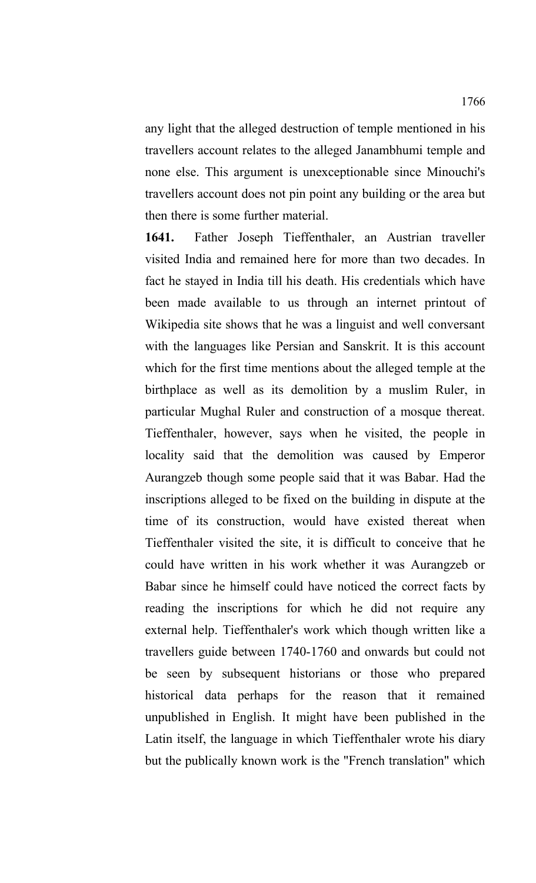any light that the alleged destruction of temple mentioned in his travellers account relates to the alleged Janambhumi temple and none else. This argument is unexceptionable since Minouchi's travellers account does not pin point any building or the area but then there is some further material.

**1641.** Father Joseph Tieffenthaler, an Austrian traveller visited India and remained here for more than two decades. In fact he stayed in India till his death. His credentials which have been made available to us through an internet printout of Wikipedia site shows that he was a linguist and well conversant with the languages like Persian and Sanskrit. It is this account which for the first time mentions about the alleged temple at the birthplace as well as its demolition by a muslim Ruler, in particular Mughal Ruler and construction of a mosque thereat. Tieffenthaler, however, says when he visited, the people in locality said that the demolition was caused by Emperor Aurangzeb though some people said that it was Babar. Had the inscriptions alleged to be fixed on the building in dispute at the time of its construction, would have existed thereat when Tieffenthaler visited the site, it is difficult to conceive that he could have written in his work whether it was Aurangzeb or Babar since he himself could have noticed the correct facts by reading the inscriptions for which he did not require any external help. Tieffenthaler's work which though written like a travellers guide between 1740-1760 and onwards but could not be seen by subsequent historians or those who prepared historical data perhaps for the reason that it remained unpublished in English. It might have been published in the Latin itself, the language in which Tieffenthaler wrote his diary but the publically known work is the "French translation" which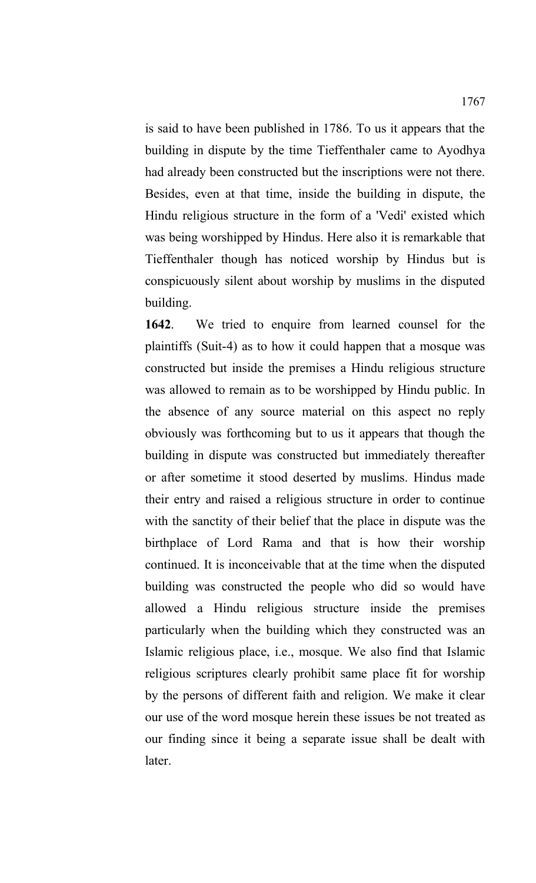is said to have been published in 1786. To us it appears that the building in dispute by the time Tieffenthaler came to Ayodhya had already been constructed but the inscriptions were not there. Besides, even at that time, inside the building in dispute, the Hindu religious structure in the form of a 'Vedi' existed which was being worshipped by Hindus. Here also it is remarkable that Tieffenthaler though has noticed worship by Hindus but is conspicuously silent about worship by muslims in the disputed building.

**1642**. We tried to enquire from learned counsel for the plaintiffs (Suit-4) as to how it could happen that a mosque was constructed but inside the premises a Hindu religious structure was allowed to remain as to be worshipped by Hindu public. In the absence of any source material on this aspect no reply obviously was forthcoming but to us it appears that though the building in dispute was constructed but immediately thereafter or after sometime it stood deserted by muslims. Hindus made their entry and raised a religious structure in order to continue with the sanctity of their belief that the place in dispute was the birthplace of Lord Rama and that is how their worship continued. It is inconceivable that at the time when the disputed building was constructed the people who did so would have allowed a Hindu religious structure inside the premises particularly when the building which they constructed was an Islamic religious place, i.e., mosque. We also find that Islamic religious scriptures clearly prohibit same place fit for worship by the persons of different faith and religion. We make it clear our use of the word mosque herein these issues be not treated as our finding since it being a separate issue shall be dealt with later.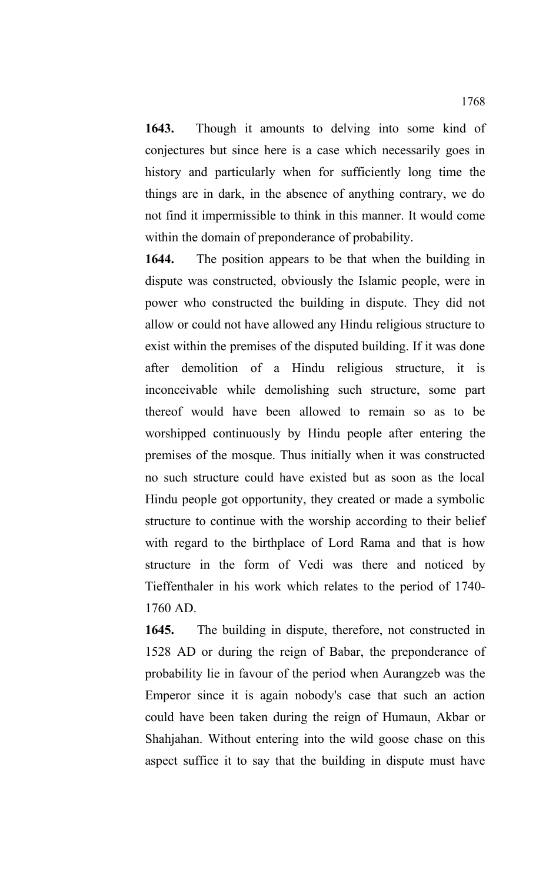**1643.** Though it amounts to delving into some kind of conjectures but since here is a case which necessarily goes in history and particularly when for sufficiently long time the things are in dark, in the absence of anything contrary, we do not find it impermissible to think in this manner. It would come within the domain of preponderance of probability.

**1644.** The position appears to be that when the building in dispute was constructed, obviously the Islamic people, were in power who constructed the building in dispute. They did not allow or could not have allowed any Hindu religious structure to exist within the premises of the disputed building. If it was done after demolition of a Hindu religious structure, it is inconceivable while demolishing such structure, some part thereof would have been allowed to remain so as to be worshipped continuously by Hindu people after entering the premises of the mosque. Thus initially when it was constructed no such structure could have existed but as soon as the local Hindu people got opportunity, they created or made a symbolic structure to continue with the worship according to their belief with regard to the birthplace of Lord Rama and that is how structure in the form of Vedi was there and noticed by Tieffenthaler in his work which relates to the period of 1740- 1760 AD.

**1645.** The building in dispute, therefore, not constructed in 1528 AD or during the reign of Babar, the preponderance of probability lie in favour of the period when Aurangzeb was the Emperor since it is again nobody's case that such an action could have been taken during the reign of Humaun, Akbar or Shahjahan. Without entering into the wild goose chase on this aspect suffice it to say that the building in dispute must have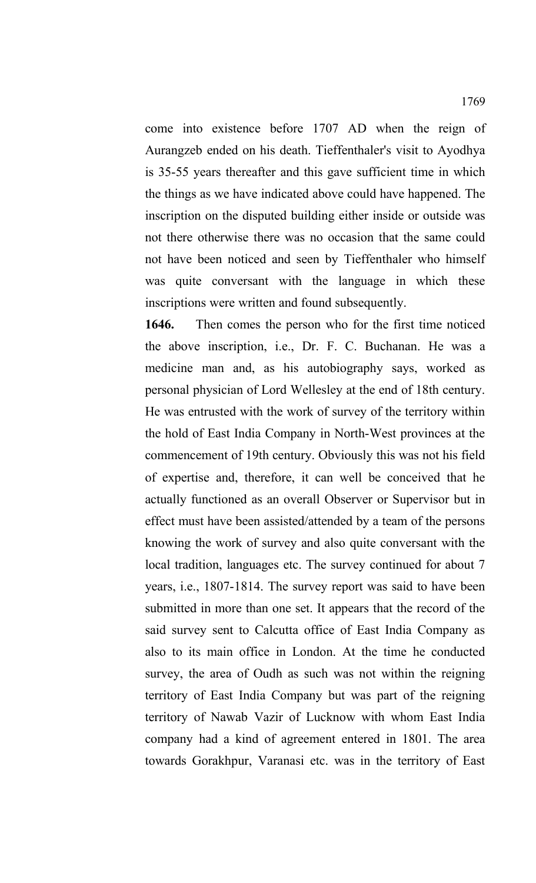come into existence before 1707 AD when the reign of Aurangzeb ended on his death. Tieffenthaler's visit to Ayodhya is 35-55 years thereafter and this gave sufficient time in which the things as we have indicated above could have happened. The inscription on the disputed building either inside or outside was not there otherwise there was no occasion that the same could not have been noticed and seen by Tieffenthaler who himself was quite conversant with the language in which these inscriptions were written and found subsequently.

**1646.** Then comes the person who for the first time noticed the above inscription, i.e., Dr. F. C. Buchanan. He was a medicine man and, as his autobiography says, worked as personal physician of Lord Wellesley at the end of 18th century. He was entrusted with the work of survey of the territory within the hold of East India Company in North-West provinces at the commencement of 19th century. Obviously this was not his field of expertise and, therefore, it can well be conceived that he actually functioned as an overall Observer or Supervisor but in effect must have been assisted/attended by a team of the persons knowing the work of survey and also quite conversant with the local tradition, languages etc. The survey continued for about 7 years, i.e., 1807-1814. The survey report was said to have been submitted in more than one set. It appears that the record of the said survey sent to Calcutta office of East India Company as also to its main office in London. At the time he conducted survey, the area of Oudh as such was not within the reigning territory of East India Company but was part of the reigning territory of Nawab Vazir of Lucknow with whom East India company had a kind of agreement entered in 1801. The area towards Gorakhpur, Varanasi etc. was in the territory of East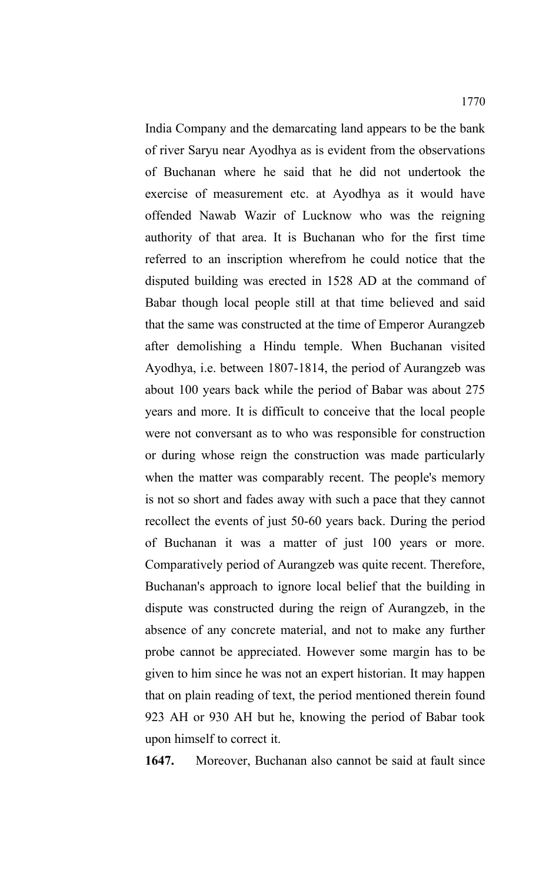India Company and the demarcating land appears to be the bank of river Saryu near Ayodhya as is evident from the observations of Buchanan where he said that he did not undertook the exercise of measurement etc. at Ayodhya as it would have offended Nawab Wazir of Lucknow who was the reigning authority of that area. It is Buchanan who for the first time referred to an inscription wherefrom he could notice that the disputed building was erected in 1528 AD at the command of Babar though local people still at that time believed and said that the same was constructed at the time of Emperor Aurangzeb after demolishing a Hindu temple. When Buchanan visited Ayodhya, i.e. between 1807-1814, the period of Aurangzeb was about 100 years back while the period of Babar was about 275 years and more. It is difficult to conceive that the local people were not conversant as to who was responsible for construction or during whose reign the construction was made particularly when the matter was comparably recent. The people's memory is not so short and fades away with such a pace that they cannot recollect the events of just 50-60 years back. During the period of Buchanan it was a matter of just 100 years or more. Comparatively period of Aurangzeb was quite recent. Therefore, Buchanan's approach to ignore local belief that the building in dispute was constructed during the reign of Aurangzeb, in the absence of any concrete material, and not to make any further probe cannot be appreciated. However some margin has to be given to him since he was not an expert historian. It may happen that on plain reading of text, the period mentioned therein found 923 AH or 930 AH but he, knowing the period of Babar took upon himself to correct it.

**1647.** Moreover, Buchanan also cannot be said at fault since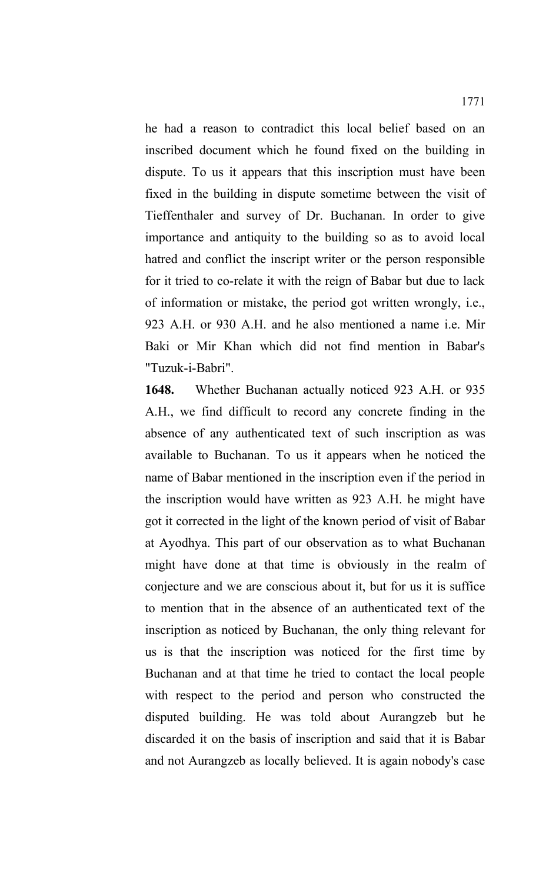he had a reason to contradict this local belief based on an inscribed document which he found fixed on the building in dispute. To us it appears that this inscription must have been fixed in the building in dispute sometime between the visit of Tieffenthaler and survey of Dr. Buchanan. In order to give importance and antiquity to the building so as to avoid local hatred and conflict the inscript writer or the person responsible for it tried to co-relate it with the reign of Babar but due to lack of information or mistake, the period got written wrongly, i.e., 923 A.H. or 930 A.H. and he also mentioned a name i.e. Mir Baki or Mir Khan which did not find mention in Babar's "Tuzuk-i-Babri".

**1648.** Whether Buchanan actually noticed 923 A.H. or 935 A.H., we find difficult to record any concrete finding in the absence of any authenticated text of such inscription as was available to Buchanan. To us it appears when he noticed the name of Babar mentioned in the inscription even if the period in the inscription would have written as 923 A.H. he might have got it corrected in the light of the known period of visit of Babar at Ayodhya. This part of our observation as to what Buchanan might have done at that time is obviously in the realm of conjecture and we are conscious about it, but for us it is suffice to mention that in the absence of an authenticated text of the inscription as noticed by Buchanan, the only thing relevant for us is that the inscription was noticed for the first time by Buchanan and at that time he tried to contact the local people with respect to the period and person who constructed the disputed building. He was told about Aurangzeb but he discarded it on the basis of inscription and said that it is Babar and not Aurangzeb as locally believed. It is again nobody's case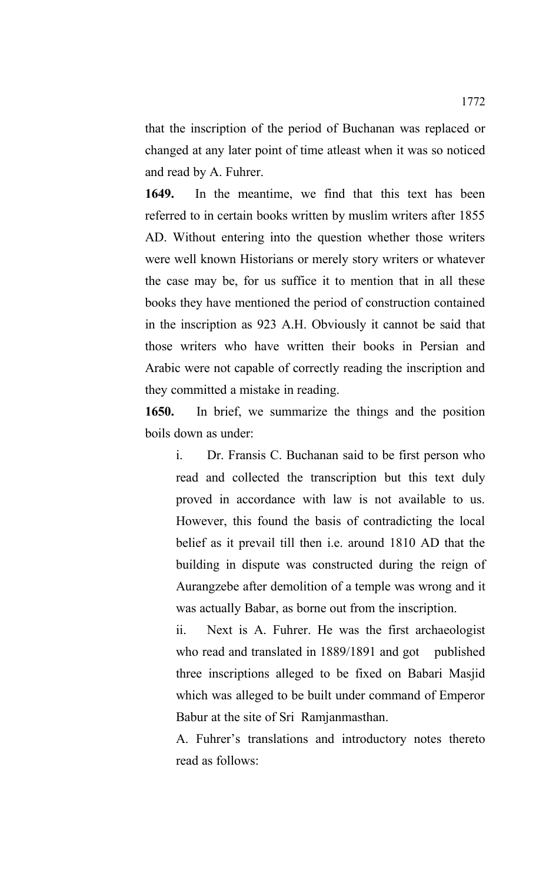that the inscription of the period of Buchanan was replaced or changed at any later point of time atleast when it was so noticed and read by A. Fuhrer.

**1649.** In the meantime, we find that this text has been referred to in certain books written by muslim writers after 1855 AD. Without entering into the question whether those writers were well known Historians or merely story writers or whatever the case may be, for us suffice it to mention that in all these books they have mentioned the period of construction contained in the inscription as 923 A.H. Obviously it cannot be said that those writers who have written their books in Persian and Arabic were not capable of correctly reading the inscription and they committed a mistake in reading.

**1650.** In brief, we summarize the things and the position boils down as under:

i. Dr. Fransis C. Buchanan said to be first person who read and collected the transcription but this text duly proved in accordance with law is not available to us. However, this found the basis of contradicting the local belief as it prevail till then i.e. around 1810 AD that the building in dispute was constructed during the reign of Aurangzebe after demolition of a temple was wrong and it was actually Babar, as borne out from the inscription.

ii. Next is A. Fuhrer. He was the first archaeologist who read and translated in 1889/1891 and got published three inscriptions alleged to be fixed on Babari Masjid which was alleged to be built under command of Emperor Babur at the site of Sri Ramjanmasthan.

A. Fuhrer's translations and introductory notes thereto read as follows: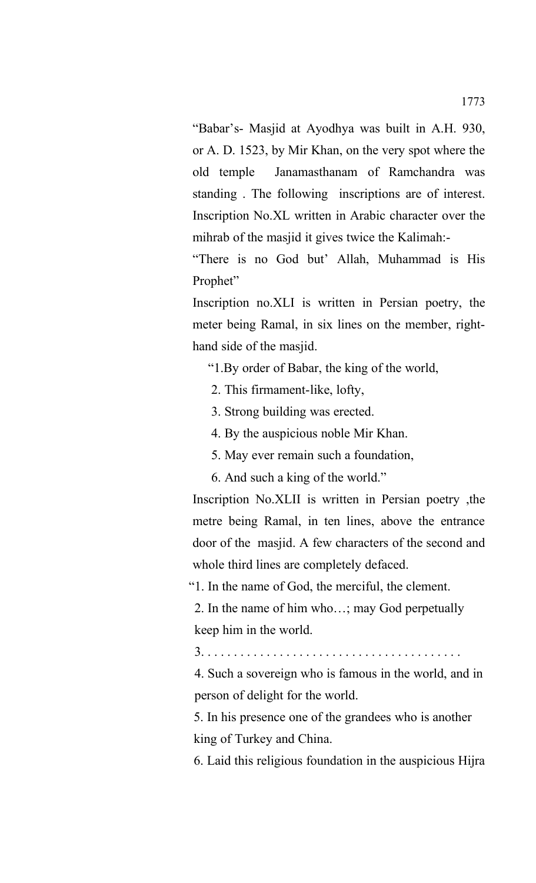"Babar's- Masjid at Ayodhya was built in A.H. 930, or A. D. 1523, by Mir Khan, on the very spot where the old temple Janamasthanam of Ramchandra was standing . The following inscriptions are of interest. Inscription No.XL written in Arabic character over the mihrab of the masjid it gives twice the Kalimah:-

"There is no God but' Allah, Muhammad is His Prophet"

Inscription no.XLI is written in Persian poetry, the meter being Ramal, in six lines on the member, righthand side of the masjid.

- "1.By order of Babar, the king of the world,
- 2. This firmament-like, lofty,
- 3. Strong building was erected.
- 4. By the auspicious noble Mir Khan.
- 5. May ever remain such a foundation,
- 6. And such a king of the world."

Inscription No.XLII is written in Persian poetry ,the metre being Ramal, in ten lines, above the entrance door of the masjid. A few characters of the second and whole third lines are completely defaced.

"1. In the name of God, the merciful, the clement.

2. In the name of him who…; may God perpetually keep him in the world.

3. . . . . . . . . . . . . . . . . . . . . . . . . . . . . . . . . . . . . . . .

4. Such a sovereign who is famous in the world, and in person of delight for the world.

5. In his presence one of the grandees who is another king of Turkey and China.

6. Laid this religious foundation in the auspicious Hijra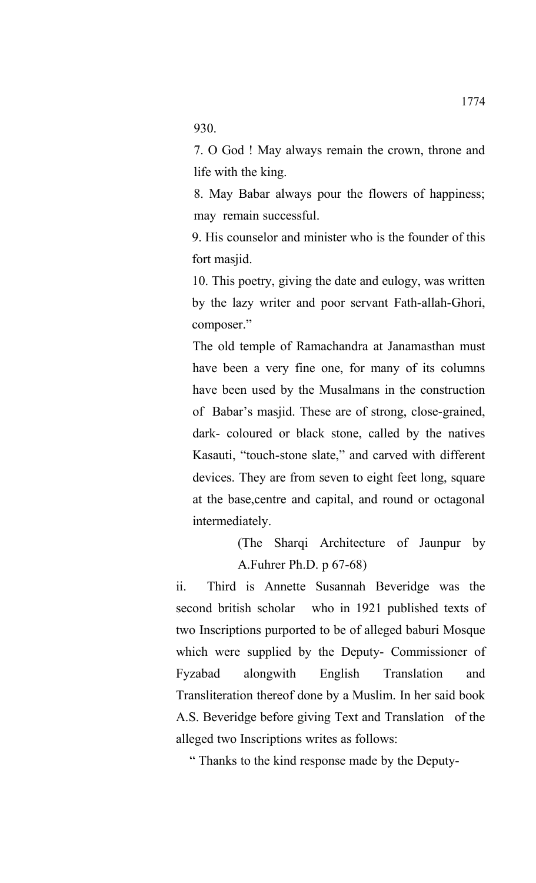930.

7. O God ! May always remain the crown, throne and life with the king.

8. May Babar always pour the flowers of happiness; may remain successful.

9. His counselor and minister who is the founder of this fort masjid.

10. This poetry, giving the date and eulogy, was written by the lazy writer and poor servant Fath-allah-Ghori, composer."

The old temple of Ramachandra at Janamasthan must have been a very fine one, for many of its columns have been used by the Musalmans in the construction of Babar's masjid. These are of strong, close-grained, dark- coloured or black stone, called by the natives Kasauti, "touch-stone slate," and carved with different devices. They are from seven to eight feet long, square at the base,centre and capital, and round or octagonal intermediately.

> (The Sharqi Architecture of Jaunpur by A.Fuhrer Ph.D. p 67-68)

ii. Third is Annette Susannah Beveridge was the second british scholar who in 1921 published texts of two Inscriptions purported to be of alleged baburi Mosque which were supplied by the Deputy- Commissioner of Fyzabad alongwith English Translation and Transliteration thereof done by a Muslim. In her said book A.S. Beveridge before giving Text and Translation of the alleged two Inscriptions writes as follows:

" Thanks to the kind response made by the Deputy-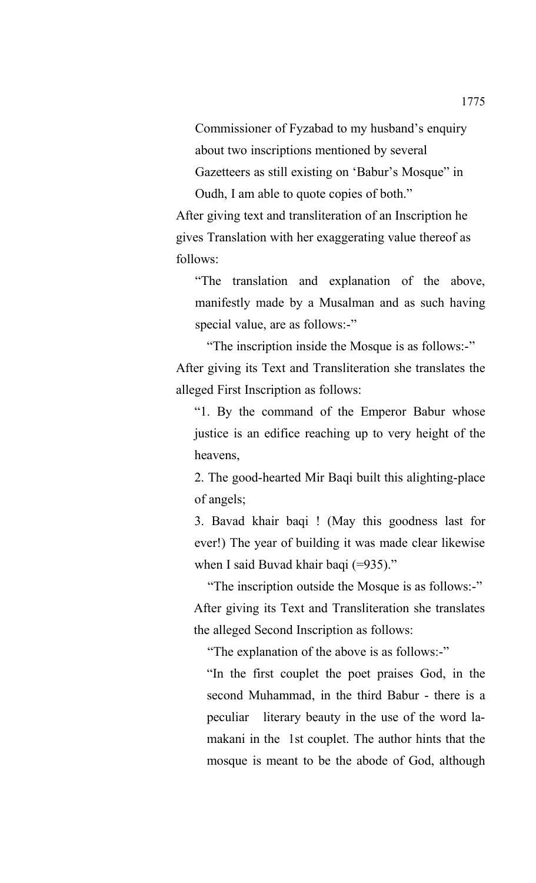Commissioner of Fyzabad to my husband's enquiry about two inscriptions mentioned by several Gazetteers as still existing on 'Babur's Mosque" in

Oudh, I am able to quote copies of both."

After giving text and transliteration of an Inscription he gives Translation with her exaggerating value thereof as follows:

"The translation and explanation of the above, manifestly made by a Musalman and as such having special value, are as follows:-"

"The inscription inside the Mosque is as follows:-" After giving its Text and Transliteration she translates the alleged First Inscription as follows:

"1. By the command of the Emperor Babur whose justice is an edifice reaching up to very height of the heavens,

2. The good-hearted Mir Baqi built this alighting-place of angels;

3. Bavad khair baqi ! (May this goodness last for ever!) The year of building it was made clear likewise when I said Buvad khair baqi (=935)."

 "The inscription outside the Mosque is as follows:-" After giving its Text and Transliteration she translates the alleged Second Inscription as follows:

"The explanation of the above is as follows:-"

"In the first couplet the poet praises God, in the second Muhammad, in the third Babur - there is a peculiar literary beauty in the use of the word lamakani in the 1st couplet. The author hints that the mosque is meant to be the abode of God, although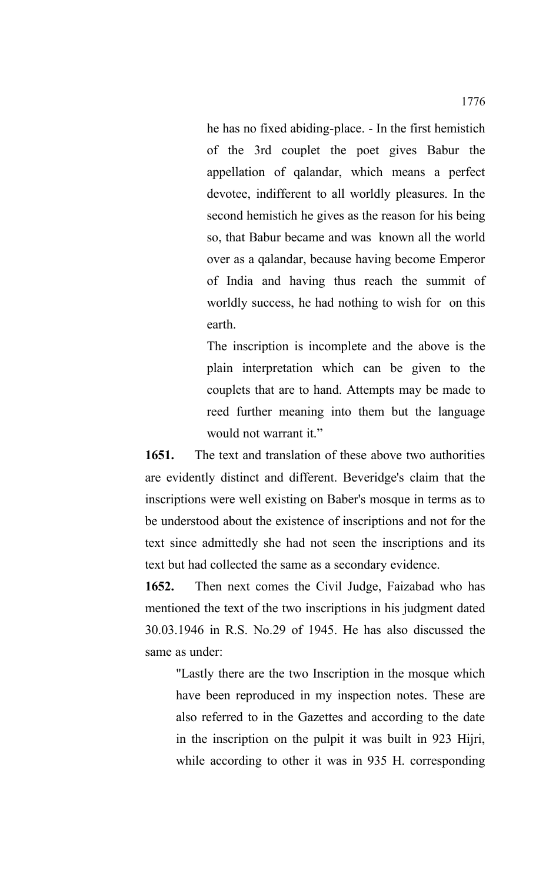he has no fixed abiding-place. - In the first hemistich of the 3rd couplet the poet gives Babur the appellation of qalandar, which means a perfect devotee, indifferent to all worldly pleasures. In the second hemistich he gives as the reason for his being so, that Babur became and was known all the world over as a qalandar, because having become Emperor of India and having thus reach the summit of worldly success, he had nothing to wish for on this earth.

The inscription is incomplete and the above is the plain interpretation which can be given to the couplets that are to hand. Attempts may be made to reed further meaning into them but the language would not warrant it."

**1651.** The text and translation of these above two authorities are evidently distinct and different. Beveridge's claim that the inscriptions were well existing on Baber's mosque in terms as to be understood about the existence of inscriptions and not for the text since admittedly she had not seen the inscriptions and its text but had collected the same as a secondary evidence.

**1652.** Then next comes the Civil Judge, Faizabad who has mentioned the text of the two inscriptions in his judgment dated 30.03.1946 in R.S. No.29 of 1945. He has also discussed the same as under:

"Lastly there are the two Inscription in the mosque which have been reproduced in my inspection notes. These are also referred to in the Gazettes and according to the date in the inscription on the pulpit it was built in 923 Hijri, while according to other it was in 935 H. corresponding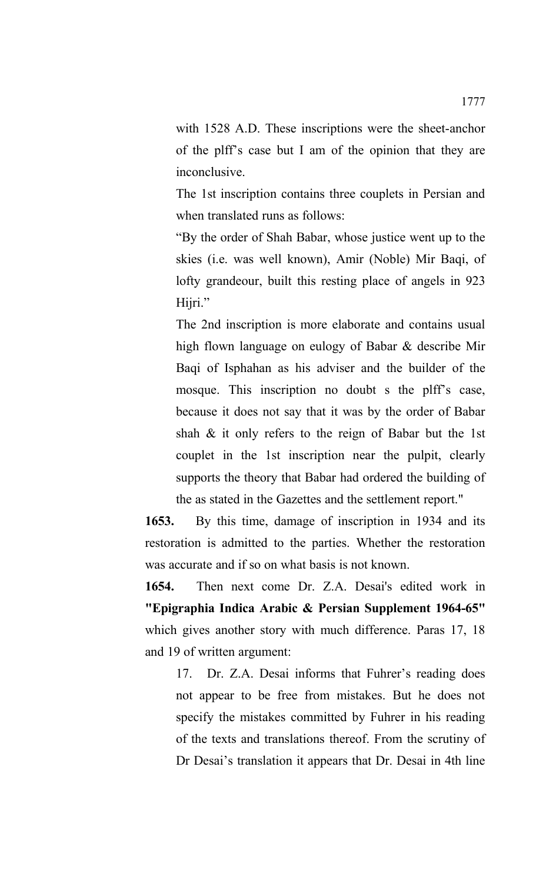with 1528 A.D. These inscriptions were the sheet-anchor of the plff's case but I am of the opinion that they are inconclusive.

The 1st inscription contains three couplets in Persian and when translated runs as follows:

"By the order of Shah Babar, whose justice went up to the skies (i.e. was well known), Amir (Noble) Mir Baqi, of lofty grandeour, built this resting place of angels in 923 Hijri."

The 2nd inscription is more elaborate and contains usual high flown language on eulogy of Babar & describe Mir Baqi of Isphahan as his adviser and the builder of the mosque. This inscription no doubt s the plff's case, because it does not say that it was by the order of Babar shah & it only refers to the reign of Babar but the 1st couplet in the 1st inscription near the pulpit, clearly supports the theory that Babar had ordered the building of the as stated in the Gazettes and the settlement report."

**1653.** By this time, damage of inscription in 1934 and its restoration is admitted to the parties. Whether the restoration was accurate and if so on what basis is not known.

**1654.** Then next come Dr. Z.A. Desai's edited work in **"Epigraphia Indica Arabic & Persian Supplement 1964-65"** which gives another story with much difference. Paras 17, 18 and 19 of written argument:

17. Dr. Z.A. Desai informs that Fuhrer's reading does not appear to be free from mistakes. But he does not specify the mistakes committed by Fuhrer in his reading of the texts and translations thereof. From the scrutiny of Dr Desai's translation it appears that Dr. Desai in 4th line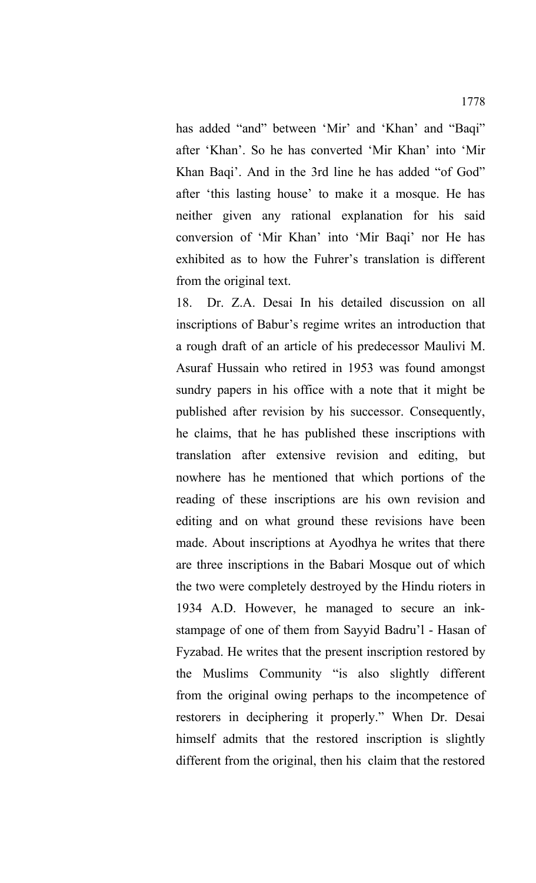has added "and" between 'Mir' and 'Khan' and "Baqi" after 'Khan'. So he has converted 'Mir Khan' into 'Mir Khan Baqi'. And in the 3rd line he has added "of God" after 'this lasting house' to make it a mosque. He has neither given any rational explanation for his said conversion of 'Mir Khan' into 'Mir Baqi' nor He has exhibited as to how the Fuhrer's translation is different from the original text.

18. Dr. Z.A. Desai In his detailed discussion on all inscriptions of Babur's regime writes an introduction that a rough draft of an article of his predecessor Maulivi M. Asuraf Hussain who retired in 1953 was found amongst sundry papers in his office with a note that it might be published after revision by his successor. Consequently, he claims, that he has published these inscriptions with translation after extensive revision and editing, but nowhere has he mentioned that which portions of the reading of these inscriptions are his own revision and editing and on what ground these revisions have been made. About inscriptions at Ayodhya he writes that there are three inscriptions in the Babari Mosque out of which the two were completely destroyed by the Hindu rioters in 1934 A.D. However, he managed to secure an inkstampage of one of them from Sayyid Badru'l - Hasan of Fyzabad. He writes that the present inscription restored by the Muslims Community "is also slightly different from the original owing perhaps to the incompetence of restorers in deciphering it properly." When Dr. Desai himself admits that the restored inscription is slightly different from the original, then his claim that the restored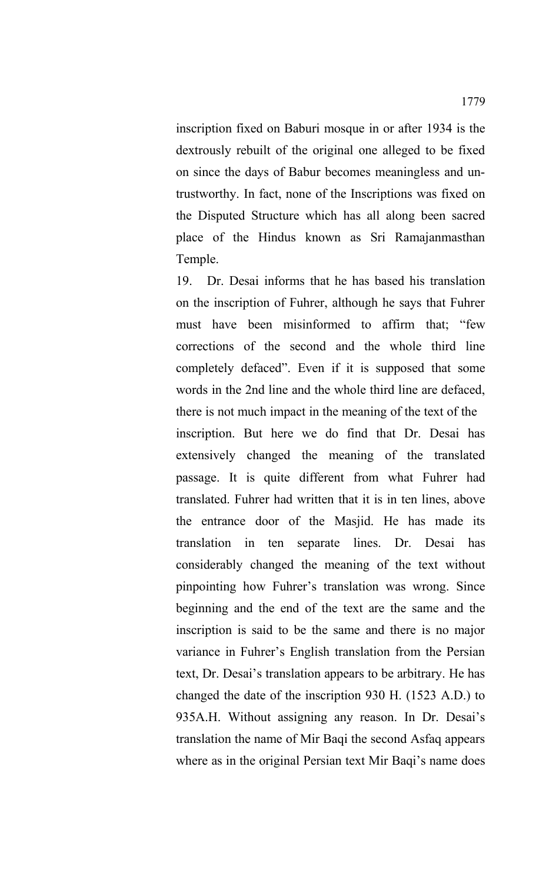inscription fixed on Baburi mosque in or after 1934 is the dextrously rebuilt of the original one alleged to be fixed on since the days of Babur becomes meaningless and untrustworthy. In fact, none of the Inscriptions was fixed on the Disputed Structure which has all along been sacred place of the Hindus known as Sri Ramajanmasthan Temple.

19. Dr. Desai informs that he has based his translation on the inscription of Fuhrer, although he says that Fuhrer must have been misinformed to affirm that; "few corrections of the second and the whole third line completely defaced". Even if it is supposed that some words in the 2nd line and the whole third line are defaced, there is not much impact in the meaning of the text of the inscription. But here we do find that Dr. Desai has extensively changed the meaning of the translated passage. It is quite different from what Fuhrer had translated. Fuhrer had written that it is in ten lines, above the entrance door of the Masjid. He has made its translation in ten separate lines. Dr. Desai has considerably changed the meaning of the text without pinpointing how Fuhrer's translation was wrong. Since beginning and the end of the text are the same and the inscription is said to be the same and there is no major variance in Fuhrer's English translation from the Persian text, Dr. Desai's translation appears to be arbitrary. He has changed the date of the inscription 930 H. (1523 A.D.) to 935A.H. Without assigning any reason. In Dr. Desai's translation the name of Mir Baqi the second Asfaq appears where as in the original Persian text Mir Baqi's name does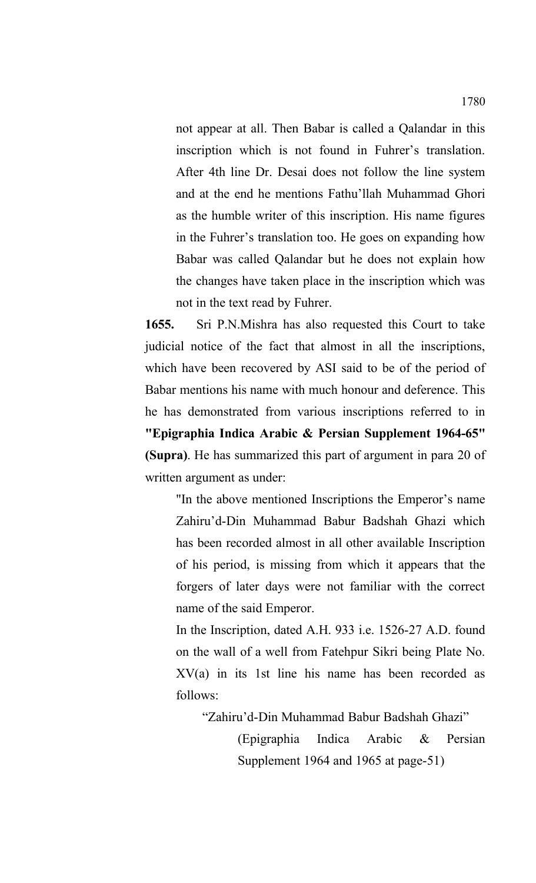not appear at all. Then Babar is called a Qalandar in this inscription which is not found in Fuhrer's translation. After 4th line Dr. Desai does not follow the line system and at the end he mentions Fathu'llah Muhammad Ghori as the humble writer of this inscription. His name figures in the Fuhrer's translation too. He goes on expanding how Babar was called Qalandar but he does not explain how the changes have taken place in the inscription which was not in the text read by Fuhrer.

**1655.** Sri P.N.Mishra has also requested this Court to take judicial notice of the fact that almost in all the inscriptions, which have been recovered by ASI said to be of the period of Babar mentions his name with much honour and deference. This he has demonstrated from various inscriptions referred to in **"Epigraphia Indica Arabic & Persian Supplement 1964-65" (Supra)**. He has summarized this part of argument in para 20 of written argument as under:

"In the above mentioned Inscriptions the Emperor's name Zahiru'd-Din Muhammad Babur Badshah Ghazi which has been recorded almost in all other available Inscription of his period, is missing from which it appears that the forgers of later days were not familiar with the correct name of the said Emperor.

In the Inscription, dated A.H. 933 i.e. 1526-27 A.D. found on the wall of a well from Fatehpur Sikri being Plate No. XV(a) in its 1st line his name has been recorded as follows:

"Zahiru'd-Din Muhammad Babur Badshah Ghazi"

(Epigraphia Indica Arabic & Persian Supplement 1964 and 1965 at page-51)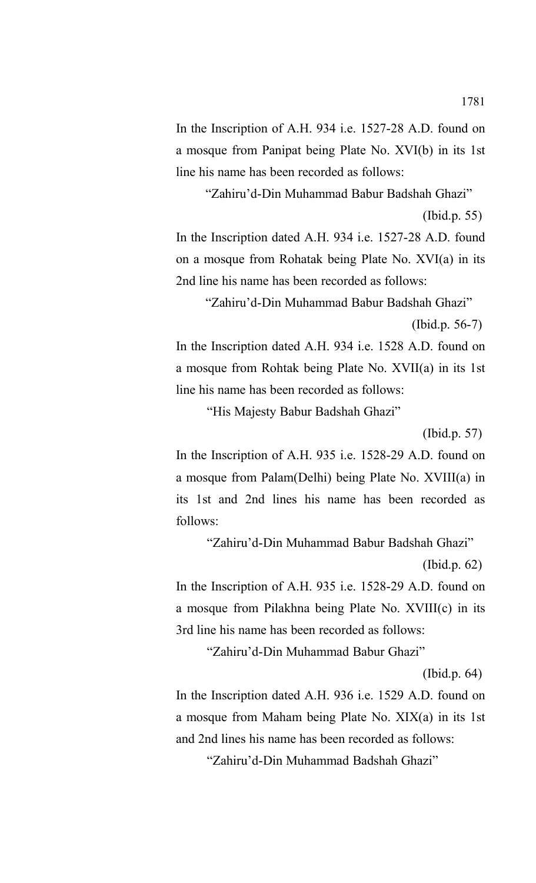In the Inscription of A.H. 934 i.e. 1527-28 A.D. found on a mosque from Panipat being Plate No. XVI(b) in its 1st line his name has been recorded as follows:

"Zahiru'd-Din Muhammad Babur Badshah Ghazi"

(Ibid.p. 55)

In the Inscription dated A.H. 934 i.e. 1527-28 A.D. found on a mosque from Rohatak being Plate No. XVI(a) in its 2nd line his name has been recorded as follows:

"Zahiru'd-Din Muhammad Babur Badshah Ghazi"

(Ibid.p. 56-7)

In the Inscription dated A.H. 934 i.e. 1528 A.D. found on a mosque from Rohtak being Plate No. XVII(a) in its 1st line his name has been recorded as follows:

"His Majesty Babur Badshah Ghazi"

(Ibid.p. 57)

In the Inscription of A.H. 935 i.e. 1528-29 A.D. found on a mosque from Palam(Delhi) being Plate No. XVIII(a) in its 1st and 2nd lines his name has been recorded as follows:

"Zahiru'd-Din Muhammad Babur Badshah Ghazi"

(Ibid.p. 62)

In the Inscription of A.H. 935 i.e. 1528-29 A.D. found on a mosque from Pilakhna being Plate No. XVIII(c) in its 3rd line his name has been recorded as follows:

"Zahiru'd-Din Muhammad Babur Ghazi"

(Ibid.p. 64)

In the Inscription dated A.H. 936 i.e. 1529 A.D. found on a mosque from Maham being Plate No. XIX(a) in its 1st and 2nd lines his name has been recorded as follows:

"Zahiru'd-Din Muhammad Badshah Ghazi"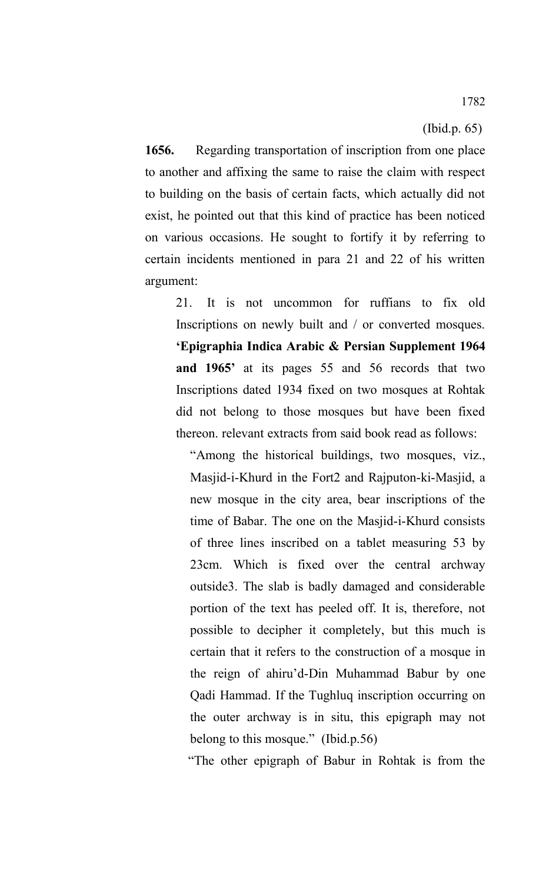1782

**1656.** Regarding transportation of inscription from one place to another and affixing the same to raise the claim with respect to building on the basis of certain facts, which actually did not exist, he pointed out that this kind of practice has been noticed on various occasions. He sought to fortify it by referring to certain incidents mentioned in para 21 and 22 of his written argument:

21. It is not uncommon for ruffians to fix old Inscriptions on newly built and / or converted mosques. **'Epigraphia Indica Arabic & Persian Supplement 1964 and 1965'** at its pages 55 and 56 records that two Inscriptions dated 1934 fixed on two mosques at Rohtak did not belong to those mosques but have been fixed thereon. relevant extracts from said book read as follows:

"Among the historical buildings, two mosques, viz., Masjid-i-Khurd in the Fort2 and Rajputon-ki-Masjid, a new mosque in the city area, bear inscriptions of the time of Babar. The one on the Masjid-i-Khurd consists of three lines inscribed on a tablet measuring 53 by 23cm. Which is fixed over the central archway outside3. The slab is badly damaged and considerable portion of the text has peeled off. It is, therefore, not possible to decipher it completely, but this much is certain that it refers to the construction of a mosque in the reign of ahiru'd-Din Muhammad Babur by one Qadi Hammad. If the Tughluq inscription occurring on the outer archway is in situ, this epigraph may not belong to this mosque." (Ibid.p.56)

"The other epigraph of Babur in Rohtak is from the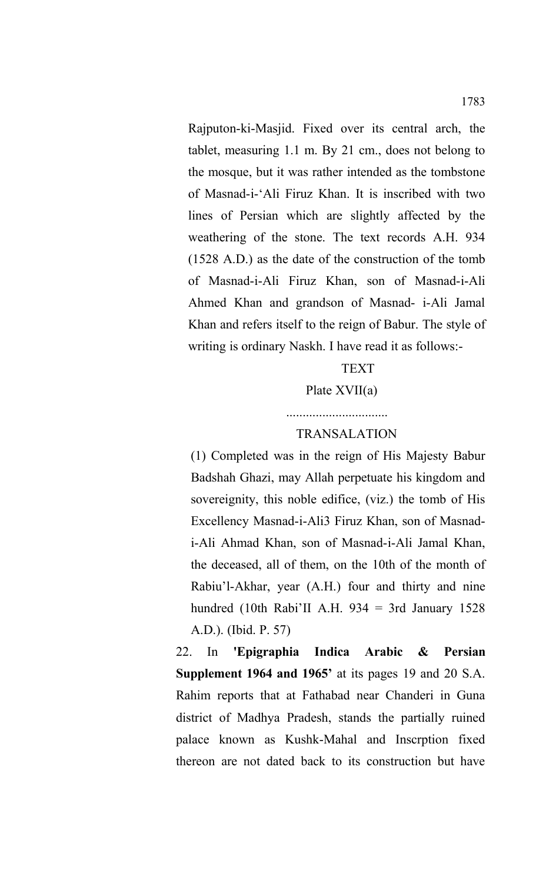Rajputon-ki-Masjid. Fixed over its central arch, the tablet, measuring 1.1 m. By 21 cm., does not belong to the mosque, but it was rather intended as the tombstone of Masnad-i-'Ali Firuz Khan. It is inscribed with two lines of Persian which are slightly affected by the weathering of the stone. The text records A.H. 934 (1528 A.D.) as the date of the construction of the tomb of Masnad-i-Ali Firuz Khan, son of Masnad-i-Ali Ahmed Khan and grandson of Masnad- i-Ali Jamal Khan and refers itself to the reign of Babur. The style of writing is ordinary Naskh. I have read it as follows:-

### **TEXT**

Plate XVII(a)

## TRANSALATION

(1) Completed was in the reign of His Majesty Babur Badshah Ghazi, may Allah perpetuate his kingdom and sovereignity, this noble edifice, (viz.) the tomb of His Excellency Masnad-i-Ali3 Firuz Khan, son of Masnadi-Ali Ahmad Khan, son of Masnad-i-Ali Jamal Khan, the deceased, all of them, on the 10th of the month of Rabiu'l-Akhar, year (A.H.) four and thirty and nine hundred (10th Rabi'll A.H. 934 = 3rd January 1528) A.D.). (Ibid. P. 57)

22. In **'Epigraphia Indica Arabic & Persian Supplement 1964 and 1965'** at its pages 19 and 20 S.A. Rahim reports that at Fathabad near Chanderi in Guna district of Madhya Pradesh, stands the partially ruined palace known as Kushk-Mahal and Inscrption fixed thereon are not dated back to its construction but have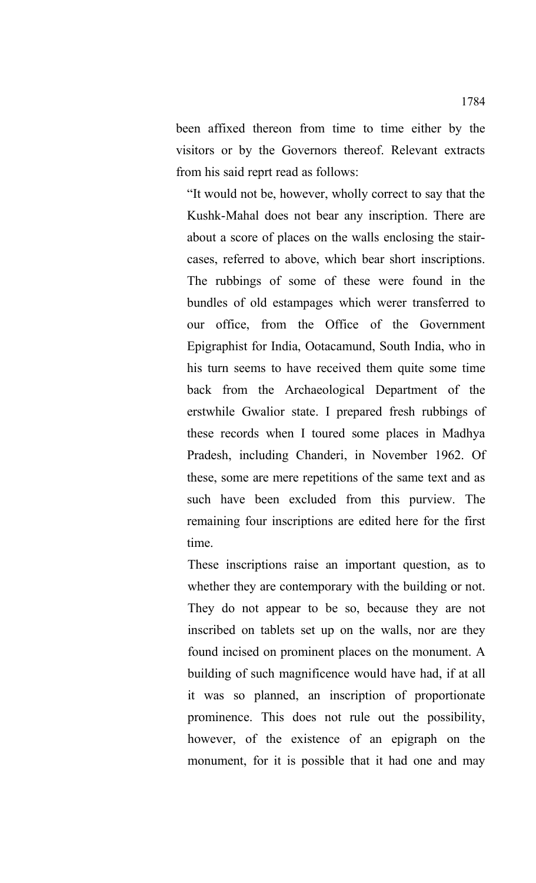been affixed thereon from time to time either by the visitors or by the Governors thereof. Relevant extracts from his said reprt read as follows:

"It would not be, however, wholly correct to say that the Kushk-Mahal does not bear any inscription. There are about a score of places on the walls enclosing the staircases, referred to above, which bear short inscriptions. The rubbings of some of these were found in the bundles of old estampages which werer transferred to our office, from the Office of the Government Epigraphist for India, Ootacamund, South India, who in his turn seems to have received them quite some time back from the Archaeological Department of the erstwhile Gwalior state. I prepared fresh rubbings of these records when I toured some places in Madhya Pradesh, including Chanderi, in November 1962. Of these, some are mere repetitions of the same text and as such have been excluded from this purview. The remaining four inscriptions are edited here for the first time.

These inscriptions raise an important question, as to whether they are contemporary with the building or not. They do not appear to be so, because they are not inscribed on tablets set up on the walls, nor are they found incised on prominent places on the monument. A building of such magnificence would have had, if at all it was so planned, an inscription of proportionate prominence. This does not rule out the possibility, however, of the existence of an epigraph on the monument, for it is possible that it had one and may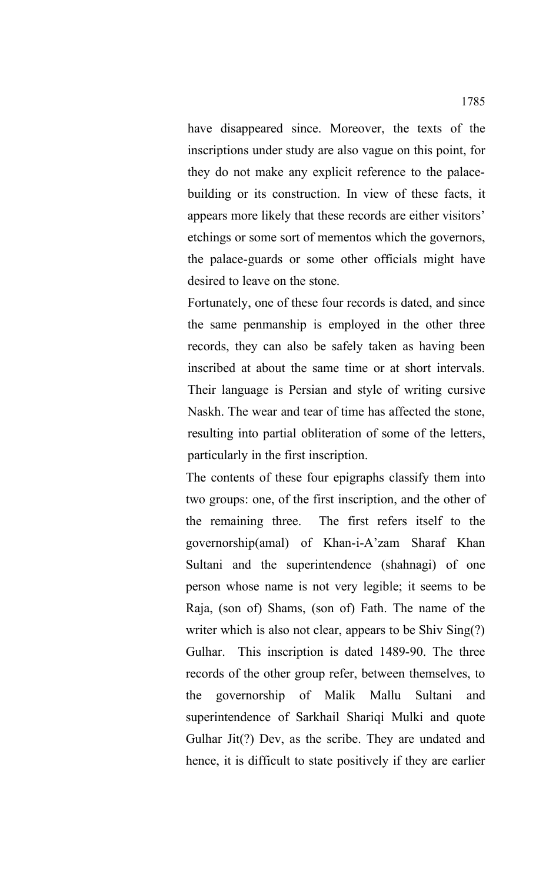have disappeared since. Moreover, the texts of the inscriptions under study are also vague on this point, for they do not make any explicit reference to the palacebuilding or its construction. In view of these facts, it appears more likely that these records are either visitors' etchings or some sort of mementos which the governors, the palace-guards or some other officials might have desired to leave on the stone.

Fortunately, one of these four records is dated, and since the same penmanship is employed in the other three records, they can also be safely taken as having been inscribed at about the same time or at short intervals. Their language is Persian and style of writing cursive Naskh. The wear and tear of time has affected the stone, resulting into partial obliteration of some of the letters, particularly in the first inscription.

The contents of these four epigraphs classify them into two groups: one, of the first inscription, and the other of the remaining three. The first refers itself to the governorship(amal) of Khan-i-A'zam Sharaf Khan Sultani and the superintendence (shahnagi) of one person whose name is not very legible; it seems to be Raja, (son of) Shams, (son of) Fath. The name of the writer which is also not clear, appears to be Shiv Sing(?) Gulhar. This inscription is dated 1489-90. The three records of the other group refer, between themselves, to the governorship of Malik Mallu Sultani and superintendence of Sarkhail Shariqi Mulki and quote Gulhar Jit(?) Dev, as the scribe. They are undated and hence, it is difficult to state positively if they are earlier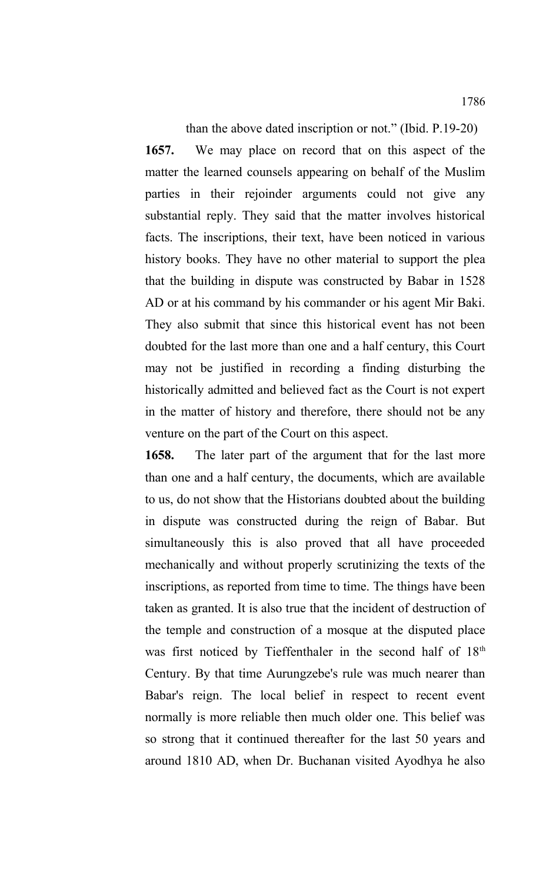than the above dated inscription or not." (Ibid. P.19-20)

**1657.** We may place on record that on this aspect of the matter the learned counsels appearing on behalf of the Muslim parties in their rejoinder arguments could not give any substantial reply. They said that the matter involves historical facts. The inscriptions, their text, have been noticed in various history books. They have no other material to support the plea that the building in dispute was constructed by Babar in 1528 AD or at his command by his commander or his agent Mir Baki. They also submit that since this historical event has not been doubted for the last more than one and a half century, this Court may not be justified in recording a finding disturbing the historically admitted and believed fact as the Court is not expert in the matter of history and therefore, there should not be any venture on the part of the Court on this aspect.

**1658.** The later part of the argument that for the last more than one and a half century, the documents, which are available to us, do not show that the Historians doubted about the building in dispute was constructed during the reign of Babar. But simultaneously this is also proved that all have proceeded mechanically and without properly scrutinizing the texts of the inscriptions, as reported from time to time. The things have been taken as granted. It is also true that the incident of destruction of the temple and construction of a mosque at the disputed place was first noticed by Tieffenthaler in the second half of 18<sup>th</sup> Century. By that time Aurungzebe's rule was much nearer than Babar's reign. The local belief in respect to recent event normally is more reliable then much older one. This belief was so strong that it continued thereafter for the last 50 years and around 1810 AD, when Dr. Buchanan visited Ayodhya he also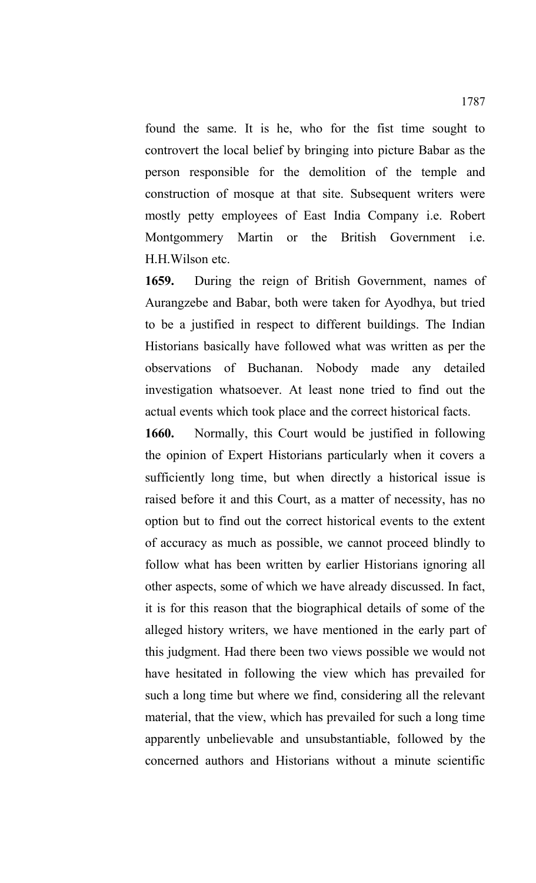found the same. It is he, who for the fist time sought to controvert the local belief by bringing into picture Babar as the person responsible for the demolition of the temple and construction of mosque at that site. Subsequent writers were mostly petty employees of East India Company i.e. Robert Montgommery Martin or the British Government i.e. H.H.Wilson etc.

**1659.** During the reign of British Government, names of Aurangzebe and Babar, both were taken for Ayodhya, but tried to be a justified in respect to different buildings. The Indian Historians basically have followed what was written as per the observations of Buchanan. Nobody made any detailed investigation whatsoever. At least none tried to find out the actual events which took place and the correct historical facts.

**1660.** Normally, this Court would be justified in following the opinion of Expert Historians particularly when it covers a sufficiently long time, but when directly a historical issue is raised before it and this Court, as a matter of necessity, has no option but to find out the correct historical events to the extent of accuracy as much as possible, we cannot proceed blindly to follow what has been written by earlier Historians ignoring all other aspects, some of which we have already discussed. In fact, it is for this reason that the biographical details of some of the alleged history writers, we have mentioned in the early part of this judgment. Had there been two views possible we would not have hesitated in following the view which has prevailed for such a long time but where we find, considering all the relevant material, that the view, which has prevailed for such a long time apparently unbelievable and unsubstantiable, followed by the concerned authors and Historians without a minute scientific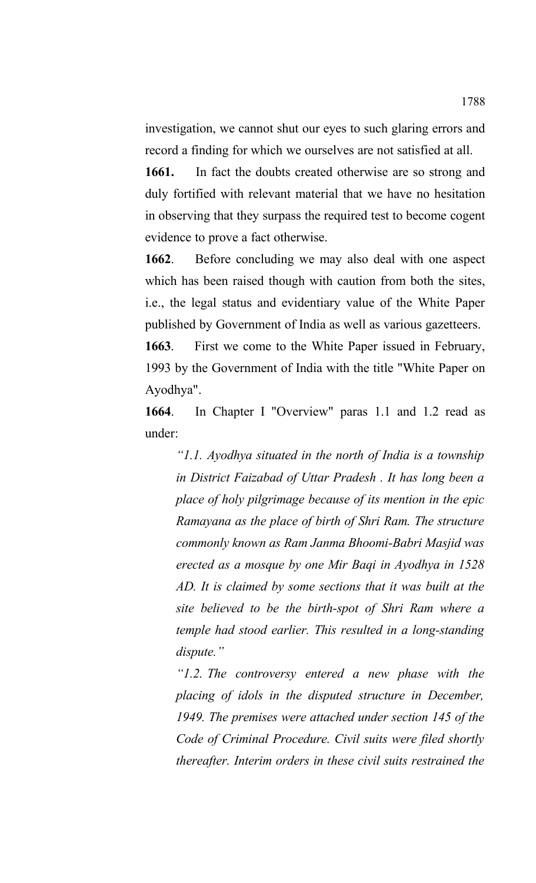investigation, we cannot shut our eyes to such glaring errors and record a finding for which we ourselves are not satisfied at all.

**1661.** In fact the doubts created otherwise are so strong and duly fortified with relevant material that we have no hesitation in observing that they surpass the required test to become cogent evidence to prove a fact otherwise.

**1662**. Before concluding we may also deal with one aspect which has been raised though with caution from both the sites, i.e., the legal status and evidentiary value of the White Paper published by Government of India as well as various gazetteers.

**1663**. First we come to the White Paper issued in February, 1993 by the Government of India with the title "White Paper on Ayodhya".

**1664**. In Chapter I "Overview" paras 1.1 and 1.2 read as under:

*"1.1. Ayodhya situated in the north of India is a township in District Faizabad of Uttar Pradesh . It has long been a place of holy pilgrimage because of its mention in the epic Ramayana as the place of birth of Shri Ram. The structure commonly known as Ram Janma Bhoomi-Babri Masjid was erected as a mosque by one Mir Baqi in Ayodhya in 1528 AD. It is claimed by some sections that it was built at the site believed to be the birth-spot of Shri Ram where a temple had stood earlier. This resulted in a long-standing dispute."*

*"1.2. The controversy entered a new phase with the placing of idols in the disputed structure in December, 1949. The premises were attached under section 145 of the Code of Criminal Procedure. Civil suits were filed shortly thereafter. Interim orders in these civil suits restrained the*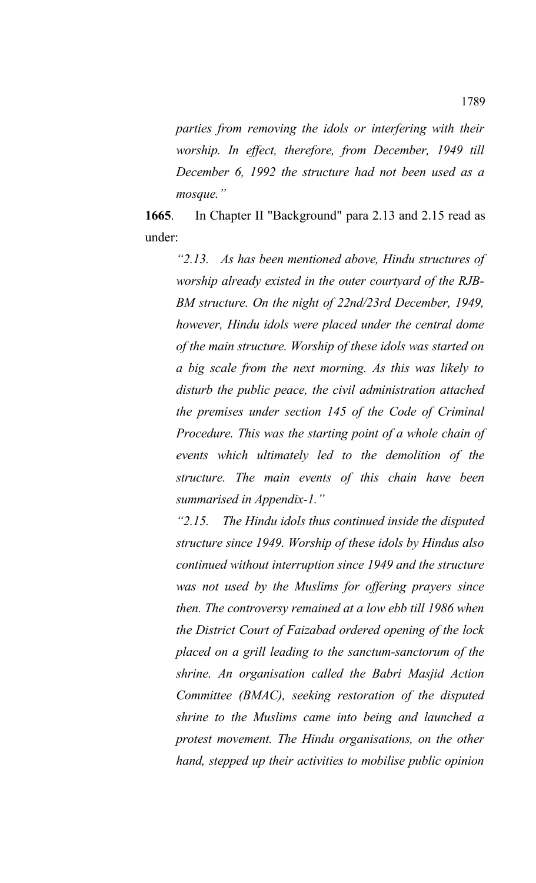*parties from removing the idols or interfering with their worship. In effect, therefore, from December, 1949 till December 6, 1992 the structure had not been used as a mosque."*

**1665**. In Chapter II "Background" para 2.13 and 2.15 read as under:

*"2.13. As has been mentioned above, Hindu structures of worship already existed in the outer courtyard of the RJB-BM structure. On the night of 22nd/23rd December, 1949, however, Hindu idols were placed under the central dome of the main structure. Worship of these idols was started on a big scale from the next morning. As this was likely to disturb the public peace, the civil administration attached the premises under section 145 of the Code of Criminal Procedure. This was the starting point of a whole chain of events which ultimately led to the demolition of the structure. The main events of this chain have been summarised in Appendix-1."*

*"2.15. The Hindu idols thus continued inside the disputed structure since 1949. Worship of these idols by Hindus also continued without interruption since 1949 and the structure was not used by the Muslims for offering prayers since then. The controversy remained at a low ebb till 1986 when the District Court of Faizabad ordered opening of the lock placed on a grill leading to the sanctum-sanctorum of the shrine. An organisation called the Babri Masjid Action Committee (BMAC), seeking restoration of the disputed shrine to the Muslims came into being and launched a protest movement. The Hindu organisations, on the other hand, stepped up their activities to mobilise public opinion*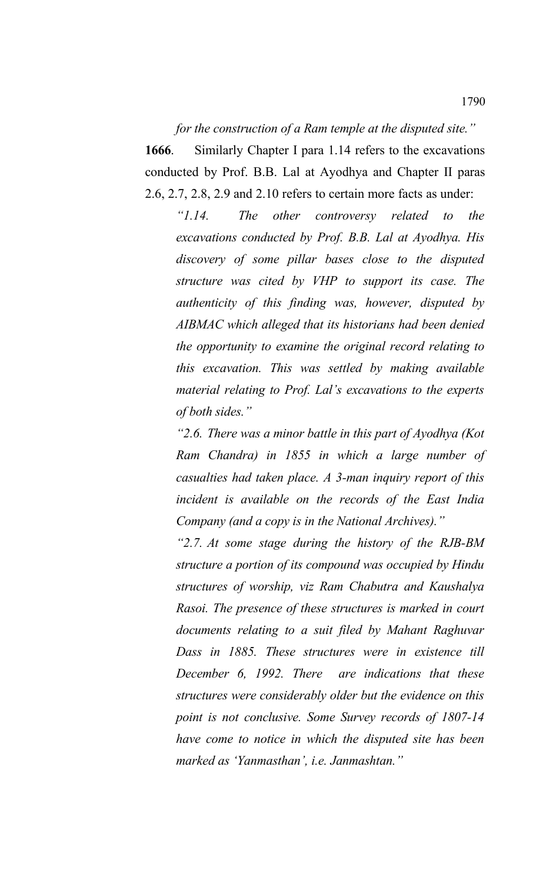*for the construction of a Ram temple at the disputed site."*

**1666**. Similarly Chapter I para 1.14 refers to the excavations conducted by Prof. B.B. Lal at Ayodhya and Chapter II paras 2.6, 2.7, 2.8, 2.9 and 2.10 refers to certain more facts as under:

*"1.14. The other controversy related to the excavations conducted by Prof. B.B. Lal at Ayodhya. His discovery of some pillar bases close to the disputed structure was cited by VHP to support its case. The authenticity of this finding was, however, disputed by AIBMAC which alleged that its historians had been denied the opportunity to examine the original record relating to this excavation. This was settled by making available material relating to Prof. Lal's excavations to the experts of both sides."*

*"2.6. There was a minor battle in this part of Ayodhya (Kot Ram Chandra) in 1855 in which a large number of casualties had taken place. A 3-man inquiry report of this incident is available on the records of the East India Company (and a copy is in the National Archives)."*

*"2.7. At some stage during the history of the RJB-BM structure a portion of its compound was occupied by Hindu structures of worship, viz Ram Chabutra and Kaushalya Rasoi. The presence of these structures is marked in court documents relating to a suit filed by Mahant Raghuvar Dass in 1885. These structures were in existence till December 6, 1992. There are indications that these structures were considerably older but the evidence on this point is not conclusive. Some Survey records of 1807-14 have come to notice in which the disputed site has been marked as 'Yanmasthan', i.e. Janmashtan."*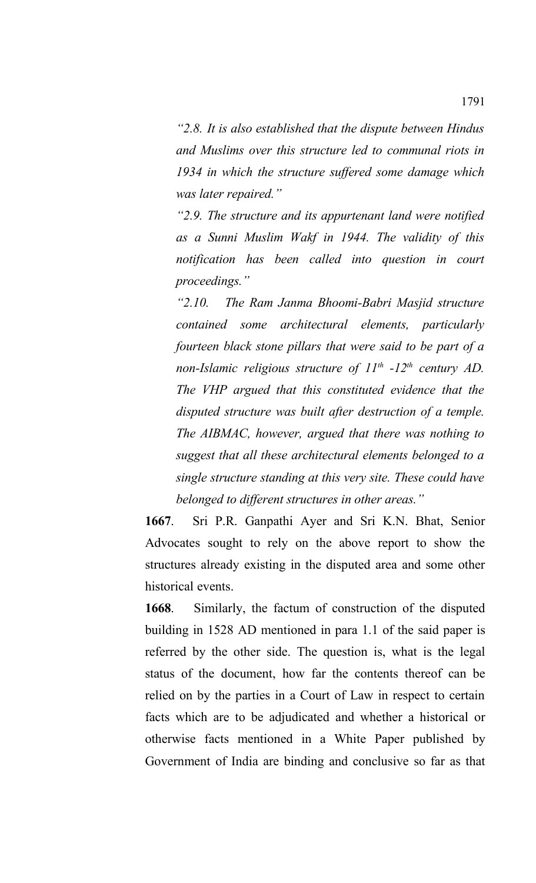*"2.8. It is also established that the dispute between Hindus and Muslims over this structure led to communal riots in 1934 in which the structure suffered some damage which was later repaired."*

*"2.9. The structure and its appurtenant land were notified as a Sunni Muslim Wakf in 1944. The validity of this notification has been called into question in court proceedings."*

*"2.10. The Ram Janma Bhoomi-Babri Masjid structure contained some architectural elements, particularly fourteen black stone pillars that were said to be part of a non-Islamic religious structure of 11th -12th century AD. The VHP argued that this constituted evidence that the disputed structure was built after destruction of a temple. The AIBMAC, however, argued that there was nothing to suggest that all these architectural elements belonged to a single structure standing at this very site. These could have belonged to different structures in other areas."*

**1667**. Sri P.R. Ganpathi Ayer and Sri K.N. Bhat, Senior Advocates sought to rely on the above report to show the structures already existing in the disputed area and some other historical events.

**1668**. Similarly, the factum of construction of the disputed building in 1528 AD mentioned in para 1.1 of the said paper is referred by the other side. The question is, what is the legal status of the document, how far the contents thereof can be relied on by the parties in a Court of Law in respect to certain facts which are to be adjudicated and whether a historical or otherwise facts mentioned in a White Paper published by Government of India are binding and conclusive so far as that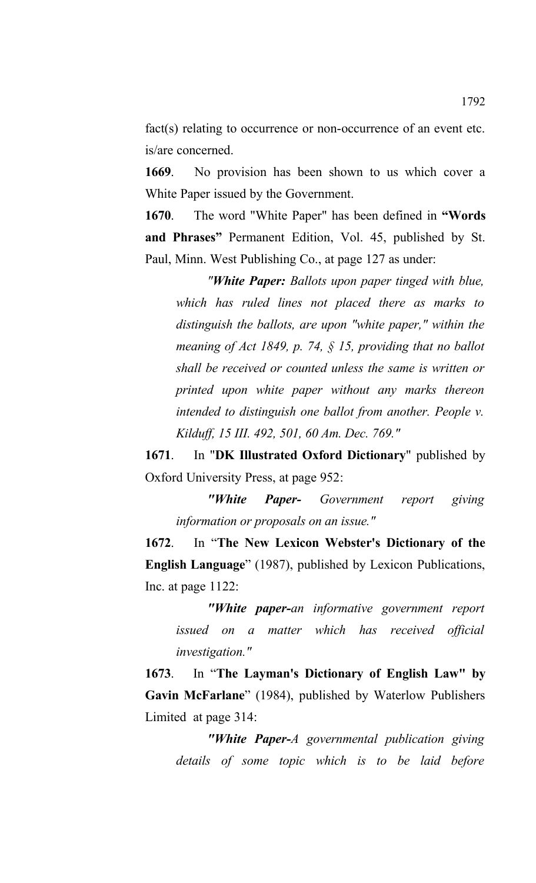fact(s) relating to occurrence or non-occurrence of an event etc. is/are concerned.

**1669**. No provision has been shown to us which cover a White Paper issued by the Government.

**1670**. The word "White Paper" has been defined in **"Words and Phrases"** Permanent Edition, Vol. 45, published by St. Paul, Minn. West Publishing Co., at page 127 as under:

*"White Paper: Ballots upon paper tinged with blue, which has ruled lines not placed there as marks to distinguish the ballots, are upon "white paper," within the meaning of Act 1849, p. 74, § 15, providing that no ballot shall be received or counted unless the same is written or printed upon white paper without any marks thereon intended to distinguish one ballot from another. People v. Kilduff, 15 III. 492, 501, 60 Am. Dec. 769."*

**1671**. In "**DK Illustrated Oxford Dictionary**" published by Oxford University Press, at page 952:

*"White Paper- Government report giving information or proposals on an issue."*

**1672**. In "**The New Lexicon Webster's Dictionary of the English Language**" (1987), published by Lexicon Publications, Inc. at page 1122:

*"White paper-an informative government report issued on a matter which has received official investigation."*

**1673**. In "**The Layman's Dictionary of English Law" by Gavin McFarlane**" (1984), published by Waterlow Publishers Limited at page 314:

*"White Paper-A governmental publication giving details of some topic which is to be laid before*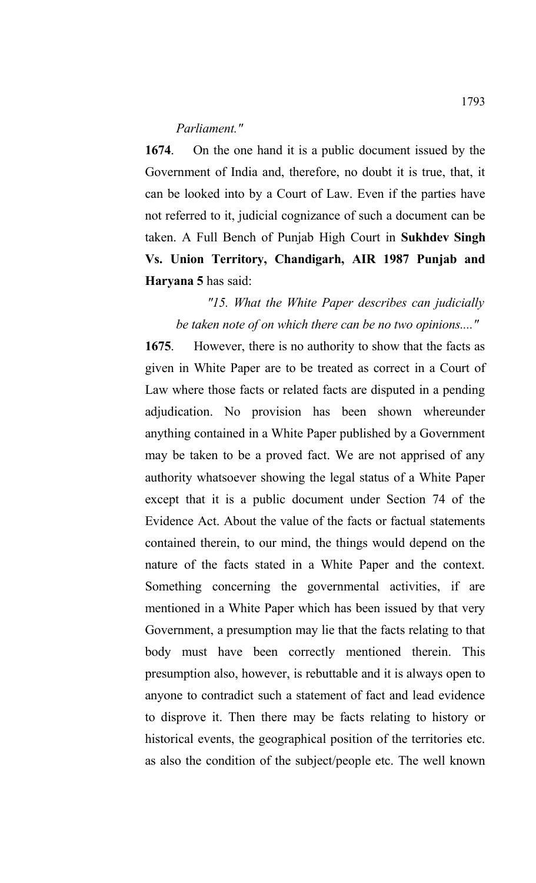#### *Parliament."*

**1674**. On the one hand it is a public document issued by the Government of India and, therefore, no doubt it is true, that, it can be looked into by a Court of Law. Even if the parties have not referred to it, judicial cognizance of such a document can be taken. A Full Bench of Punjab High Court in **Sukhdev Singh Vs. Union Territory, Chandigarh, AIR 1987 Punjab and Haryana 5** has said:

*"15. What the White Paper describes can judicially be taken note of on which there can be no two opinions...."*

**1675**. However, there is no authority to show that the facts as given in White Paper are to be treated as correct in a Court of Law where those facts or related facts are disputed in a pending adjudication. No provision has been shown whereunder anything contained in a White Paper published by a Government may be taken to be a proved fact. We are not apprised of any authority whatsoever showing the legal status of a White Paper except that it is a public document under Section 74 of the Evidence Act. About the value of the facts or factual statements contained therein, to our mind, the things would depend on the nature of the facts stated in a White Paper and the context. Something concerning the governmental activities, if are mentioned in a White Paper which has been issued by that very Government, a presumption may lie that the facts relating to that body must have been correctly mentioned therein. This presumption also, however, is rebuttable and it is always open to anyone to contradict such a statement of fact and lead evidence to disprove it. Then there may be facts relating to history or historical events, the geographical position of the territories etc. as also the condition of the subject/people etc. The well known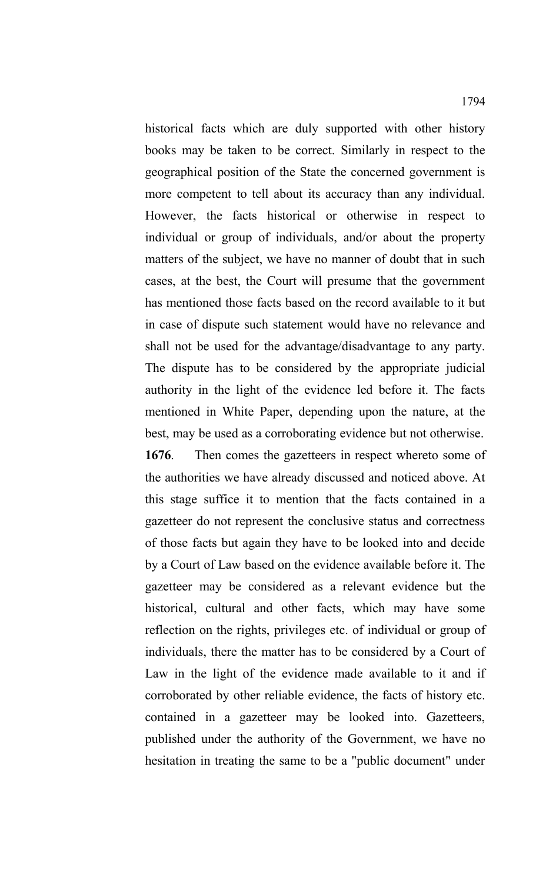historical facts which are duly supported with other history books may be taken to be correct. Similarly in respect to the geographical position of the State the concerned government is more competent to tell about its accuracy than any individual. However, the facts historical or otherwise in respect to individual or group of individuals, and/or about the property matters of the subject, we have no manner of doubt that in such cases, at the best, the Court will presume that the government has mentioned those facts based on the record available to it but in case of dispute such statement would have no relevance and shall not be used for the advantage/disadvantage to any party. The dispute has to be considered by the appropriate judicial authority in the light of the evidence led before it. The facts mentioned in White Paper, depending upon the nature, at the best, may be used as a corroborating evidence but not otherwise.

**1676**. Then comes the gazetteers in respect whereto some of the authorities we have already discussed and noticed above. At this stage suffice it to mention that the facts contained in a gazetteer do not represent the conclusive status and correctness of those facts but again they have to be looked into and decide by a Court of Law based on the evidence available before it. The gazetteer may be considered as a relevant evidence but the historical, cultural and other facts, which may have some reflection on the rights, privileges etc. of individual or group of individuals, there the matter has to be considered by a Court of Law in the light of the evidence made available to it and if corroborated by other reliable evidence, the facts of history etc. contained in a gazetteer may be looked into. Gazetteers, published under the authority of the Government, we have no hesitation in treating the same to be a "public document" under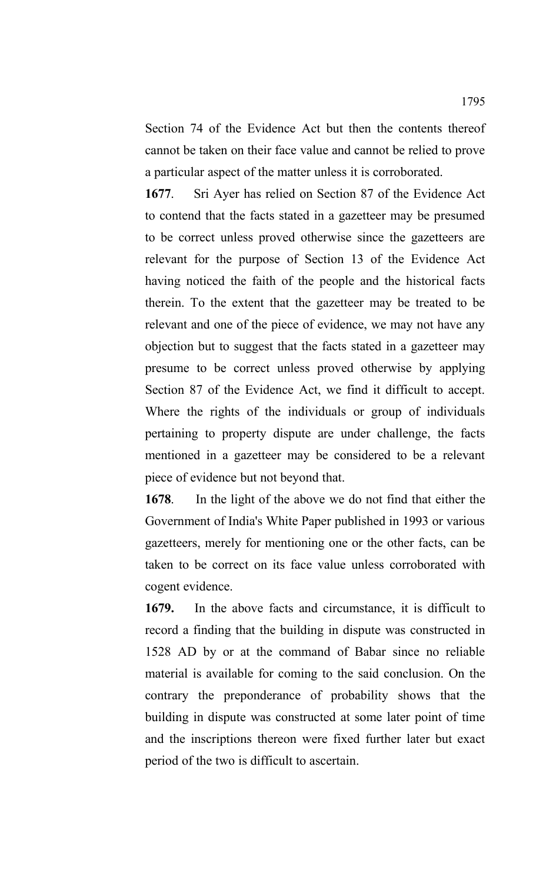Section 74 of the Evidence Act but then the contents thereof cannot be taken on their face value and cannot be relied to prove a particular aspect of the matter unless it is corroborated.

**1677**. Sri Ayer has relied on Section 87 of the Evidence Act to contend that the facts stated in a gazetteer may be presumed to be correct unless proved otherwise since the gazetteers are relevant for the purpose of Section 13 of the Evidence Act having noticed the faith of the people and the historical facts therein. To the extent that the gazetteer may be treated to be relevant and one of the piece of evidence, we may not have any objection but to suggest that the facts stated in a gazetteer may presume to be correct unless proved otherwise by applying Section 87 of the Evidence Act, we find it difficult to accept. Where the rights of the individuals or group of individuals pertaining to property dispute are under challenge, the facts mentioned in a gazetteer may be considered to be a relevant piece of evidence but not beyond that.

**1678**. In the light of the above we do not find that either the Government of India's White Paper published in 1993 or various gazetteers, merely for mentioning one or the other facts, can be taken to be correct on its face value unless corroborated with cogent evidence.

**1679.** In the above facts and circumstance, it is difficult to record a finding that the building in dispute was constructed in 1528 AD by or at the command of Babar since no reliable material is available for coming to the said conclusion. On the contrary the preponderance of probability shows that the building in dispute was constructed at some later point of time and the inscriptions thereon were fixed further later but exact period of the two is difficult to ascertain.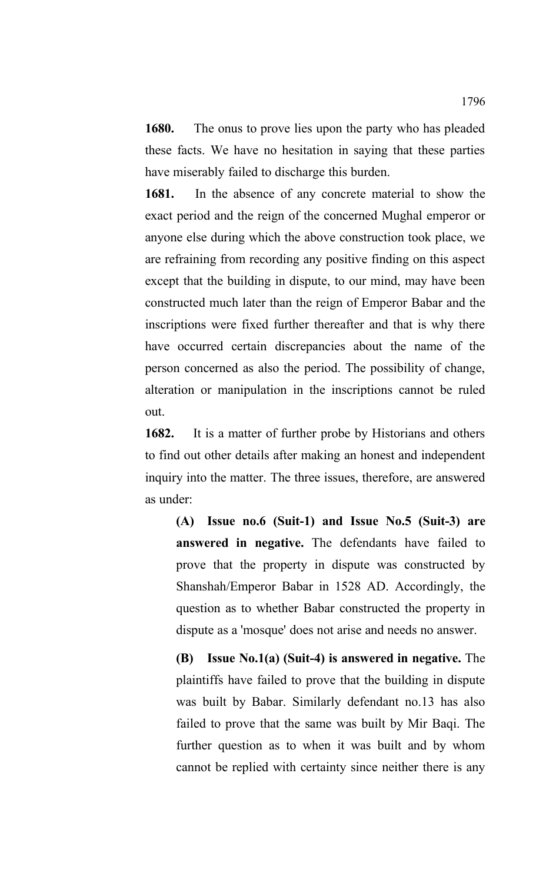**1680.** The onus to prove lies upon the party who has pleaded these facts. We have no hesitation in saying that these parties have miserably failed to discharge this burden.

**1681.** In the absence of any concrete material to show the exact period and the reign of the concerned Mughal emperor or anyone else during which the above construction took place, we are refraining from recording any positive finding on this aspect except that the building in dispute, to our mind, may have been constructed much later than the reign of Emperor Babar and the inscriptions were fixed further thereafter and that is why there have occurred certain discrepancies about the name of the person concerned as also the period. The possibility of change, alteration or manipulation in the inscriptions cannot be ruled out.

**1682.** It is a matter of further probe by Historians and others to find out other details after making an honest and independent inquiry into the matter. The three issues, therefore, are answered as under:

**(A) Issue no.6 (Suit-1) and Issue No.5 (Suit-3) are answered in negative.** The defendants have failed to prove that the property in dispute was constructed by Shanshah/Emperor Babar in 1528 AD. Accordingly, the question as to whether Babar constructed the property in dispute as a 'mosque' does not arise and needs no answer.

**(B) Issue No.1(a) (Suit-4) is answered in negative.** The plaintiffs have failed to prove that the building in dispute was built by Babar. Similarly defendant no.13 has also failed to prove that the same was built by Mir Baqi. The further question as to when it was built and by whom cannot be replied with certainty since neither there is any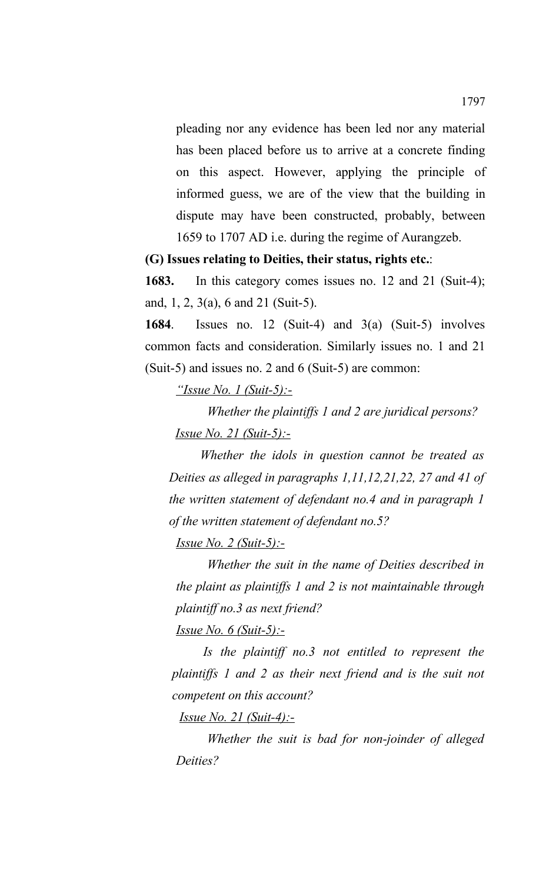pleading nor any evidence has been led nor any material has been placed before us to arrive at a concrete finding on this aspect. However, applying the principle of informed guess, we are of the view that the building in dispute may have been constructed, probably, between 1659 to 1707 AD i.e. during the regime of Aurangzeb.

### **(G) Issues relating to Deities, their status, rights etc.**:

**1683.** In this category comes issues no. 12 and 21 (Suit-4); and, 1, 2, 3(a), 6 and 21 (Suit-5).

**1684**. Issues no. 12 (Suit-4) and 3(a) (Suit-5) involves common facts and consideration. Similarly issues no. 1 and 21 (Suit-5) and issues no. 2 and 6 (Suit-5) are common:

*"Issue No. 1 (Suit-5):-*

*Whether the plaintiffs 1 and 2 are juridical persons? Issue No. 21 (Suit-5):-*

*Whether the idols in question cannot be treated as Deities as alleged in paragraphs 1,11,12,21,22, 27 and 41 of the written statement of defendant no.4 and in paragraph 1 of the written statement of defendant no.5?*

*Issue No. 2 (Suit-5):-*

*Whether the suit in the name of Deities described in the plaint as plaintiffs 1 and 2 is not maintainable through plaintiff no.3 as next friend?* 

*Issue No. 6 (Suit-5):-*

*Is the plaintiff no.3 not entitled to represent the plaintiffs 1 and 2 as their next friend and is the suit not competent on this account?*

*Issue No. 21 (Suit-4):-*

*Whether the suit is bad for non-joinder of alleged Deities?*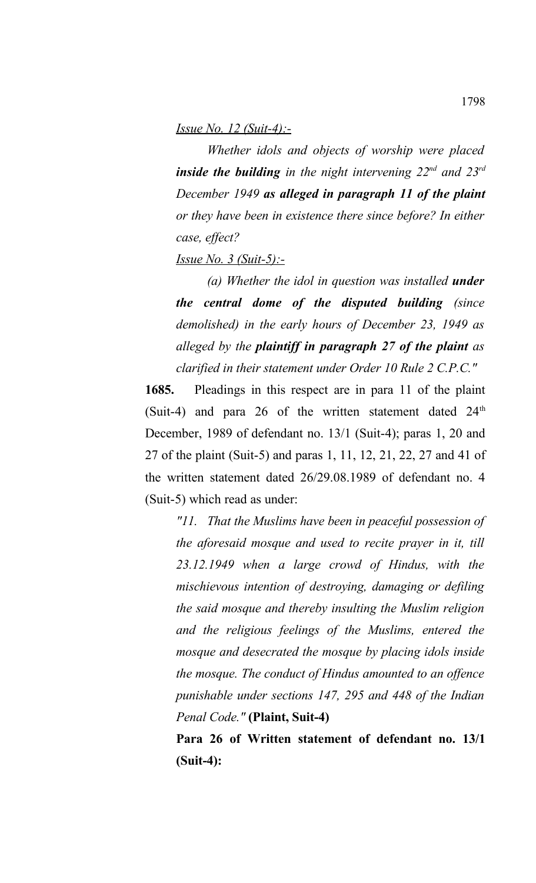*Issue No. 12 (Suit-4):-*

*Whether idols and objects of worship were placed inside the building in the night intervening 22nd and 23rd December 1949 as alleged in paragraph 11 of the plaint or they have been in existence there since before? In either case, effect?*

*Issue No. 3 (Suit-5):-*

*(a) Whether the idol in question was installed under the central dome of the disputed building (since demolished) in the early hours of December 23, 1949 as alleged by the plaintiff in paragraph 27 of the plaint as clarified in their statement under Order 10 Rule 2 C.P.C."*

**1685.** Pleadings in this respect are in para 11 of the plaint (Suit-4) and para 26 of the written statement dated  $24<sup>th</sup>$ December, 1989 of defendant no. 13/1 (Suit-4); paras 1, 20 and 27 of the plaint (Suit-5) and paras 1, 11, 12, 21, 22, 27 and 41 of the written statement dated 26/29.08.1989 of defendant no. 4 (Suit-5) which read as under:

*"11. That the Muslims have been in peaceful possession of the aforesaid mosque and used to recite prayer in it, till 23.12.1949 when a large crowd of Hindus, with the mischievous intention of destroying, damaging or defiling the said mosque and thereby insulting the Muslim religion and the religious feelings of the Muslims, entered the mosque and desecrated the mosque by placing idols inside the mosque. The conduct of Hindus amounted to an offence punishable under sections 147, 295 and 448 of the Indian Penal Code."* **(Plaint, Suit-4)**

**Para 26 of Written statement of defendant no. 13/1 (Suit-4):**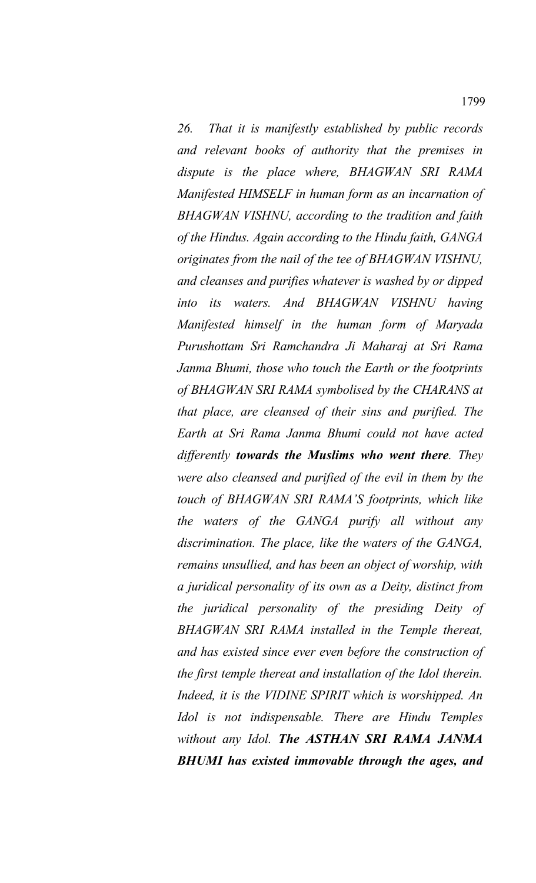*26. That it is manifestly established by public records and relevant books of authority that the premises in dispute is the place where, BHAGWAN SRI RAMA Manifested HIMSELF in human form as an incarnation of BHAGWAN VISHNU, according to the tradition and faith of the Hindus. Again according to the Hindu faith, GANGA originates from the nail of the tee of BHAGWAN VISHNU, and cleanses and purifies whatever is washed by or dipped into its waters. And BHAGWAN VISHNU having Manifested himself in the human form of Maryada Purushottam Sri Ramchandra Ji Maharaj at Sri Rama Janma Bhumi, those who touch the Earth or the footprints of BHAGWAN SRI RAMA symbolised by the CHARANS at that place, are cleansed of their sins and purified. The Earth at Sri Rama Janma Bhumi could not have acted differently towards the Muslims who went there. They were also cleansed and purified of the evil in them by the touch of BHAGWAN SRI RAMA'S footprints, which like the waters of the GANGA purify all without any discrimination. The place, like the waters of the GANGA, remains unsullied, and has been an object of worship, with a juridical personality of its own as a Deity, distinct from the juridical personality of the presiding Deity of BHAGWAN SRI RAMA installed in the Temple thereat, and has existed since ever even before the construction of the first temple thereat and installation of the Idol therein. Indeed, it is the VIDINE SPIRIT which is worshipped. An Idol is not indispensable. There are Hindu Temples without any Idol. The ASTHAN SRI RAMA JANMA BHUMI has existed immovable through the ages, and*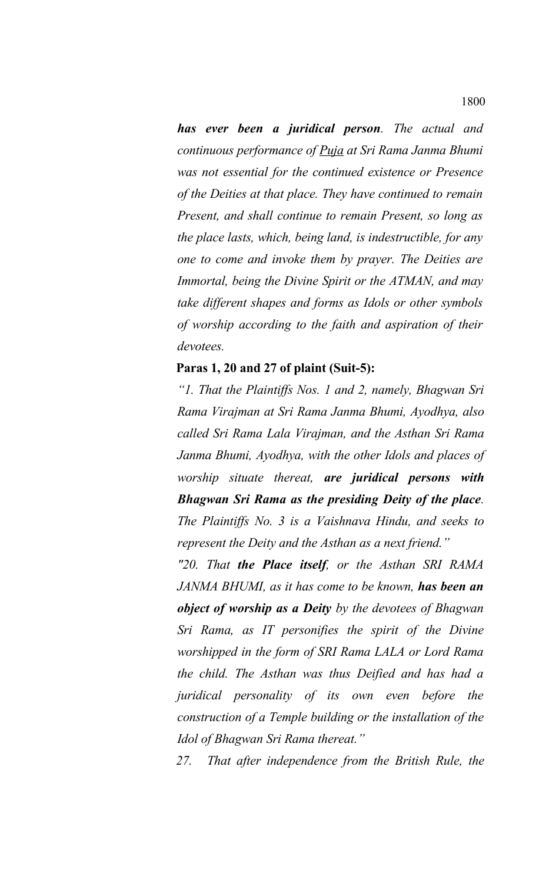*has ever been a juridical person. The actual and continuous performance of Puja at Sri Rama Janma Bhumi was not essential for the continued existence or Presence of the Deities at that place. They have continued to remain Present, and shall continue to remain Present, so long as the place lasts, which, being land, is indestructible, for any one to come and invoke them by prayer. The Deities are Immortal, being the Divine Spirit or the ATMAN, and may take different shapes and forms as Idols or other symbols of worship according to the faith and aspiration of their devotees.*

## **Paras 1, 20 and 27 of plaint (Suit-5):**

*"1. That the Plaintiffs Nos. 1 and 2, namely, Bhagwan Sri Rama Virajman at Sri Rama Janma Bhumi, Ayodhya, also called Sri Rama Lala Virajman, and the Asthan Sri Rama Janma Bhumi, Ayodhya, with the other Idols and places of worship situate thereat, are juridical persons with Bhagwan Sri Rama as the presiding Deity of the place. The Plaintiffs No. 3 is a Vaishnava Hindu, and seeks to represent the Deity and the Asthan as a next friend."*

*"20. That the Place itself, or the Asthan SRI RAMA JANMA BHUMI, as it has come to be known, has been an object of worship as a Deity by the devotees of Bhagwan Sri Rama, as IT personifies the spirit of the Divine worshipped in the form of SRI Rama LALA or Lord Rama the child. The Asthan was thus Deified and has had a juridical personality of its own even before the construction of a Temple building or the installation of the Idol of Bhagwan Sri Rama thereat."*

*27. That after independence from the British Rule, the*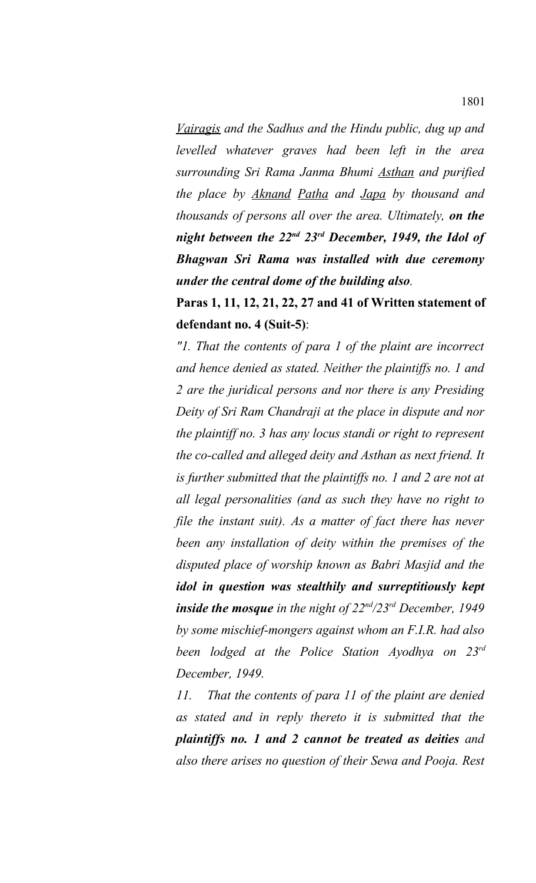*Vairagis and the Sadhus and the Hindu public, dug up and levelled whatever graves had been left in the area surrounding Sri Rama Janma Bhumi Asthan and purified the place by Aknand Patha and Japa by thousand and thousands of persons all over the area. Ultimately, on the night between the 22nd 23rd December, 1949, the Idol of Bhagwan Sri Rama was installed with due ceremony under the central dome of the building also.*

# **Paras 1, 11, 12, 21, 22, 27 and 41 of Written statement of defendant no. 4 (Suit-5)**:

*"1. That the contents of para 1 of the plaint are incorrect and hence denied as stated. Neither the plaintiffs no. 1 and 2 are the juridical persons and nor there is any Presiding Deity of Sri Ram Chandraji at the place in dispute and nor the plaintiff no. 3 has any locus standi or right to represent the co-called and alleged deity and Asthan as next friend. It is further submitted that the plaintiffs no. 1 and 2 are not at all legal personalities (and as such they have no right to file the instant suit). As a matter of fact there has never been any installation of deity within the premises of the disputed place of worship known as Babri Masjid and the idol in question was stealthily and surreptitiously kept inside the mosque in the night of 22nd/23rd December, 1949 by some mischief-mongers against whom an F.I.R. had also been lodged at the Police Station Ayodhya on 23rd December, 1949.* 

*11. That the contents of para 11 of the plaint are denied as stated and in reply thereto it is submitted that the plaintiffs no. 1 and 2 cannot be treated as deities and also there arises no question of their Sewa and Pooja. Rest*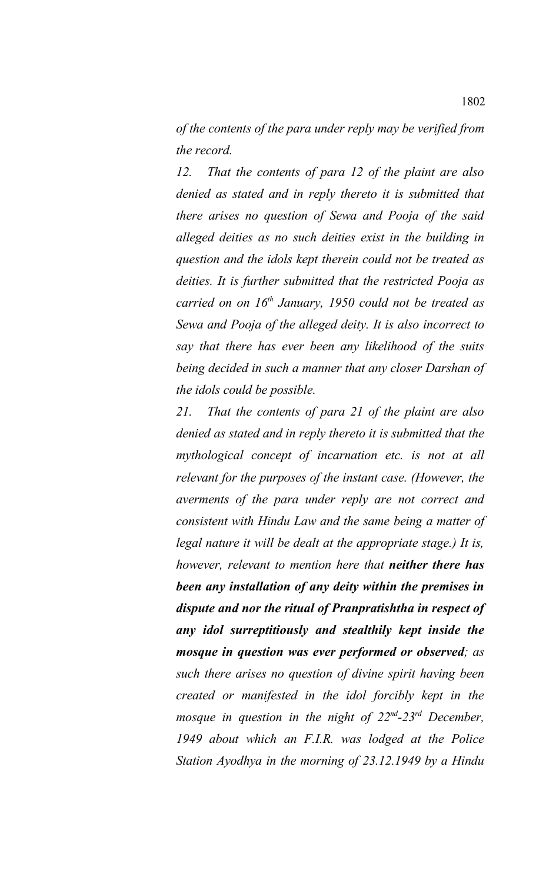*of the contents of the para under reply may be verified from the record.* 

*12. That the contents of para 12 of the plaint are also denied as stated and in reply thereto it is submitted that there arises no question of Sewa and Pooja of the said alleged deities as no such deities exist in the building in question and the idols kept therein could not be treated as deities. It is further submitted that the restricted Pooja as carried on on 16th January, 1950 could not be treated as Sewa and Pooja of the alleged deity. It is also incorrect to say that there has ever been any likelihood of the suits being decided in such a manner that any closer Darshan of the idols could be possible.*

*21. That the contents of para 21 of the plaint are also denied as stated and in reply thereto it is submitted that the mythological concept of incarnation etc. is not at all relevant for the purposes of the instant case. (However, the averments of the para under reply are not correct and consistent with Hindu Law and the same being a matter of legal nature it will be dealt at the appropriate stage.) It is, however, relevant to mention here that neither there has been any installation of any deity within the premises in dispute and nor the ritual of Pranpratishtha in respect of any idol surreptitiously and stealthily kept inside the mosque in question was ever performed or observed; as such there arises no question of divine spirit having been created or manifested in the idol forcibly kept in the mosque in question in the night of 22nd-23rd December, 1949 about which an F.I.R. was lodged at the Police Station Ayodhya in the morning of 23.12.1949 by a Hindu*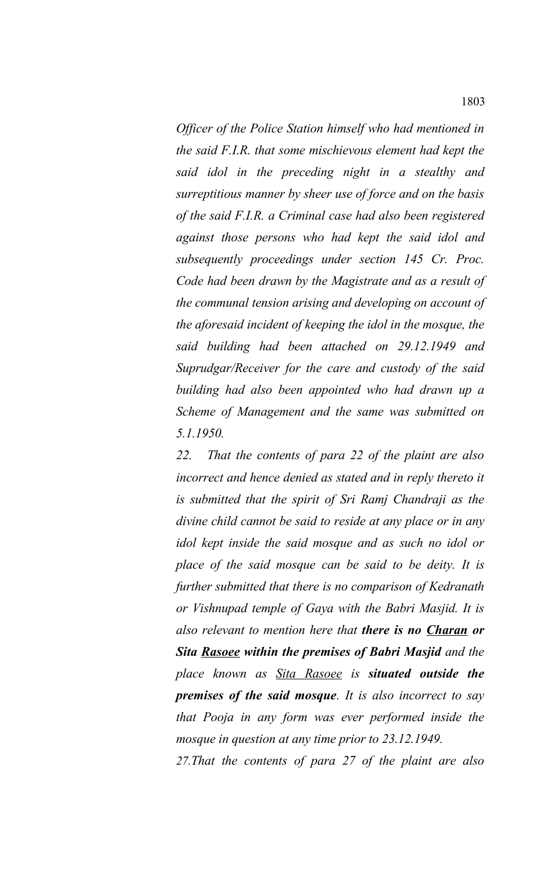*Officer of the Police Station himself who had mentioned in the said F.I.R. that some mischievous element had kept the said idol in the preceding night in a stealthy and surreptitious manner by sheer use of force and on the basis of the said F.I.R. a Criminal case had also been registered against those persons who had kept the said idol and subsequently proceedings under section 145 Cr. Proc. Code had been drawn by the Magistrate and as a result of the communal tension arising and developing on account of the aforesaid incident of keeping the idol in the mosque, the said building had been attached on 29.12.1949 and Suprudgar/Receiver for the care and custody of the said building had also been appointed who had drawn up a Scheme of Management and the same was submitted on 5.1.1950.* 

*22. That the contents of para 22 of the plaint are also incorrect and hence denied as stated and in reply thereto it is submitted that the spirit of Sri Ramj Chandraji as the divine child cannot be said to reside at any place or in any idol kept inside the said mosque and as such no idol or place of the said mosque can be said to be deity. It is further submitted that there is no comparison of Kedranath or Vishnupad temple of Gaya with the Babri Masjid. It is also relevant to mention here that there is no Charan or Sita Rasoee within the premises of Babri Masjid and the place known as Sita Rasoee is situated outside the premises of the said mosque. It is also incorrect to say that Pooja in any form was ever performed inside the mosque in question at any time prior to 23.12.1949. 27.That the contents of para 27 of the plaint are also*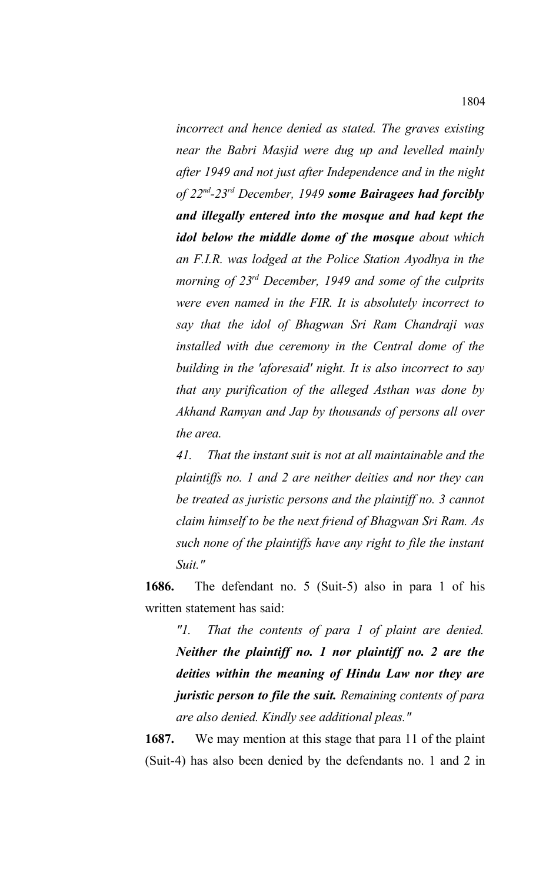*incorrect and hence denied as stated. The graves existing near the Babri Masjid were dug up and levelled mainly after 1949 and not just after Independence and in the night of 22nd-23rd December, 1949 some Bairagees had forcibly and illegally entered into the mosque and had kept the idol below the middle dome of the mosque about which an F.I.R. was lodged at the Police Station Ayodhya in the morning of 23rd December, 1949 and some of the culprits were even named in the FIR. It is absolutely incorrect to say that the idol of Bhagwan Sri Ram Chandraji was installed with due ceremony in the Central dome of the building in the 'aforesaid' night. It is also incorrect to say that any purification of the alleged Asthan was done by Akhand Ramyan and Jap by thousands of persons all over the area.*

*41. That the instant suit is not at all maintainable and the plaintiffs no. 1 and 2 are neither deities and nor they can be treated as juristic persons and the plaintiff no. 3 cannot claim himself to be the next friend of Bhagwan Sri Ram. As such none of the plaintiffs have any right to file the instant Suit."*

**1686.** The defendant no. 5 (Suit-5) also in para 1 of his written statement has said:

*"1. That the contents of para 1 of plaint are denied. Neither the plaintiff no. 1 nor plaintiff no. 2 are the deities within the meaning of Hindu Law nor they are juristic person to file the suit. Remaining contents of para are also denied. Kindly see additional pleas."*

**1687.** We may mention at this stage that para 11 of the plaint (Suit-4) has also been denied by the defendants no. 1 and 2 in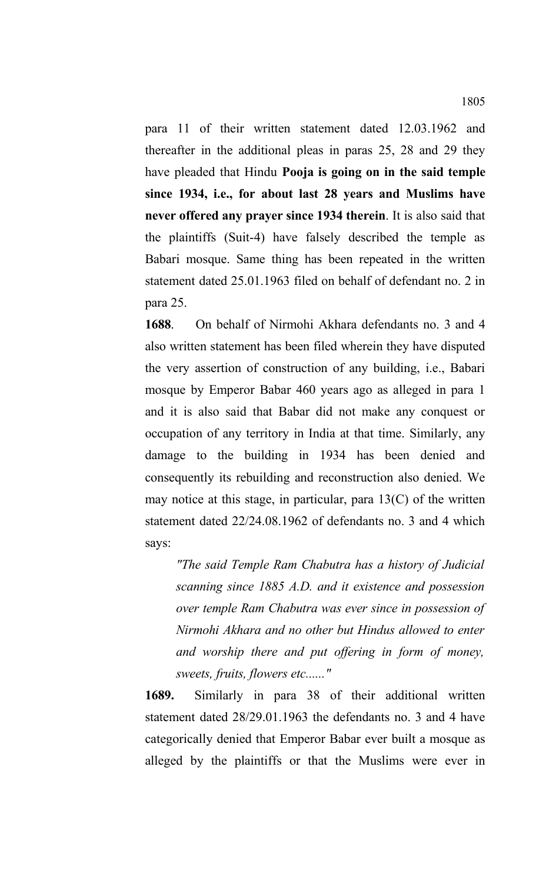para 11 of their written statement dated 12.03.1962 and thereafter in the additional pleas in paras 25, 28 and 29 they have pleaded that Hindu **Pooja is going on in the said temple since 1934, i.e., for about last 28 years and Muslims have never offered any prayer since 1934 therein**. It is also said that the plaintiffs (Suit-4) have falsely described the temple as Babari mosque. Same thing has been repeated in the written statement dated 25.01.1963 filed on behalf of defendant no. 2 in para 25.

**1688**. On behalf of Nirmohi Akhara defendants no. 3 and 4 also written statement has been filed wherein they have disputed the very assertion of construction of any building, i.e., Babari mosque by Emperor Babar 460 years ago as alleged in para 1 and it is also said that Babar did not make any conquest or occupation of any territory in India at that time. Similarly, any damage to the building in 1934 has been denied and consequently its rebuilding and reconstruction also denied. We may notice at this stage, in particular, para  $13(C)$  of the written statement dated 22/24.08.1962 of defendants no. 3 and 4 which says:

*"The said Temple Ram Chabutra has a history of Judicial scanning since 1885 A.D. and it existence and possession over temple Ram Chabutra was ever since in possession of Nirmohi Akhara and no other but Hindus allowed to enter and worship there and put offering in form of money, sweets, fruits, flowers etc......"*

**1689.** Similarly in para 38 of their additional written statement dated 28/29.01.1963 the defendants no. 3 and 4 have categorically denied that Emperor Babar ever built a mosque as alleged by the plaintiffs or that the Muslims were ever in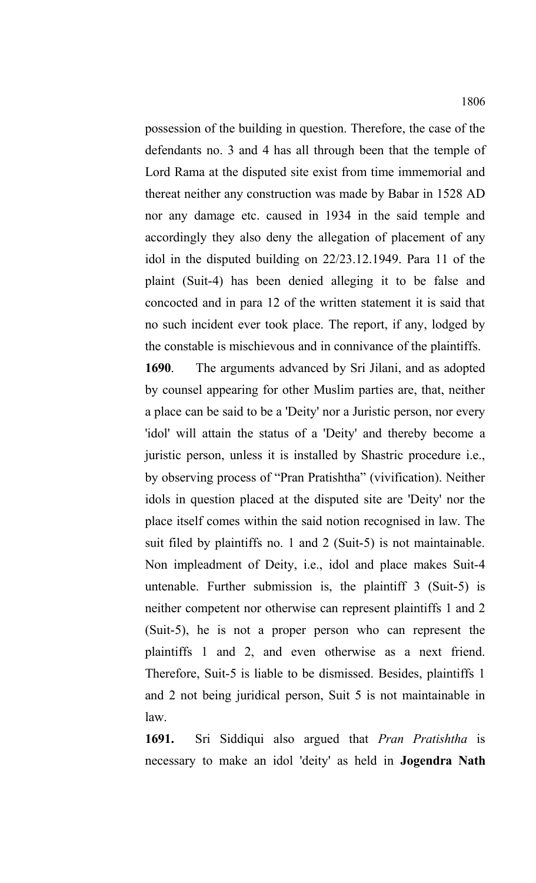possession of the building in question. Therefore, the case of the defendants no. 3 and 4 has all through been that the temple of Lord Rama at the disputed site exist from time immemorial and thereat neither any construction was made by Babar in 1528 AD nor any damage etc. caused in 1934 in the said temple and accordingly they also deny the allegation of placement of any idol in the disputed building on 22/23.12.1949. Para 11 of the plaint (Suit-4) has been denied alleging it to be false and concocted and in para 12 of the written statement it is said that no such incident ever took place. The report, if any, lodged by the constable is mischievous and in connivance of the plaintiffs.

**1690**. The arguments advanced by Sri Jilani, and as adopted by counsel appearing for other Muslim parties are, that, neither a place can be said to be a 'Deity' nor a Juristic person, nor every 'idol' will attain the status of a 'Deity' and thereby become a juristic person, unless it is installed by Shastric procedure i.e., by observing process of "Pran Pratishtha" (vivification). Neither idols in question placed at the disputed site are 'Deity' nor the place itself comes within the said notion recognised in law. The suit filed by plaintiffs no. 1 and 2 (Suit-5) is not maintainable. Non impleadment of Deity, i.e., idol and place makes Suit-4 untenable. Further submission is, the plaintiff 3 (Suit-5) is neither competent nor otherwise can represent plaintiffs 1 and 2 (Suit-5), he is not a proper person who can represent the plaintiffs 1 and 2, and even otherwise as a next friend. Therefore, Suit-5 is liable to be dismissed. Besides, plaintiffs 1 and 2 not being juridical person, Suit 5 is not maintainable in law.

**1691.** Sri Siddiqui also argued that *Pran Pratishtha* is necessary to make an idol 'deity' as held in **Jogendra Nath**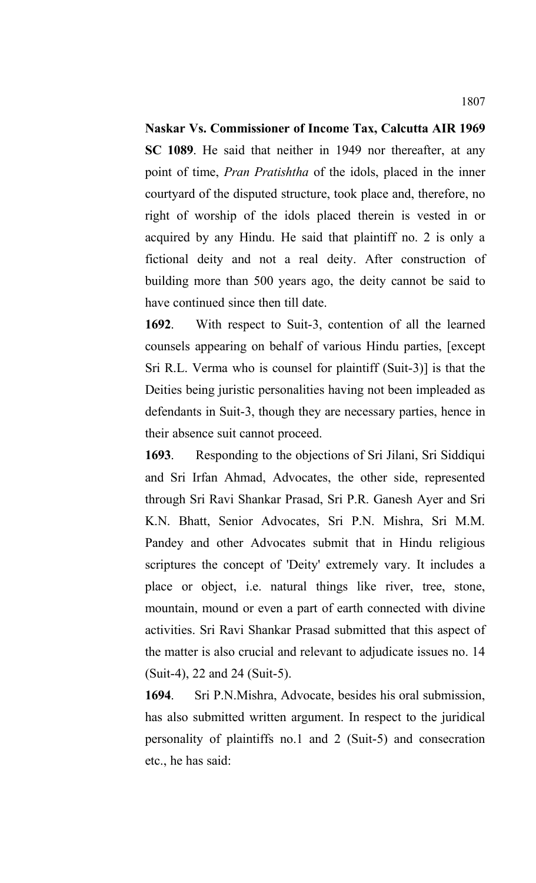## **Naskar Vs. Commissioner of Income Tax, Calcutta AIR 1969**

**SC 1089**. He said that neither in 1949 nor thereafter, at any point of time, *Pran Pratishtha* of the idols, placed in the inner courtyard of the disputed structure, took place and, therefore, no right of worship of the idols placed therein is vested in or acquired by any Hindu. He said that plaintiff no. 2 is only a fictional deity and not a real deity. After construction of building more than 500 years ago, the deity cannot be said to have continued since then till date.

**1692**. With respect to Suit-3, contention of all the learned counsels appearing on behalf of various Hindu parties, [except Sri R.L. Verma who is counsel for plaintiff (Suit-3)] is that the Deities being juristic personalities having not been impleaded as defendants in Suit-3, though they are necessary parties, hence in their absence suit cannot proceed.

**1693**. Responding to the objections of Sri Jilani, Sri Siddiqui and Sri Irfan Ahmad, Advocates, the other side, represented through Sri Ravi Shankar Prasad, Sri P.R. Ganesh Ayer and Sri K.N. Bhatt, Senior Advocates, Sri P.N. Mishra, Sri M.M. Pandey and other Advocates submit that in Hindu religious scriptures the concept of 'Deity' extremely vary. It includes a place or object, i.e. natural things like river, tree, stone, mountain, mound or even a part of earth connected with divine activities. Sri Ravi Shankar Prasad submitted that this aspect of the matter is also crucial and relevant to adjudicate issues no. 14 (Suit-4), 22 and 24 (Suit-5).

**1694**. Sri P.N.Mishra, Advocate, besides his oral submission, has also submitted written argument. In respect to the juridical personality of plaintiffs no.1 and 2 (Suit-5) and consecration etc., he has said: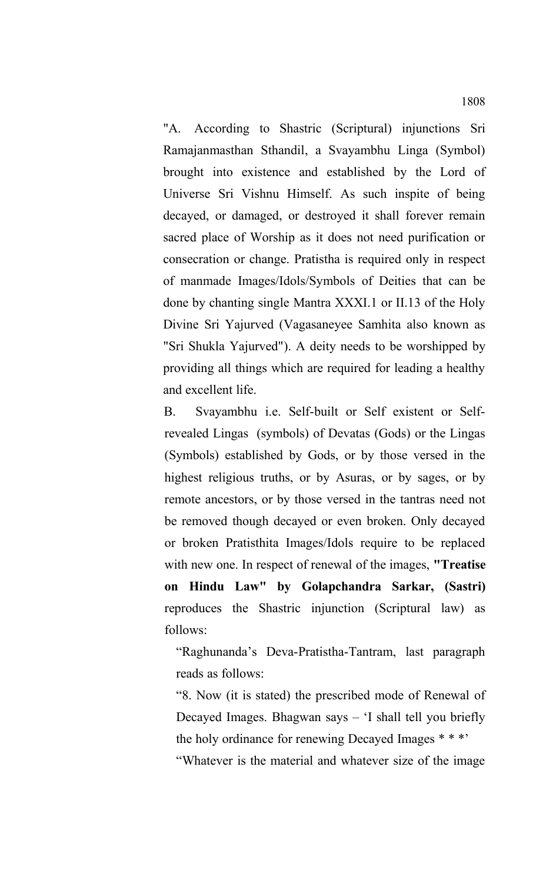"A. According to Shastric (Scriptural) injunctions Sri Ramajanmasthan Sthandil, a Svayambhu Linga (Symbol) brought into existence and established by the Lord of Universe Sri Vishnu Himself. As such inspite of being decayed, or damaged, or destroyed it shall forever remain sacred place of Worship as it does not need purification or consecration or change. Pratistha is required only in respect of manmade Images/Idols/Symbols of Deities that can be done by chanting single Mantra XXXI.1 or II.13 of the Holy Divine Sri Yajurved (Vagasaneyee Samhita also known as "Sri Shukla Yajurved"). A deity needs to be worshipped by providing all things which are required for leading a healthy and excellent life.

B. Svayambhu i.e. Self-built or Self existent or Selfrevealed Lingas (symbols) of Devatas (Gods) or the Lingas (Symbols) established by Gods, or by those versed in the highest religious truths, or by Asuras, or by sages, or by remote ancestors, or by those versed in the tantras need not be removed though decayed or even broken. Only decayed or broken Pratisthita Images/Idols require to be replaced with new one. In respect of renewal of the images, **"Treatise on Hindu Law" by Golapchandra Sarkar, (Sastri)** reproduces the Shastric injunction (Scriptural law) as follows:

"Raghunanda's Deva-Pratistha-Tantram, last paragraph reads as follows:

"8. Now (it is stated) the prescribed mode of Renewal of Decayed Images. Bhagwan says – 'I shall tell you briefly the holy ordinance for renewing Decayed Images \* \* \*'

"Whatever is the material and whatever size of the image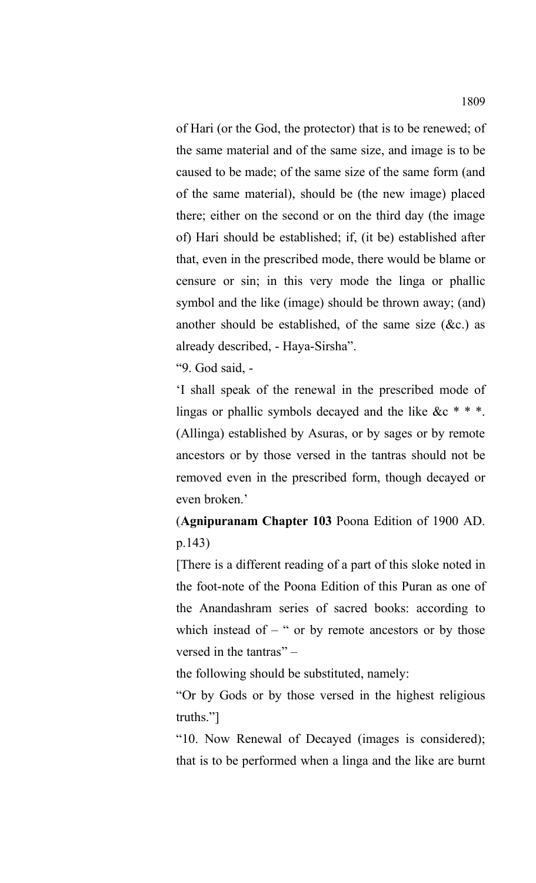of Hari (or the God, the protector) that is to be renewed; of the same material and of the same size, and image is to be caused to be made; of the same size of the same form (and of the same material), should be (the new image) placed there; either on the second or on the third day (the image of) Hari should be established; if, (it be) established after that, even in the prescribed mode, there would be blame or censure or sin; in this very mode the linga or phallic symbol and the like (image) should be thrown away; (and) another should be established, of the same size  $(\&c.)$  as already described, - Haya-Sirsha".

"9. God said, -

'I shall speak of the renewal in the prescribed mode of lingas or phallic symbols decayed and the like &c \* \* \*. (Allinga) established by Asuras, or by sages or by remote ancestors or by those versed in the tantras should not be removed even in the prescribed form, though decayed or even broken.'

(**Agnipuranam Chapter 103** Poona Edition of 1900 AD. p.143)

[There is a different reading of a part of this sloke noted in the foot-note of the Poona Edition of this Puran as one of the Anandashram series of sacred books: according to which instead of  $-$  " or by remote ancestors or by those versed in the tantras" –

the following should be substituted, namely:

"Or by Gods or by those versed in the highest religious truths."]

"10. Now Renewal of Decayed (images is considered); that is to be performed when a linga and the like are burnt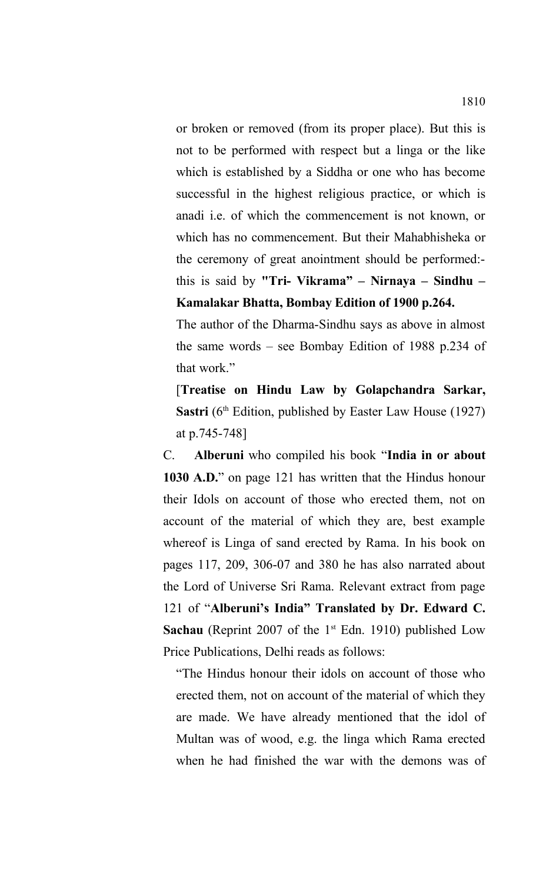or broken or removed (from its proper place). But this is not to be performed with respect but a linga or the like which is established by a Siddha or one who has become successful in the highest religious practice, or which is anadi i.e. of which the commencement is not known, or which has no commencement. But their Mahabhisheka or the ceremony of great anointment should be performed: this is said by **"Tri- Vikrama" – Nirnaya – Sindhu – Kamalakar Bhatta, Bombay Edition of 1900 p.264.**

The author of the Dharma-Sindhu says as above in almost the same words – see Bombay Edition of 1988 p.234 of that work."

[**Treatise on Hindu Law by Golapchandra Sarkar, Sastri** (6<sup>th</sup> Edition, published by Easter Law House (1927) at p.745-748]

C. **Alberuni** who compiled his book "**India in or about 1030 A.D.**" on page 121 has written that the Hindus honour their Idols on account of those who erected them, not on account of the material of which they are, best example whereof is Linga of sand erected by Rama. In his book on pages 117, 209, 306-07 and 380 he has also narrated about the Lord of Universe Sri Rama. Relevant extract from page 121 of "**Alberuni's India" Translated by Dr. Edward C. Sachau** (Reprint 2007 of the 1<sup>st</sup> Edn. 1910) published Low Price Publications, Delhi reads as follows:

"The Hindus honour their idols on account of those who erected them, not on account of the material of which they are made. We have already mentioned that the idol of Multan was of wood, e.g. the linga which Rama erected when he had finished the war with the demons was of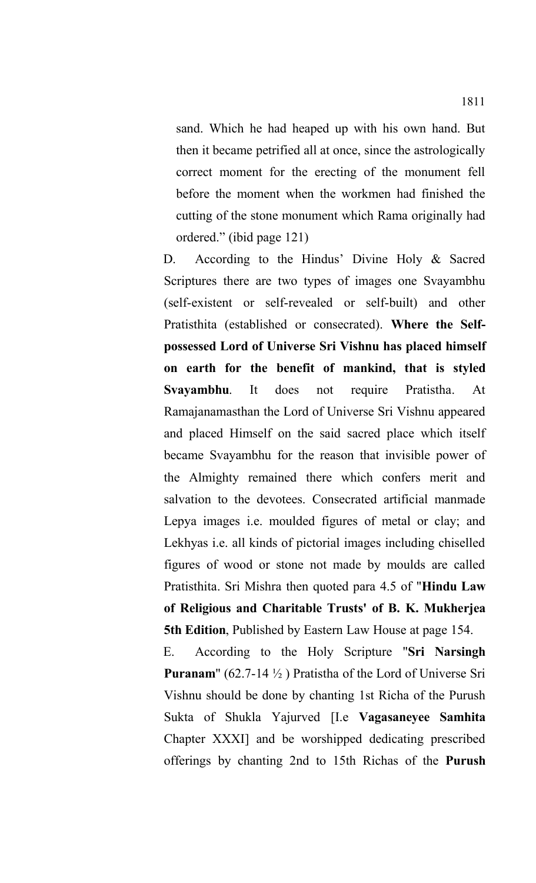sand. Which he had heaped up with his own hand. But then it became petrified all at once, since the astrologically correct moment for the erecting of the monument fell before the moment when the workmen had finished the cutting of the stone monument which Rama originally had ordered." (ibid page 121)

D. According to the Hindus' Divine Holy & Sacred Scriptures there are two types of images one Svayambhu (self-existent or self-revealed or self-built) and other Pratisthita (established or consecrated). **Where the Selfpossessed Lord of Universe Sri Vishnu has placed himself on earth for the benefit of mankind, that is styled Svayambhu**. It does not require Pratistha. At Ramajanamasthan the Lord of Universe Sri Vishnu appeared and placed Himself on the said sacred place which itself became Svayambhu for the reason that invisible power of the Almighty remained there which confers merit and salvation to the devotees. Consecrated artificial manmade Lepya images i.e. moulded figures of metal or clay; and Lekhyas i.e. all kinds of pictorial images including chiselled figures of wood or stone not made by moulds are called Pratisthita. Sri Mishra then quoted para 4.5 of "**Hindu Law of Religious and Charitable Trusts' of B. K. Mukherjea 5th Edition**, Published by Eastern Law House at page 154.

E. According to the Holy Scripture "**Sri Narsingh Puranam**" (62.7-14 ½ ) Pratistha of the Lord of Universe Sri Vishnu should be done by chanting 1st Richa of the Purush Sukta of Shukla Yajurved [I.e **Vagasaneyee Samhita** Chapter XXXI] and be worshipped dedicating prescribed offerings by chanting 2nd to 15th Richas of the **Purush**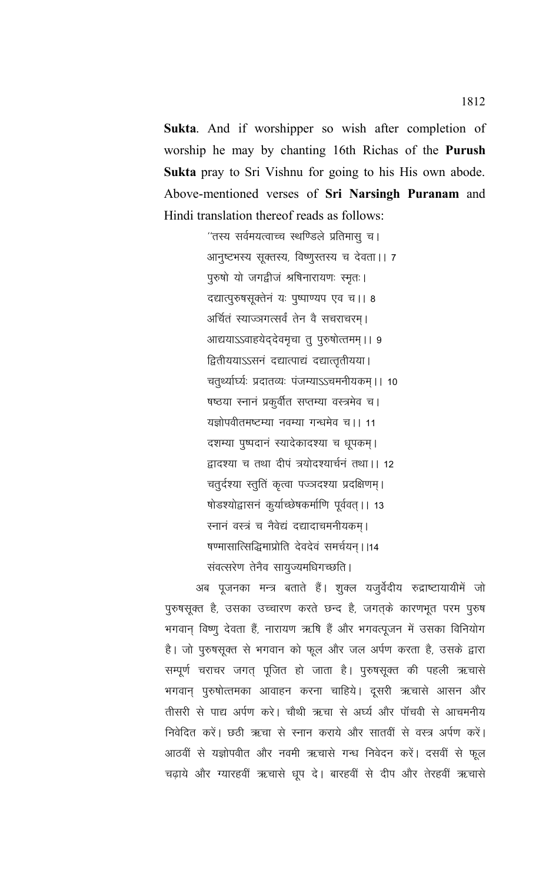**Sukta**. And if worshipper so wish after completion of worship he may by chanting 16th Richas of the **Purush Sukta** pray to Sri Vishnu for going to his His own abode. Above-mentioned verses of **Sri Narsingh Puranam** and Hindi translation thereof reads as follows:

> $^{\prime\prime}$ तस्य सर्वमयत्वाच्च स्थण्डिले प्रतिमासु च। आनुष्टभस्य सूक्तस्य, विष्णुस्तस्य च देवता।। 7 पुरुषो यो जगद्वीजं श्रषिनारायणः स्मृतः। दद्यात्पुरुषसूक्तेनं यः पुष्पाण्यप एव च।। 8 अर्चितं स्याज्ञगत्सर्वं तेन वै सचराचरम्। आद्ययाऽऽवाहयेद्देवमृचा तु पुरुषोत्तमम् ।। 9 द्वितीययाऽऽसनं दद्यात्पाद्यं दद्यात्तृतीयया। चतुर्थ्यार्ध्यः प्रदातव्यः पंजम्याऽऽचमनीयकम् ।। 10 षष्ठया स्नानं प्रकुर्वीत सप्तम्या वस्त्रमेव च। यज्ञोपवीतमष्टम्या नवम्या गन्धमेव च ।। 11 दशम्या पुष्पदानं स्यादेकादश्या च धूपकम् । द्वादश्या च तथा दीपं त्रयोदश्यार्चनं तथा।। 12 चतुर्दश्या स्तुतिं कृत्वा पज्जदश्या प्रदक्षिणम। षोडश्योद्वासनं कुर्याच्छेषकर्माणि पूर्ववत् ।। 13 स्नानं वस्त्रं च नैवेद्यं दद्यादाचमनीयकम् । षण्मासात्सिद्धिमाप्रोति देवदेवं समर्चयन । ।14 संवत्सरेण तेनैव सायुज्यमधिगच्छति ।

अब पूजनका मन्त्र बताते हैं। शुक्ल यजुर्वेदीय रुद्राष्टायायीमें जो पुरुषसूक्त है, उसका उच्चारण करते छन्द है, जगत्के कारणभूत परम पुरुष भगवान् विष्णु देवता हैं, नारायण ऋषि हैं और भगवत्पूजन में उसका विनियोग है। जो पुरुषसूक्त से भगवान को फूल और जल अर्पण करता है, उसके द्वारा सम्पूर्ण चराचर जगत् पूजित हो जाता है। पुरुषसूक्त की पहली ऋचासे भगवान् पुरुषोत्तमका आवाहन करना चाहिये। दूसरी ऋचासे आसन और तीसरी से पाद्य अर्पण करे। चौथी ऋचा से अर्घ्य और पॉचवी से आचमनीय निवेदित करें। छठी ऋचा से स्नान कराये और सातवीं से वस्त्र अर्पण करें। आठवीं से यज्ञोपवीत और नवमी ऋचासे गन्ध निवेदन करें। दसवीं से फूल चढ़ाये और ग्यारहवीं ऋचासे धूप दे। बारहवीं से दीप और तेरहवीं ऋचासे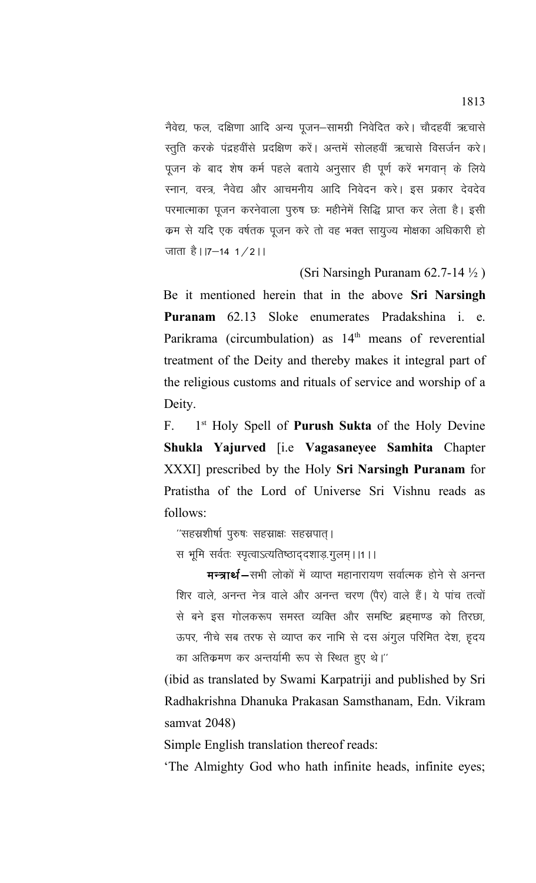नैवेद्य, फल, दक्षिणा आदि अन्य पूजन–सामग्री निवेदित करे। चौदहवीं ऋचासे स्तुति करके पंद्रहवींसे प्रदक्षिण करें। अन्तमें सोलहवीं ऋचासे विसर्जन करे। पूजन के बाद शेष कर्म पहले बताये अनुसार ही पूर्ण करें भगवान् के लिये स्नान, वस्त्र, नैवेद्य और आचमनीय आदि निवेदन करे। इस प्रकार देवदेव परमात्माका पूजन करनेवाला पुरुष छः महीनेमें सिद्धि प्राप्त कर लेता है। इसी कम से यदि एक वर्षतक पूजन करे तो वह भक्त सायुज्य मोक्षका अधिकारी हो जाता है।  $17 - 14$  1/211

(Sri Narsingh Puranam 62.7-14 ½ )

Be it mentioned herein that in the above **Sri Narsingh Puranam** 62.13 Sloke enumerates Pradakshina i. e. Parikrama (circumbulation) as 14<sup>th</sup> means of reverential treatment of the Deity and thereby makes it integral part of the religious customs and rituals of service and worship of a Deity.

F. 1<sup>st</sup> Holy Spell of **Purush Sukta** of the Holy Devine **Shukla Yajurved** [i.e **Vagasaneyee Samhita** Chapter XXXI] prescribed by the Holy **Sri Narsingh Puranam** for Pratistha of the Lord of Universe Sri Vishnu reads as follows:

 $^{\prime\prime}$ सहस्रशीर्षा पुरुषः सहस्राक्षः सहस्रपात् ।

स भूमि सर्वतः स्पृत्वाऽत्यतिष्ठाद्दशाड़.गुलम् । । । । ।

**मन्त्रार्थ** – सभी लोकों में व्याप्त महानारायण सर्वात्मक होने से अनन्त शिर वाले, अनन्त नेत्र वाले और अनन्त चरण (पैर) वाले हैं। ये पांच तत्वों से बने इस गोलकरूप समस्त व्यक्ति और समष्टि ब्रहमाण्ड को तिरछा, ऊपर, नीचे सब तरफ से व्याप्त कर नाभि से दस अंगुल परिमित देश, इ़दय का अतिक्रमण कर अन्तर्यामी रूप से स्थित हुए थे।''

(ibid as translated by Swami Karpatriji and published by Sri Radhakrishna Dhanuka Prakasan Samsthanam, Edn. Vikram samvat 2048)

Simple English translation thereof reads:

'The Almighty God who hath infinite heads, infinite eyes;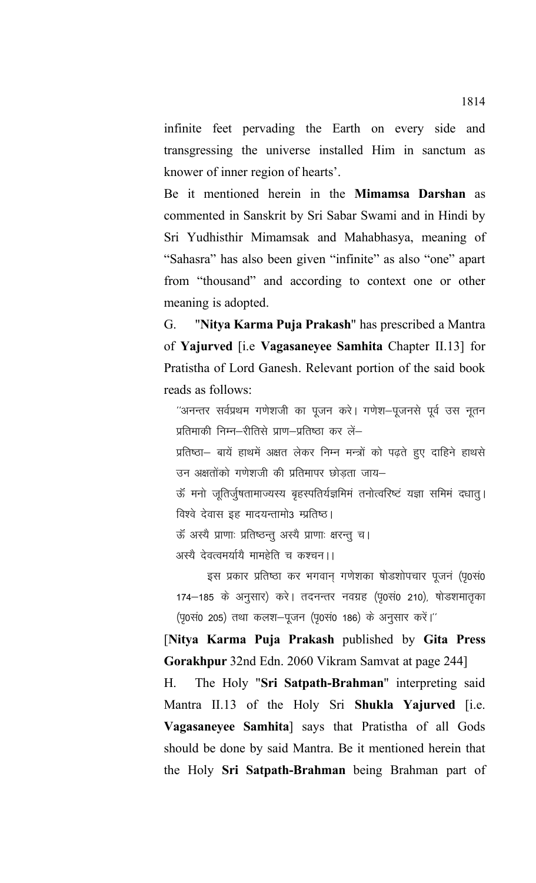infinite feet pervading the Earth on every side and transgressing the universe installed Him in sanctum as knower of inner region of hearts'.

Be it mentioned herein in the **Mimamsa Darshan** as commented in Sanskrit by Sri Sabar Swami and in Hindi by Sri Yudhisthir Mimamsak and Mahabhasya, meaning of "Sahasra" has also been given "infinite" as also "one" apart from "thousand" and according to context one or other meaning is adopted.

G. "**Nitya Karma Puja Prakash**" has prescribed a Mantra of **Yajurved** [i.e **Vagasaneyee Samhita** Chapter II.13] for Pratistha of Lord Ganesh. Relevant portion of the said book reads as follows:

<sup>''</sup>अनन्तर सर्वप्रथम गणेशजी का पूजन करे। गणेश–पूजनसे पूर्व उस नुतन प्रतिमाकी निम्न-रीतिसे प्राण-प्रतिष्ठा कर लें-

प्रतिष्ठा- बायें हाथमें अक्षत लेकर निम्न मन्त्रों को पढते हुए दाहिने हाथसे उन अक्षतोंको गणेशजी की प्रतिमापर छोडता जाय $-$ 

ऊॅ मनो जूतिर्जुषतामाज्यस्य बृहस्पतिर्यज्ञमिमं तनोत्वरिष्टं यज्ञा समिमं दधात्। विश्वे देवास इह मादयन्तामो3 म्प्रतिष्ठ।

ऊॅ अस्यै प्राणाः प्रतिष्ठन्तु अस्यै प्राणाः क्षरन्तु च।

अस्यै देवत्वमर्यायै मामहेति च कश्चन।।

इस प्रकार प्रतिष्ठा कर भगवान गणेशका षोडशोपचार पूजन (पृ0सं0 174-185 के अनुसार) करे। तदनन्तर नवग्रह (पृ0सं0 210), षोडशमातृका (पृ0सं0 205) तथा कलश-पूजन (पृ0सं0 186) के अनुसार करें।''

[**Nitya Karma Puja Prakash** published by **Gita Press Gorakhpur** 32nd Edn. 2060 Vikram Samvat at page 244]

H. The Holy "**Sri Satpath-Brahman**" interpreting said Mantra II.13 of the Holy Sri **Shukla Yajurved** [i.e. **Vagasaneyee Samhita**] says that Pratistha of all Gods should be done by said Mantra. Be it mentioned herein that the Holy **Sri Satpath-Brahman** being Brahman part of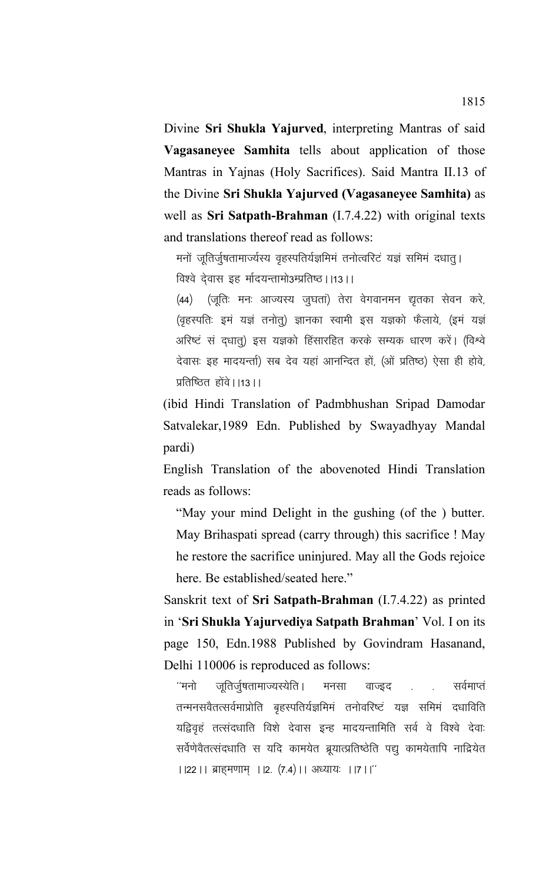Divine **Sri Shukla Yajurved**, interpreting Mantras of said **Vagasaneyee Samhita** tells about application of those Mantras in Yajnas (Holy Sacrifices). Said Mantra II.13 of the Divine **Sri Shukla Yajurved (Vagasaneyee Samhita)** as well as **Sri Satpath-Brahman** (I.7.4.22) with original texts and translations thereof read as follows:

मनों जूतिर्जुषतामार्ज्यस्य वृहस्पतिर्यज्ञमिमं तनोत्वरिटं यज्ञं समिमं दधात् । विश्वे देवास इह र्मादयन्तामो3म्प्रतिष्ठ।।13।।

(44) (जूतिः मनः आज्यस्य जुघतां) तेरा वेगवानमन द्युतका सेवन करे, (वृहस्पतिः इमं यज्ञं तनोत्) ज्ञानका स्वामी इस यज्ञको फैलाये, (इमं यज्ञं अरिष्टं सं द्धात्) इस यज्ञको हिंसारहित करके सम्यक धारण करें। (विश्वे देवासः इह मादयन्ती) सब देव यहां आनन्दित हों, (ओं प्रतिष्ठ) ऐसा ही होवे, प्रतिष्ठित होंवे । । १३। ।

(ibid Hindi Translation of Padmbhushan Sripad Damodar Satvalekar,1989 Edn. Published by Swayadhyay Mandal pardi)

English Translation of the abovenoted Hindi Translation reads as follows:

"May your mind Delight in the gushing (of the ) butter. May Brihaspati spread (carry through) this sacrifice ! May he restore the sacrifice uninjured. May all the Gods rejoice here. Be established/seated here."

Sanskrit text of **Sri Satpath-Brahman** (I.7.4.22) as printed in '**Sri Shukla Yajurvediya Satpath Brahman**' Vol. I on its page 150, Edn.1988 Published by Govindram Hasanand, Delhi 110006 is reproduced as follows:

''मनो जृतिर्जुषतामाज्यस्येति । मनसा वाज्इद <sub>-</sub> सर्वमाप्तं तन्मनसवैतत्सर्वमाप्रोति बृहस्पतिर्यज्ञमिमं तनोवरिष्टं यज्ञ समिमं दधाविति यद्विवृहं तत्संदधाति विशे देवास इन्ह मादयन्तामिति सर्व वे विश्वे देवाः सर्वेणेवैतत्संदधाति स यदि कामयेत ब्रूयात्प्रतिष्ठेति पद्यु कामयेतापि नाद्रियेत | 22 | | ब्राहमणाम् | 2. (7.4) | | अध्यायः | |7 | | "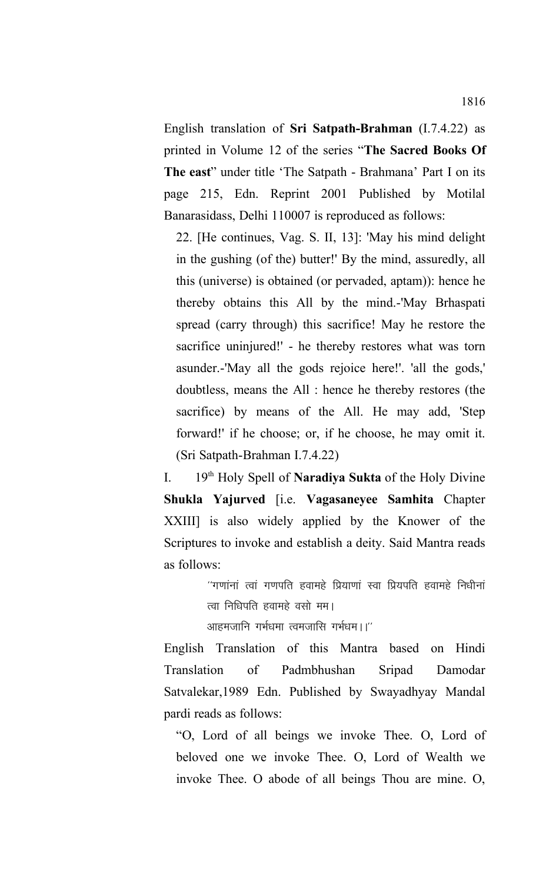English translation of **Sri Satpath-Brahman** (I.7.4.22) as printed in Volume 12 of the series "**The Sacred Books Of The east**" under title 'The Satpath - Brahmana' Part I on its page 215, Edn. Reprint 2001 Published by Motilal Banarasidass, Delhi 110007 is reproduced as follows:

22. [He continues, Vag. S. II, 13]: 'May his mind delight in the gushing (of the) butter!' By the mind, assuredly, all this (universe) is obtained (or pervaded, aptam)): hence he thereby obtains this All by the mind.-'May Brhaspati spread (carry through) this sacrifice! May he restore the sacrifice uninjured!' - he thereby restores what was torn asunder.-'May all the gods rejoice here!'. 'all the gods,' doubtless, means the All : hence he thereby restores (the sacrifice) by means of the All. He may add, 'Step forward!' if he choose; or, if he choose, he may omit it. (Sri Satpath-Brahman I.7.4.22)

I. 19th Holy Spell of **Naradiya Sukta** of the Holy Divine **Shukla Yajurved** [i.e. **Vagasaneyee Samhita** Chapter XXIII] is also widely applied by the Knower of the Scriptures to invoke and establish a deity. Said Mantra reads as follows:

> $^{\prime\prime}$ गणांनां त्वां गणपति हवामहे प्रियाणां स्वा प्रियपति हवामहे निधीनां त्वा निधिपति हवामहे वसो मम।

आहमजानि गर्भधमा त्वमजासि गर्भधम।।''

English Translation of this Mantra based on Hindi Translation of Padmbhushan Sripad Damodar Satvalekar,1989 Edn. Published by Swayadhyay Mandal pardi reads as follows:

"O, Lord of all beings we invoke Thee. O, Lord of beloved one we invoke Thee. O, Lord of Wealth we invoke Thee. O abode of all beings Thou are mine. O,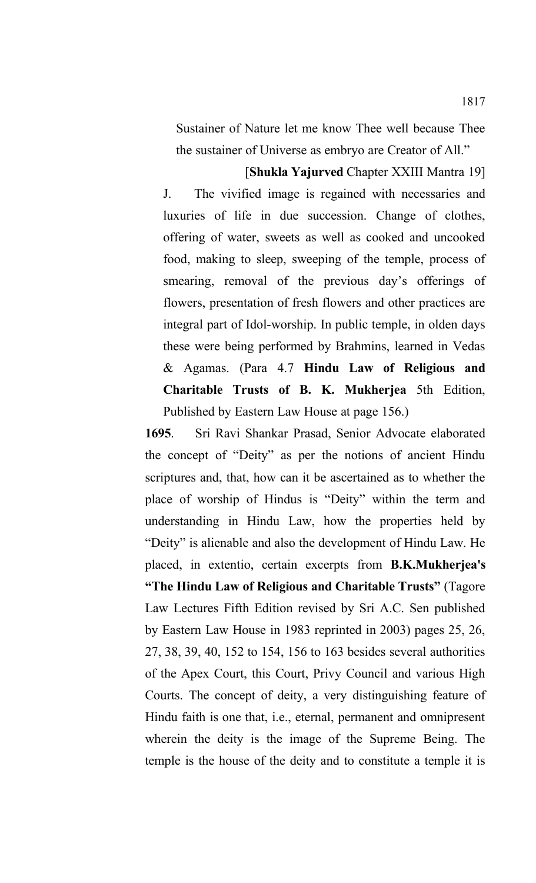Sustainer of Nature let me know Thee well because Thee the sustainer of Universe as embryo are Creator of All."

[**Shukla Yajurved** Chapter XXIII Mantra 19] J. The vivified image is regained with necessaries and luxuries of life in due succession. Change of clothes, offering of water, sweets as well as cooked and uncooked food, making to sleep, sweeping of the temple, process of smearing, removal of the previous day's offerings of flowers, presentation of fresh flowers and other practices are integral part of Idol-worship. In public temple, in olden days these were being performed by Brahmins, learned in Vedas & Agamas. (Para 4.7 **Hindu Law of Religious and Charitable Trusts of B. K. Mukherjea** 5th Edition, Published by Eastern Law House at page 156.)

**1695**. Sri Ravi Shankar Prasad, Senior Advocate elaborated the concept of "Deity" as per the notions of ancient Hindu scriptures and, that, how can it be ascertained as to whether the place of worship of Hindus is "Deity" within the term and understanding in Hindu Law, how the properties held by "Deity" is alienable and also the development of Hindu Law. He placed, in extentio, certain excerpts from **B.K.Mukherjea's "The Hindu Law of Religious and Charitable Trusts"** (Tagore Law Lectures Fifth Edition revised by Sri A.C. Sen published by Eastern Law House in 1983 reprinted in 2003) pages 25, 26, 27, 38, 39, 40, 152 to 154, 156 to 163 besides several authorities of the Apex Court, this Court, Privy Council and various High Courts. The concept of deity, a very distinguishing feature of Hindu faith is one that, i.e., eternal, permanent and omnipresent wherein the deity is the image of the Supreme Being. The temple is the house of the deity and to constitute a temple it is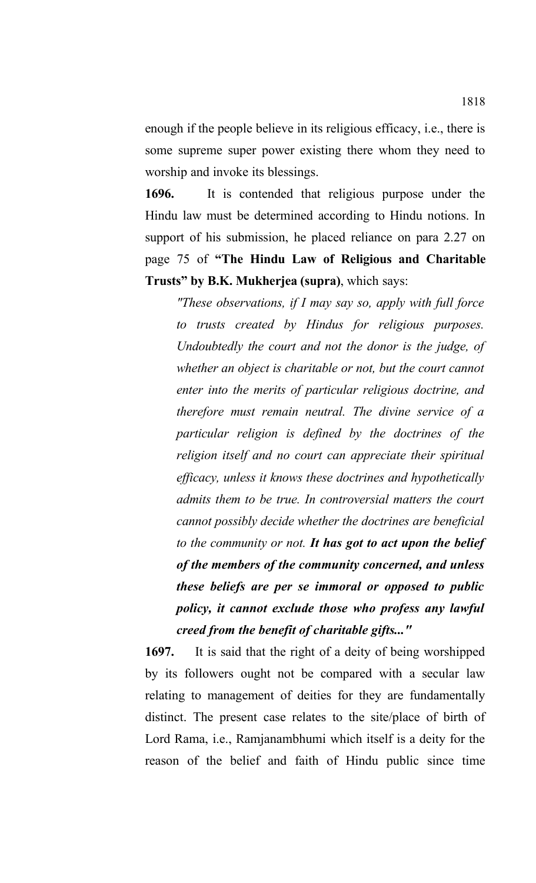enough if the people believe in its religious efficacy, i.e., there is some supreme super power existing there whom they need to worship and invoke its blessings.

**1696.** It is contended that religious purpose under the Hindu law must be determined according to Hindu notions. In support of his submission, he placed reliance on para 2.27 on page 75 of **"The Hindu Law of Religious and Charitable Trusts" by B.K. Mukherjea (supra)**, which says:

*"These observations, if I may say so, apply with full force to trusts created by Hindus for religious purposes. Undoubtedly the court and not the donor is the judge, of whether an object is charitable or not, but the court cannot enter into the merits of particular religious doctrine, and therefore must remain neutral. The divine service of a particular religion is defined by the doctrines of the religion itself and no court can appreciate their spiritual efficacy, unless it knows these doctrines and hypothetically admits them to be true. In controversial matters the court cannot possibly decide whether the doctrines are beneficial to the community or not. It has got to act upon the belief of the members of the community concerned, and unless these beliefs are per se immoral or opposed to public policy, it cannot exclude those who profess any lawful creed from the benefit of charitable gifts..."*

**1697.** It is said that the right of a deity of being worshipped by its followers ought not be compared with a secular law relating to management of deities for they are fundamentally distinct. The present case relates to the site/place of birth of Lord Rama, i.e., Ramjanambhumi which itself is a deity for the reason of the belief and faith of Hindu public since time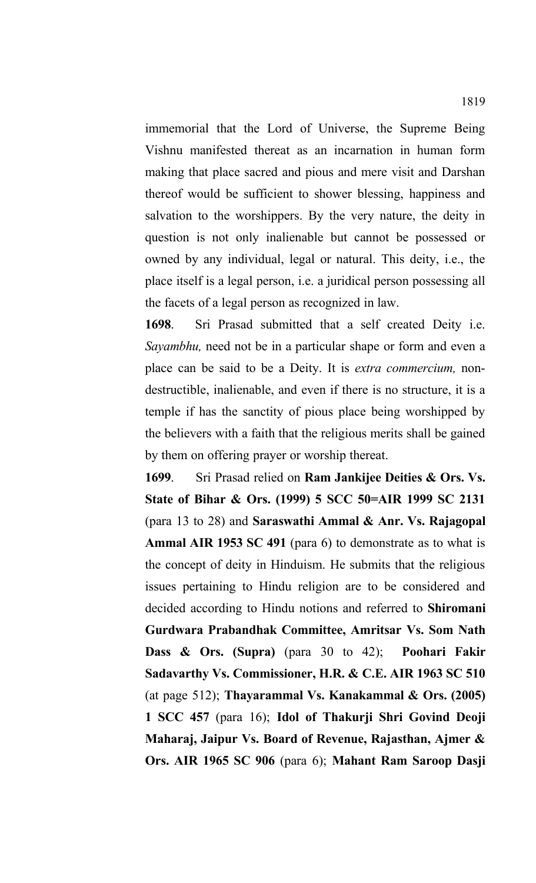immemorial that the Lord of Universe, the Supreme Being Vishnu manifested thereat as an incarnation in human form making that place sacred and pious and mere visit and Darshan thereof would be sufficient to shower blessing, happiness and salvation to the worshippers. By the very nature, the deity in question is not only inalienable but cannot be possessed or owned by any individual, legal or natural. This deity, i.e., the place itself is a legal person, i.e. a juridical person possessing all the facets of a legal person as recognized in law.

**1698**. Sri Prasad submitted that a self created Deity i.e. *Sayambhu,* need not be in a particular shape or form and even a place can be said to be a Deity. It is *extra commercium,* nondestructible, inalienable, and even if there is no structure, it is a temple if has the sanctity of pious place being worshipped by the believers with a faith that the religious merits shall be gained by them on offering prayer or worship thereat.

**1699**. Sri Prasad relied on **Ram Jankijee Deities & Ors. Vs. State of Bihar & Ors. (1999) 5 SCC 50=AIR 1999 SC 2131** (para 13 to 28) and **Saraswathi Ammal & Anr. Vs. Rajagopal Ammal AIR 1953 SC 491** (para 6) to demonstrate as to what is the concept of deity in Hinduism. He submits that the religious issues pertaining to Hindu religion are to be considered and decided according to Hindu notions and referred to **Shiromani Gurdwara Prabandhak Committee, Amritsar Vs. Som Nath Dass & Ors. (Supra)** (para 30 to 42); **Poohari Fakir Sadavarthy Vs. Commissioner, H.R. & C.E. AIR 1963 SC 510** (at page 512); **Thayarammal Vs. Kanakammal & Ors. (2005) 1 SCC 457** (para 16); **Idol of Thakurji Shri Govind Deoji Maharaj, Jaipur Vs. Board of Revenue, Rajasthan, Ajmer & Ors. AIR 1965 SC 906** (para 6); **Mahant Ram Saroop Dasji**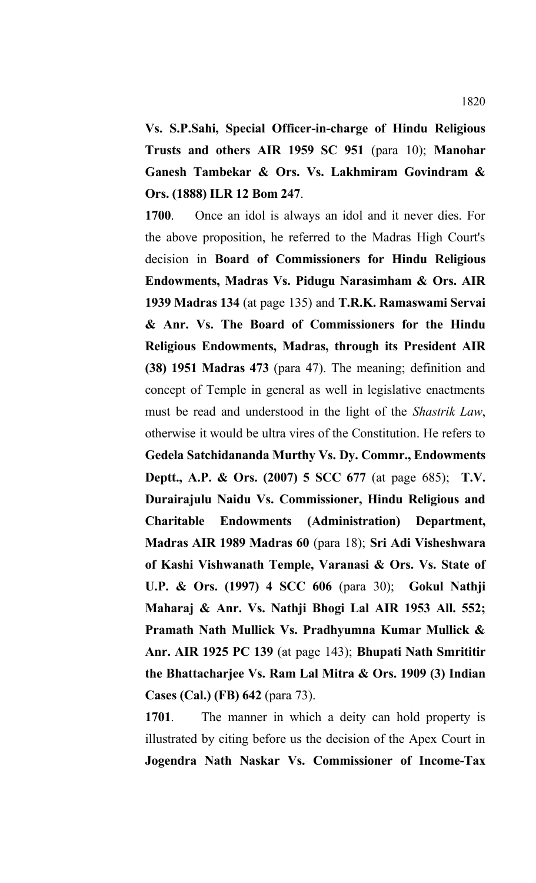**Vs. S.P.Sahi, Special Officer-in-charge of Hindu Religious Trusts and others AIR 1959 SC 951** (para 10); **Manohar Ganesh Tambekar & Ors. Vs. Lakhmiram Govindram & Ors. (1888) ILR 12 Bom 247**.

**1700**. Once an idol is always an idol and it never dies. For the above proposition, he referred to the Madras High Court's decision in **Board of Commissioners for Hindu Religious Endowments, Madras Vs. Pidugu Narasimham & Ors. AIR 1939 Madras 134** (at page 135) and **T.R.K. Ramaswami Servai & Anr. Vs. The Board of Commissioners for the Hindu Religious Endowments, Madras, through its President AIR (38) 1951 Madras 473** (para 47). The meaning; definition and concept of Temple in general as well in legislative enactments must be read and understood in the light of the *Shastrik Law*, otherwise it would be ultra vires of the Constitution. He refers to **Gedela Satchidananda Murthy Vs. Dy. Commr., Endowments Deptt., A.P. & Ors. (2007) 5 SCC 677** (at page 685); **T.V. Durairajulu Naidu Vs. Commissioner, Hindu Religious and Charitable Endowments (Administration) Department, Madras AIR 1989 Madras 60** (para 18); **Sri Adi Visheshwara of Kashi Vishwanath Temple, Varanasi & Ors. Vs. State of U.P. & Ors. (1997) 4 SCC 606** (para 30); **Gokul Nathji Maharaj & Anr. Vs. Nathji Bhogi Lal AIR 1953 All. 552; Pramath Nath Mullick Vs. Pradhyumna Kumar Mullick & Anr. AIR 1925 PC 139** (at page 143); **Bhupati Nath Smrititir the Bhattacharjee Vs. Ram Lal Mitra & Ors. 1909 (3) Indian Cases (Cal.) (FB) 642** (para 73).

**1701**. The manner in which a deity can hold property is illustrated by citing before us the decision of the Apex Court in **Jogendra Nath Naskar Vs. Commissioner of Income-Tax**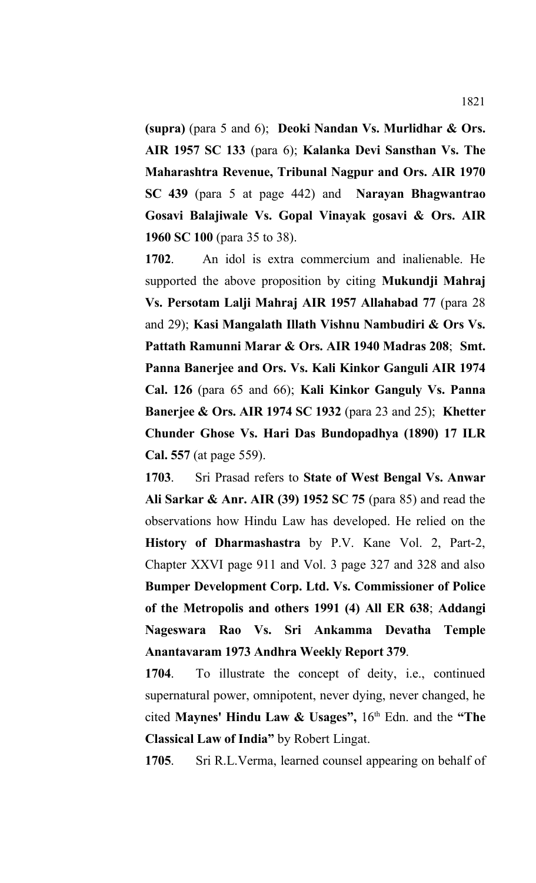**(supra)** (para 5 and 6); **Deoki Nandan Vs. Murlidhar & Ors. AIR 1957 SC 133** (para 6); **Kalanka Devi Sansthan Vs. The Maharashtra Revenue, Tribunal Nagpur and Ors. AIR 1970 SC 439** (para 5 at page 442) and **Narayan Bhagwantrao Gosavi Balajiwale Vs. Gopal Vinayak gosavi & Ors. AIR 1960 SC 100** (para 35 to 38).

**1702**. An idol is extra commercium and inalienable. He supported the above proposition by citing **Mukundji Mahraj Vs. Persotam Lalji Mahraj AIR 1957 Allahabad 77** (para 28 and 29); **Kasi Mangalath Illath Vishnu Nambudiri & Ors Vs. Pattath Ramunni Marar & Ors. AIR 1940 Madras 208**; **Smt. Panna Banerjee and Ors. Vs. Kali Kinkor Ganguli AIR 1974 Cal. 126** (para 65 and 66); **Kali Kinkor Ganguly Vs. Panna Banerjee & Ors. AIR 1974 SC 1932** (para 23 and 25); **Khetter Chunder Ghose Vs. Hari Das Bundopadhya (1890) 17 ILR Cal. 557** (at page 559).

**1703**. Sri Prasad refers to **State of West Bengal Vs. Anwar Ali Sarkar & Anr. AIR (39) 1952 SC 75** (para 85) and read the observations how Hindu Law has developed. He relied on the **History of Dharmashastra** by P.V. Kane Vol. 2, Part-2, Chapter XXVI page 911 and Vol. 3 page 327 and 328 and also **Bumper Development Corp. Ltd. Vs. Commissioner of Police of the Metropolis and others 1991 (4) All ER 638**; **Addangi Nageswara Rao Vs. Sri Ankamma Devatha Temple Anantavaram 1973 Andhra Weekly Report 379**.

**1704**. To illustrate the concept of deity, i.e., continued supernatural power, omnipotent, never dying, never changed, he cited **Maynes' Hindu Law & Usages",** 16th Edn. and the **"The Classical Law of India"** by Robert Lingat.

**1705**. Sri R.L.Verma, learned counsel appearing on behalf of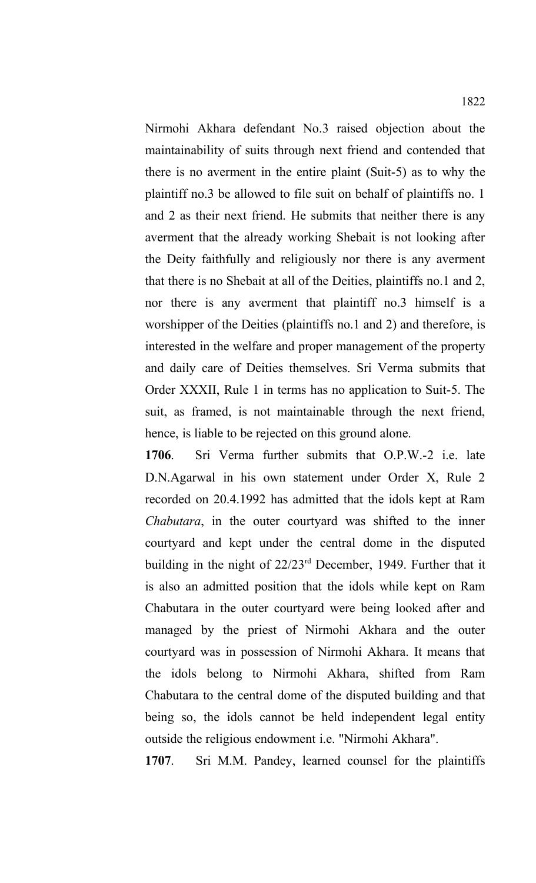Nirmohi Akhara defendant No.3 raised objection about the maintainability of suits through next friend and contended that there is no averment in the entire plaint (Suit-5) as to why the plaintiff no.3 be allowed to file suit on behalf of plaintiffs no. 1 and 2 as their next friend. He submits that neither there is any averment that the already working Shebait is not looking after the Deity faithfully and religiously nor there is any averment that there is no Shebait at all of the Deities, plaintiffs no.1 and 2, nor there is any averment that plaintiff no.3 himself is a worshipper of the Deities (plaintiffs no.1 and 2) and therefore, is interested in the welfare and proper management of the property and daily care of Deities themselves. Sri Verma submits that Order XXXII, Rule 1 in terms has no application to Suit-5. The suit, as framed, is not maintainable through the next friend, hence, is liable to be rejected on this ground alone.

**1706**. Sri Verma further submits that O.P.W.-2 i.e. late D.N.Agarwal in his own statement under Order X, Rule 2 recorded on 20.4.1992 has admitted that the idols kept at Ram *Chabutara*, in the outer courtyard was shifted to the inner courtyard and kept under the central dome in the disputed building in the night of 22/23rd December, 1949. Further that it is also an admitted position that the idols while kept on Ram Chabutara in the outer courtyard were being looked after and managed by the priest of Nirmohi Akhara and the outer courtyard was in possession of Nirmohi Akhara. It means that the idols belong to Nirmohi Akhara, shifted from Ram Chabutara to the central dome of the disputed building and that being so, the idols cannot be held independent legal entity outside the religious endowment i.e. "Nirmohi Akhara".

**1707**. Sri M.M. Pandey, learned counsel for the plaintiffs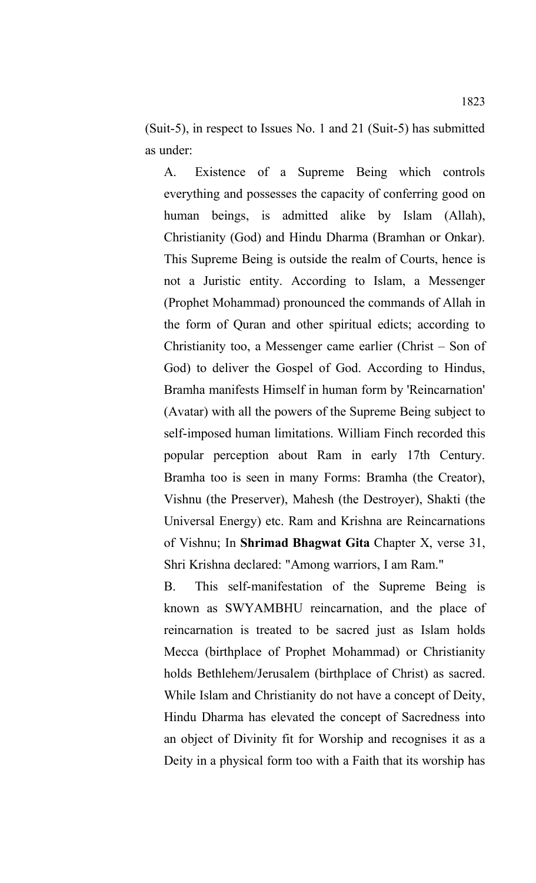(Suit-5), in respect to Issues No. 1 and 21 (Suit-5) has submitted as under:

A. Existence of a Supreme Being which controls everything and possesses the capacity of conferring good on human beings, is admitted alike by Islam (Allah), Christianity (God) and Hindu Dharma (Bramhan or Onkar). This Supreme Being is outside the realm of Courts, hence is not a Juristic entity. According to Islam, a Messenger (Prophet Mohammad) pronounced the commands of Allah in the form of Quran and other spiritual edicts; according to Christianity too, a Messenger came earlier (Christ – Son of God) to deliver the Gospel of God. According to Hindus, Bramha manifests Himself in human form by 'Reincarnation' (Avatar) with all the powers of the Supreme Being subject to self-imposed human limitations. William Finch recorded this popular perception about Ram in early 17th Century. Bramha too is seen in many Forms: Bramha (the Creator), Vishnu (the Preserver), Mahesh (the Destroyer), Shakti (the Universal Energy) etc. Ram and Krishna are Reincarnations of Vishnu; In **Shrimad Bhagwat Gita** Chapter X, verse 31, Shri Krishna declared: "Among warriors, I am Ram."

B. This self-manifestation of the Supreme Being is known as SWYAMBHU reincarnation, and the place of reincarnation is treated to be sacred just as Islam holds Mecca (birthplace of Prophet Mohammad) or Christianity holds Bethlehem/Jerusalem (birthplace of Christ) as sacred. While Islam and Christianity do not have a concept of Deity, Hindu Dharma has elevated the concept of Sacredness into an object of Divinity fit for Worship and recognises it as a Deity in a physical form too with a Faith that its worship has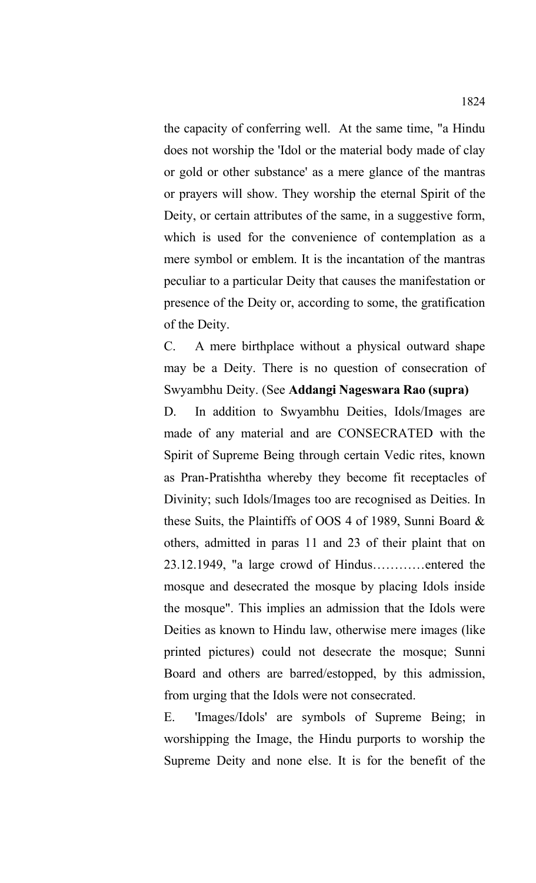the capacity of conferring well. At the same time, "a Hindu does not worship the 'Idol or the material body made of clay or gold or other substance' as a mere glance of the mantras or prayers will show. They worship the eternal Spirit of the Deity, or certain attributes of the same, in a suggestive form, which is used for the convenience of contemplation as a mere symbol or emblem. It is the incantation of the mantras peculiar to a particular Deity that causes the manifestation or presence of the Deity or, according to some, the gratification of the Deity.

C. A mere birthplace without a physical outward shape may be a Deity. There is no question of consecration of Swyambhu Deity. (See **Addangi Nageswara Rao (supra)**

D. In addition to Swyambhu Deities, Idols/Images are made of any material and are CONSECRATED with the Spirit of Supreme Being through certain Vedic rites, known as Pran-Pratishtha whereby they become fit receptacles of Divinity; such Idols/Images too are recognised as Deities. In these Suits, the Plaintiffs of OOS 4 of 1989, Sunni Board & others, admitted in paras 11 and 23 of their plaint that on 23.12.1949, "a large crowd of Hindus…………entered the mosque and desecrated the mosque by placing Idols inside the mosque". This implies an admission that the Idols were Deities as known to Hindu law, otherwise mere images (like printed pictures) could not desecrate the mosque; Sunni Board and others are barred/estopped, by this admission, from urging that the Idols were not consecrated.

E. 'Images/Idols' are symbols of Supreme Being; in worshipping the Image, the Hindu purports to worship the Supreme Deity and none else. It is for the benefit of the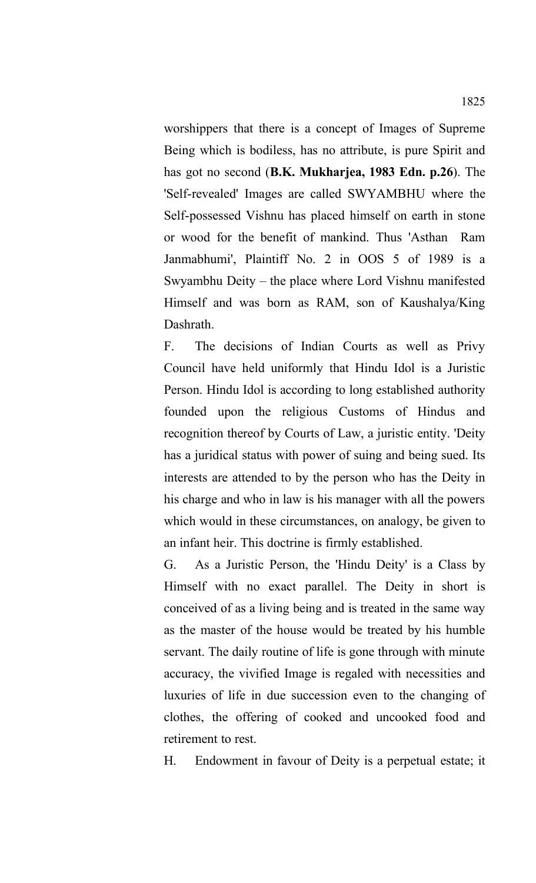worshippers that there is a concept of Images of Supreme Being which is bodiless, has no attribute, is pure Spirit and has got no second (**B.K. Mukharjea, 1983 Edn. p.26**). The 'Self-revealed' Images are called SWYAMBHU where the Self-possessed Vishnu has placed himself on earth in stone or wood for the benefit of mankind. Thus 'Asthan Ram Janmabhumi', Plaintiff No. 2 in OOS 5 of 1989 is a Swyambhu Deity – the place where Lord Vishnu manifested Himself and was born as RAM, son of Kaushalya/King Dashrath.

F. The decisions of Indian Courts as well as Privy Council have held uniformly that Hindu Idol is a Juristic Person. Hindu Idol is according to long established authority founded upon the religious Customs of Hindus and recognition thereof by Courts of Law, a juristic entity. 'Deity has a juridical status with power of suing and being sued. Its interests are attended to by the person who has the Deity in his charge and who in law is his manager with all the powers which would in these circumstances, on analogy, be given to an infant heir. This doctrine is firmly established.

G. As a Juristic Person, the 'Hindu Deity' is a Class by Himself with no exact parallel. The Deity in short is conceived of as a living being and is treated in the same way as the master of the house would be treated by his humble servant. The daily routine of life is gone through with minute accuracy, the vivified Image is regaled with necessities and luxuries of life in due succession even to the changing of clothes, the offering of cooked and uncooked food and retirement to rest.

H. Endowment in favour of Deity is a perpetual estate; it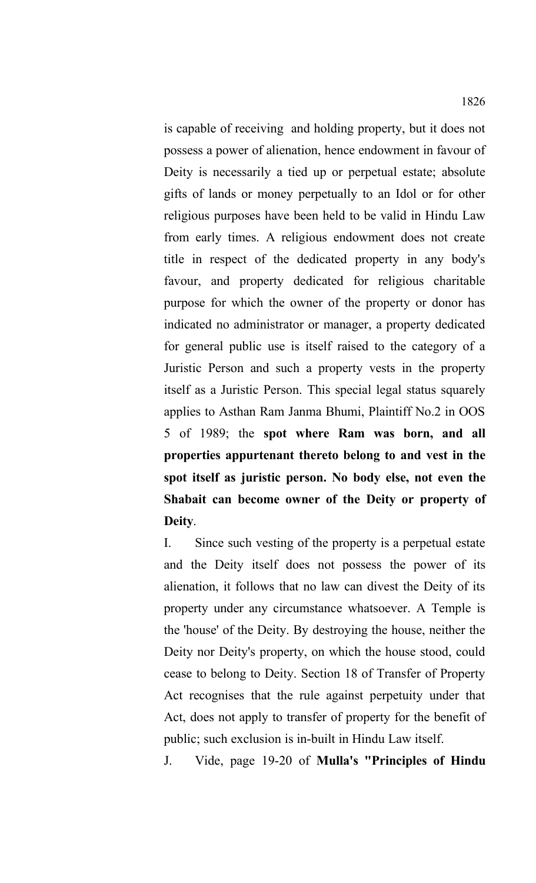is capable of receiving and holding property, but it does not possess a power of alienation, hence endowment in favour of Deity is necessarily a tied up or perpetual estate; absolute gifts of lands or money perpetually to an Idol or for other religious purposes have been held to be valid in Hindu Law from early times. A religious endowment does not create title in respect of the dedicated property in any body's favour, and property dedicated for religious charitable purpose for which the owner of the property or donor has indicated no administrator or manager, a property dedicated for general public use is itself raised to the category of a Juristic Person and such a property vests in the property itself as a Juristic Person. This special legal status squarely applies to Asthan Ram Janma Bhumi, Plaintiff No.2 in OOS 5 of 1989; the **spot where Ram was born, and all properties appurtenant thereto belong to and vest in the spot itself as juristic person. No body else, not even the Shabait can become owner of the Deity or property of Deity**.

I. Since such vesting of the property is a perpetual estate and the Deity itself does not possess the power of its alienation, it follows that no law can divest the Deity of its property under any circumstance whatsoever. A Temple is the 'house' of the Deity. By destroying the house, neither the Deity nor Deity's property, on which the house stood, could cease to belong to Deity. Section 18 of Transfer of Property Act recognises that the rule against perpetuity under that Act, does not apply to transfer of property for the benefit of public; such exclusion is in-built in Hindu Law itself.

J. Vide, page 19-20 of **Mulla's "Principles of Hindu**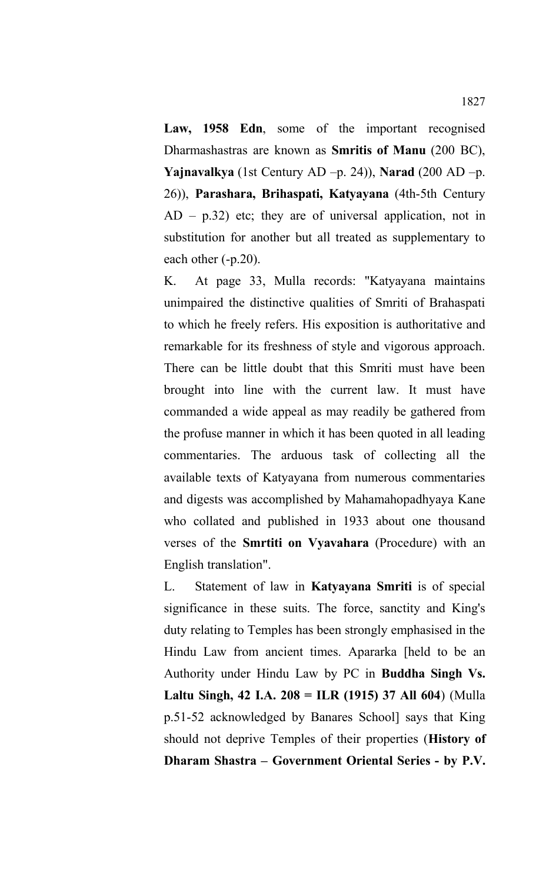Law, 1958 Edn, some of the important recognised Dharmashastras are known as **Smritis of Manu** (200 BC), **Yajnavalkya** (1st Century AD –p. 24)), **Narad** (200 AD –p. 26)), **Parashara, Brihaspati, Katyayana** (4th-5th Century  $AD - p.32$ ) etc; they are of universal application, not in substitution for another but all treated as supplementary to each other (-p.20).

K. At page 33, Mulla records: "Katyayana maintains unimpaired the distinctive qualities of Smriti of Brahaspati to which he freely refers. His exposition is authoritative and remarkable for its freshness of style and vigorous approach. There can be little doubt that this Smriti must have been brought into line with the current law. It must have commanded a wide appeal as may readily be gathered from the profuse manner in which it has been quoted in all leading commentaries. The arduous task of collecting all the available texts of Katyayana from numerous commentaries and digests was accomplished by Mahamahopadhyaya Kane who collated and published in 1933 about one thousand verses of the **Smrtiti on Vyavahara** (Procedure) with an English translation".

L. Statement of law in **Katyayana Smriti** is of special significance in these suits. The force, sanctity and King's duty relating to Temples has been strongly emphasised in the Hindu Law from ancient times. Apararka [held to be an Authority under Hindu Law by PC in **Buddha Singh Vs. Laltu Singh, 42 I.A. 208 = ILR (1915) 37 All 604**) (Mulla p.51-52 acknowledged by Banares School] says that King should not deprive Temples of their properties (**History of Dharam Shastra – Government Oriental Series - by P.V.**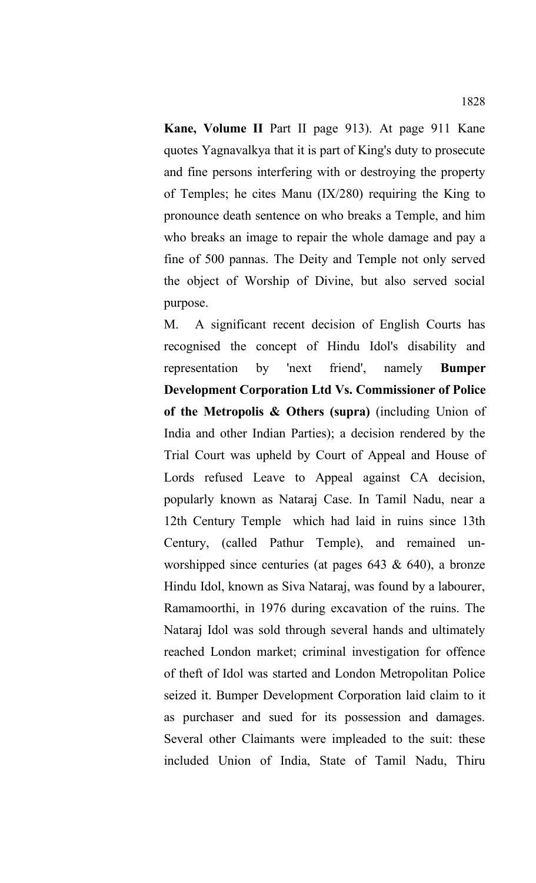**Kane, Volume II** Part II page 913). At page 911 Kane quotes Yagnavalkya that it is part of King's duty to prosecute and fine persons interfering with or destroying the property of Temples; he cites Manu (IX/280) requiring the King to pronounce death sentence on who breaks a Temple, and him who breaks an image to repair the whole damage and pay a fine of 500 pannas. The Deity and Temple not only served the object of Worship of Divine, but also served social purpose.

M. A significant recent decision of English Courts has recognised the concept of Hindu Idol's disability and representation by 'next friend', namely **Bumper Development Corporation Ltd Vs. Commissioner of Police of the Metropolis & Others (supra)** (including Union of India and other Indian Parties); a decision rendered by the Trial Court was upheld by Court of Appeal and House of Lords refused Leave to Appeal against CA decision, popularly known as Nataraj Case. In Tamil Nadu, near a 12th Century Temple which had laid in ruins since 13th Century, (called Pathur Temple), and remained unworshipped since centuries (at pages 643 & 640), a bronze Hindu Idol, known as Siva Nataraj, was found by a labourer, Ramamoorthi, in 1976 during excavation of the ruins. The Nataraj Idol was sold through several hands and ultimately reached London market; criminal investigation for offence of theft of Idol was started and London Metropolitan Police seized it. Bumper Development Corporation laid claim to it as purchaser and sued for its possession and damages. Several other Claimants were impleaded to the suit: these included Union of India, State of Tamil Nadu, Thiru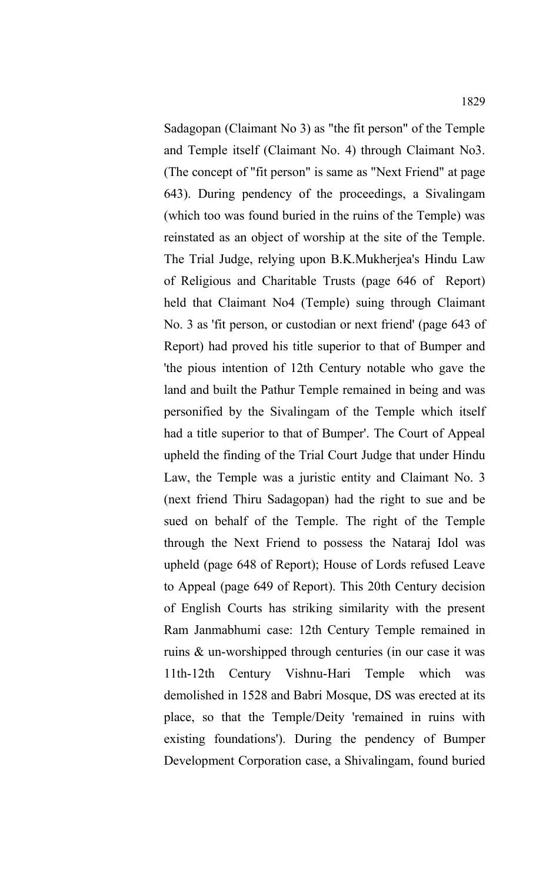Sadagopan (Claimant No 3) as "the fit person" of the Temple and Temple itself (Claimant No. 4) through Claimant No3. (The concept of "fit person" is same as "Next Friend" at page 643). During pendency of the proceedings, a Sivalingam (which too was found buried in the ruins of the Temple) was reinstated as an object of worship at the site of the Temple. The Trial Judge, relying upon B.K.Mukherjea's Hindu Law of Religious and Charitable Trusts (page 646 of Report) held that Claimant No4 (Temple) suing through Claimant No. 3 as 'fit person, or custodian or next friend' (page 643 of Report) had proved his title superior to that of Bumper and 'the pious intention of 12th Century notable who gave the land and built the Pathur Temple remained in being and was personified by the Sivalingam of the Temple which itself had a title superior to that of Bumper'. The Court of Appeal upheld the finding of the Trial Court Judge that under Hindu Law, the Temple was a juristic entity and Claimant No. 3 (next friend Thiru Sadagopan) had the right to sue and be sued on behalf of the Temple. The right of the Temple through the Next Friend to possess the Nataraj Idol was upheld (page 648 of Report); House of Lords refused Leave to Appeal (page 649 of Report). This 20th Century decision of English Courts has striking similarity with the present Ram Janmabhumi case: 12th Century Temple remained in ruins & un-worshipped through centuries (in our case it was 11th-12th Century Vishnu-Hari Temple which was demolished in 1528 and Babri Mosque, DS was erected at its place, so that the Temple/Deity 'remained in ruins with existing foundations'). During the pendency of Bumper Development Corporation case, a Shivalingam, found buried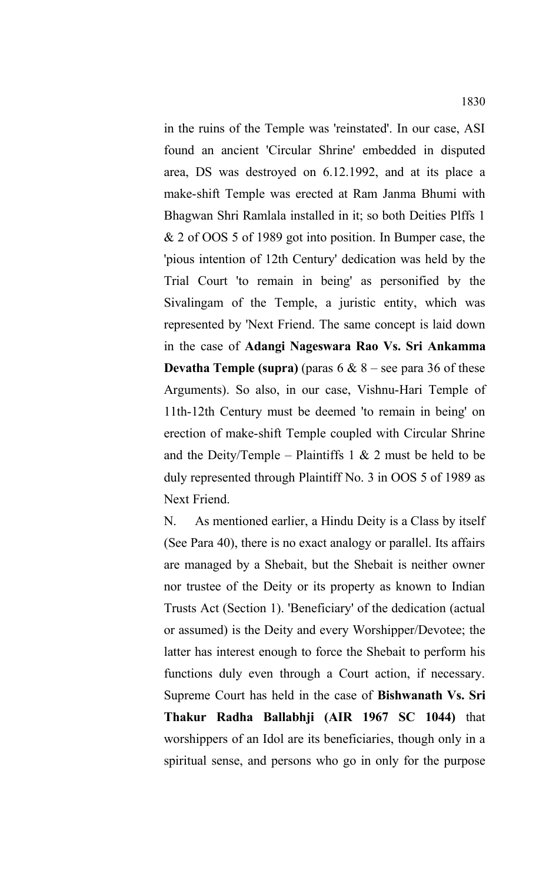in the ruins of the Temple was 'reinstated'. In our case, ASI found an ancient 'Circular Shrine' embedded in disputed area, DS was destroyed on 6.12.1992, and at its place a make-shift Temple was erected at Ram Janma Bhumi with Bhagwan Shri Ramlala installed in it; so both Deities Plffs 1 & 2 of OOS 5 of 1989 got into position. In Bumper case, the 'pious intention of 12th Century' dedication was held by the Trial Court 'to remain in being' as personified by the Sivalingam of the Temple, a juristic entity, which was represented by 'Next Friend. The same concept is laid down in the case of **Adangi Nageswara Rao Vs. Sri Ankamma Devatha Temple (supra)** (paras 6 & 8 – see para 36 of these Arguments). So also, in our case, Vishnu-Hari Temple of 11th-12th Century must be deemed 'to remain in being' on erection of make-shift Temple coupled with Circular Shrine and the Deity/Temple – Plaintiffs 1  $\&$  2 must be held to be duly represented through Plaintiff No. 3 in OOS 5 of 1989 as Next Friend.

N. As mentioned earlier, a Hindu Deity is a Class by itself (See Para 40), there is no exact analogy or parallel. Its affairs are managed by a Shebait, but the Shebait is neither owner nor trustee of the Deity or its property as known to Indian Trusts Act (Section 1). 'Beneficiary' of the dedication (actual or assumed) is the Deity and every Worshipper/Devotee; the latter has interest enough to force the Shebait to perform his functions duly even through a Court action, if necessary. Supreme Court has held in the case of **Bishwanath Vs. Sri Thakur Radha Ballabhji (AIR 1967 SC 1044)** that worshippers of an Idol are its beneficiaries, though only in a spiritual sense, and persons who go in only for the purpose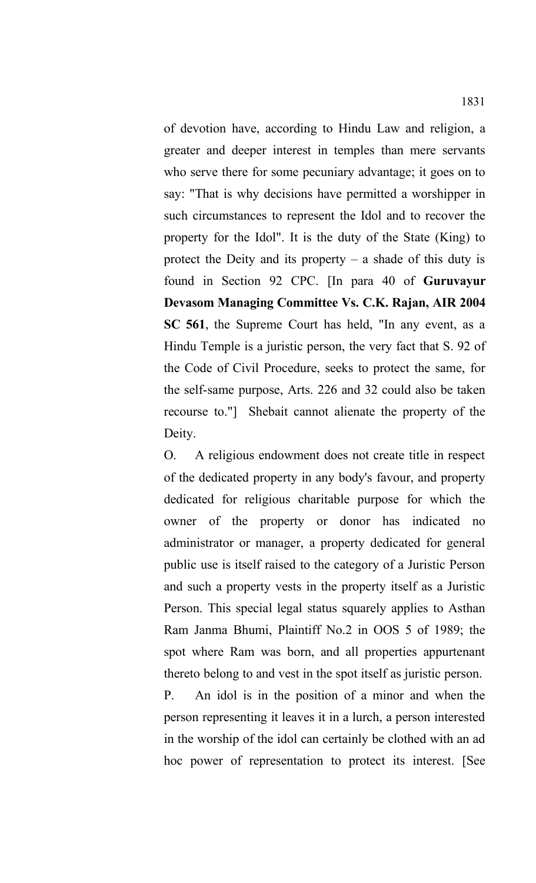of devotion have, according to Hindu Law and religion, a greater and deeper interest in temples than mere servants who serve there for some pecuniary advantage; it goes on to say: "That is why decisions have permitted a worshipper in such circumstances to represent the Idol and to recover the property for the Idol". It is the duty of the State (King) to protect the Deity and its property – a shade of this duty is found in Section 92 CPC. [In para 40 of **Guruvayur Devasom Managing Committee Vs. C.K. Rajan, AIR 2004 SC 561**, the Supreme Court has held, "In any event, as a Hindu Temple is a juristic person, the very fact that S. 92 of the Code of Civil Procedure, seeks to protect the same, for the self-same purpose, Arts. 226 and 32 could also be taken recourse to."] Shebait cannot alienate the property of the Deity.

O. A religious endowment does not create title in respect of the dedicated property in any body's favour, and property dedicated for religious charitable purpose for which the owner of the property or donor has indicated no administrator or manager, a property dedicated for general public use is itself raised to the category of a Juristic Person and such a property vests in the property itself as a Juristic Person. This special legal status squarely applies to Asthan Ram Janma Bhumi, Plaintiff No.2 in OOS 5 of 1989; the spot where Ram was born, and all properties appurtenant thereto belong to and vest in the spot itself as juristic person. P. An idol is in the position of a minor and when the

person representing it leaves it in a lurch, a person interested in the worship of the idol can certainly be clothed with an ad hoc power of representation to protect its interest. [See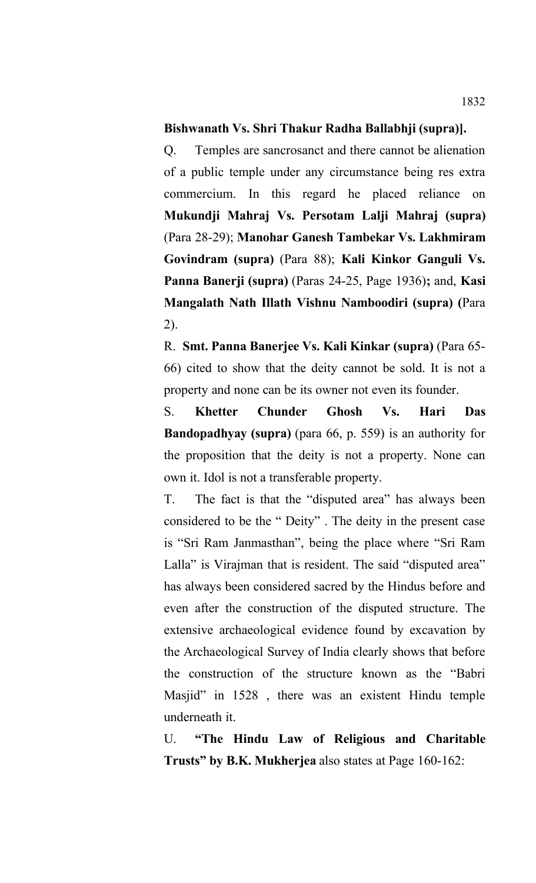## **Bishwanath Vs. Shri Thakur Radha Ballabhji (supra)].**

Q. Temples are sancrosanct and there cannot be alienation of a public temple under any circumstance being res extra commercium. In this regard he placed reliance on **Mukundji Mahraj Vs. Persotam Lalji Mahraj (supra)** (Para 28-29); **Manohar Ganesh Tambekar Vs. Lakhmiram Govindram (supra)** (Para 88); **Kali Kinkor Ganguli Vs. Panna Banerji (supra)** (Paras 24-25, Page 1936)**;** and, **Kasi Mangalath Nath Illath Vishnu Namboodiri (supra) (**Para 2).

R. **Smt. Panna Banerjee Vs. Kali Kinkar (supra)** (Para 65- 66) cited to show that the deity cannot be sold. It is not a property and none can be its owner not even its founder.

S. **Khetter Chunder Ghosh Vs. Hari Das Bandopadhyay (supra)** (para 66, p. 559) is an authority for the proposition that the deity is not a property. None can own it. Idol is not a transferable property.

T. The fact is that the "disputed area" has always been considered to be the " Deity" . The deity in the present case is "Sri Ram Janmasthan", being the place where "Sri Ram Lalla" is Virajman that is resident. The said "disputed area" has always been considered sacred by the Hindus before and even after the construction of the disputed structure. The extensive archaeological evidence found by excavation by the Archaeological Survey of India clearly shows that before the construction of the structure known as the "Babri Masjid" in 1528 , there was an existent Hindu temple underneath it.

U. **"The Hindu Law of Religious and Charitable Trusts" by B.K. Mukherjea** also states at Page 160-162: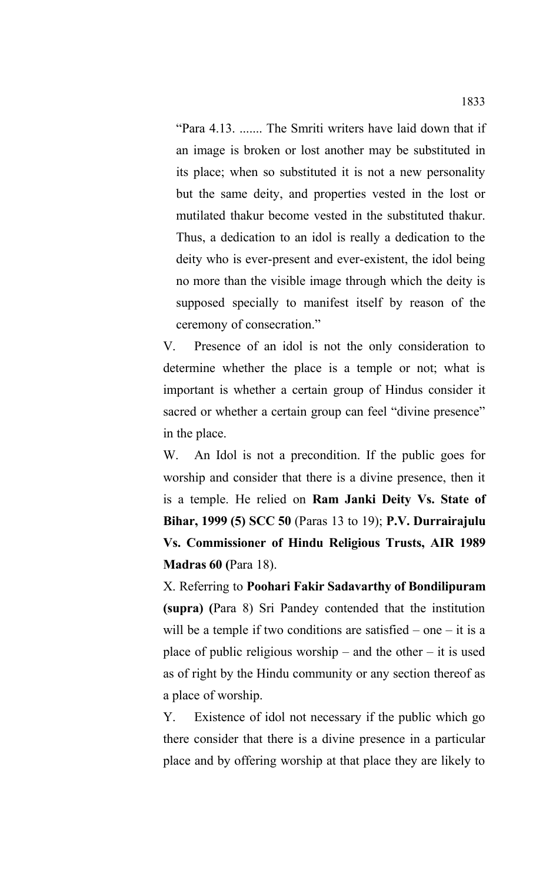"Para 4.13. ....... The Smriti writers have laid down that if an image is broken or lost another may be substituted in its place; when so substituted it is not a new personality but the same deity, and properties vested in the lost or mutilated thakur become vested in the substituted thakur. Thus, a dedication to an idol is really a dedication to the deity who is ever-present and ever-existent, the idol being no more than the visible image through which the deity is supposed specially to manifest itself by reason of the ceremony of consecration."

V. Presence of an idol is not the only consideration to determine whether the place is a temple or not; what is important is whether a certain group of Hindus consider it sacred or whether a certain group can feel "divine presence" in the place.

W. An Idol is not a precondition. If the public goes for worship and consider that there is a divine presence, then it is a temple. He relied on **Ram Janki Deity Vs. State of Bihar, 1999 (5) SCC 50** (Paras 13 to 19); **P.V. Durrairajulu Vs. Commissioner of Hindu Religious Trusts, AIR 1989 Madras 60 (**Para 18).

X. Referring to **Poohari Fakir Sadavarthy of Bondilipuram (supra) (**Para 8) Sri Pandey contended that the institution will be a temple if two conditions are satisfied – one – it is a place of public religious worship – and the other – it is used as of right by the Hindu community or any section thereof as a place of worship.

Y. Existence of idol not necessary if the public which go there consider that there is a divine presence in a particular place and by offering worship at that place they are likely to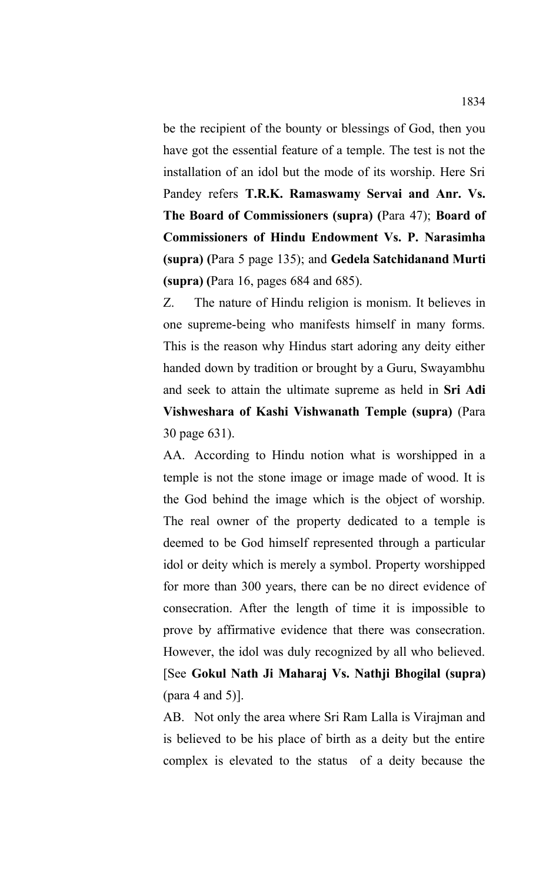be the recipient of the bounty or blessings of God, then you have got the essential feature of a temple. The test is not the installation of an idol but the mode of its worship. Here Sri Pandey refers **T.R.K. Ramaswamy Servai and Anr. Vs. The Board of Commissioners (supra) (**Para 47); **Board of Commissioners of Hindu Endowment Vs. P. Narasimha (supra) (**Para 5 page 135); and **Gedela Satchidanand Murti (supra) (**Para 16, pages 684 and 685).

Z. The nature of Hindu religion is monism. It believes in one supreme-being who manifests himself in many forms. This is the reason why Hindus start adoring any deity either handed down by tradition or brought by a Guru, Swayambhu and seek to attain the ultimate supreme as held in **Sri Adi Vishweshara of Kashi Vishwanath Temple (supra)** (Para 30 page 631).

AA. According to Hindu notion what is worshipped in a temple is not the stone image or image made of wood. It is the God behind the image which is the object of worship. The real owner of the property dedicated to a temple is deemed to be God himself represented through a particular idol or deity which is merely a symbol. Property worshipped for more than 300 years, there can be no direct evidence of consecration. After the length of time it is impossible to prove by affirmative evidence that there was consecration. However, the idol was duly recognized by all who believed. [See **Gokul Nath Ji Maharaj Vs. Nathji Bhogilal (supra)** (para 4 and 5)].

AB. Not only the area where Sri Ram Lalla is Virajman and is believed to be his place of birth as a deity but the entire complex is elevated to the status of a deity because the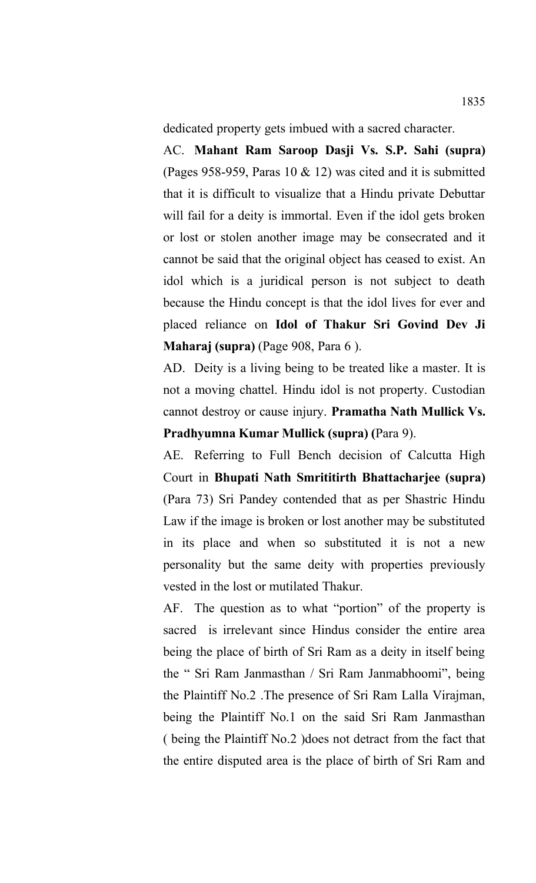dedicated property gets imbued with a sacred character.

AC. **Mahant Ram Saroop Dasji Vs. S.P. Sahi (supra)** (Pages 958-959, Paras 10 & 12) was cited and it is submitted that it is difficult to visualize that a Hindu private Debuttar will fail for a deity is immortal. Even if the idol gets broken or lost or stolen another image may be consecrated and it cannot be said that the original object has ceased to exist. An idol which is a juridical person is not subject to death because the Hindu concept is that the idol lives for ever and placed reliance on **Idol of Thakur Sri Govind Dev Ji Maharaj (supra)** (Page 908, Para 6 ).

AD. Deity is a living being to be treated like a master. It is not a moving chattel. Hindu idol is not property. Custodian cannot destroy or cause injury. **Pramatha Nath Mullick Vs. Pradhyumna Kumar Mullick (supra) (**Para 9).

AE. Referring to Full Bench decision of Calcutta High Court in **Bhupati Nath Smrititirth Bhattacharjee (supra)** (Para 73) Sri Pandey contended that as per Shastric Hindu Law if the image is broken or lost another may be substituted in its place and when so substituted it is not a new personality but the same deity with properties previously vested in the lost or mutilated Thakur.

AF. The question as to what "portion" of the property is sacred is irrelevant since Hindus consider the entire area being the place of birth of Sri Ram as a deity in itself being the " Sri Ram Janmasthan / Sri Ram Janmabhoomi", being the Plaintiff No.2 .The presence of Sri Ram Lalla Virajman, being the Plaintiff No.1 on the said Sri Ram Janmasthan ( being the Plaintiff No.2 )does not detract from the fact that the entire disputed area is the place of birth of Sri Ram and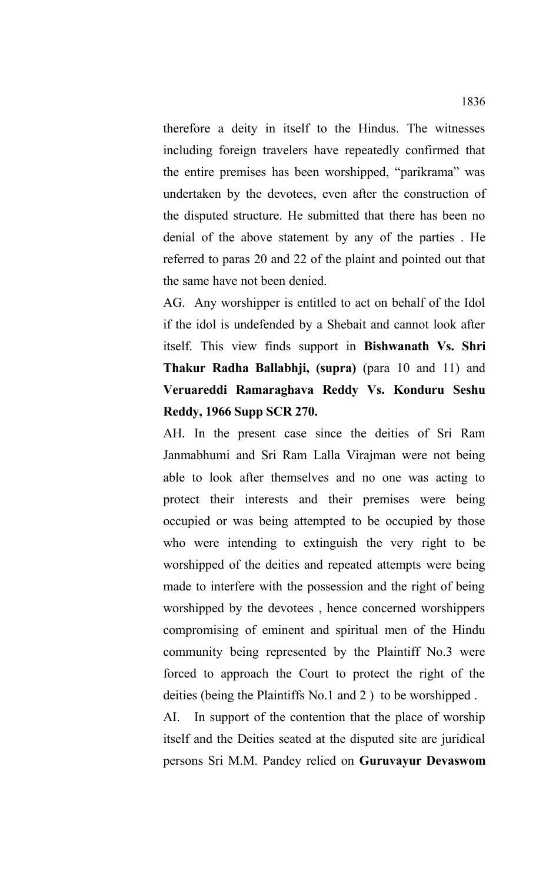therefore a deity in itself to the Hindus. The witnesses including foreign travelers have repeatedly confirmed that the entire premises has been worshipped, "parikrama" was undertaken by the devotees, even after the construction of the disputed structure. He submitted that there has been no denial of the above statement by any of the parties . He referred to paras 20 and 22 of the plaint and pointed out that the same have not been denied.

AG. Any worshipper is entitled to act on behalf of the Idol if the idol is undefended by a Shebait and cannot look after itself. This view finds support in **Bishwanath Vs. Shri Thakur Radha Ballabhji, (supra)** (para 10 and 11) and **Veruareddi Ramaraghava Reddy Vs. Konduru Seshu Reddy, 1966 Supp SCR 270.** 

AH. In the present case since the deities of Sri Ram Janmabhumi and Sri Ram Lalla Virajman were not being able to look after themselves and no one was acting to protect their interests and their premises were being occupied or was being attempted to be occupied by those who were intending to extinguish the very right to be worshipped of the deities and repeated attempts were being made to interfere with the possession and the right of being worshipped by the devotees , hence concerned worshippers compromising of eminent and spiritual men of the Hindu community being represented by the Plaintiff No.3 were forced to approach the Court to protect the right of the deities (being the Plaintiffs No.1 and 2 ) to be worshipped . AI. In support of the contention that the place of worship

itself and the Deities seated at the disputed site are juridical persons Sri M.M. Pandey relied on **Guruvayur Devaswom**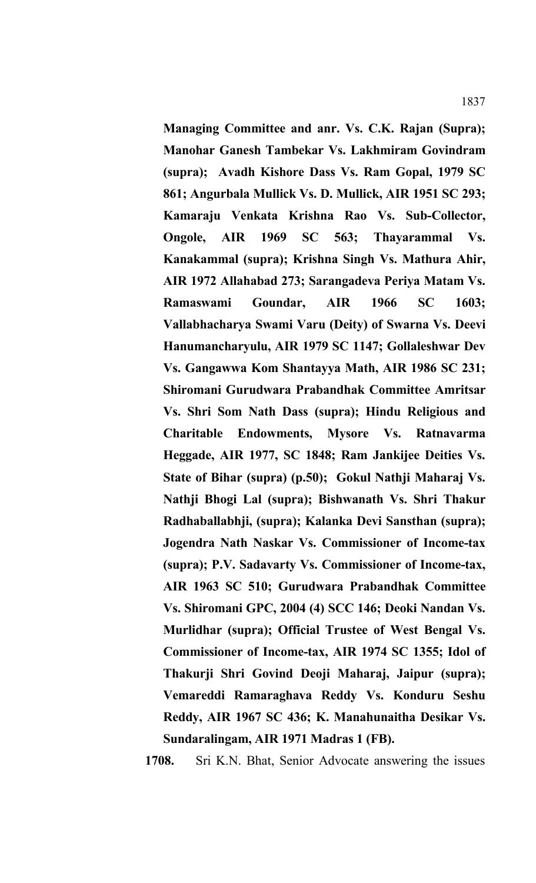**Managing Committee and anr. Vs. C.K. Rajan (Supra); Manohar Ganesh Tambekar Vs. Lakhmiram Govindram (supra); Avadh Kishore Dass Vs. Ram Gopal, 1979 SC 861; Angurbala Mullick Vs. D. Mullick, AIR 1951 SC 293; Kamaraju Venkata Krishna Rao Vs. Sub-Collector, Ongole, AIR 1969 SC 563; Thayarammal Vs. Kanakammal (supra); Krishna Singh Vs. Mathura Ahir, AIR 1972 Allahabad 273; Sarangadeva Periya Matam Vs. Ramaswami Goundar, AIR 1966 SC 1603; Vallabhacharya Swami Varu (Deity) of Swarna Vs. Deevi Hanumancharyulu, AIR 1979 SC 1147; Gollaleshwar Dev Vs. Gangawwa Kom Shantayya Math, AIR 1986 SC 231; Shiromani Gurudwara Prabandhak Committee Amritsar Vs. Shri Som Nath Dass (supra); Hindu Religious and Charitable Endowments, Mysore Vs. Ratnavarma Heggade, AIR 1977, SC 1848; Ram Jankijee Deities Vs. State of Bihar (supra) (p.50); Gokul Nathji Maharaj Vs. Nathji Bhogi Lal (supra); Bishwanath Vs. Shri Thakur Radhaballabhji, (supra); Kalanka Devi Sansthan (supra); Jogendra Nath Naskar Vs. Commissioner of Income-tax (supra); P.V. Sadavarty Vs. Commissioner of Income-tax, AIR 1963 SC 510; Gurudwara Prabandhak Committee Vs. Shiromani GPC, 2004 (4) SCC 146; Deoki Nandan Vs. Murlidhar (supra); Official Trustee of West Bengal Vs. Commissioner of Income-tax, AIR 1974 SC 1355; Idol of Thakurji Shri Govind Deoji Maharaj, Jaipur (supra); Vemareddi Ramaraghava Reddy Vs. Konduru Seshu Reddy, AIR 1967 SC 436; K. Manahunaitha Desikar Vs. Sundaralingam, AIR 1971 Madras 1 (FB).**

**1708.** Sri K.N. Bhat, Senior Advocate answering the issues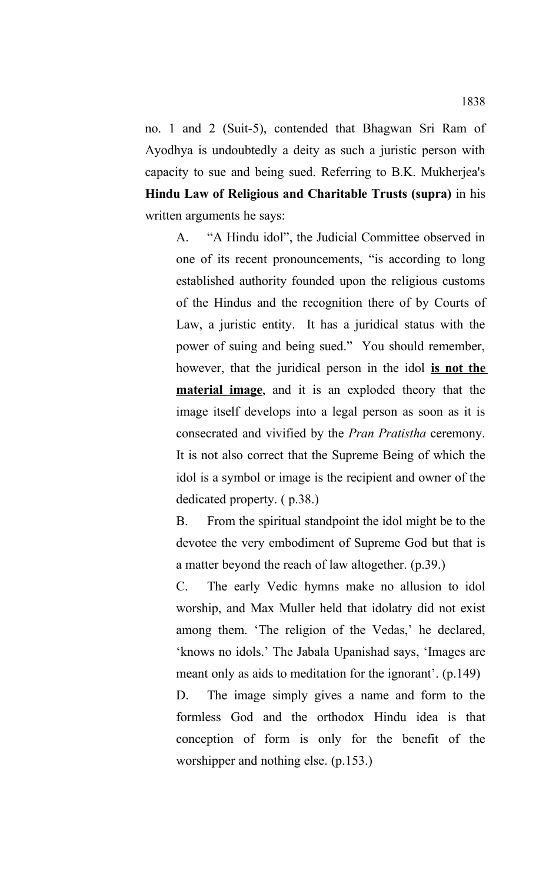no. 1 and 2 (Suit-5), contended that Bhagwan Sri Ram of Ayodhya is undoubtedly a deity as such a juristic person with capacity to sue and being sued. Referring to B.K. Mukherjea's **Hindu Law of Religious and Charitable Trusts (supra)** in his written arguments he says:

A. "A Hindu idol", the Judicial Committee observed in one of its recent pronouncements, "is according to long established authority founded upon the religious customs of the Hindus and the recognition there of by Courts of Law, a juristic entity. It has a juridical status with the power of suing and being sued." You should remember, however, that the juridical person in the idol **is not the material image**, and it is an exploded theory that the image itself develops into a legal person as soon as it is consecrated and vivified by the *Pran Pratistha* ceremony. It is not also correct that the Supreme Being of which the idol is a symbol or image is the recipient and owner of the dedicated property. ( p.38.)

B. From the spiritual standpoint the idol might be to the devotee the very embodiment of Supreme God but that is a matter beyond the reach of law altogether. (p.39.)

C. The early Vedic hymns make no allusion to idol worship, and Max Muller held that idolatry did not exist among them. 'The religion of the Vedas,' he declared, 'knows no idols.' The Jabala Upanishad says, 'Images are meant only as aids to meditation for the ignorant'. (p.149) D. The image simply gives a name and form to the

formless God and the orthodox Hindu idea is that conception of form is only for the benefit of the worshipper and nothing else. (p.153.)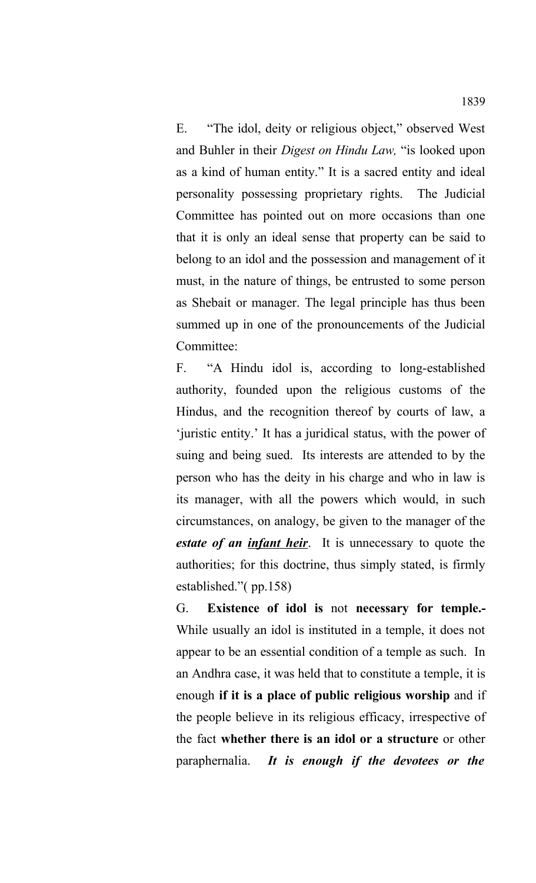E. "The idol, deity or religious object," observed West and Buhler in their *Digest on Hindu Law,* "is looked upon as a kind of human entity." It is a sacred entity and ideal personality possessing proprietary rights. The Judicial Committee has pointed out on more occasions than one that it is only an ideal sense that property can be said to belong to an idol and the possession and management of it must, in the nature of things, be entrusted to some person as Shebait or manager. The legal principle has thus been summed up in one of the pronouncements of the Judicial Committee:

F. "A Hindu idol is, according to long-established authority, founded upon the religious customs of the Hindus, and the recognition thereof by courts of law, a 'juristic entity.' It has a juridical status, with the power of suing and being sued. Its interests are attended to by the person who has the deity in his charge and who in law is its manager, with all the powers which would, in such circumstances, on analogy, be given to the manager of the *estate of an infant heir*. It is unnecessary to quote the authorities; for this doctrine, thus simply stated, is firmly established."( pp.158)

G. **Existence of idol is** not **necessary for temple.-** While usually an idol is instituted in a temple, it does not appear to be an essential condition of a temple as such. In an Andhra case, it was held that to constitute a temple, it is enough **if it is a place of public religious worship** and if the people believe in its religious efficacy, irrespective of the fact **whether there is an idol or a structure** or other paraphernalia. *It is enough if the devotees or the*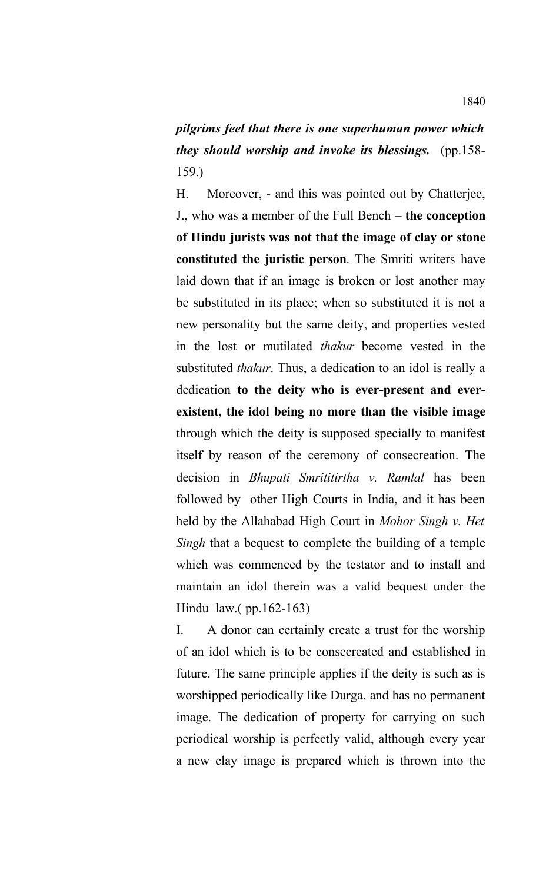*pilgrims feel that there is one superhuman power which they should worship and invoke its blessings.* (pp.158- 159.)

H. Moreover, - and this was pointed out by Chatterjee, J., who was a member of the Full Bench – **the conception of Hindu jurists was not that the image of clay or stone constituted the juristic person**. The Smriti writers have laid down that if an image is broken or lost another may be substituted in its place; when so substituted it is not a new personality but the same deity, and properties vested in the lost or mutilated *thakur* become vested in the substituted *thakur*. Thus, a dedication to an idol is really a dedication **to the deity who is ever-present and everexistent, the idol being no more than the visible image** through which the deity is supposed specially to manifest itself by reason of the ceremony of consecreation. The decision in *Bhupati Smrititirtha v. Ramlal* has been followed by other High Courts in India, and it has been held by the Allahabad High Court in *Mohor Singh v. Het Singh* that a bequest to complete the building of a temple which was commenced by the testator and to install and maintain an idol therein was a valid bequest under the Hindu law.( pp.162-163)

I. A donor can certainly create a trust for the worship of an idol which is to be consecreated and established in future. The same principle applies if the deity is such as is worshipped periodically like Durga, and has no permanent image. The dedication of property for carrying on such periodical worship is perfectly valid, although every year a new clay image is prepared which is thrown into the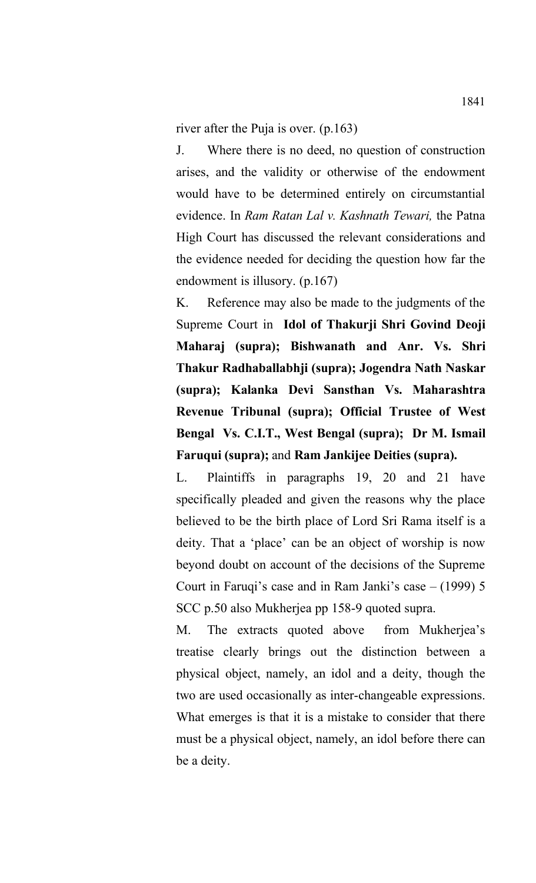river after the Puja is over. (p.163)

J. Where there is no deed, no question of construction arises, and the validity or otherwise of the endowment would have to be determined entirely on circumstantial evidence. In *Ram Ratan Lal v. Kashnath Tewari,* the Patna High Court has discussed the relevant considerations and the evidence needed for deciding the question how far the endowment is illusory. (p.167)

K. Reference may also be made to the judgments of the Supreme Court in **Idol of Thakurji Shri Govind Deoji Maharaj (supra); Bishwanath and Anr. Vs. Shri Thakur Radhaballabhji (supra); Jogendra Nath Naskar (supra); Kalanka Devi Sansthan Vs. Maharashtra Revenue Tribunal (supra); Official Trustee of West Bengal Vs. C.I.T., West Bengal (supra); Dr M. Ismail Faruqui (supra);** and **Ram Jankijee Deities (supra).** 

L. Plaintiffs in paragraphs 19, 20 and 21 have specifically pleaded and given the reasons why the place believed to be the birth place of Lord Sri Rama itself is a deity. That a 'place' can be an object of worship is now beyond doubt on account of the decisions of the Supreme Court in Faruqi's case and in Ram Janki's case – (1999) 5 SCC p.50 also Mukherjea pp 158-9 quoted supra.

M. The extracts quoted above from Mukherjea's treatise clearly brings out the distinction between a physical object, namely, an idol and a deity, though the two are used occasionally as inter-changeable expressions. What emerges is that it is a mistake to consider that there must be a physical object, namely, an idol before there can be a deity.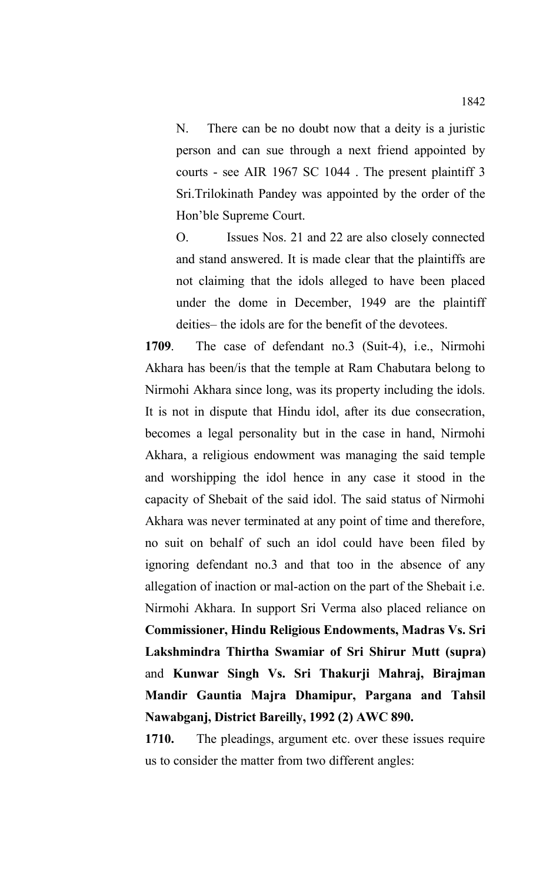N. There can be no doubt now that a deity is a juristic person and can sue through a next friend appointed by courts - see AIR 1967 SC 1044 . The present plaintiff 3 Sri.Trilokinath Pandey was appointed by the order of the Hon'ble Supreme Court.

O. Issues Nos. 21 and 22 are also closely connected and stand answered. It is made clear that the plaintiffs are not claiming that the idols alleged to have been placed under the dome in December, 1949 are the plaintiff deities– the idols are for the benefit of the devotees.

**1709**. The case of defendant no.3 (Suit-4), i.e., Nirmohi Akhara has been/is that the temple at Ram Chabutara belong to Nirmohi Akhara since long, was its property including the idols. It is not in dispute that Hindu idol, after its due consecration, becomes a legal personality but in the case in hand, Nirmohi Akhara, a religious endowment was managing the said temple and worshipping the idol hence in any case it stood in the capacity of Shebait of the said idol. The said status of Nirmohi Akhara was never terminated at any point of time and therefore, no suit on behalf of such an idol could have been filed by ignoring defendant no.3 and that too in the absence of any allegation of inaction or mal-action on the part of the Shebait i.e. Nirmohi Akhara. In support Sri Verma also placed reliance on **Commissioner, Hindu Religious Endowments, Madras Vs. Sri Lakshmindra Thirtha Swamiar of Sri Shirur Mutt (supra)** and **Kunwar Singh Vs. Sri Thakurji Mahraj, Birajman Mandir Gauntia Majra Dhamipur, Pargana and Tahsil Nawabganj, District Bareilly, 1992 (2) AWC 890.** 

**1710.** The pleadings, argument etc. over these issues require us to consider the matter from two different angles: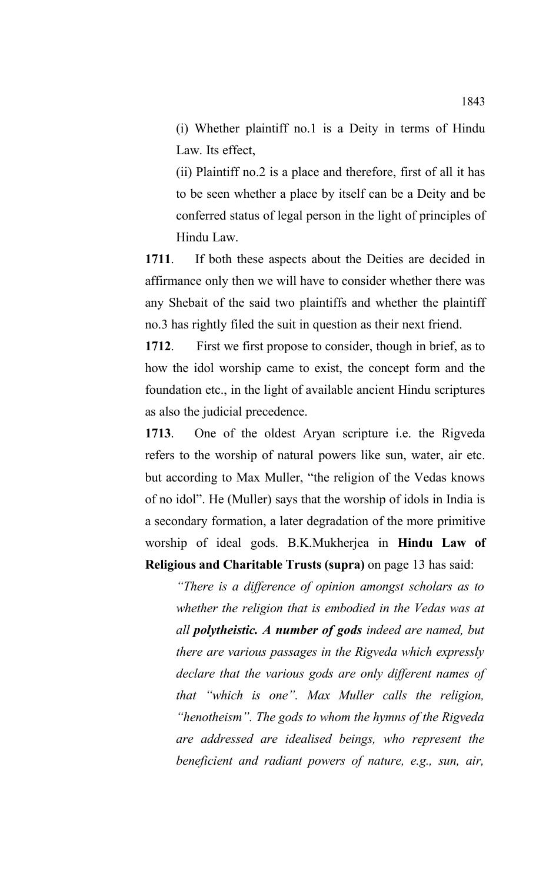(i) Whether plaintiff no.1 is a Deity in terms of Hindu Law. Its effect,

(ii) Plaintiff no.2 is a place and therefore, first of all it has to be seen whether a place by itself can be a Deity and be conferred status of legal person in the light of principles of Hindu Law.

**1711**. If both these aspects about the Deities are decided in affirmance only then we will have to consider whether there was any Shebait of the said two plaintiffs and whether the plaintiff no.3 has rightly filed the suit in question as their next friend.

**1712**. First we first propose to consider, though in brief, as to how the idol worship came to exist, the concept form and the foundation etc., in the light of available ancient Hindu scriptures as also the judicial precedence.

**1713**. One of the oldest Aryan scripture i.e. the Rigveda refers to the worship of natural powers like sun, water, air etc. but according to Max Muller, "the religion of the Vedas knows of no idol". He (Muller) says that the worship of idols in India is a secondary formation, a later degradation of the more primitive worship of ideal gods. B.K.Mukherjea in **Hindu Law of Religious and Charitable Trusts (supra)** on page 13 has said:

*"There is a difference of opinion amongst scholars as to whether the religion that is embodied in the Vedas was at all polytheistic. A number of gods indeed are named, but there are various passages in the Rigveda which expressly declare that the various gods are only different names of that "which is one". Max Muller calls the religion, "henotheism". The gods to whom the hymns of the Rigveda are addressed are idealised beings, who represent the beneficient and radiant powers of nature, e.g., sun, air,*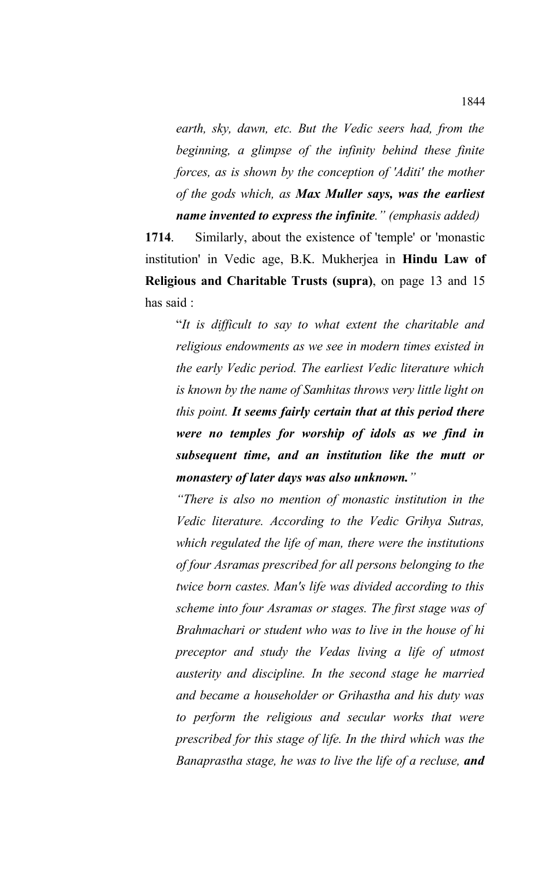*earth, sky, dawn, etc. But the Vedic seers had, from the beginning, a glimpse of the infinity behind these finite forces, as is shown by the conception of 'Aditi' the mother of the gods which, as Max Muller says, was the earliest name invented to express the infinite." (emphasis added)*

**1714**. Similarly, about the existence of 'temple' or 'monastic institution' in Vedic age, B.K. Mukherjea in **Hindu Law of Religious and Charitable Trusts (supra)**, on page 13 and 15 has said :

"*It is difficult to say to what extent the charitable and religious endowments as we see in modern times existed in the early Vedic period. The earliest Vedic literature which is known by the name of Samhitas throws very little light on this point. It seems fairly certain that at this period there were no temples for worship of idols as we find in subsequent time, and an institution like the mutt or monastery of later days was also unknown."*

*"There is also no mention of monastic institution in the Vedic literature. According to the Vedic Grihya Sutras, which regulated the life of man, there were the institutions of four Asramas prescribed for all persons belonging to the twice born castes. Man's life was divided according to this scheme into four Asramas or stages. The first stage was of Brahmachari or student who was to live in the house of hi preceptor and study the Vedas living a life of utmost austerity and discipline. In the second stage he married and became a householder or Grihastha and his duty was to perform the religious and secular works that were prescribed for this stage of life. In the third which was the Banaprastha stage, he was to live the life of a recluse, and*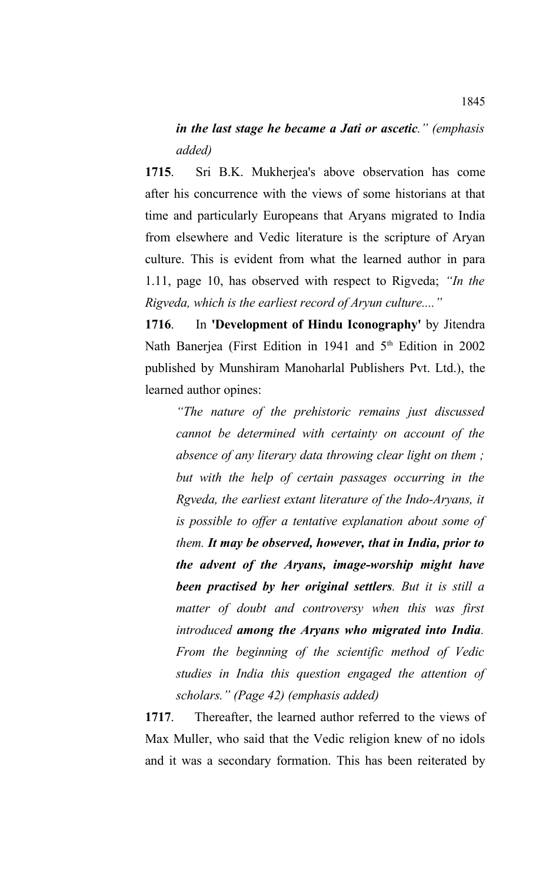## *in the last stage he became a Jati or ascetic." (emphasis added)*

**1715**. Sri B.K. Mukherjea's above observation has come after his concurrence with the views of some historians at that time and particularly Europeans that Aryans migrated to India from elsewhere and Vedic literature is the scripture of Aryan culture. This is evident from what the learned author in para 1.11, page 10, has observed with respect to Rigveda; *"In the Rigveda, which is the earliest record of Aryun culture...."*

**1716**. In **'Development of Hindu Iconography'** by Jitendra Nath Banerjea (First Edition in 1941 and 5<sup>th</sup> Edition in 2002 published by Munshiram Manoharlal Publishers Pvt. Ltd.), the learned author opines:

*"The nature of the prehistoric remains just discussed cannot be determined with certainty on account of the absence of any literary data throwing clear light on them ; but with the help of certain passages occurring in the Rgveda, the earliest extant literature of the Indo-Aryans, it is possible to offer a tentative explanation about some of them. It may be observed, however, that in India, prior to the advent of the Aryans, image-worship might have been practised by her original settlers. But it is still a matter of doubt and controversy when this was first introduced among the Aryans who migrated into India. From the beginning of the scientific method of Vedic studies in India this question engaged the attention of scholars." (Page 42) (emphasis added)*

**1717**. Thereafter, the learned author referred to the views of Max Muller, who said that the Vedic religion knew of no idols and it was a secondary formation. This has been reiterated by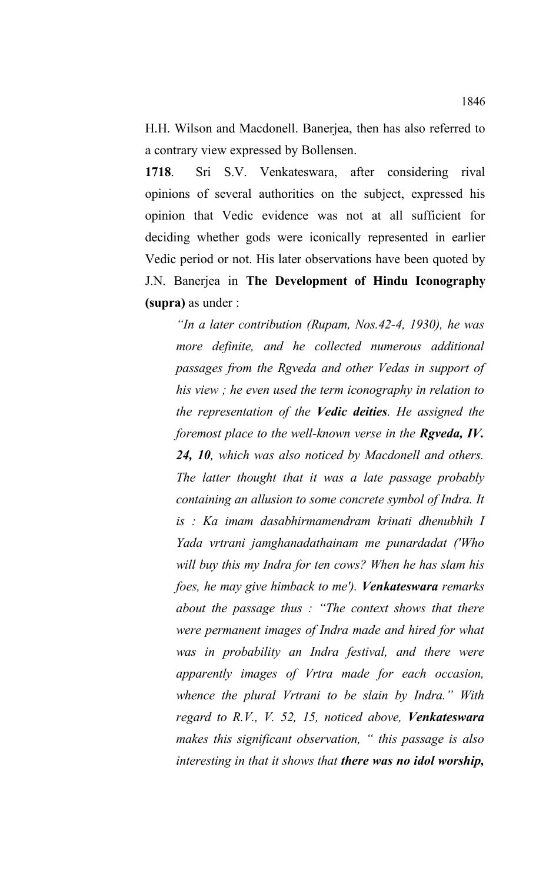H.H. Wilson and Macdonell. Banerjea, then has also referred to a contrary view expressed by Bollensen.

**1718**. Sri S.V. Venkateswara, after considering rival opinions of several authorities on the subject, expressed his opinion that Vedic evidence was not at all sufficient for deciding whether gods were iconically represented in earlier Vedic period or not. His later observations have been quoted by J.N. Banerjea in **The Development of Hindu Iconography (supra)** as under :

*"In a later contribution (Rupam, Nos.42-4, 1930), he was more definite, and he collected numerous additional passages from the Rgveda and other Vedas in support of his view ; he even used the term iconography in relation to the representation of the Vedic deities. He assigned the foremost place to the well-known verse in the Rgveda, IV. 24, 10, which was also noticed by Macdonell and others. The latter thought that it was a late passage probably containing an allusion to some concrete symbol of Indra. It is : Ka imam dasabhirmamendram krinati dhenubhih I Yada vrtrani jamghanadathainam me punardadat ('Who will buy this my Indra for ten cows? When he has slam his foes, he may give himback to me'). Venkateswara remarks about the passage thus : "The context shows that there were permanent images of Indra made and hired for what was in probability an Indra festival, and there were apparently images of Vrtra made for each occasion, whence the plural Vrtrani to be slain by Indra." With regard to R.V., V. 52, 15, noticed above, Venkateswara makes this significant observation, " this passage is also interesting in that it shows that there was no idol worship,*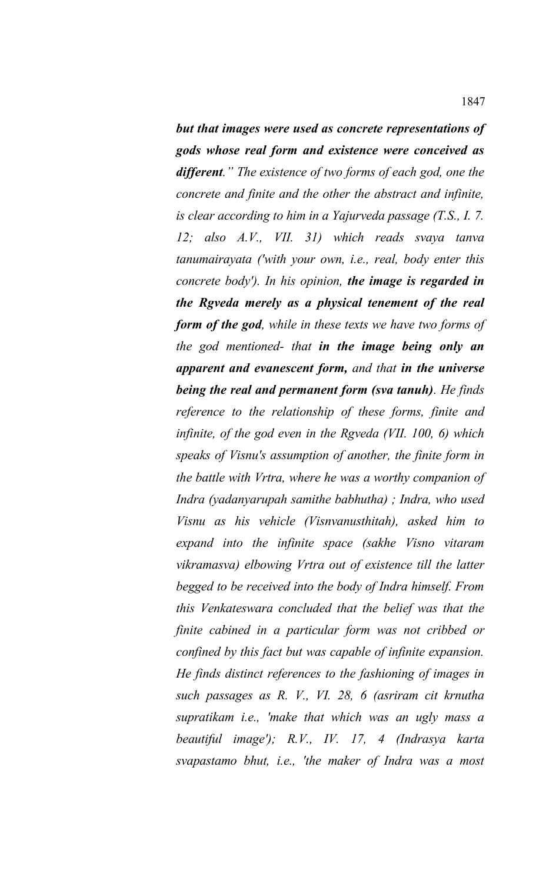*but that images were used as concrete representations of gods whose real form and existence were conceived as different." The existence of two forms of each god, one the concrete and finite and the other the abstract and infinite, is clear according to him in a Yajurveda passage (T.S., I. 7. 12; also A.V., VII. 31) which reads svaya tanva tanumairayata ('with your own, i.e., real, body enter this concrete body'). In his opinion, the image is regarded in the Rgveda merely as a physical tenement of the real form of the god, while in these texts we have two forms of the god mentioned- that in the image being only an apparent and evanescent form, and that in the universe being the real and permanent form (sva tanuh). He finds reference to the relationship of these forms, finite and infinite, of the god even in the Rgveda (VII. 100, 6) which speaks of Visnu's assumption of another, the finite form in the battle with Vrtra, where he was a worthy companion of Indra (yadanyarupah samithe babhutha) ; Indra, who used Visnu as his vehicle (Visnvanusthitah), asked him to expand into the infinite space (sakhe Visno vitaram vikramasva) elbowing Vrtra out of existence till the latter begged to be received into the body of Indra himself. From this Venkateswara concluded that the belief was that the finite cabined in a particular form was not cribbed or confined by this fact but was capable of infinite expansion. He finds distinct references to the fashioning of images in such passages as R. V., VI. 28, 6 (asriram cit krnutha supratikam i.e., 'make that which was an ugly mass a beautiful image'); R.V., IV. 17, 4 (Indrasya karta svapastamo bhut, i.e., 'the maker of Indra was a most*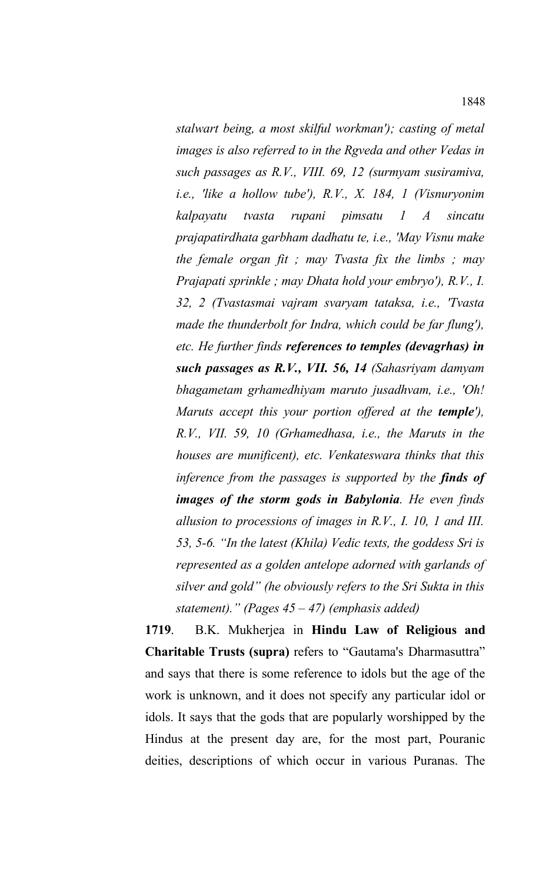*stalwart being, a most skilful workman'); casting of metal images is also referred to in the Rgveda and other Vedas in such passages as R.V., VIII. 69, 12 (surmyam susiramiva, i.e., 'like a hollow tube'), R.V., X. 184, 1 (Visnuryonim kalpayatu tvasta rupani pimsatu 1 A sincatu prajapatirdhata garbham dadhatu te, i.e., 'May Visnu make the female organ fit ; may Tvasta fix the limbs ; may Prajapati sprinkle ; may Dhata hold your embryo'), R.V., I. 32, 2 (Tvastasmai vajram svaryam tataksa, i.e., 'Tvasta made the thunderbolt for Indra, which could be far flung'), etc. He further finds references to temples (devagrhas) in such passages as R.V., VII. 56, 14 (Sahasriyam damyam bhagametam grhamedhiyam maruto jusadhvam, i.e., 'Oh! Maruts accept this your portion offered at the <i>temple'*), *R.V., VII. 59, 10 (Grhamedhasa, i.e., the Maruts in the houses are munificent), etc. Venkateswara thinks that this inference from the passages is supported by the finds of images of the storm gods in Babylonia. He even finds allusion to processions of images in R.V., I. 10, 1 and III. 53, 5-6. "In the latest (Khila) Vedic texts, the goddess Sri is represented as a golden antelope adorned with garlands of silver and gold" (he obviously refers to the Sri Sukta in this statement)." (Pages 45 – 47) (emphasis added)*

**1719**. B.K. Mukherjea in **Hindu Law of Religious and Charitable Trusts (supra)** refers to "Gautama's Dharmasuttra" and says that there is some reference to idols but the age of the work is unknown, and it does not specify any particular idol or idols. It says that the gods that are popularly worshipped by the Hindus at the present day are, for the most part, Pouranic deities, descriptions of which occur in various Puranas. The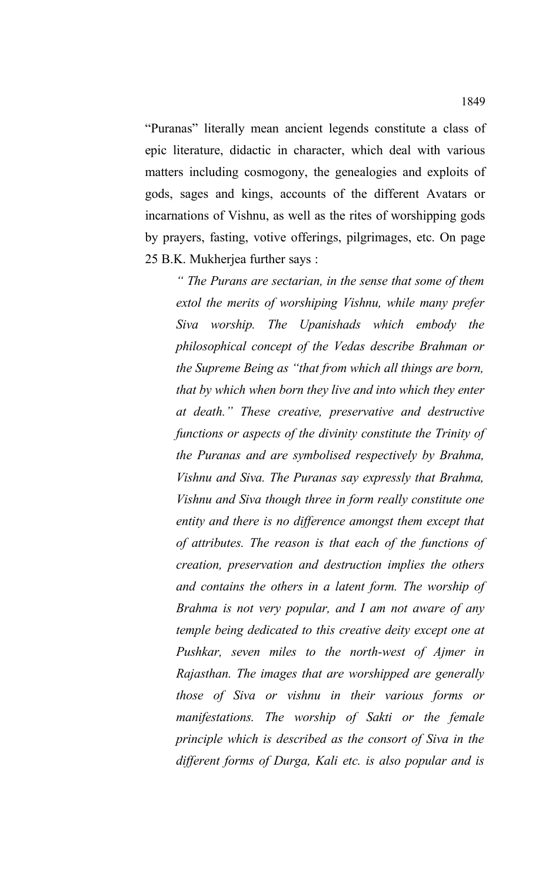"Puranas" literally mean ancient legends constitute a class of epic literature, didactic in character, which deal with various matters including cosmogony, the genealogies and exploits of gods, sages and kings, accounts of the different Avatars or incarnations of Vishnu, as well as the rites of worshipping gods by prayers, fasting, votive offerings, pilgrimages, etc. On page 25 B.K. Mukherjea further says :

*" The Purans are sectarian, in the sense that some of them extol the merits of worshiping Vishnu, while many prefer Siva worship. The Upanishads which embody the philosophical concept of the Vedas describe Brahman or the Supreme Being as "that from which all things are born, that by which when born they live and into which they enter at death." These creative, preservative and destructive functions or aspects of the divinity constitute the Trinity of the Puranas and are symbolised respectively by Brahma, Vishnu and Siva. The Puranas say expressly that Brahma, Vishnu and Siva though three in form really constitute one entity and there is no difference amongst them except that of attributes. The reason is that each of the functions of creation, preservation and destruction implies the others and contains the others in a latent form. The worship of Brahma is not very popular, and I am not aware of any temple being dedicated to this creative deity except one at Pushkar, seven miles to the north-west of Ajmer in Rajasthan. The images that are worshipped are generally those of Siva or vishnu in their various forms or manifestations. The worship of Sakti or the female principle which is described as the consort of Siva in the different forms of Durga, Kali etc. is also popular and is*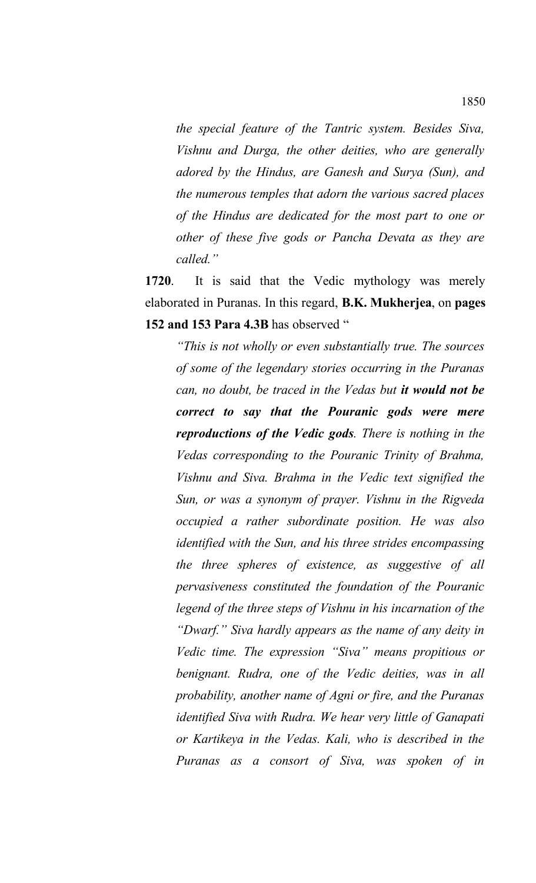*the special feature of the Tantric system. Besides Siva, Vishnu and Durga, the other deities, who are generally adored by the Hindus, are Ganesh and Surya (Sun), and the numerous temples that adorn the various sacred places of the Hindus are dedicated for the most part to one or other of these five gods or Pancha Devata as they are called."*

**1720**. It is said that the Vedic mythology was merely elaborated in Puranas. In this regard, **B.K. Mukherjea**, on **pages 152 and 153 Para 4.3B** has observed "

*"This is not wholly or even substantially true. The sources of some of the legendary stories occurring in the Puranas can, no doubt, be traced in the Vedas but it would not be correct to say that the Pouranic gods were mere reproductions of the Vedic gods. There is nothing in the Vedas corresponding to the Pouranic Trinity of Brahma, Vishnu and Siva. Brahma in the Vedic text signified the Sun, or was a synonym of prayer. Vishnu in the Rigveda occupied a rather subordinate position. He was also identified with the Sun, and his three strides encompassing the three spheres of existence, as suggestive of all pervasiveness constituted the foundation of the Pouranic legend of the three steps of Vishnu in his incarnation of the "Dwarf." Siva hardly appears as the name of any deity in Vedic time. The expression "Siva" means propitious or benignant. Rudra, one of the Vedic deities, was in all probability, another name of Agni or fire, and the Puranas identified Siva with Rudra. We hear very little of Ganapati or Kartikeya in the Vedas. Kali, who is described in the Puranas as a consort of Siva, was spoken of in*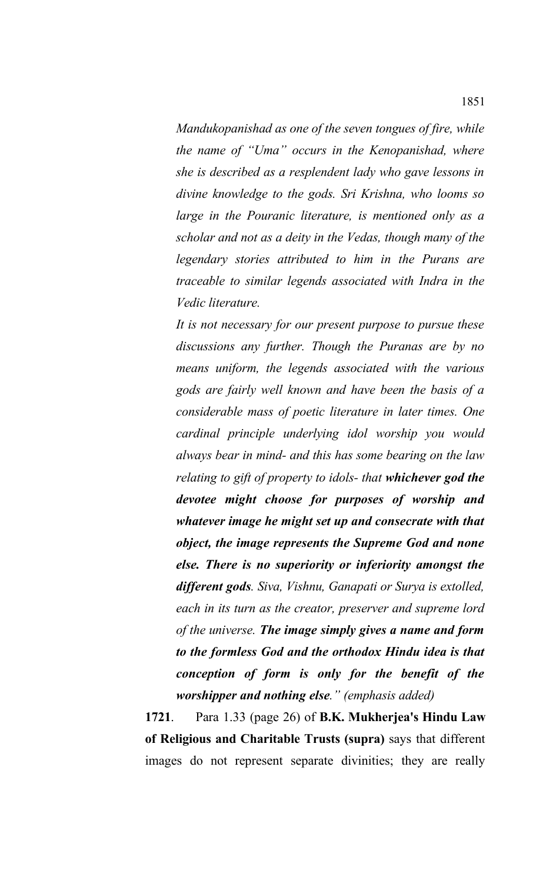*Mandukopanishad as one of the seven tongues of fire, while the name of "Uma" occurs in the Kenopanishad, where she is described as a resplendent lady who gave lessons in divine knowledge to the gods. Sri Krishna, who looms so large in the Pouranic literature, is mentioned only as a scholar and not as a deity in the Vedas, though many of the legendary stories attributed to him in the Purans are traceable to similar legends associated with Indra in the Vedic literature.* 

*It is not necessary for our present purpose to pursue these discussions any further. Though the Puranas are by no means uniform, the legends associated with the various gods are fairly well known and have been the basis of a considerable mass of poetic literature in later times. One cardinal principle underlying idol worship you would always bear in mind- and this has some bearing on the law relating to gift of property to idols- that whichever god the devotee might choose for purposes of worship and whatever image he might set up and consecrate with that object, the image represents the Supreme God and none else. There is no superiority or inferiority amongst the different gods. Siva, Vishnu, Ganapati or Surya is extolled, each in its turn as the creator, preserver and supreme lord of the universe. The image simply gives a name and form to the formless God and the orthodox Hindu idea is that conception of form is only for the benefit of the worshipper and nothing else." (emphasis added)*

**1721**. Para 1.33 (page 26) of **B.K. Mukherjea's Hindu Law of Religious and Charitable Trusts (supra)** says that different images do not represent separate divinities; they are really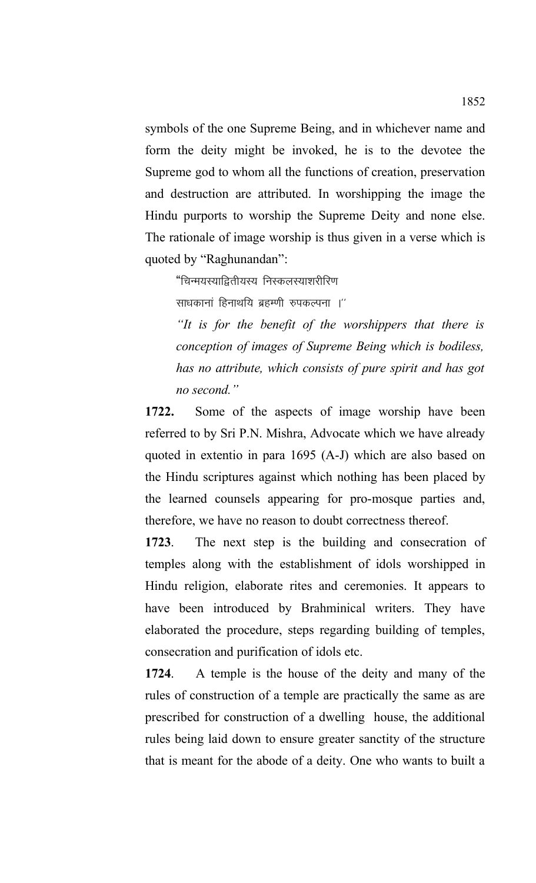symbols of the one Supreme Being, and in whichever name and form the deity might be invoked, he is to the devotee the Supreme god to whom all the functions of creation, preservation and destruction are attributed. In worshipping the image the Hindu purports to worship the Supreme Deity and none else. The rationale of image worship is thus given in a verse which is quoted by "Raghunandan":

"चिन्मयस्याद्वितीयस्य निस्कलस्याशरीरिण

साधकानां हिनाथयि ब्रहम्णी रुपकल्पना ।''

*"It is for the benefit of the worshippers that there is conception of images of Supreme Being which is bodiless, has no attribute, which consists of pure spirit and has got no second."*

**1722.** Some of the aspects of image worship have been referred to by Sri P.N. Mishra, Advocate which we have already quoted in extentio in para 1695 (A-J) which are also based on the Hindu scriptures against which nothing has been placed by the learned counsels appearing for pro-mosque parties and, therefore, we have no reason to doubt correctness thereof.

**1723**. The next step is the building and consecration of temples along with the establishment of idols worshipped in Hindu religion, elaborate rites and ceremonies. It appears to have been introduced by Brahminical writers. They have elaborated the procedure, steps regarding building of temples, consecration and purification of idols etc.

**1724**. A temple is the house of the deity and many of the rules of construction of a temple are practically the same as are prescribed for construction of a dwelling house, the additional rules being laid down to ensure greater sanctity of the structure that is meant for the abode of a deity. One who wants to built a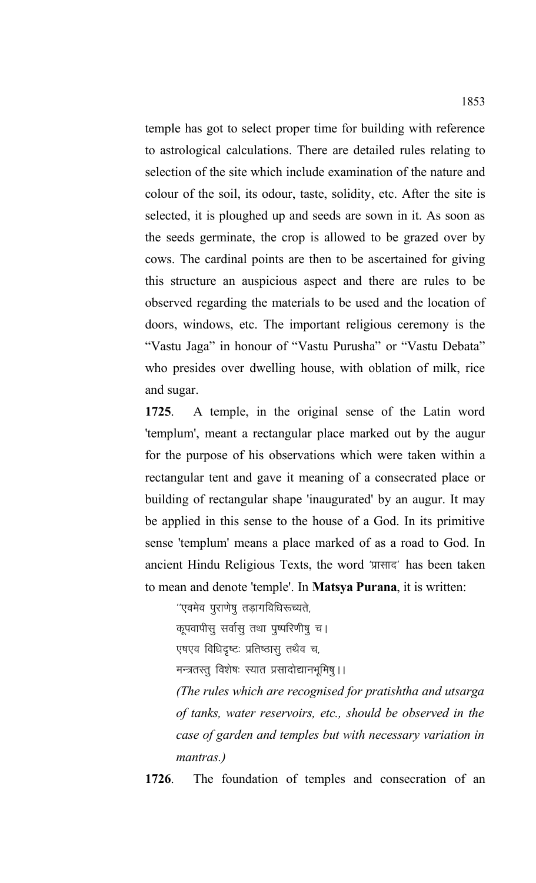temple has got to select proper time for building with reference to astrological calculations. There are detailed rules relating to selection of the site which include examination of the nature and colour of the soil, its odour, taste, solidity, etc. After the site is selected, it is ploughed up and seeds are sown in it. As soon as the seeds germinate, the crop is allowed to be grazed over by cows. The cardinal points are then to be ascertained for giving this structure an auspicious aspect and there are rules to be observed regarding the materials to be used and the location of doors, windows, etc. The important religious ceremony is the "Vastu Jaga" in honour of "Vastu Purusha" or "Vastu Debata" who presides over dwelling house, with oblation of milk, rice and sugar.

**1725**. A temple, in the original sense of the Latin word 'templum', meant a rectangular place marked out by the augur for the purpose of his observations which were taken within a rectangular tent and gave it meaning of a consecrated place or building of rectangular shape 'inaugurated' by an augur. It may be applied in this sense to the house of a God. In its primitive sense 'templum' means a place marked of as a road to God. In ancient Hindu Religious Texts, the word 'प्रासाद' has been taken to mean and denote 'temple'. In **Matsya Purana**, it is written:

 $^{\prime\prime}$ एवमेव पुराणेषु तडागविधिरूच्यते, कूपवापीस् सर्वास् तथा पुष्परिणीषु च। एषएव विधिदृष्टः प्रतिष्ठास् तथैव च,

मन्त्रतस्तु विशेषः स्यात प्रसादोद्यानभूमिषु ।।

*(The rules which are recognised for pratishtha and utsarga of tanks, water reservoirs, etc., should be observed in the case of garden and temples but with necessary variation in mantras.)*

**1726**. The foundation of temples and consecration of an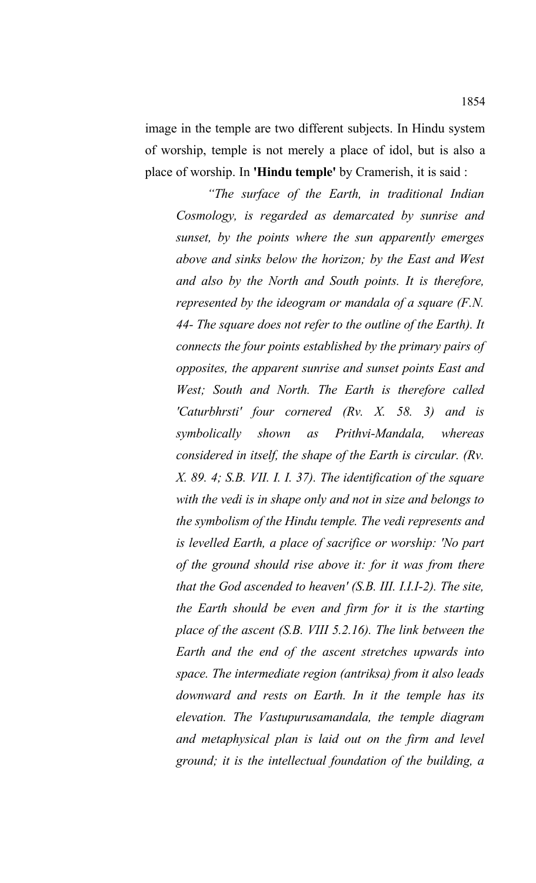image in the temple are two different subjects. In Hindu system of worship, temple is not merely a place of idol, but is also a place of worship. In **'Hindu temple'** by Cramerish, it is said :

*"The surface of the Earth, in traditional Indian Cosmology, is regarded as demarcated by sunrise and sunset, by the points where the sun apparently emerges above and sinks below the horizon; by the East and West and also by the North and South points. It is therefore, represented by the ideogram or mandala of a square (F.N. 44- The square does not refer to the outline of the Earth). It connects the four points established by the primary pairs of opposites, the apparent sunrise and sunset points East and West; South and North. The Earth is therefore called 'Caturbhrsti' four cornered (Rv. X. 58. 3) and is symbolically shown as Prithvi-Mandala, whereas considered in itself, the shape of the Earth is circular. (Rv. X. 89. 4; S.B. VII. I. I. 37). The identification of the square with the vedi is in shape only and not in size and belongs to the symbolism of the Hindu temple. The vedi represents and is levelled Earth, a place of sacrifice or worship: 'No part of the ground should rise above it: for it was from there that the God ascended to heaven' (S.B. III. I.I.I-2). The site, the Earth should be even and firm for it is the starting place of the ascent (S.B. VIII 5.2.16). The link between the Earth and the end of the ascent stretches upwards into space. The intermediate region (antriksa) from it also leads downward and rests on Earth. In it the temple has its elevation. The Vastupurusamandala, the temple diagram and metaphysical plan is laid out on the firm and level ground; it is the intellectual foundation of the building, a*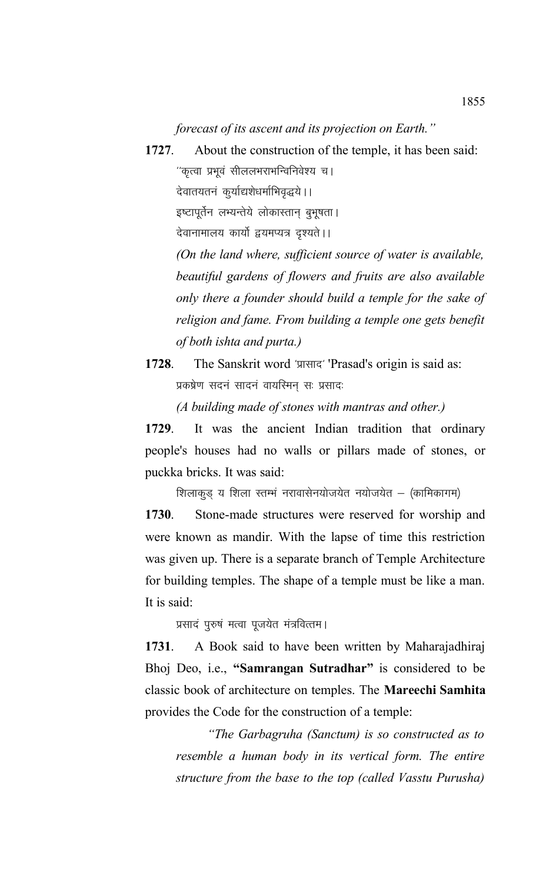*forecast of its ascent and its projection on Earth."*

- **1727**. About the construction of the temple, it has been said:  $^{\prime\prime}$ कृत्वा प्रभूवं सीललभराभन्विनिवेश्य च। देवातयतनं कुर्याद्यशेधर्माभिवृद्धये ।। इष्टापूर्तेन लभ्यन्तेये लोकास्तान् बुभूषता। देवानामालय कार्यो द्वयमप्यत्र दृश्यते ।। *(On the land where, sufficient source of water is available, beautiful gardens of flowers and fruits are also available only there a founder should build a temple for the sake of religion and fame. From building a temple one gets benefit of both ishta and purta.)*
- 1728. The Sanskrit word 'प्रासाद' 'Prasad's origin is said as: प्रकप्रेण सदनं सादनं वायस्मिन् सः प्रसादः

*(A building made of stones with mantras and other.)*

**1729**. It was the ancient Indian tradition that ordinary people's houses had no walls or pillars made of stones, or puckka bricks. It was said:

शिलाकुड् य शिला स्तम्भं नरावासेनयोजयेत नयोजयेत – (कामिकागम)

**1730**. Stone-made structures were reserved for worship and were known as mandir. With the lapse of time this restriction was given up. There is a separate branch of Temple Architecture for building temples. The shape of a temple must be like a man. It is said:

प्रसादं पुरुषं मत्वा पूजयेत मंत्रवित्तम।

**1731**. A Book said to have been written by Maharajadhiraj Bhoj Deo, i.e., **"Samrangan Sutradhar"** is considered to be classic book of architecture on temples. The **Mareechi Samhita** provides the Code for the construction of a temple:

*"The Garbagruha (Sanctum) is so constructed as to resemble a human body in its vertical form. The entire structure from the base to the top (called Vasstu Purusha)*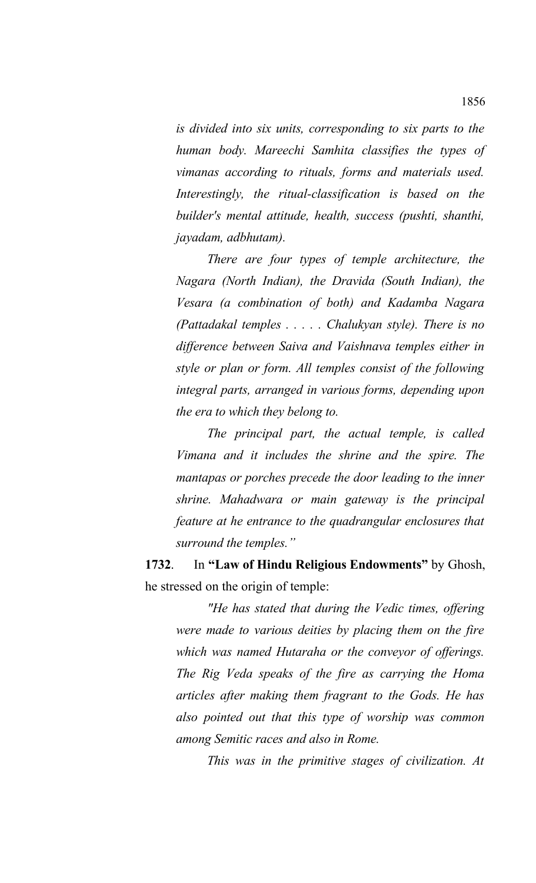*is divided into six units, corresponding to six parts to the human body. Mareechi Samhita classifies the types of vimanas according to rituals, forms and materials used. Interestingly, the ritual-classification is based on the builder's mental attitude, health, success (pushti, shanthi, jayadam, adbhutam).*

*There are four types of temple architecture, the Nagara (North Indian), the Dravida (South Indian), the Vesara (a combination of both) and Kadamba Nagara (Pattadakal temples . . . . . Chalukyan style). There is no difference between Saiva and Vaishnava temples either in style or plan or form. All temples consist of the following integral parts, arranged in various forms, depending upon the era to which they belong to.*

*The principal part, the actual temple, is called Vimana and it includes the shrine and the spire. The mantapas or porches precede the door leading to the inner shrine. Mahadwara or main gateway is the principal feature at he entrance to the quadrangular enclosures that surround the temples."*

**1732**. In **"Law of Hindu Religious Endowments"** by Ghosh, he stressed on the origin of temple:

*"He has stated that during the Vedic times, offering were made to various deities by placing them on the fire which was named Hutaraha or the conveyor of offerings. The Rig Veda speaks of the fire as carrying the Homa articles after making them fragrant to the Gods. He has also pointed out that this type of worship was common among Semitic races and also in Rome.*

*This was in the primitive stages of civilization. At*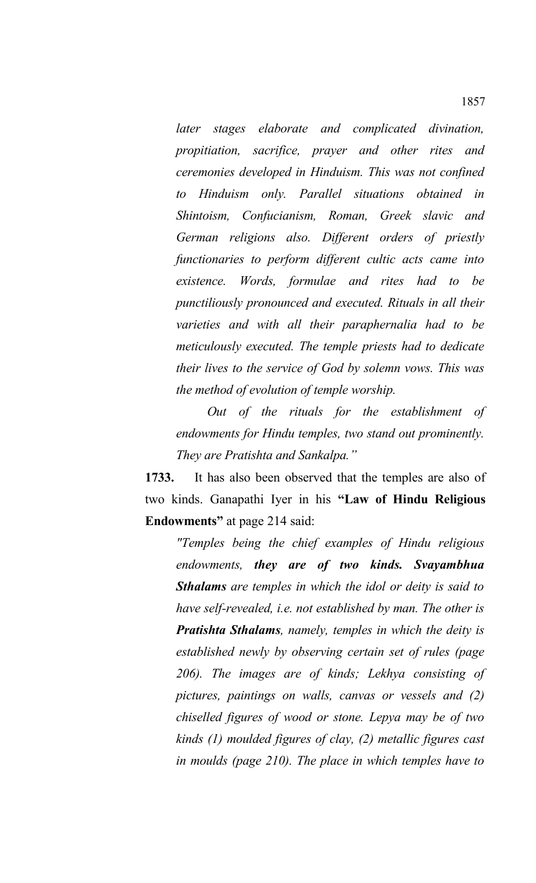*later stages elaborate and complicated divination, propitiation, sacrifice, prayer and other rites and ceremonies developed in Hinduism. This was not confined to Hinduism only. Parallel situations obtained in Shintoism, Confucianism, Roman, Greek slavic and German religions also. Different orders of priestly functionaries to perform different cultic acts came into existence. Words, formulae and rites had to be punctiliously pronounced and executed. Rituals in all their varieties and with all their paraphernalia had to be meticulously executed. The temple priests had to dedicate their lives to the service of God by solemn vows. This was the method of evolution of temple worship.*

*Out of the rituals for the establishment of endowments for Hindu temples, two stand out prominently. They are Pratishta and Sankalpa."*

**1733.** It has also been observed that the temples are also of two kinds. Ganapathi Iyer in his **"Law of Hindu Religious Endowments"** at page 214 said:

*"Temples being the chief examples of Hindu religious endowments, they are of two kinds. Svayambhua Sthalams are temples in which the idol or deity is said to have self-revealed, i.e. not established by man. The other is Pratishta Sthalams, namely, temples in which the deity is established newly by observing certain set of rules (page 206). The images are of kinds; Lekhya consisting of pictures, paintings on walls, canvas or vessels and (2) chiselled figures of wood or stone. Lepya may be of two kinds (1) moulded figures of clay, (2) metallic figures cast in moulds (page 210). The place in which temples have to*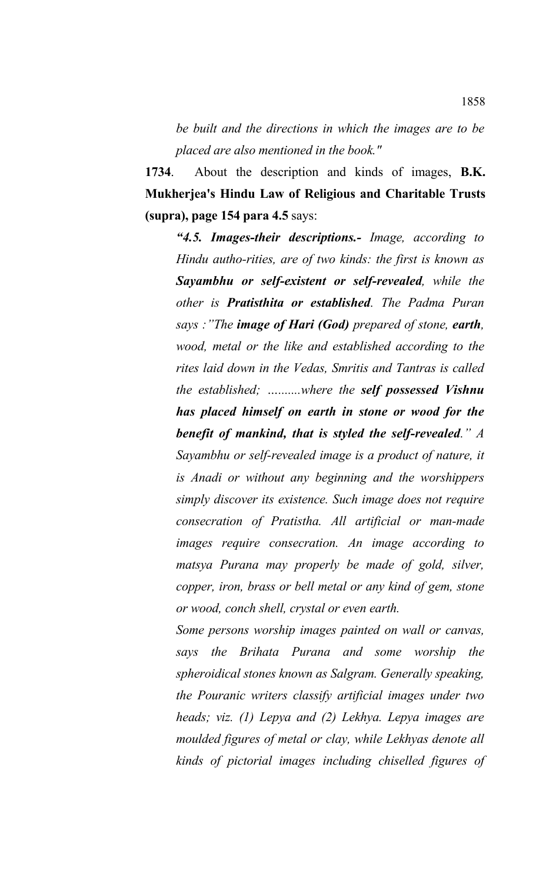*be built and the directions in which the images are to be placed are also mentioned in the book."* 

**1734**. About the description and kinds of images, **B.K. Mukherjea's Hindu Law of Religious and Charitable Trusts (supra), page 154 para 4.5** says:

*"4.5. Images-their descriptions.- Image, according to Hindu autho-rities, are of two kinds: the first is known as Sayambhu or self-existent or self-revealed, while the other is Pratisthita or established. The Padma Puran says :"The image of Hari (God) prepared of stone, earth, wood, metal or the like and established according to the rites laid down in the Vedas, Smritis and Tantras is called the established; ….......where the self possessed Vishnu has placed himself on earth in stone or wood for the benefit of mankind, that is styled the self-revealed." A Sayambhu or self-revealed image is a product of nature, it is Anadi or without any beginning and the worshippers simply discover its existence. Such image does not require consecration of Pratistha. All artificial or man-made images require consecration. An image according to matsya Purana may properly be made of gold, silver, copper, iron, brass or bell metal or any kind of gem, stone or wood, conch shell, crystal or even earth.*

*Some persons worship images painted on wall or canvas, says the Brihata Purana and some worship the spheroidical stones known as Salgram. Generally speaking, the Pouranic writers classify artificial images under two heads; viz. (1) Lepya and (2) Lekhya. Lepya images are moulded figures of metal or clay, while Lekhyas denote all kinds of pictorial images including chiselled figures of*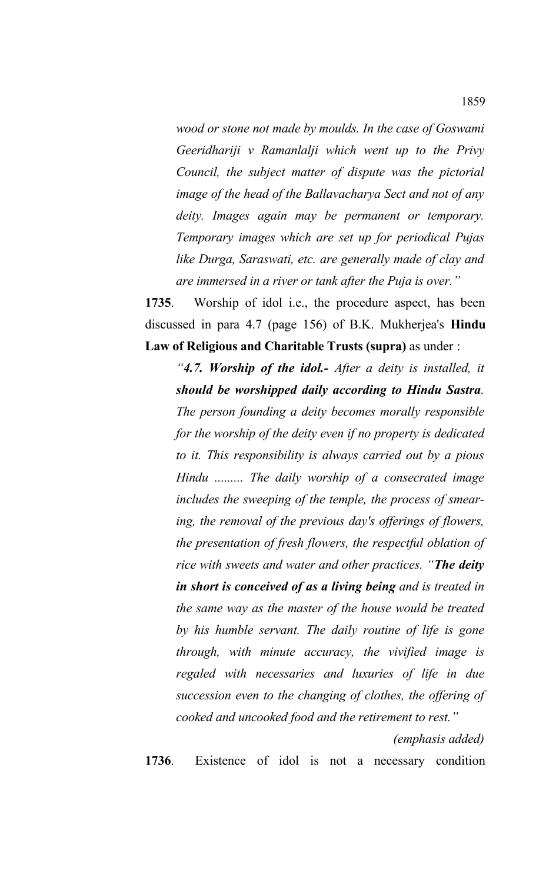*wood or stone not made by moulds. In the case of Goswami Geeridhariji v Ramanlalji which went up to the Privy Council, the subject matter of dispute was the pictorial image of the head of the Ballavacharya Sect and not of any deity. Images again may be permanent or temporary. Temporary images which are set up for periodical Pujas like Durga, Saraswati, etc. are generally made of clay and are immersed in a river or tank after the Puja is over."*

**1735**. Worship of idol i.e., the procedure aspect, has been discussed in para 4.7 (page 156) of B.K. Mukherjea's **Hindu Law of Religious and Charitable Trusts (supra)** as under :

*"4.7. Worship of the idol.- After a deity is installed, it should be worshipped daily according to Hindu Sastra. The person founding a deity becomes morally responsible for the worship of the deity even if no property is dedicated to it. This responsibility is always carried out by a pious Hindu ......... The daily worship of a consecrated image includes the sweeping of the temple, the process of smearing, the removal of the previous day's offerings of flowers, the presentation of fresh flowers, the respectful oblation of rice with sweets and water and other practices. "The deity in short is conceived of as a living being and is treated in the same way as the master of the house would be treated by his humble servant. The daily routine of life is gone through, with minute accuracy, the vivified image is regaled with necessaries and luxuries of life in due succession even to the changing of clothes, the offering of cooked and uncooked food and the retirement to rest."*

*(emphasis added)*

**1736**. Existence of idol is not a necessary condition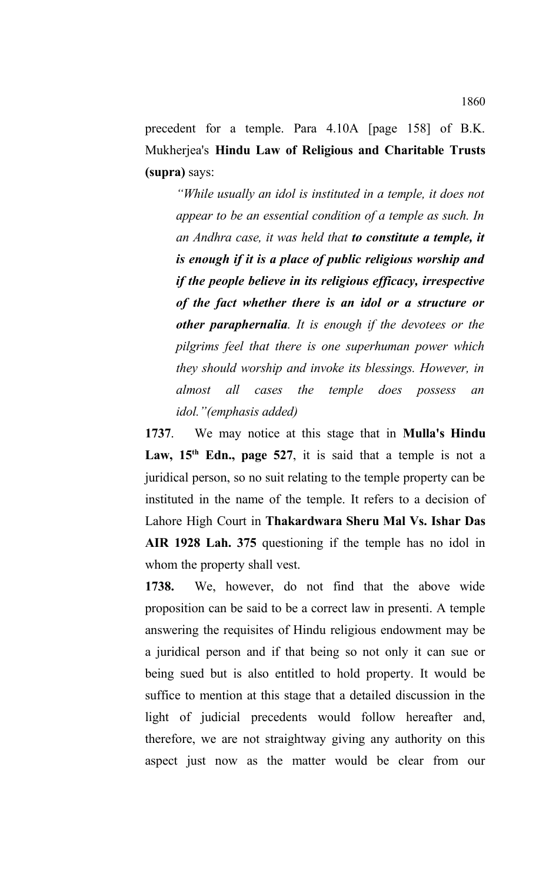precedent for a temple. Para 4.10A [page 158] of B.K. Mukherjea's **Hindu Law of Religious and Charitable Trusts (supra)** says:

*"While usually an idol is instituted in a temple, it does not appear to be an essential condition of a temple as such. In an Andhra case, it was held that to constitute a temple, it is enough if it is a place of public religious worship and if the people believe in its religious efficacy, irrespective of the fact whether there is an idol or a structure or other paraphernalia. It is enough if the devotees or the pilgrims feel that there is one superhuman power which they should worship and invoke its blessings. However, in almost all cases the temple does possess an idol."(emphasis added)* 

**1737**. We may notice at this stage that in **Mulla's Hindu** Law, 15<sup>th</sup> Edn., page 527, it is said that a temple is not a juridical person, so no suit relating to the temple property can be instituted in the name of the temple. It refers to a decision of Lahore High Court in **Thakardwara Sheru Mal Vs. Ishar Das AIR 1928 Lah. 375** questioning if the temple has no idol in whom the property shall vest.

**1738.** We, however, do not find that the above wide proposition can be said to be a correct law in presenti. A temple answering the requisites of Hindu religious endowment may be a juridical person and if that being so not only it can sue or being sued but is also entitled to hold property. It would be suffice to mention at this stage that a detailed discussion in the light of judicial precedents would follow hereafter and, therefore, we are not straightway giving any authority on this aspect just now as the matter would be clear from our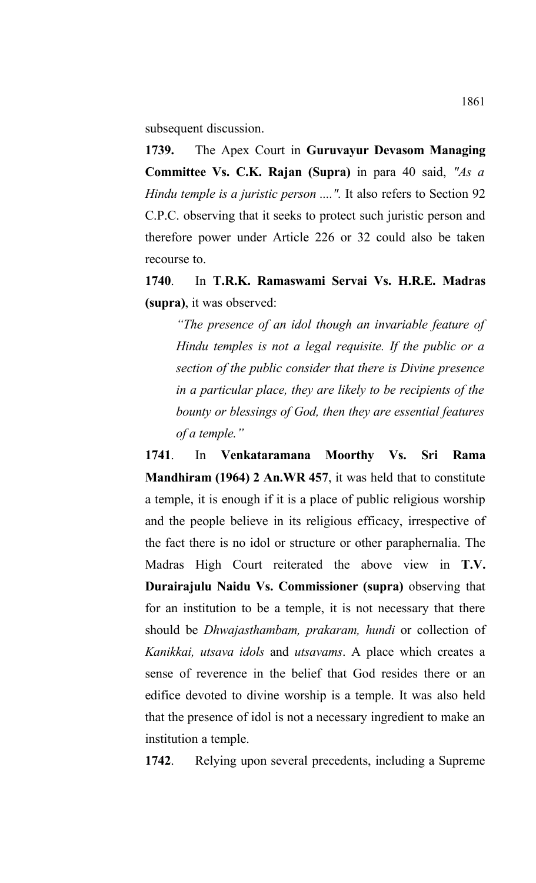subsequent discussion.

**1739.** The Apex Court in **Guruvayur Devasom Managing Committee Vs. C.K. Rajan (Supra)** in para 40 said, *"As a Hindu temple is a juristic person ....".* It also refers to Section 92 C.P.C. observing that it seeks to protect such juristic person and therefore power under Article 226 or 32 could also be taken recourse to.

**1740**. In **T.R.K. Ramaswami Servai Vs. H.R.E. Madras (supra)**, it was observed:

*"The presence of an idol though an invariable feature of Hindu temples is not a legal requisite. If the public or a section of the public consider that there is Divine presence in a particular place, they are likely to be recipients of the bounty or blessings of God, then they are essential features of a temple."*

**1741**. In **Venkataramana Moorthy Vs. Sri Rama Mandhiram (1964) 2 An.WR 457**, it was held that to constitute a temple, it is enough if it is a place of public religious worship and the people believe in its religious efficacy, irrespective of the fact there is no idol or structure or other paraphernalia. The Madras High Court reiterated the above view in **T.V. Durairajulu Naidu Vs. Commissioner (supra)** observing that for an institution to be a temple, it is not necessary that there should be *Dhwajasthambam, prakaram, hundi* or collection of *Kanikkai, utsava idols* and *utsavams*. A place which creates a sense of reverence in the belief that God resides there or an edifice devoted to divine worship is a temple. It was also held that the presence of idol is not a necessary ingredient to make an institution a temple.

**1742**. Relying upon several precedents, including a Supreme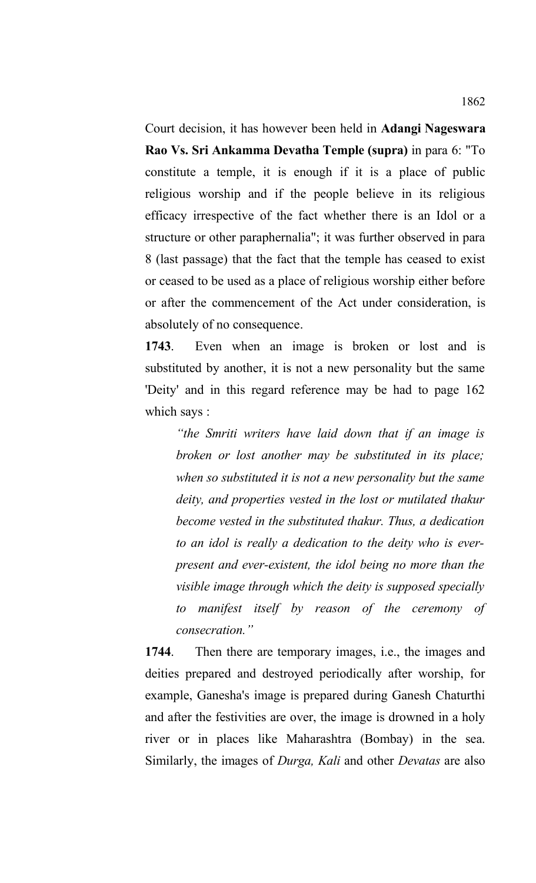Court decision, it has however been held in **Adangi Nageswara Rao Vs. Sri Ankamma Devatha Temple (supra)** in para 6: "To constitute a temple, it is enough if it is a place of public religious worship and if the people believe in its religious efficacy irrespective of the fact whether there is an Idol or a structure or other paraphernalia"; it was further observed in para 8 (last passage) that the fact that the temple has ceased to exist or ceased to be used as a place of religious worship either before or after the commencement of the Act under consideration, is absolutely of no consequence.

**1743**. Even when an image is broken or lost and is substituted by another, it is not a new personality but the same 'Deity' and in this regard reference may be had to page 162 which says :

*"the Smriti writers have laid down that if an image is broken or lost another may be substituted in its place; when so substituted it is not a new personality but the same deity, and properties vested in the lost or mutilated thakur become vested in the substituted thakur. Thus, a dedication to an idol is really a dedication to the deity who is everpresent and ever-existent, the idol being no more than the visible image through which the deity is supposed specially to manifest itself by reason of the ceremony of consecration."* 

**1744**. Then there are temporary images, i.e., the images and deities prepared and destroyed periodically after worship, for example, Ganesha's image is prepared during Ganesh Chaturthi and after the festivities are over, the image is drowned in a holy river or in places like Maharashtra (Bombay) in the sea. Similarly, the images of *Durga, Kali* and other *Devatas* are also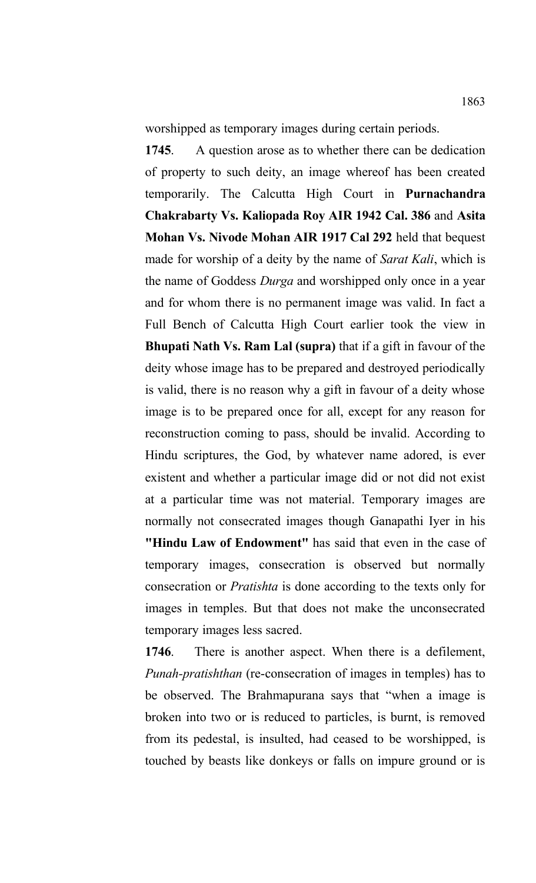worshipped as temporary images during certain periods.

**1745**. A question arose as to whether there can be dedication of property to such deity, an image whereof has been created temporarily. The Calcutta High Court in **Purnachandra Chakrabarty Vs. Kaliopada Roy AIR 1942 Cal. 386** and **Asita Mohan Vs. Nivode Mohan AIR 1917 Cal 292** held that bequest made for worship of a deity by the name of *Sarat Kali*, which is the name of Goddess *Durga* and worshipped only once in a year and for whom there is no permanent image was valid. In fact a Full Bench of Calcutta High Court earlier took the view in **Bhupati Nath Vs. Ram Lal (supra)** that if a gift in favour of the deity whose image has to be prepared and destroyed periodically is valid, there is no reason why a gift in favour of a deity whose image is to be prepared once for all, except for any reason for reconstruction coming to pass, should be invalid. According to Hindu scriptures, the God, by whatever name adored, is ever existent and whether a particular image did or not did not exist at a particular time was not material. Temporary images are normally not consecrated images though Ganapathi Iyer in his **"Hindu Law of Endowment"** has said that even in the case of temporary images, consecration is observed but normally consecration or *Pratishta* is done according to the texts only for images in temples. But that does not make the unconsecrated temporary images less sacred.

**1746**. There is another aspect. When there is a defilement, *Punah-pratishthan* (re-consecration of images in temples) has to be observed. The Brahmapurana says that "when a image is broken into two or is reduced to particles, is burnt, is removed from its pedestal, is insulted, had ceased to be worshipped, is touched by beasts like donkeys or falls on impure ground or is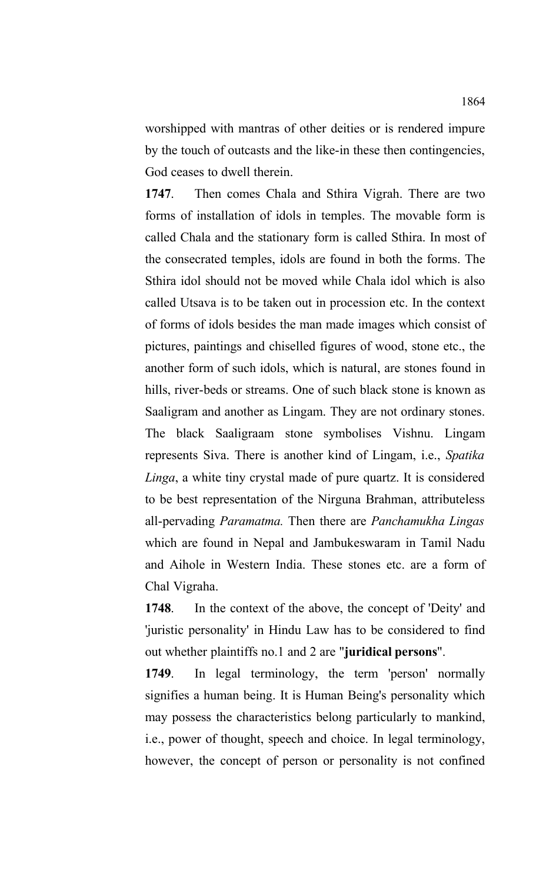worshipped with mantras of other deities or is rendered impure by the touch of outcasts and the like-in these then contingencies, God ceases to dwell therein.

**1747**. Then comes Chala and Sthira Vigrah. There are two forms of installation of idols in temples. The movable form is called Chala and the stationary form is called Sthira. In most of the consecrated temples, idols are found in both the forms. The Sthira idol should not be moved while Chala idol which is also called Utsava is to be taken out in procession etc. In the context of forms of idols besides the man made images which consist of pictures, paintings and chiselled figures of wood, stone etc., the another form of such idols, which is natural, are stones found in hills, river-beds or streams. One of such black stone is known as Saaligram and another as Lingam. They are not ordinary stones. The black Saaligraam stone symbolises Vishnu. Lingam represents Siva. There is another kind of Lingam, i.e., *Spatika Linga*, a white tiny crystal made of pure quartz. It is considered to be best representation of the Nirguna Brahman, attributeless all-pervading *Paramatma.* Then there are *Panchamukha Lingas* which are found in Nepal and Jambukeswaram in Tamil Nadu and Aihole in Western India. These stones etc. are a form of Chal Vigraha.

**1748**. In the context of the above, the concept of 'Deity' and 'juristic personality' in Hindu Law has to be considered to find out whether plaintiffs no.1 and 2 are "**juridical persons**".

**1749**. In legal terminology, the term 'person' normally signifies a human being. It is Human Being's personality which may possess the characteristics belong particularly to mankind, i.e., power of thought, speech and choice. In legal terminology, however, the concept of person or personality is not confined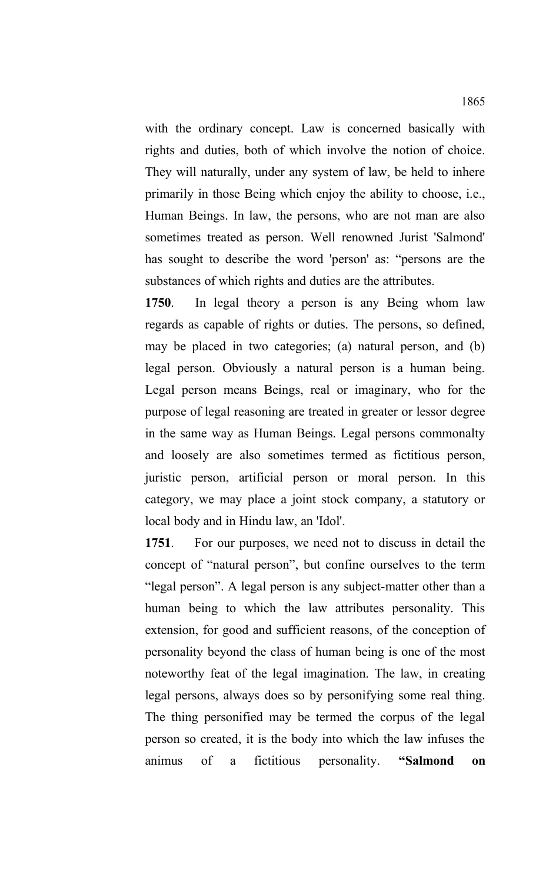with the ordinary concept. Law is concerned basically with rights and duties, both of which involve the notion of choice. They will naturally, under any system of law, be held to inhere primarily in those Being which enjoy the ability to choose, i.e., Human Beings. In law, the persons, who are not man are also sometimes treated as person. Well renowned Jurist 'Salmond' has sought to describe the word 'person' as: "persons are the substances of which rights and duties are the attributes.

**1750**. In legal theory a person is any Being whom law regards as capable of rights or duties. The persons, so defined, may be placed in two categories; (a) natural person, and (b) legal person. Obviously a natural person is a human being. Legal person means Beings, real or imaginary, who for the purpose of legal reasoning are treated in greater or lessor degree in the same way as Human Beings. Legal persons commonalty and loosely are also sometimes termed as fictitious person, juristic person, artificial person or moral person. In this category, we may place a joint stock company, a statutory or local body and in Hindu law, an 'Idol'.

**1751**. For our purposes, we need not to discuss in detail the concept of "natural person", but confine ourselves to the term "legal person". A legal person is any subject-matter other than a human being to which the law attributes personality. This extension, for good and sufficient reasons, of the conception of personality beyond the class of human being is one of the most noteworthy feat of the legal imagination. The law, in creating legal persons, always does so by personifying some real thing. The thing personified may be termed the corpus of the legal person so created, it is the body into which the law infuses the animus of a fictitious personality. **"Salmond on**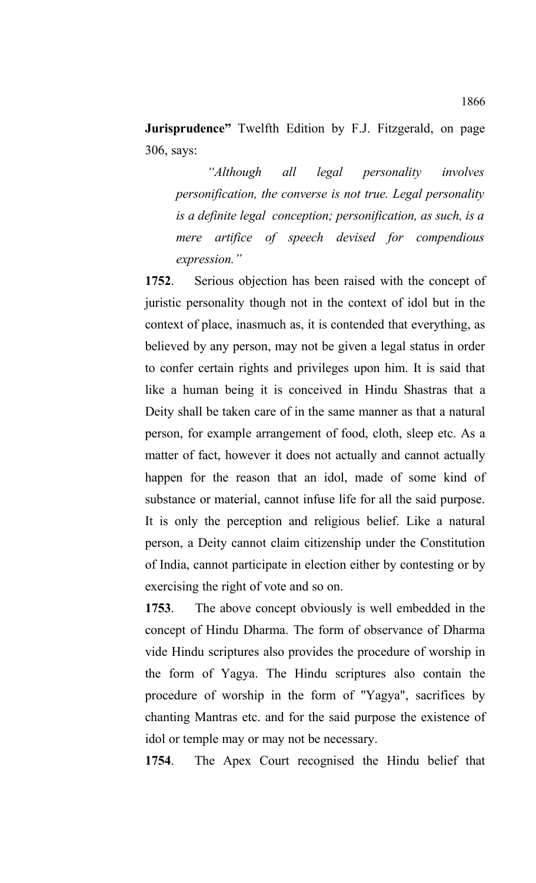**Jurisprudence"** Twelfth Edition by F.J. Fitzgerald, on page 306, says:

*"Although all legal personality involves personification, the converse is not true. Legal personality is a definite legal conception; personification, as such, is a mere artifice of speech devised for compendious expression."*

**1752**. Serious objection has been raised with the concept of juristic personality though not in the context of idol but in the context of place, inasmuch as, it is contended that everything, as believed by any person, may not be given a legal status in order to confer certain rights and privileges upon him. It is said that like a human being it is conceived in Hindu Shastras that a Deity shall be taken care of in the same manner as that a natural person, for example arrangement of food, cloth, sleep etc. As a matter of fact, however it does not actually and cannot actually happen for the reason that an idol, made of some kind of substance or material, cannot infuse life for all the said purpose. It is only the perception and religious belief. Like a natural person, a Deity cannot claim citizenship under the Constitution of India, cannot participate in election either by contesting or by exercising the right of vote and so on.

**1753**. The above concept obviously is well embedded in the concept of Hindu Dharma. The form of observance of Dharma vide Hindu scriptures also provides the procedure of worship in the form of Yagya. The Hindu scriptures also contain the procedure of worship in the form of "Yagya", sacrifices by chanting Mantras etc. and for the said purpose the existence of idol or temple may or may not be necessary.

**1754**. The Apex Court recognised the Hindu belief that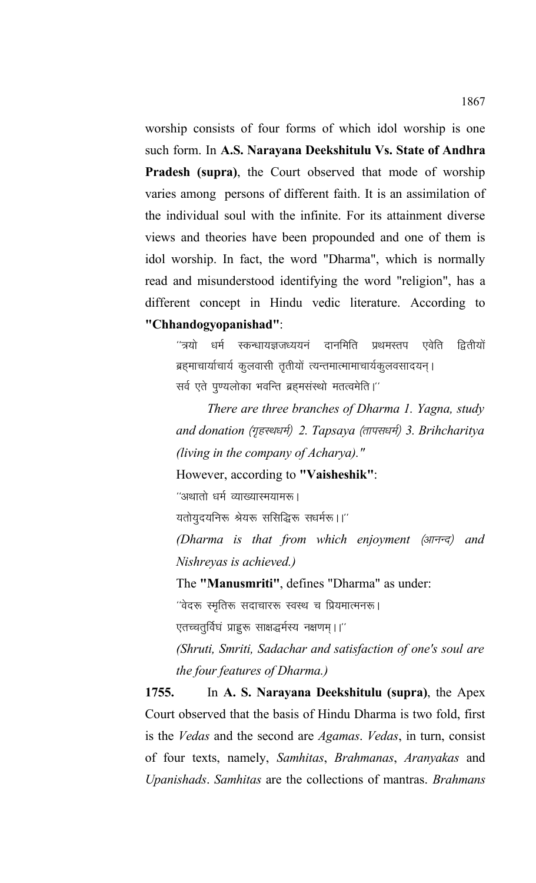worship consists of four forms of which idol worship is one such form. In **A.S. Narayana Deekshitulu Vs. State of Andhra Pradesh (supra)**, the Court observed that mode of worship varies among persons of different faith. It is an assimilation of the individual soul with the infinite. For its attainment diverse views and theories have been propounded and one of them is idol worship. In fact, the word "Dharma", which is normally read and misunderstood identifying the word "religion", has a different concept in Hindu vedic literature. According to **"Chhandogyopanishad"**:

 $^{\prime\prime}$ त्रयो धर्म स्कन्धायज्ञजध्ययनं दानमिति प्रथमस्तप एवेति द्वितीयों ब्रहमाचार्याचार्य कुलवासी तृतीयों त्यन्तमात्मामाचार्यकुलवसादयन् । सर्व एते पुण्यलोका भवन्ति ब्रह्मसंस्थो मतत्वमेति।"

*There are three branches of Dharma 1. Yagna, study and donation (गृहस्थधर्म) 2. Tapsaya (तापसधर्म) 3. Brihcharitya (living in the company of Acharya)."* 

However, according to **"Vaisheshik"**:

 $^{\prime\prime}$ अथातो धर्म व्याख्यास्मयामरू ।

यतोयुदयनिरू श्रेयरू ससिद्धिरू सधर्मरू ।।"

*(Dharma is that from which enjoyment (आनन्द) and Nishreyas is achieved.)* 

The **"Manusmriti"**, defines "Dharma" as under:

"वेदरू स्मृतिरू सदाचाररू स्वस्थ च प्रियमात्मनरू।

एतच्चतुर्विघं प्राह्रू साक्षद्धर्मस्य नक्षणम् ।।''

*(Shruti, Smriti, Sadachar and satisfaction of one's soul are the four features of Dharma.)*

**1755.** In **A. S. Narayana Deekshitulu (supra)**, the Apex Court observed that the basis of Hindu Dharma is two fold, first is the *Vedas* and the second are *Agamas*. *Vedas*, in turn, consist of four texts, namely, *Samhitas*, *Brahmanas*, *Aranyakas* and *Upanishads*. *Samhitas* are the collections of mantras. *Brahmans*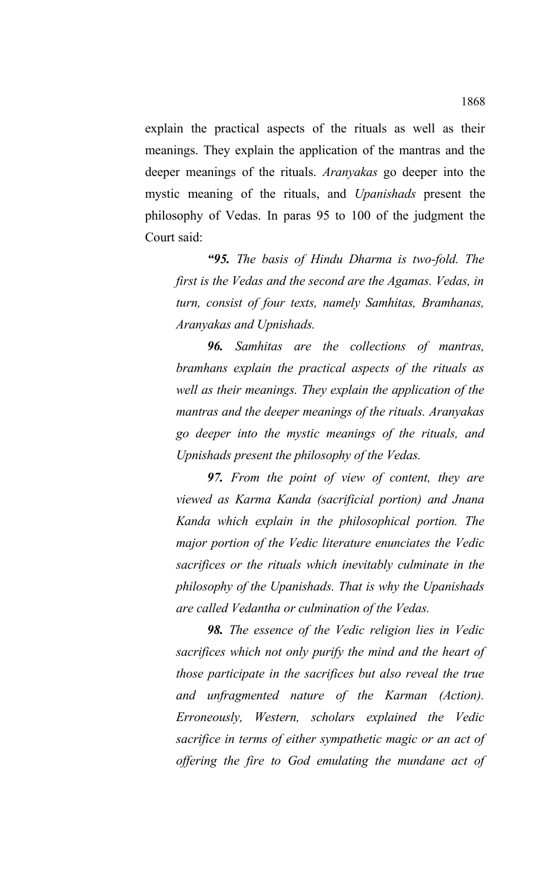explain the practical aspects of the rituals as well as their meanings. They explain the application of the mantras and the deeper meanings of the rituals. *Aranyakas* go deeper into the mystic meaning of the rituals, and *Upanishads* present the philosophy of Vedas. In paras 95 to 100 of the judgment the Court said:

*"95. The basis of Hindu Dharma is two-fold. The first is the Vedas and the second are the Agamas. Vedas, in turn, consist of four texts, namely Samhitas, Bramhanas, Aranyakas and Upnishads.*

*96. Samhitas are the collections of mantras, bramhans explain the practical aspects of the rituals as well as their meanings. They explain the application of the mantras and the deeper meanings of the rituals. Aranyakas go deeper into the mystic meanings of the rituals, and Upnishads present the philosophy of the Vedas.*

*97. From the point of view of content, they are viewed as Karma Kanda (sacrificial portion) and Jnana Kanda which explain in the philosophical portion. The major portion of the Vedic literature enunciates the Vedic sacrifices or the rituals which inevitably culminate in the philosophy of the Upanishads. That is why the Upanishads are called Vedantha or culmination of the Vedas.* 

*98. The essence of the Vedic religion lies in Vedic sacrifices which not only purify the mind and the heart of those participate in the sacrifices but also reveal the true and unfragmented nature of the Karman (Action). Erroneously, Western, scholars explained the Vedic sacrifice in terms of either sympathetic magic or an act of offering the fire to God emulating the mundane act of*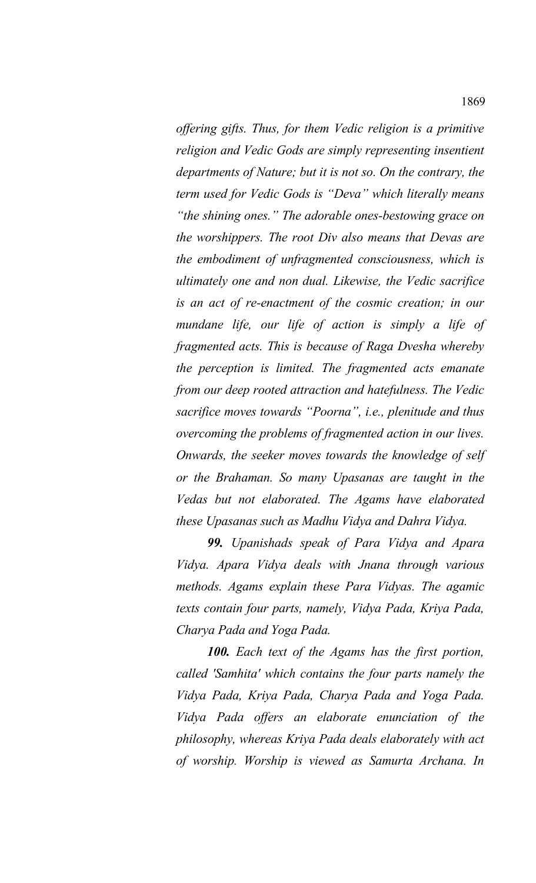*offering gifts. Thus, for them Vedic religion is a primitive religion and Vedic Gods are simply representing insentient departments of Nature; but it is not so. On the contrary, the term used for Vedic Gods is "Deva" which literally means "the shining ones." The adorable ones-bestowing grace on the worshippers. The root Div also means that Devas are the embodiment of unfragmented consciousness, which is ultimately one and non dual. Likewise, the Vedic sacrifice is an act of re-enactment of the cosmic creation; in our mundane life, our life of action is simply a life of fragmented acts. This is because of Raga Dvesha whereby the perception is limited. The fragmented acts emanate from our deep rooted attraction and hatefulness. The Vedic sacrifice moves towards "Poorna", i.e., plenitude and thus overcoming the problems of fragmented action in our lives. Onwards, the seeker moves towards the knowledge of self or the Brahaman. So many Upasanas are taught in the Vedas but not elaborated. The Agams have elaborated these Upasanas such as Madhu Vidya and Dahra Vidya.*

*99. Upanishads speak of Para Vidya and Apara Vidya. Apara Vidya deals with Jnana through various methods. Agams explain these Para Vidyas. The agamic texts contain four parts, namely, Vidya Pada, Kriya Pada, Charya Pada and Yoga Pada.*

*100. Each text of the Agams has the first portion, called 'Samhita' which contains the four parts namely the Vidya Pada, Kriya Pada, Charya Pada and Yoga Pada. Vidya Pada offers an elaborate enunciation of the philosophy, whereas Kriya Pada deals elaborately with act of worship. Worship is viewed as Samurta Archana. In*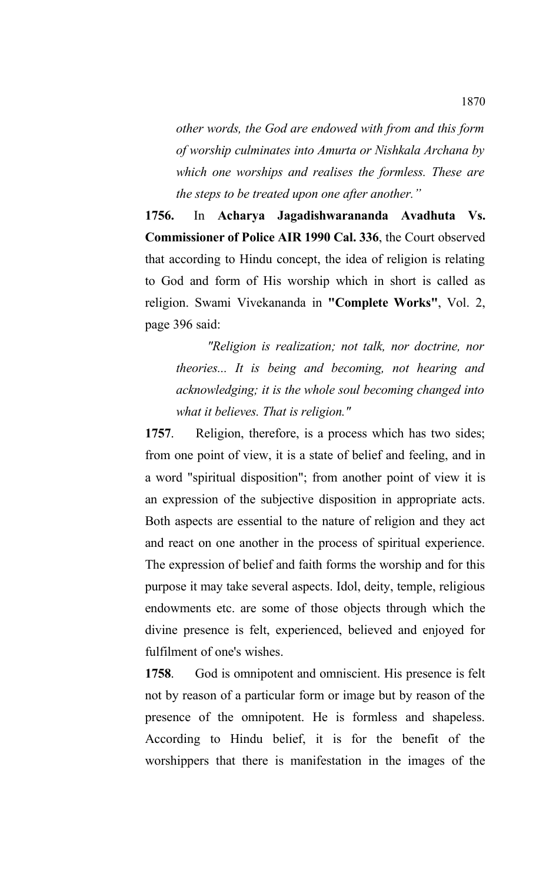*other words, the God are endowed with from and this form of worship culminates into Amurta or Nishkala Archana by which one worships and realises the formless. These are the steps to be treated upon one after another."*

**1756.** In **Acharya Jagadishwarananda Avadhuta Vs. Commissioner of Police AIR 1990 Cal. 336**, the Court observed that according to Hindu concept, the idea of religion is relating to God and form of His worship which in short is called as religion. Swami Vivekananda in **"Complete Works"**, Vol. 2, page 396 said:

*"Religion is realization; not talk, nor doctrine, nor theories... It is being and becoming, not hearing and acknowledging; it is the whole soul becoming changed into what it believes. That is religion."*

**1757**. Religion, therefore, is a process which has two sides; from one point of view, it is a state of belief and feeling, and in a word "spiritual disposition"; from another point of view it is an expression of the subjective disposition in appropriate acts. Both aspects are essential to the nature of religion and they act and react on one another in the process of spiritual experience. The expression of belief and faith forms the worship and for this purpose it may take several aspects. Idol, deity, temple, religious endowments etc. are some of those objects through which the divine presence is felt, experienced, believed and enjoyed for fulfilment of one's wishes.

**1758**. God is omnipotent and omniscient. His presence is felt not by reason of a particular form or image but by reason of the presence of the omnipotent. He is formless and shapeless. According to Hindu belief, it is for the benefit of the worshippers that there is manifestation in the images of the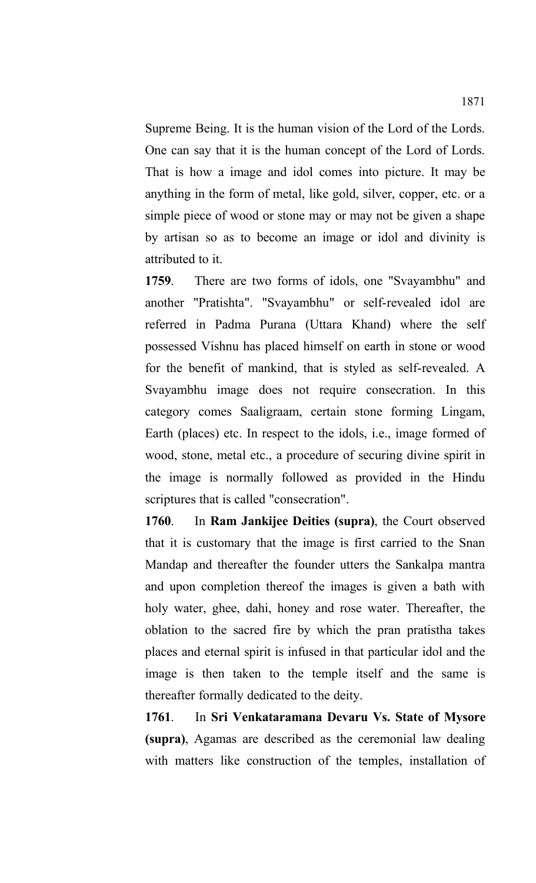Supreme Being. It is the human vision of the Lord of the Lords. One can say that it is the human concept of the Lord of Lords. That is how a image and idol comes into picture. It may be anything in the form of metal, like gold, silver, copper, etc. or a simple piece of wood or stone may or may not be given a shape by artisan so as to become an image or idol and divinity is attributed to it.

**1759**. There are two forms of idols, one "Svayambhu" and another "Pratishta". "Svayambhu" or self-revealed idol are referred in Padma Purana (Uttara Khand) where the self possessed Vishnu has placed himself on earth in stone or wood for the benefit of mankind, that is styled as self-revealed. A Svayambhu image does not require consecration. In this category comes Saaligraam, certain stone forming Lingam, Earth (places) etc. In respect to the idols, i.e., image formed of wood, stone, metal etc., a procedure of securing divine spirit in the image is normally followed as provided in the Hindu scriptures that is called "consecration".

**1760**. In **Ram Jankijee Deities (supra)**, the Court observed that it is customary that the image is first carried to the Snan Mandap and thereafter the founder utters the Sankalpa mantra and upon completion thereof the images is given a bath with holy water, ghee, dahi, honey and rose water. Thereafter, the oblation to the sacred fire by which the pran pratistha takes places and eternal spirit is infused in that particular idol and the image is then taken to the temple itself and the same is thereafter formally dedicated to the deity.

**1761**. In **Sri Venkataramana Devaru Vs. State of Mysore (supra)**, Agamas are described as the ceremonial law dealing with matters like construction of the temples, installation of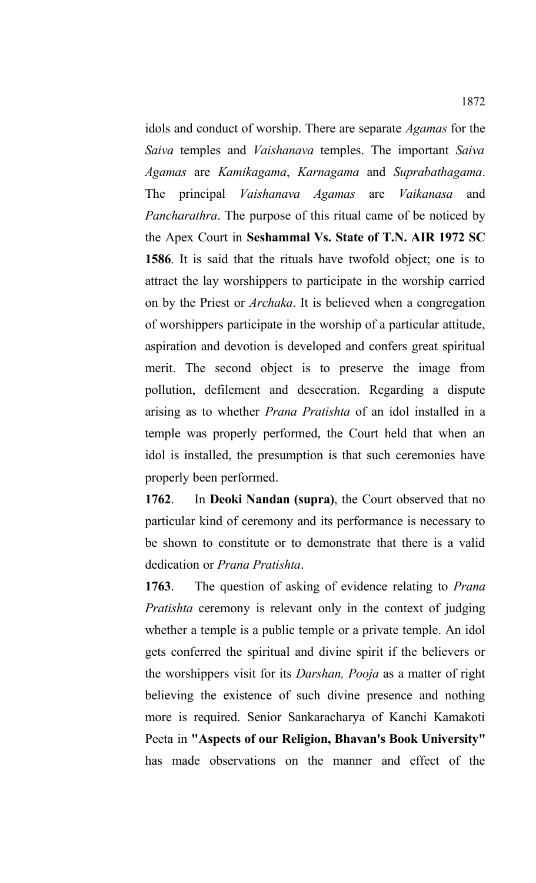idols and conduct of worship. There are separate *Agamas* for the *Saiva* temples and *Vaishanava* temples. The important *Saiva Agamas* are *Kamikagama*, *Karnagama* and *Suprabathagama*. The principal *Vaishanava Agamas* are *Vaikanasa* and *Pancharathra*. The purpose of this ritual came of be noticed by the Apex Court in **Seshammal Vs. State of T.N. AIR 1972 SC 1586**. It is said that the rituals have twofold object; one is to attract the lay worshippers to participate in the worship carried on by the Priest or *Archaka*. It is believed when a congregation of worshippers participate in the worship of a particular attitude, aspiration and devotion is developed and confers great spiritual merit. The second object is to preserve the image from pollution, defilement and desecration. Regarding a dispute arising as to whether *Prana Pratishta* of an idol installed in a temple was properly performed, the Court held that when an idol is installed, the presumption is that such ceremonies have properly been performed.

**1762**. In **Deoki Nandan (supra)**, the Court observed that no particular kind of ceremony and its performance is necessary to be shown to constitute or to demonstrate that there is a valid dedication or *Prana Pratishta*.

**1763**. The question of asking of evidence relating to *Prana Pratishta* ceremony is relevant only in the context of judging whether a temple is a public temple or a private temple. An idol gets conferred the spiritual and divine spirit if the believers or the worshippers visit for its *Darshan, Pooja* as a matter of right believing the existence of such divine presence and nothing more is required. Senior Sankaracharya of Kanchi Kamakoti Peeta in **"Aspects of our Religion, Bhavan's Book University"** has made observations on the manner and effect of the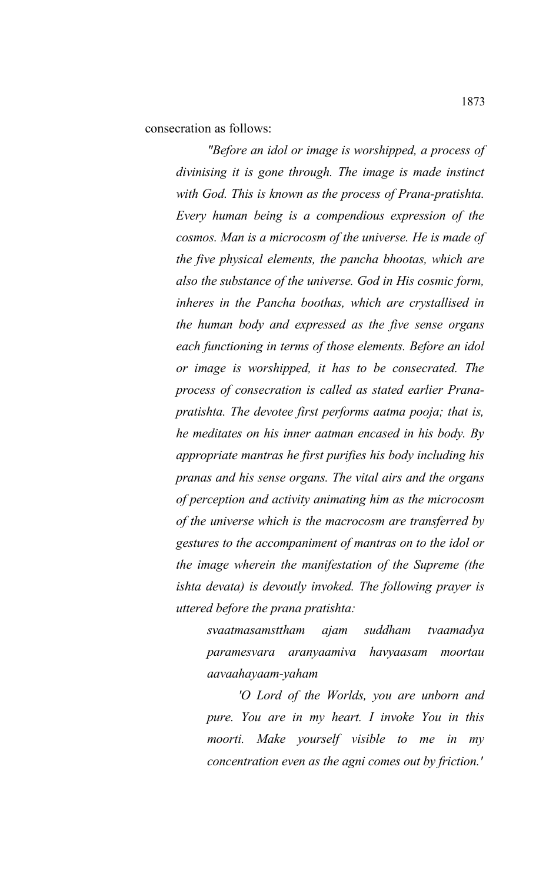consecration as follows:

*"Before an idol or image is worshipped, a process of divinising it is gone through. The image is made instinct with God. This is known as the process of Prana-pratishta. Every human being is a compendious expression of the cosmos. Man is a microcosm of the universe. He is made of the five physical elements, the pancha bhootas, which are also the substance of the universe. God in His cosmic form, inheres in the Pancha boothas, which are crystallised in the human body and expressed as the five sense organs each functioning in terms of those elements. Before an idol or image is worshipped, it has to be consecrated. The process of consecration is called as stated earlier Pranapratishta. The devotee first performs aatma pooja; that is, he meditates on his inner aatman encased in his body. By appropriate mantras he first purifies his body including his pranas and his sense organs. The vital airs and the organs of perception and activity animating him as the microcosm of the universe which is the macrocosm are transferred by gestures to the accompaniment of mantras on to the idol or the image wherein the manifestation of the Supreme (the ishta devata) is devoutly invoked. The following prayer is uttered before the prana pratishta:*

*svaatmasamsttham ajam suddham tvaamadya paramesvara aranyaamiva havyaasam moortau aavaahayaam-yaham*

*'O Lord of the Worlds, you are unborn and pure. You are in my heart. I invoke You in this moorti. Make yourself visible to me in my concentration even as the agni comes out by friction.'*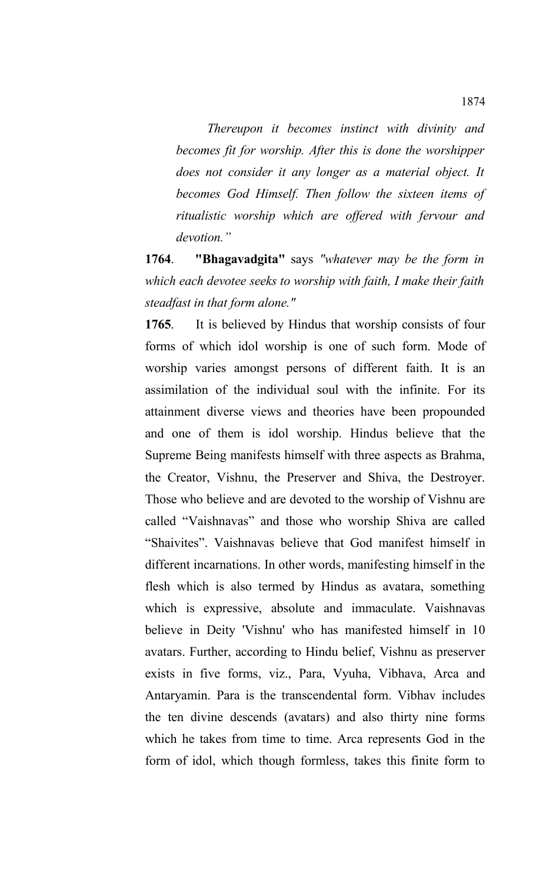*Thereupon it becomes instinct with divinity and becomes fit for worship. After this is done the worshipper does not consider it any longer as a material object. It becomes God Himself. Then follow the sixteen items of ritualistic worship which are offered with fervour and devotion."*

**1764**. **"Bhagavadgita"** says *"whatever may be the form in which each devotee seeks to worship with faith, I make their faith steadfast in that form alone."*

**1765**. It is believed by Hindus that worship consists of four forms of which idol worship is one of such form. Mode of worship varies amongst persons of different faith. It is an assimilation of the individual soul with the infinite. For its attainment diverse views and theories have been propounded and one of them is idol worship. Hindus believe that the Supreme Being manifests himself with three aspects as Brahma, the Creator, Vishnu, the Preserver and Shiva, the Destroyer. Those who believe and are devoted to the worship of Vishnu are called "Vaishnavas" and those who worship Shiva are called "Shaivites". Vaishnavas believe that God manifest himself in different incarnations. In other words, manifesting himself in the flesh which is also termed by Hindus as avatara, something which is expressive, absolute and immaculate. Vaishnavas believe in Deity 'Vishnu' who has manifested himself in 10 avatars. Further, according to Hindu belief, Vishnu as preserver exists in five forms, viz., Para, Vyuha, Vibhava, Arca and Antaryamin. Para is the transcendental form. Vibhav includes the ten divine descends (avatars) and also thirty nine forms which he takes from time to time. Arca represents God in the form of idol, which though formless, takes this finite form to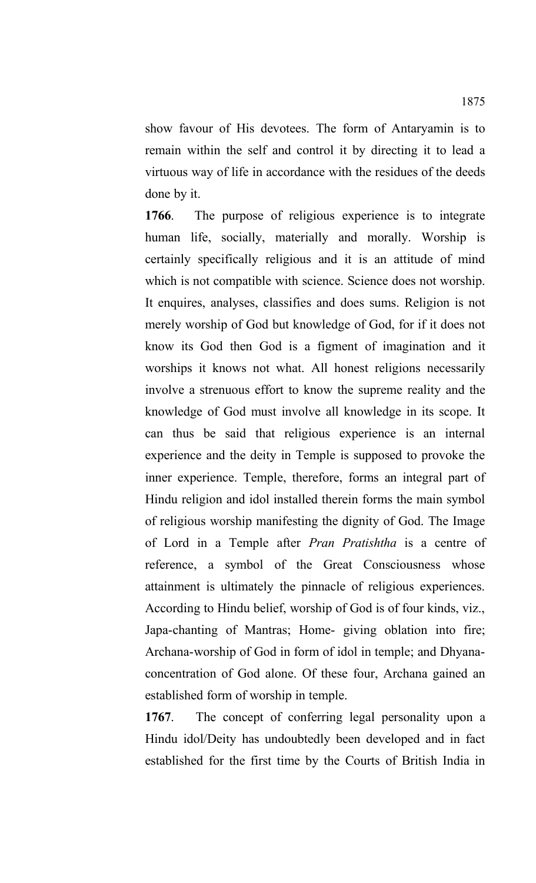show favour of His devotees. The form of Antaryamin is to remain within the self and control it by directing it to lead a virtuous way of life in accordance with the residues of the deeds done by it.

**1766**. The purpose of religious experience is to integrate human life, socially, materially and morally. Worship is certainly specifically religious and it is an attitude of mind which is not compatible with science. Science does not worship. It enquires, analyses, classifies and does sums. Religion is not merely worship of God but knowledge of God, for if it does not know its God then God is a figment of imagination and it worships it knows not what. All honest religions necessarily involve a strenuous effort to know the supreme reality and the knowledge of God must involve all knowledge in its scope. It can thus be said that religious experience is an internal experience and the deity in Temple is supposed to provoke the inner experience. Temple, therefore, forms an integral part of Hindu religion and idol installed therein forms the main symbol of religious worship manifesting the dignity of God. The Image of Lord in a Temple after *Pran Pratishtha* is a centre of reference, a symbol of the Great Consciousness whose attainment is ultimately the pinnacle of religious experiences. According to Hindu belief, worship of God is of four kinds, viz., Japa-chanting of Mantras; Home- giving oblation into fire; Archana-worship of God in form of idol in temple; and Dhyanaconcentration of God alone. Of these four, Archana gained an established form of worship in temple.

**1767**. The concept of conferring legal personality upon a Hindu idol/Deity has undoubtedly been developed and in fact established for the first time by the Courts of British India in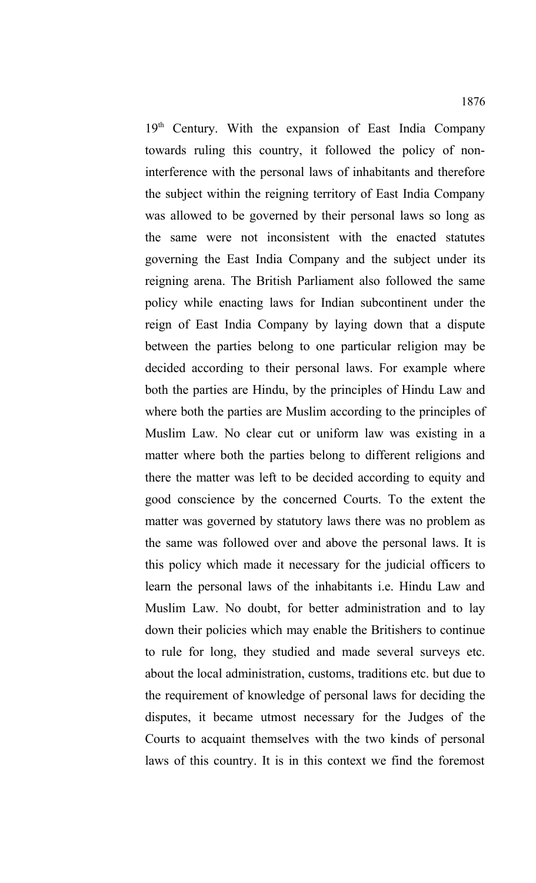19th Century. With the expansion of East India Company towards ruling this country, it followed the policy of noninterference with the personal laws of inhabitants and therefore the subject within the reigning territory of East India Company was allowed to be governed by their personal laws so long as the same were not inconsistent with the enacted statutes governing the East India Company and the subject under its reigning arena. The British Parliament also followed the same policy while enacting laws for Indian subcontinent under the reign of East India Company by laying down that a dispute between the parties belong to one particular religion may be decided according to their personal laws. For example where both the parties are Hindu, by the principles of Hindu Law and where both the parties are Muslim according to the principles of Muslim Law. No clear cut or uniform law was existing in a matter where both the parties belong to different religions and there the matter was left to be decided according to equity and good conscience by the concerned Courts. To the extent the matter was governed by statutory laws there was no problem as the same was followed over and above the personal laws. It is this policy which made it necessary for the judicial officers to learn the personal laws of the inhabitants i.e. Hindu Law and Muslim Law. No doubt, for better administration and to lay down their policies which may enable the Britishers to continue to rule for long, they studied and made several surveys etc. about the local administration, customs, traditions etc. but due to the requirement of knowledge of personal laws for deciding the disputes, it became utmost necessary for the Judges of the Courts to acquaint themselves with the two kinds of personal laws of this country. It is in this context we find the foremost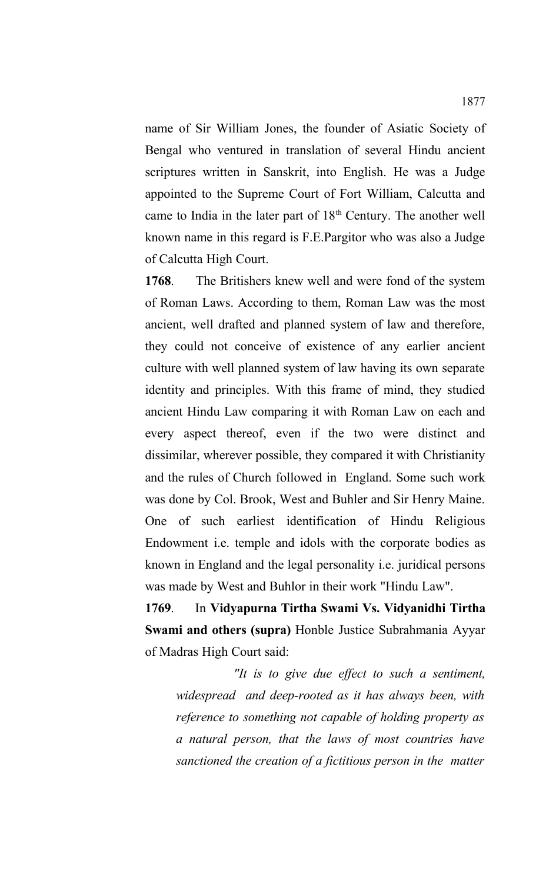name of Sir William Jones, the founder of Asiatic Society of Bengal who ventured in translation of several Hindu ancient scriptures written in Sanskrit, into English. He was a Judge appointed to the Supreme Court of Fort William, Calcutta and came to India in the later part of 18<sup>th</sup> Century. The another well known name in this regard is F.E.Pargitor who was also a Judge of Calcutta High Court.

**1768**. The Britishers knew well and were fond of the system of Roman Laws. According to them, Roman Law was the most ancient, well drafted and planned system of law and therefore, they could not conceive of existence of any earlier ancient culture with well planned system of law having its own separate identity and principles. With this frame of mind, they studied ancient Hindu Law comparing it with Roman Law on each and every aspect thereof, even if the two were distinct and dissimilar, wherever possible, they compared it with Christianity and the rules of Church followed in England. Some such work was done by Col. Brook, West and Buhler and Sir Henry Maine. One of such earliest identification of Hindu Religious Endowment i.e. temple and idols with the corporate bodies as known in England and the legal personality i.e. juridical persons was made by West and Buhlor in their work "Hindu Law".

**1769**. In **Vidyapurna Tirtha Swami Vs. Vidyanidhi Tirtha Swami and others (supra)** Honble Justice Subrahmania Ayyar of Madras High Court said:

*"It is to give due effect to such a sentiment, widespread and deep-rooted as it has always been, with reference to something not capable of holding property as a natural person, that the laws of most countries have sanctioned the creation of a fictitious person in the matter*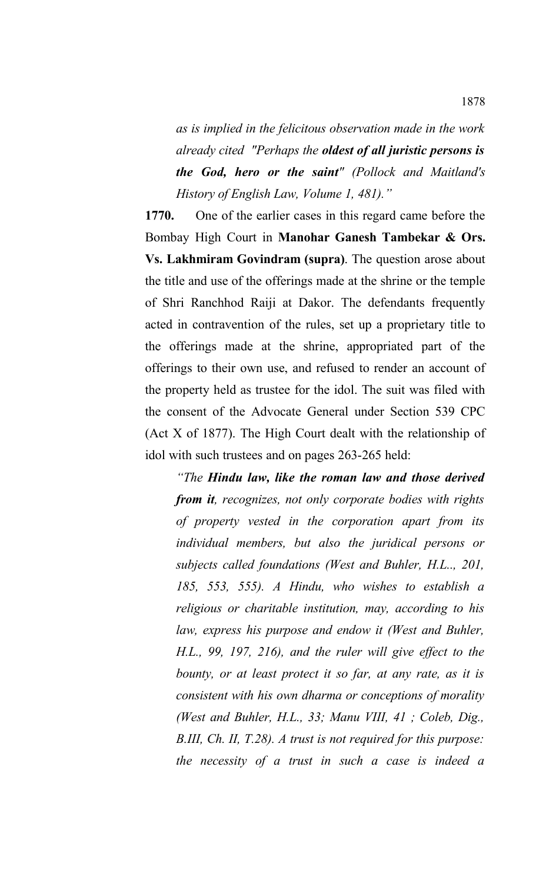*as is implied in the felicitous observation made in the work already cited "Perhaps the oldest of all juristic persons is the God, hero or the saint" (Pollock and Maitland's History of English Law, Volume 1, 481)."* 

**1770.** One of the earlier cases in this regard came before the Bombay High Court in **Manohar Ganesh Tambekar & Ors. Vs. Lakhmiram Govindram (supra)**. The question arose about the title and use of the offerings made at the shrine or the temple of Shri Ranchhod Raiji at Dakor. The defendants frequently acted in contravention of the rules, set up a proprietary title to the offerings made at the shrine, appropriated part of the offerings to their own use, and refused to render an account of the property held as trustee for the idol. The suit was filed with the consent of the Advocate General under Section 539 CPC (Act X of 1877). The High Court dealt with the relationship of idol with such trustees and on pages 263-265 held:

*"The Hindu law, like the roman law and those derived from it, recognizes, not only corporate bodies with rights of property vested in the corporation apart from its individual members, but also the juridical persons or subjects called foundations (West and Buhler, H.L.., 201, 185, 553, 555). A Hindu, who wishes to establish a religious or charitable institution, may, according to his law, express his purpose and endow it (West and Buhler, H.L., 99, 197, 216), and the ruler will give effect to the bounty, or at least protect it so far, at any rate, as it is consistent with his own dharma or conceptions of morality (West and Buhler, H.L., 33; Manu VIII, 41 ; Coleb, Dig., B.III, Ch. II, T.28). A trust is not required for this purpose: the necessity of a trust in such a case is indeed a*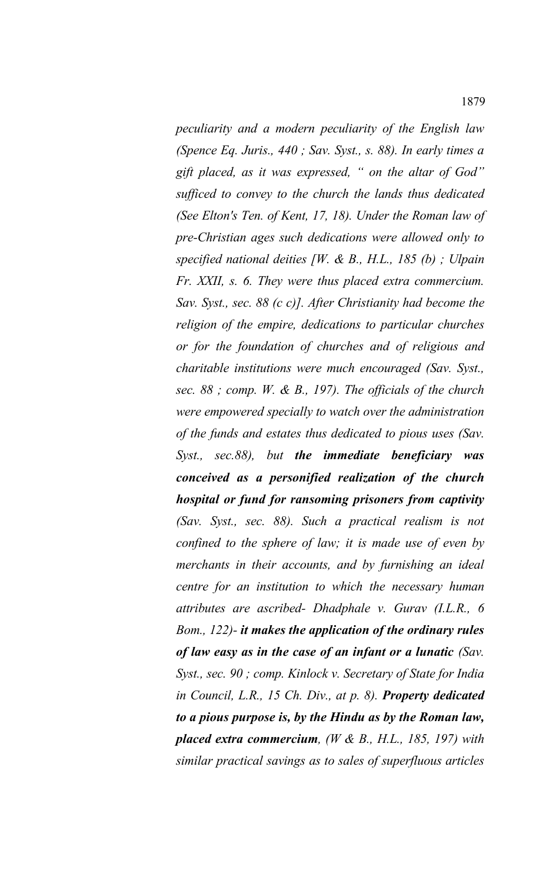*peculiarity and a modern peculiarity of the English law (Spence Eq. Juris., 440 ; Sav. Syst., s. 88). In early times a gift placed, as it was expressed, " on the altar of God" sufficed to convey to the church the lands thus dedicated (See Elton's Ten. of Kent, 17, 18). Under the Roman law of pre-Christian ages such dedications were allowed only to specified national deities [W. & B., H.L., 185 (b) ; Ulpain Fr. XXII, s. 6. They were thus placed extra commercium. Sav. Syst., sec. 88 (c c)]. After Christianity had become the religion of the empire, dedications to particular churches or for the foundation of churches and of religious and charitable institutions were much encouraged (Sav. Syst., sec. 88 ; comp. W. & B., 197). The officials of the church were empowered specially to watch over the administration of the funds and estates thus dedicated to pious uses (Sav. Syst., sec.88), but the immediate beneficiary was conceived as a personified realization of the church hospital or fund for ransoming prisoners from captivity (Sav. Syst., sec. 88). Such a practical realism is not confined to the sphere of law; it is made use of even by merchants in their accounts, and by furnishing an ideal centre for an institution to which the necessary human attributes are ascribed- Dhadphale v. Gurav (I.L.R., 6 Bom., 122)- it makes the application of the ordinary rules of law easy as in the case of an infant or a lunatic (Sav. Syst., sec. 90 ; comp. Kinlock v. Secretary of State for India in Council, L.R., 15 Ch. Div., at p. 8). Property dedicated to a pious purpose is, by the Hindu as by the Roman law, placed extra commercium, (W & B., H.L., 185, 197) with similar practical savings as to sales of superfluous articles*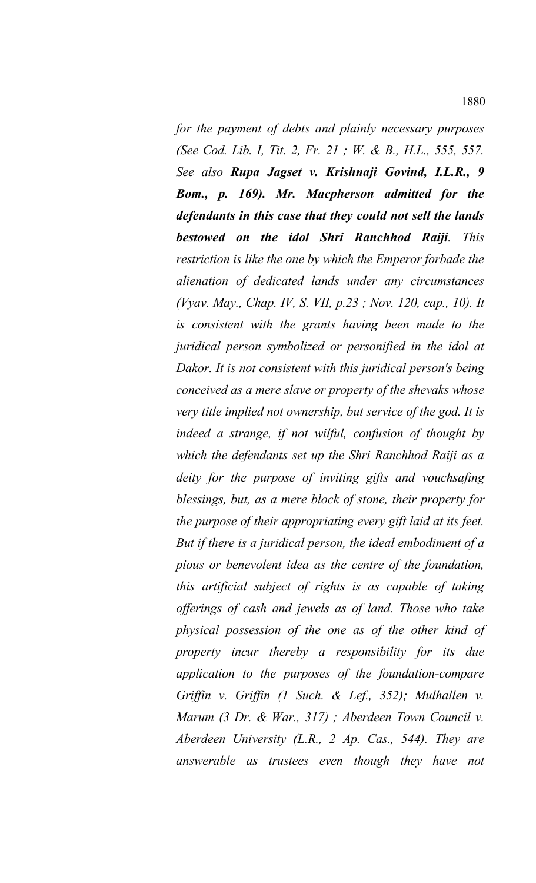*for the payment of debts and plainly necessary purposes (See Cod. Lib. I, Tit. 2, Fr. 21 ; W. & B., H.L., 555, 557. See also Rupa Jagset v. Krishnaji Govind, I.L.R., 9 Bom., p. 169). Mr. Macpherson admitted for the defendants in this case that they could not sell the lands bestowed on the idol Shri Ranchhod Raiji. This restriction is like the one by which the Emperor forbade the alienation of dedicated lands under any circumstances (Vyav. May., Chap. IV, S. VII, p.23 ; Nov. 120, cap., 10). It is consistent with the grants having been made to the juridical person symbolized or personified in the idol at Dakor. It is not consistent with this juridical person's being conceived as a mere slave or property of the shevaks whose very title implied not ownership, but service of the god. It is indeed a strange, if not wilful, confusion of thought by which the defendants set up the Shri Ranchhod Raiji as a deity for the purpose of inviting gifts and vouchsafing blessings, but, as a mere block of stone, their property for the purpose of their appropriating every gift laid at its feet. But if there is a juridical person, the ideal embodiment of a pious or benevolent idea as the centre of the foundation, this artificial subject of rights is as capable of taking offerings of cash and jewels as of land. Those who take physical possession of the one as of the other kind of property incur thereby a responsibility for its due application to the purposes of the foundation-compare Griffin v. Griffin (1 Such. & Lef., 352); Mulhallen v. Marum (3 Dr. & War., 317) ; Aberdeen Town Council v. Aberdeen University (L.R., 2 Ap. Cas., 544). They are answerable as trustees even though they have not*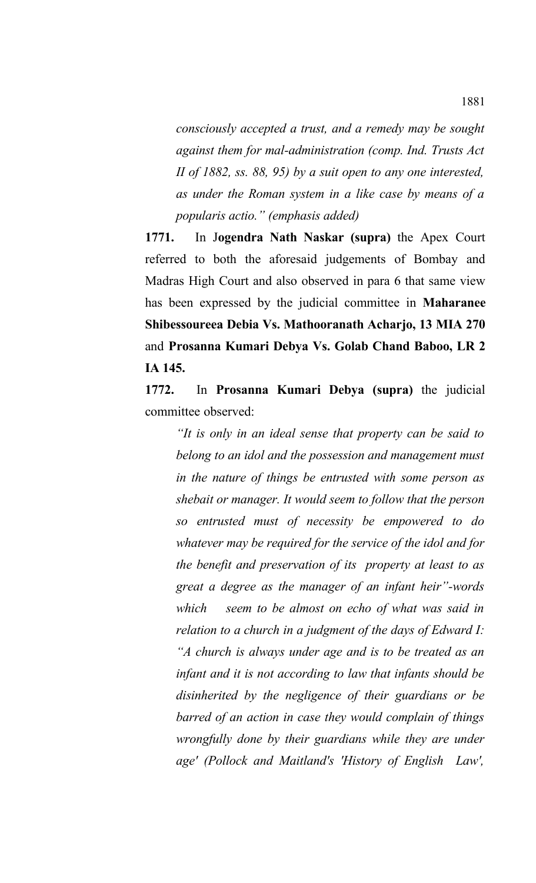*consciously accepted a trust, and a remedy may be sought against them for mal-administration (comp. Ind. Trusts Act II of 1882, ss. 88, 95) by a suit open to any one interested, as under the Roman system in a like case by means of a popularis actio." (emphasis added)*

**1771.** In J**ogendra Nath Naskar (supra)** the Apex Court referred to both the aforesaid judgements of Bombay and Madras High Court and also observed in para 6 that same view has been expressed by the judicial committee in **Maharanee Shibessoureea Debia Vs. Mathooranath Acharjo, 13 MIA 270** and **Prosanna Kumari Debya Vs. Golab Chand Baboo, LR 2 IA 145.** 

**1772.** In **Prosanna Kumari Debya (supra)** the judicial committee observed:

*"It is only in an ideal sense that property can be said to belong to an idol and the possession and management must in the nature of things be entrusted with some person as shebait or manager. It would seem to follow that the person so entrusted must of necessity be empowered to do whatever may be required for the service of the idol and for the benefit and preservation of its property at least to as great a degree as the manager of an infant heir"-words which seem to be almost on echo of what was said in relation to a church in a judgment of the days of Edward I: "A church is always under age and is to be treated as an infant and it is not according to law that infants should be disinherited by the negligence of their guardians or be barred of an action in case they would complain of things wrongfully done by their guardians while they are under age' (Pollock and Maitland's 'History of English Law',*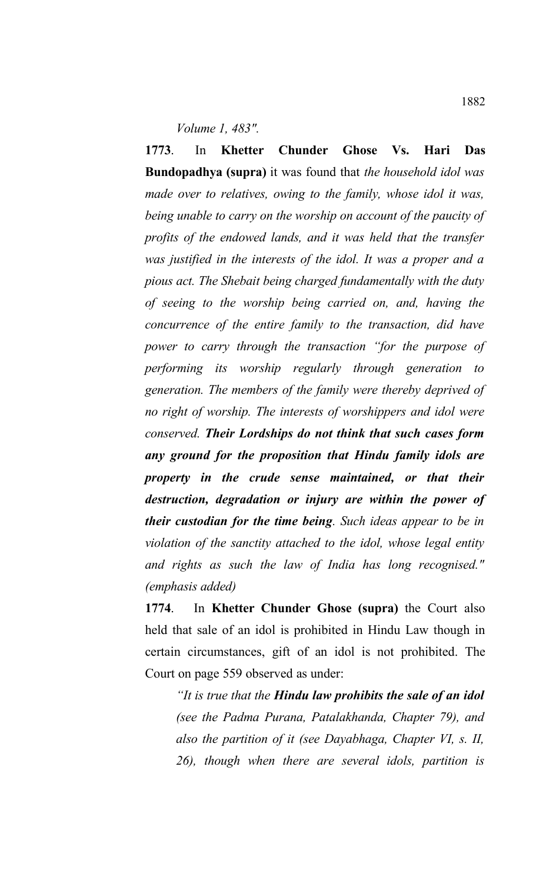*Volume 1, 483".*

**1773**. In **Khetter Chunder Ghose Vs. Hari Das Bundopadhya (supra)** it was found that *the household idol was made over to relatives, owing to the family, whose idol it was, being unable to carry on the worship on account of the paucity of profits of the endowed lands, and it was held that the transfer was justified in the interests of the idol. It was a proper and a pious act. The Shebait being charged fundamentally with the duty of seeing to the worship being carried on, and, having the concurrence of the entire family to the transaction, did have power to carry through the transaction "for the purpose of performing its worship regularly through generation to generation. The members of the family were thereby deprived of no right of worship. The interests of worshippers and idol were conserved. Their Lordships do not think that such cases form any ground for the proposition that Hindu family idols are property in the crude sense maintained, or that their destruction, degradation or injury are within the power of their custodian for the time being. Such ideas appear to be in violation of the sanctity attached to the idol, whose legal entity and rights as such the law of India has long recognised." (emphasis added)*

**1774**. In **Khetter Chunder Ghose (supra)** the Court also held that sale of an idol is prohibited in Hindu Law though in certain circumstances, gift of an idol is not prohibited. The Court on page 559 observed as under:

*"It is true that the Hindu law prohibits the sale of an idol (see the Padma Purana, Patalakhanda, Chapter 79), and also the partition of it (see Dayabhaga, Chapter VI, s. II, 26), though when there are several idols, partition is*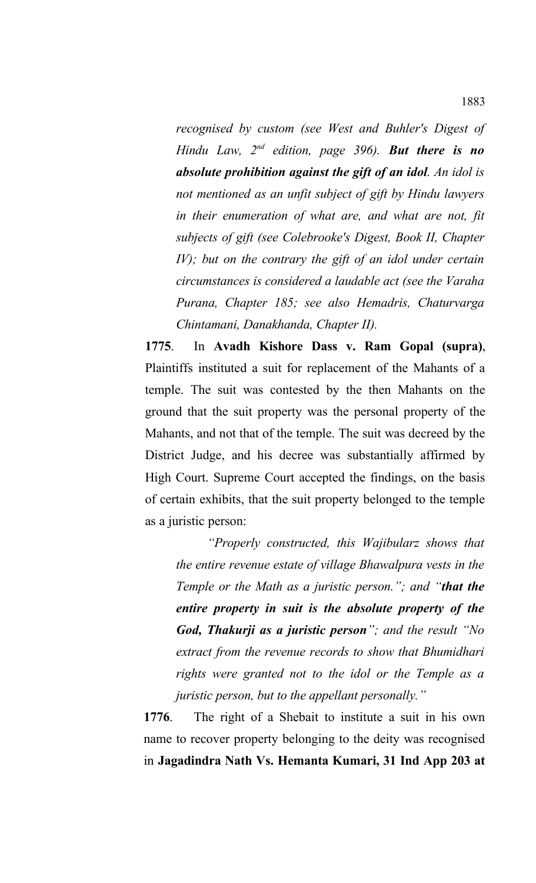*recognised by custom (see West and Buhler's Digest of Hindu Law, 2nd edition, page 396). But there is no absolute prohibition against the gift of an idol. An idol is not mentioned as an unfit subject of gift by Hindu lawyers in their enumeration of what are, and what are not, fit subjects of gift (see Colebrooke's Digest, Book II, Chapter IV); but on the contrary the gift of an idol under certain circumstances is considered a laudable act (see the Varaha Purana, Chapter 185; see also Hemadris, Chaturvarga Chintamani, Danakhanda, Chapter II).*

**1775**. In **Avadh Kishore Dass v. Ram Gopal (supra)**, Plaintiffs instituted a suit for replacement of the Mahants of a temple. The suit was contested by the then Mahants on the ground that the suit property was the personal property of the Mahants, and not that of the temple. The suit was decreed by the District Judge, and his decree was substantially affirmed by High Court. Supreme Court accepted the findings, on the basis of certain exhibits, that the suit property belonged to the temple as a juristic person:

*"Properly constructed, this Wajibularz shows that the entire revenue estate of village Bhawalpura vests in the Temple or the Math as a juristic person."; and "that the entire property in suit is the absolute property of the God, Thakurji as a juristic person"; and the result "No extract from the revenue records to show that Bhumidhari rights were granted not to the idol or the Temple as a juristic person, but to the appellant personally."* 

**1776**. The right of a Shebait to institute a suit in his own name to recover property belonging to the deity was recognised in **Jagadindra Nath Vs. Hemanta Kumari, 31 Ind App 203 at**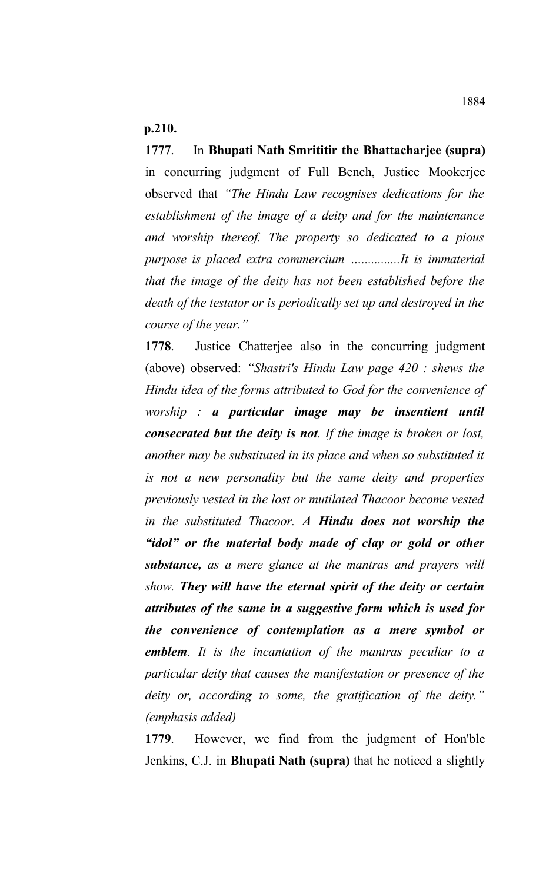**p.210.**

**1777**. In **Bhupati Nath Smrititir the Bhattacharjee (supra)** in concurring judgment of Full Bench, Justice Mookerjee observed that *"The Hindu Law recognises dedications for the establishment of the image of a deity and for the maintenance and worship thereof. The property so dedicated to a pious purpose is placed extra commercium …............It is immaterial that the image of the deity has not been established before the death of the testator or is periodically set up and destroyed in the course of the year."*

**1778**. Justice Chatterjee also in the concurring judgment (above) observed: *"Shastri's Hindu Law page 420 : shews the Hindu idea of the forms attributed to God for the convenience of worship : a particular image may be insentient until consecrated but the deity is not. If the image is broken or lost, another may be substituted in its place and when so substituted it is not a new personality but the same deity and properties previously vested in the lost or mutilated Thacoor become vested in the substituted Thacoor. A Hindu does not worship the "idol" or the material body made of clay or gold or other substance, as a mere glance at the mantras and prayers will show. They will have the eternal spirit of the deity or certain attributes of the same in a suggestive form which is used for the convenience of contemplation as a mere symbol or emblem. It is the incantation of the mantras peculiar to a particular deity that causes the manifestation or presence of the deity or, according to some, the gratification of the deity." (emphasis added)*

**1779**. However, we find from the judgment of Hon'ble Jenkins, C.J. in **Bhupati Nath (supra)** that he noticed a slightly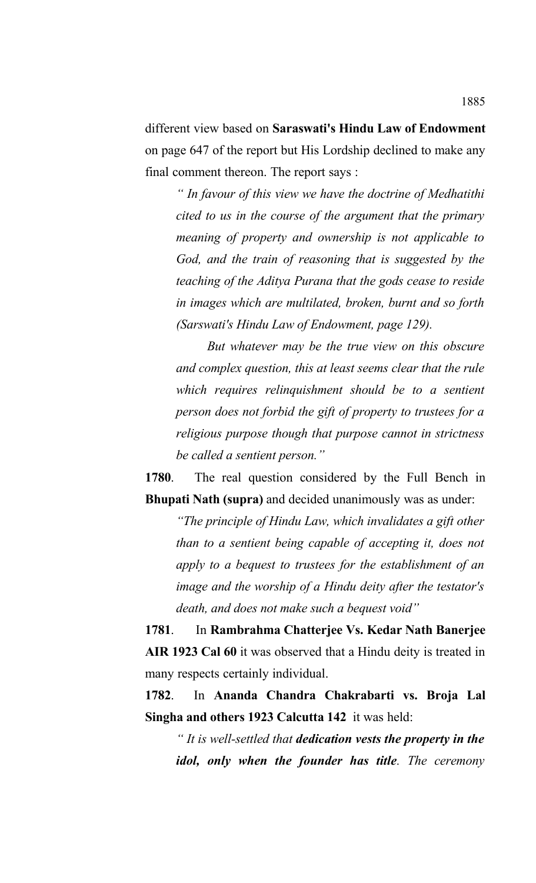different view based on **Saraswati's Hindu Law of Endowment** on page 647 of the report but His Lordship declined to make any final comment thereon. The report says :

*" In favour of this view we have the doctrine of Medhatithi cited to us in the course of the argument that the primary meaning of property and ownership is not applicable to God, and the train of reasoning that is suggested by the teaching of the Aditya Purana that the gods cease to reside in images which are multilated, broken, burnt and so forth (Sarswati's Hindu Law of Endowment, page 129).* 

*But whatever may be the true view on this obscure and complex question, this at least seems clear that the rule which requires relinquishment should be to a sentient person does not forbid the gift of property to trustees for a religious purpose though that purpose cannot in strictness be called a sentient person."*

**1780**. The real question considered by the Full Bench in **Bhupati Nath (supra)** and decided unanimously was as under:

*"The principle of Hindu Law, which invalidates a gift other than to a sentient being capable of accepting it, does not apply to a bequest to trustees for the establishment of an image and the worship of a Hindu deity after the testator's death, and does not make such a bequest void"*

**1781**. In **Rambrahma Chatterjee Vs. Kedar Nath Banerjee AIR 1923 Cal 60** it was observed that a Hindu deity is treated in many respects certainly individual.

**1782**. In **Ananda Chandra Chakrabarti vs. Broja Lal Singha and others 1923 Calcutta 142** it was held:

*" It is well-settled that dedication vests the property in the idol, only when the founder has title. The ceremony*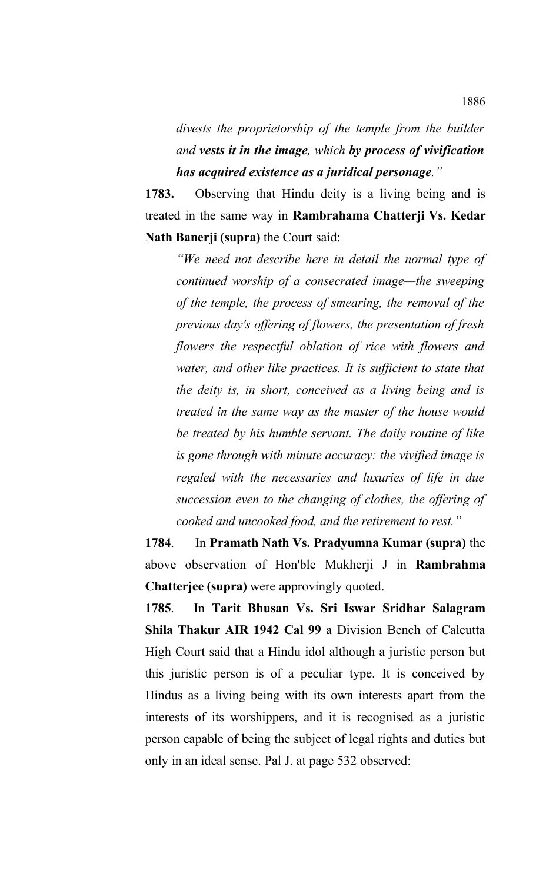*divests the proprietorship of the temple from the builder and vests it in the image, which by process of vivification has acquired existence as a juridical personage."* 

**1783.** Observing that Hindu deity is a living being and is treated in the same way in **Rambrahama Chatterji Vs. Kedar Nath Banerji (supra)** the Court said:

*"We need not describe here in detail the normal type of continued worship of a consecrated image—the sweeping of the temple, the process of smearing, the removal of the previous day's offering of flowers, the presentation of fresh flowers the respectful oblation of rice with flowers and water, and other like practices. It is sufficient to state that the deity is, in short, conceived as a living being and is treated in the same way as the master of the house would be treated by his humble servant. The daily routine of like is gone through with minute accuracy: the vivified image is regaled with the necessaries and luxuries of life in due succession even to the changing of clothes, the offering of cooked and uncooked food, and the retirement to rest."* 

**1784**. In **Pramath Nath Vs. Pradyumna Kumar (supra)** the above observation of Hon'ble Mukherji J in **Rambrahma Chatterjee (supra)** were approvingly quoted.

**1785**. In **Tarit Bhusan Vs. Sri Iswar Sridhar Salagram Shila Thakur AIR 1942 Cal 99** a Division Bench of Calcutta High Court said that a Hindu idol although a juristic person but this juristic person is of a peculiar type. It is conceived by Hindus as a living being with its own interests apart from the interests of its worshippers, and it is recognised as a juristic person capable of being the subject of legal rights and duties but only in an ideal sense. Pal J. at page 532 observed: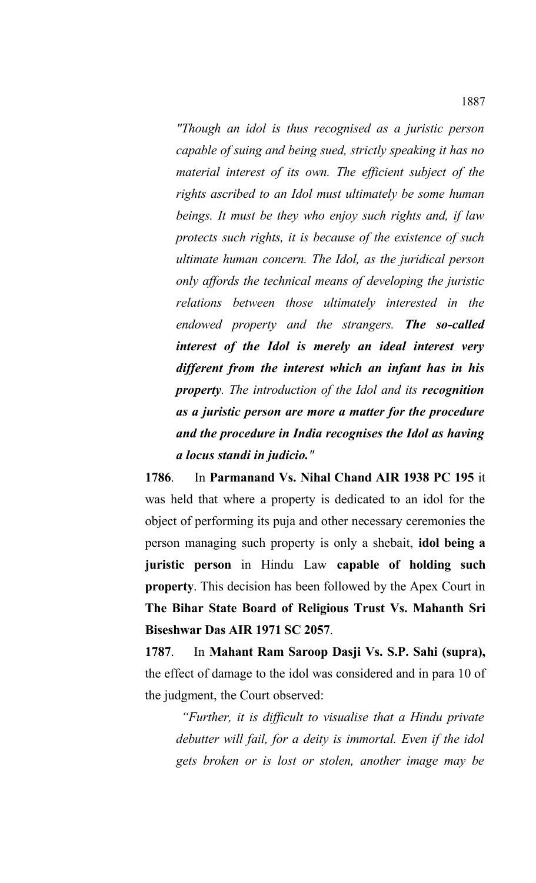*"Though an idol is thus recognised as a juristic person capable of suing and being sued, strictly speaking it has no material interest of its own. The efficient subject of the rights ascribed to an Idol must ultimately be some human beings. It must be they who enjoy such rights and, if law protects such rights, it is because of the existence of such ultimate human concern. The Idol, as the juridical person only affords the technical means of developing the juristic relations between those ultimately interested in the endowed property and the strangers. The so-called interest of the Idol is merely an ideal interest very different from the interest which an infant has in his property. The introduction of the Idol and its recognition as a juristic person are more a matter for the procedure and the procedure in India recognises the Idol as having a locus standi in judicio."*

**1786**. In **Parmanand Vs. Nihal Chand AIR 1938 PC 195** it was held that where a property is dedicated to an idol for the object of performing its puja and other necessary ceremonies the person managing such property is only a shebait, **idol being a juristic person** in Hindu Law **capable of holding such property**. This decision has been followed by the Apex Court in **The Bihar State Board of Religious Trust Vs. Mahanth Sri Biseshwar Das AIR 1971 SC 2057**.

**1787**. In **Mahant Ram Saroop Dasji Vs. S.P. Sahi (supra),** the effect of damage to the idol was considered and in para 10 of the judgment, the Court observed:

 *"Further, it is difficult to visualise that a Hindu private debutter will fail, for a deity is immortal. Even if the idol gets broken or is lost or stolen, another image may be*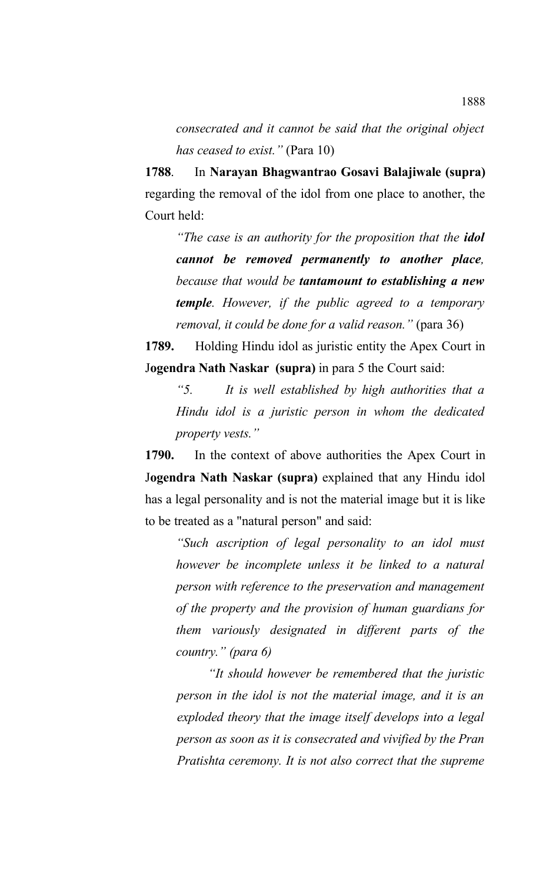*consecrated and it cannot be said that the original object has ceased to exist."* (Para 10)

**1788**. In **Narayan Bhagwantrao Gosavi Balajiwale (supra)** regarding the removal of the idol from one place to another, the Court held:

*"The case is an authority for the proposition that the idol cannot be removed permanently to another place, because that would be tantamount to establishing a new temple. However, if the public agreed to a temporary removal, it could be done for a valid reason."* (para 36)

**1789.** Holding Hindu idol as juristic entity the Apex Court in J**ogendra Nath Naskar (supra)** in para 5 the Court said:

*"5. It is well established by high authorities that a Hindu idol is a juristic person in whom the dedicated property vests."*

**1790.** In the context of above authorities the Apex Court in J**ogendra Nath Naskar (supra)** explained that any Hindu idol has a legal personality and is not the material image but it is like to be treated as a "natural person" and said:

*"Such ascription of legal personality to an idol must however be incomplete unless it be linked to a natural person with reference to the preservation and management of the property and the provision of human guardians for them variously designated in different parts of the country." (para 6)*

*"It should however be remembered that the juristic person in the idol is not the material image, and it is an exploded theory that the image itself develops into a legal person as soon as it is consecrated and vivified by the Pran Pratishta ceremony. It is not also correct that the supreme*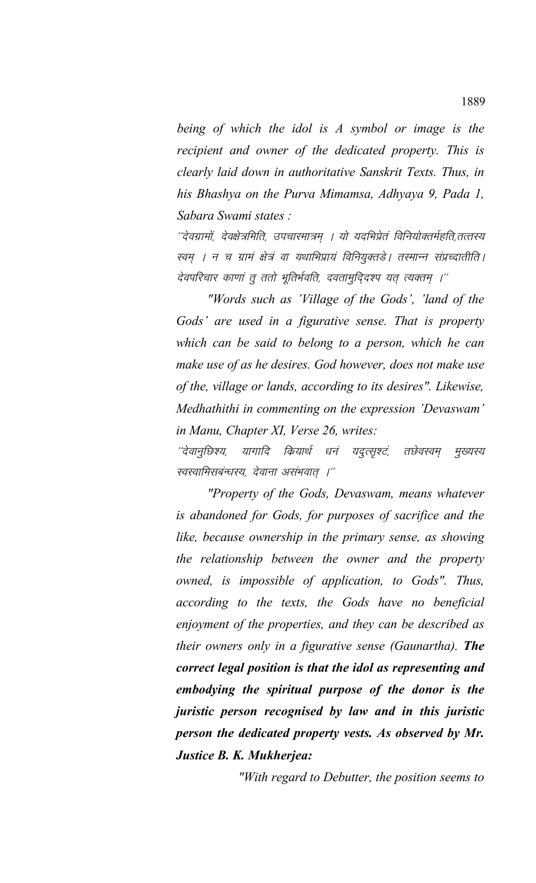*being of which the idol is A symbol or image is the recipient and owner of the dedicated property. This is clearly laid down in authoritative Sanskrit Texts. Thus, in his Bhashya on the Purva Mimamsa, Adhyaya 9, Pada 1, Sabara Swami states :*

''देवग्रामों, देवक्षेत्रमिति, उपचारमात्रम् । यो यदभिप्रेतं विनियोक्तर्महति,तत्त्तस्य स्वम् । न च ग्रामं क्षेत्रं वा यथाभिप्रायं विनियुक्तडे। तस्मान्न संप्रच्दातीति। देवपरिचार काणां तु ततो भूतिर्भवति, दवतामुदि्दश्प यत् त्यक्तम् ।''

*"Words such as 'Village of the Gods', 'land of the Gods' are used in a figurative sense. That is property which can be said to belong to a person, which he can make use of as he desires. God however, does not make use of the, village or lands, according to its desires". Likewise, Medhathithi in commenting on the expression 'Devaswam' in Manu, Chapter XI, Verse 26, writes:*

''देवानुछिश्य, यागादि क्रियार्थ धनं यदुत्सृश्टं, तछेवस्वम् <u>मुख्यस्य</u> स्वस्वामिसबंन्धस्य, देवाना असंभवात् ।"

*"Property of the Gods, Devaswam, means whatever is abandoned for Gods, for purposes of sacrifice and the like, because ownership in the primary sense, as showing the relationship between the owner and the property owned, is impossible of application, to Gods". Thus, according to the texts, the Gods have no beneficial enjoyment of the properties, and they can be described as their owners only in a figurative sense (Gaunartha). The correct legal position is that the idol as representing and embodying the spiritual purpose of the donor is the juristic person recognised by law and in this juristic person the dedicated property vests. As observed by Mr. Justice B. K. Mukherjea:*

*"With regard to Debutter, the position seems to*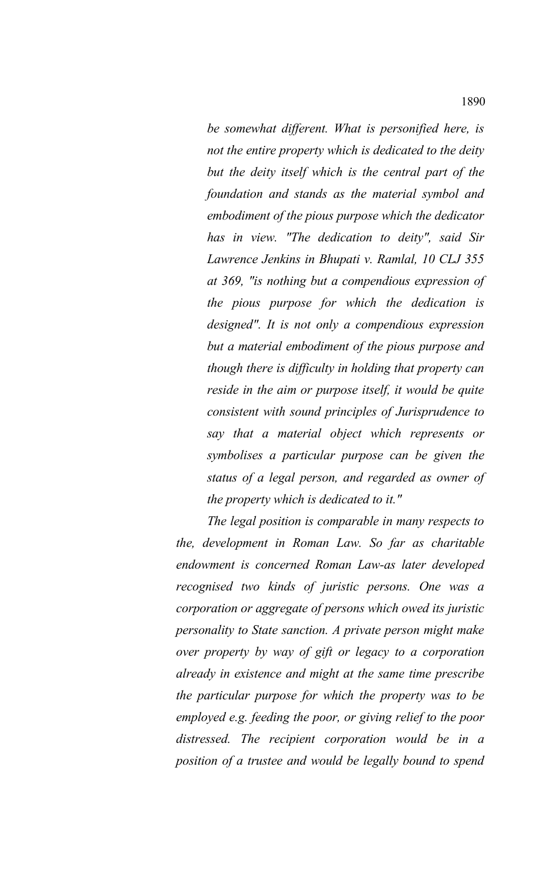*be somewhat different. What is personified here, is not the entire property which is dedicated to the deity but the deity itself which is the central part of the foundation and stands as the material symbol and embodiment of the pious purpose which the dedicator has in view. "The dedication to deity", said Sir Lawrence Jenkins in Bhupati v. Ramlal, 10 CLJ 355 at 369, "is nothing but a compendious expression of the pious purpose for which the dedication is designed". It is not only a compendious expression but a material embodiment of the pious purpose and though there is difficulty in holding that property can reside in the aim or purpose itself, it would be quite consistent with sound principles of Jurisprudence to say that a material object which represents or symbolises a particular purpose can be given the status of a legal person, and regarded as owner of the property which is dedicated to it."*

*The legal position is comparable in many respects to the, development in Roman Law. So far as charitable endowment is concerned Roman Law-as later developed recognised two kinds of juristic persons. One was a corporation or aggregate of persons which owed its juristic personality to State sanction. A private person might make over property by way of gift or legacy to a corporation already in existence and might at the same time prescribe the particular purpose for which the property was to be employed e.g. feeding the poor, or giving relief to the poor distressed. The recipient corporation would be in a position of a trustee and would be legally bound to spend*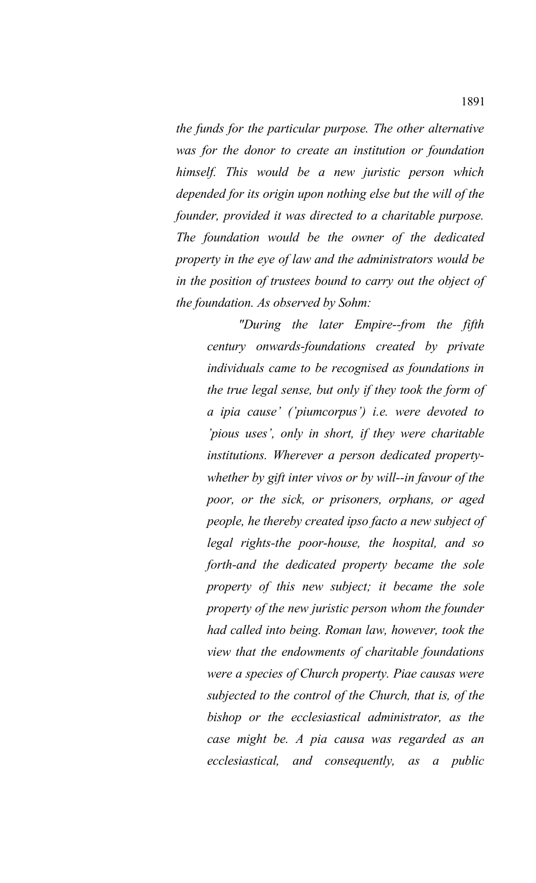*the funds for the particular purpose. The other alternative was for the donor to create an institution or foundation himself. This would be a new juristic person which depended for its origin upon nothing else but the will of the founder, provided it was directed to a charitable purpose. The foundation would be the owner of the dedicated property in the eye of law and the administrators would be in the position of trustees bound to carry out the object of the foundation. As observed by Sohm:*

*"During the later Empire--from the fifth century onwards-foundations created by private individuals came to be recognised as foundations in the true legal sense, but only if they took the form of a ipia cause' ('piumcorpus') i.e. were devoted to 'pious uses', only in short, if they were charitable institutions. Wherever a person dedicated propertywhether by gift inter vivos or by will--in favour of the poor, or the sick, or prisoners, orphans, or aged people, he thereby created ipso facto a new subject of legal rights-the poor-house, the hospital, and so forth-and the dedicated property became the sole property of this new subject; it became the sole property of the new juristic person whom the founder had called into being. Roman law, however, took the view that the endowments of charitable foundations were a species of Church property. Piae causas were subjected to the control of the Church, that is, of the bishop or the ecclesiastical administrator, as the case might be. A pia causa was regarded as an ecclesiastical, and consequently, as a public*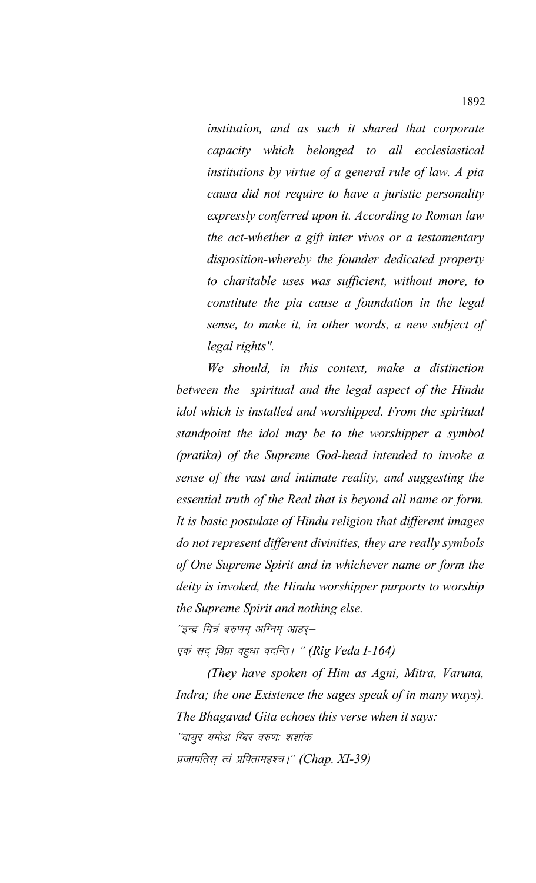*institution, and as such it shared that corporate capacity which belonged to all ecclesiastical institutions by virtue of a general rule of law. A pia causa did not require to have a juristic personality expressly conferred upon it. According to Roman law the act-whether a gift inter vivos or a testamentary disposition-whereby the founder dedicated property to charitable uses was sufficient, without more, to constitute the pia cause a foundation in the legal sense, to make it, in other words, a new subject of legal rights".*

*We should, in this context, make a distinction between the spiritual and the legal aspect of the Hindu idol which is installed and worshipped. From the spiritual standpoint the idol may be to the worshipper a symbol (pratika) of the Supreme God-head intended to invoke a sense of the vast and intimate reality, and suggesting the essential truth of the Real that is beyond all name or form. It is basic postulate of Hindu religion that different images do not represent different divinities, they are really symbols of One Supreme Spirit and in whichever name or form the deity is invoked, the Hindu worshipper purports to worship the Supreme Spirit and nothing else.* "इन्द्र मित्रं बरुणम् अग्निम् आहर्—

एकं सद् विप्रा वहुधा वदन्ति । " (Rig Veda I-164)

*(They have spoken of Him as Agni, Mitra, Varuna, Indra; the one Existence the sages speak of in many ways). The Bhagavad Gita echoes this verse when it says:* ''वायुर यमोअ ग्बिर वरुण: शशांक प्रजापतिस् त्वं प्रपितामहश्च।" (Chap. XI-39)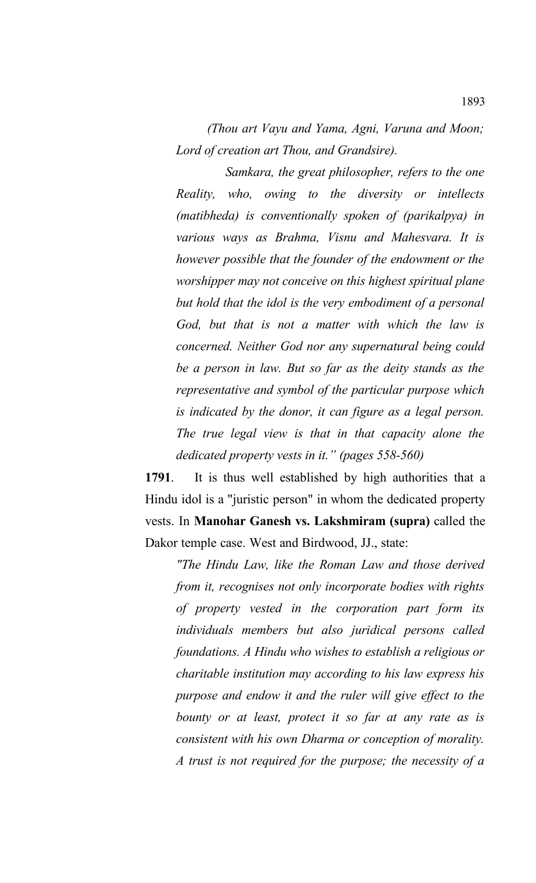*(Thou art Vayu and Yama, Agni, Varuna and Moon; Lord of creation art Thou, and Grandsire).*

*Samkara, the great philosopher, refers to the one Reality, who, owing to the diversity or intellects (matibheda) is conventionally spoken of (parikalpya) in various ways as Brahma, Visnu and Mahesvara. It is however possible that the founder of the endowment or the worshipper may not conceive on this highest spiritual plane but hold that the idol is the very embodiment of a personal God, but that is not a matter with which the law is concerned. Neither God nor any supernatural being could be a person in law. But so far as the deity stands as the representative and symbol of the particular purpose which is indicated by the donor, it can figure as a legal person. The true legal view is that in that capacity alone the dedicated property vests in it." (pages 558-560)*

**1791**. It is thus well established by high authorities that a Hindu idol is a "juristic person" in whom the dedicated property vests. In **Manohar Ganesh vs. Lakshmiram (supra)** called the Dakor temple case. West and Birdwood, JJ., state:

*"The Hindu Law, like the Roman Law and those derived from it, recognises not only incorporate bodies with rights of property vested in the corporation part form its individuals members but also juridical persons called foundations. A Hindu who wishes to establish a religious or charitable institution may according to his law express his purpose and endow it and the ruler will give effect to the bounty or at least, protect it so far at any rate as is consistent with his own Dharma or conception of morality. A trust is not required for the purpose; the necessity of a*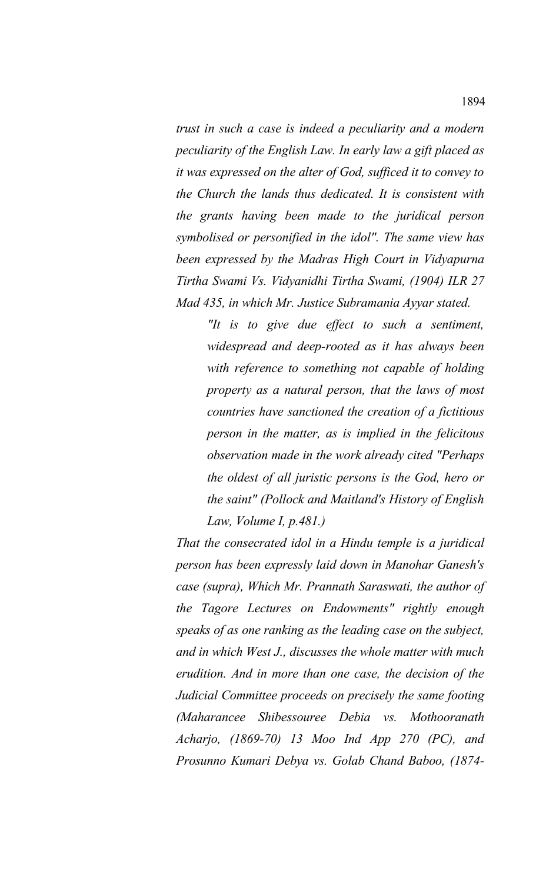*trust in such a case is indeed a peculiarity and a modern peculiarity of the English Law. In early law a gift placed as it was expressed on the alter of God, sufficed it to convey to the Church the lands thus dedicated. It is consistent with the grants having been made to the juridical person symbolised or personified in the idol". The same view has been expressed by the Madras High Court in Vidyapurna Tirtha Swami Vs. Vidyanidhi Tirtha Swami, (1904) ILR 27 Mad 435, in which Mr. Justice Subramania Ayyar stated.* 

*"It is to give due effect to such a sentiment, widespread and deep-rooted as it has always been with reference to something not capable of holding property as a natural person, that the laws of most countries have sanctioned the creation of a fictitious person in the matter, as is implied in the felicitous observation made in the work already cited "Perhaps the oldest of all juristic persons is the God, hero or the saint" (Pollock and Maitland's History of English Law, Volume I, p.481.)*

*That the consecrated idol in a Hindu temple is a juridical person has been expressly laid down in Manohar Ganesh's case (supra), Which Mr. Prannath Saraswati, the author of the Tagore Lectures on Endowments" rightly enough speaks of as one ranking as the leading case on the subject, and in which West J., discusses the whole matter with much erudition. And in more than one case, the decision of the Judicial Committee proceeds on precisely the same footing (Maharancee Shibessouree Debia vs. Mothooranath Acharjo, (1869-70) 13 Moo Ind App 270 (PC), and Prosunno Kumari Debya vs. Golab Chand Baboo, (1874-*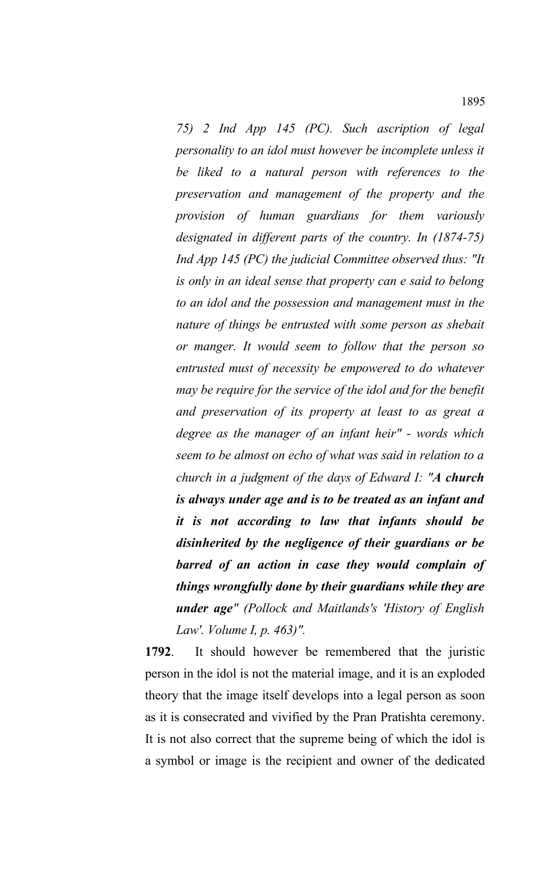*75) 2 Ind App 145 (PC). Such ascription of legal personality to an idol must however be incomplete unless it be liked to a natural person with references to the preservation and management of the property and the provision of human guardians for them variously designated in different parts of the country. In (1874-75) Ind App 145 (PC) the judicial Committee observed thus: "It is only in an ideal sense that property can e said to belong to an idol and the possession and management must in the nature of things be entrusted with some person as shebait or manger. It would seem to follow that the person so entrusted must of necessity be empowered to do whatever may be require for the service of the idol and for the benefit and preservation of its property at least to as great a degree as the manager of an infant heir" - words which seem to be almost on echo of what was said in relation to a church in a judgment of the days of Edward I: "A church is always under age and is to be treated as an infant and it is not according to law that infants should be disinherited by the negligence of their guardians or be barred of an action in case they would complain of things wrongfully done by their guardians while they are under age" (Pollock and Maitlands's 'History of English Law'. Volume I, p. 463)".* 

**1792**. It should however be remembered that the juristic person in the idol is not the material image, and it is an exploded theory that the image itself develops into a legal person as soon as it is consecrated and vivified by the Pran Pratishta ceremony. It is not also correct that the supreme being of which the idol is a symbol or image is the recipient and owner of the dedicated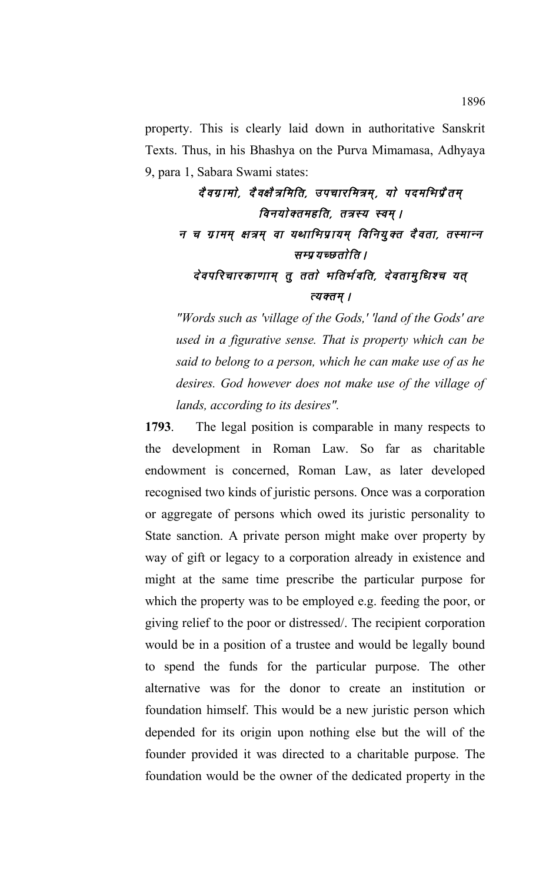property. This is clearly laid down in authoritative Sanskrit Texts. Thus, in his Bhashya on the Purva Mimamasa, Adhyaya 9, para 1, Sabara Swami states:

## दैवग्रामो, दैवक्षैत्रमिति, उपचारमित्रम्, यो पदमभिप्रैतम् विनयोक्तमहति, तत्रस्य स्वम् । न च ग्रामम् क्षत्रम् वा यथाभिप्रायम् विनियुक्त दैवता, तस्मान्न सम्प्र यच्छतोति । देवपरिचारकाणाम् त् ततो भतिर्भवति, देवताम् धिश्च यत्  $\overline{c}$ यक्तम् ।

*"Words such as 'village of the Gods,' 'land of the Gods' are used in a figurative sense. That is property which can be said to belong to a person, which he can make use of as he desires. God however does not make use of the village of lands, according to its desires".* 

**1793**. The legal position is comparable in many respects to the development in Roman Law. So far as charitable endowment is concerned, Roman Law, as later developed recognised two kinds of juristic persons. Once was a corporation or aggregate of persons which owed its juristic personality to State sanction. A private person might make over property by way of gift or legacy to a corporation already in existence and might at the same time prescribe the particular purpose for which the property was to be employed e.g. feeding the poor, or giving relief to the poor or distressed/. The recipient corporation would be in a position of a trustee and would be legally bound to spend the funds for the particular purpose. The other alternative was for the donor to create an institution or foundation himself. This would be a new juristic person which depended for its origin upon nothing else but the will of the founder provided it was directed to a charitable purpose. The foundation would be the owner of the dedicated property in the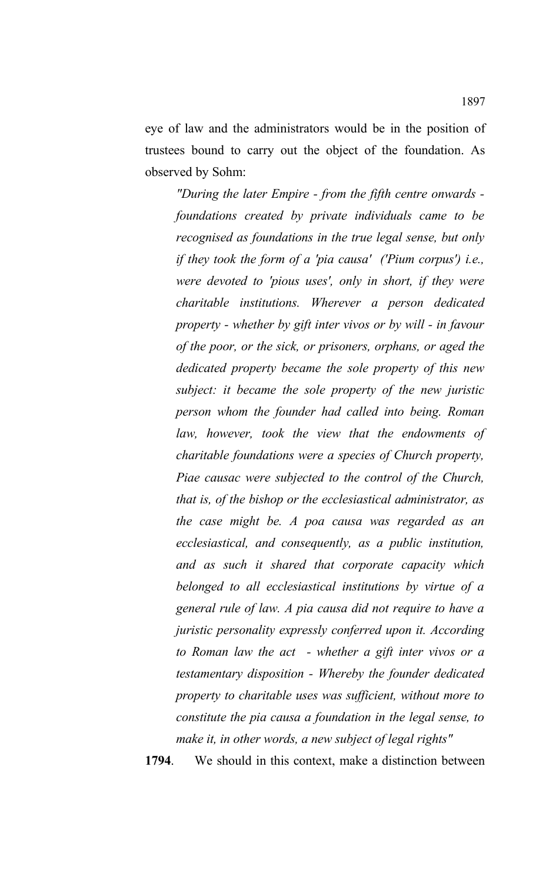eye of law and the administrators would be in the position of trustees bound to carry out the object of the foundation. As observed by Sohm:

*"During the later Empire - from the fifth centre onwards foundations created by private individuals came to be recognised as foundations in the true legal sense, but only if they took the form of a 'pia causa' ('Pium corpus') i.e., were devoted to 'pious uses', only in short, if they were charitable institutions. Wherever a person dedicated property - whether by gift inter vivos or by will - in favour of the poor, or the sick, or prisoners, orphans, or aged the dedicated property became the sole property of this new subject: it became the sole property of the new juristic person whom the founder had called into being. Roman law, however, took the view that the endowments of charitable foundations were a species of Church property, Piae causac were subjected to the control of the Church, that is, of the bishop or the ecclesiastical administrator, as the case might be. A poa causa was regarded as an ecclesiastical, and consequently, as a public institution, and as such it shared that corporate capacity which belonged to all ecclesiastical institutions by virtue of a general rule of law. A pia causa did not require to have a juristic personality expressly conferred upon it. According to Roman law the act - whether a gift inter vivos or a testamentary disposition - Whereby the founder dedicated property to charitable uses was sufficient, without more to constitute the pia causa a foundation in the legal sense, to make it, in other words, a new subject of legal rights"*

**1794**. We should in this context, make a distinction between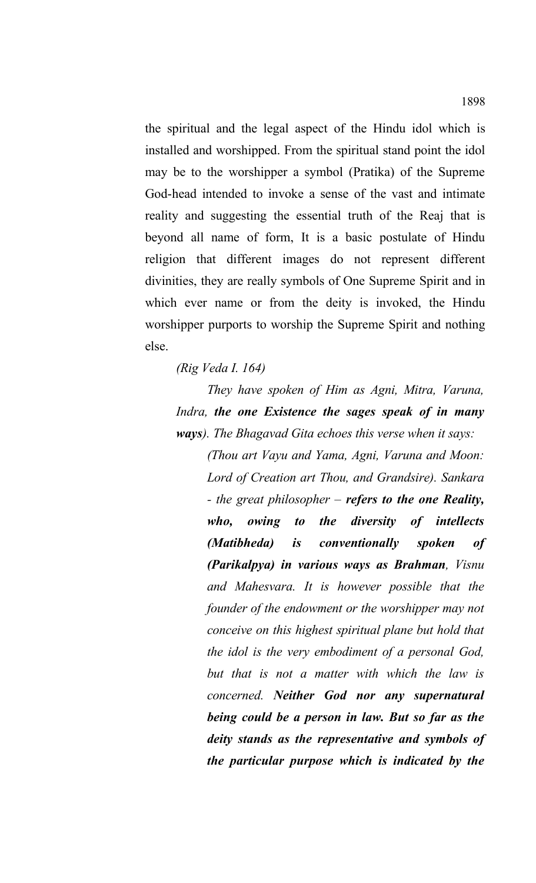the spiritual and the legal aspect of the Hindu idol which is installed and worshipped. From the spiritual stand point the idol may be to the worshipper a symbol (Pratika) of the Supreme God-head intended to invoke a sense of the vast and intimate reality and suggesting the essential truth of the Reaj that is beyond all name of form, It is a basic postulate of Hindu religion that different images do not represent different divinities, they are really symbols of One Supreme Spirit and in which ever name or from the deity is invoked, the Hindu worshipper purports to worship the Supreme Spirit and nothing else.

*(Rig Veda I. 164)*

*They have spoken of Him as Agni, Mitra, Varuna, Indra, the one Existence the sages speak of in many ways). The Bhagavad Gita echoes this verse when it says:*

*(Thou art Vayu and Yama, Agni, Varuna and Moon: Lord of Creation art Thou, and Grandsire). Sankara - the great philosopher – refers to the one Reality, who, owing to the diversity of intellects (Matibheda) is conventionally spoken of (Parikalpya) in various ways as Brahman, Visnu and Mahesvara. It is however possible that the founder of the endowment or the worshipper may not conceive on this highest spiritual plane but hold that the idol is the very embodiment of a personal God, but that is not a matter with which the law is concerned. Neither God nor any supernatural being could be a person in law. But so far as the deity stands as the representative and symbols of the particular purpose which is indicated by the*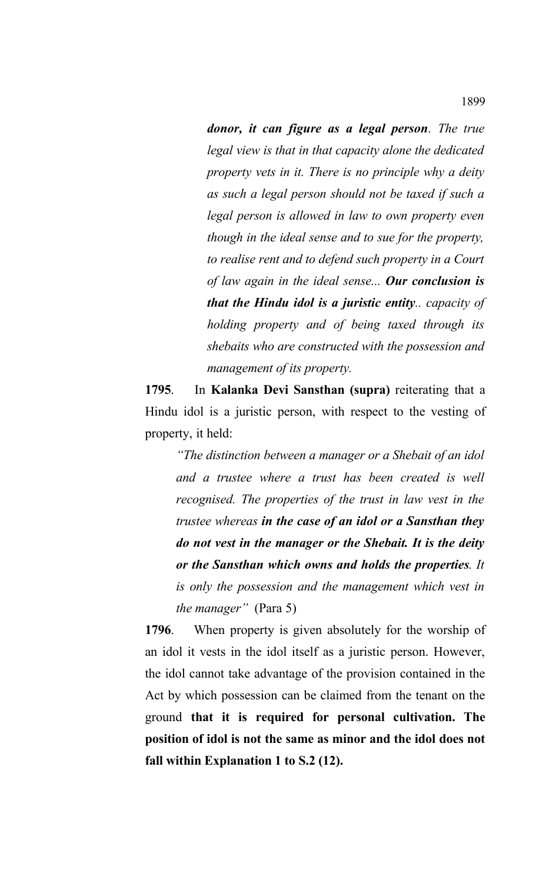*donor, it can figure as a legal person. The true legal view is that in that capacity alone the dedicated property vets in it. There is no principle why a deity as such a legal person should not be taxed if such a legal person is allowed in law to own property even though in the ideal sense and to sue for the property, to realise rent and to defend such property in a Court of law again in the ideal sense... Our conclusion is that the Hindu idol is a juristic entity.. capacity of holding property and of being taxed through its shebaits who are constructed with the possession and management of its property.*

**1795**. In **Kalanka Devi Sansthan (supra)** reiterating that a Hindu idol is a juristic person, with respect to the vesting of property, it held:

*"The distinction between a manager or a Shebait of an idol and a trustee where a trust has been created is well recognised. The properties of the trust in law vest in the trustee whereas in the case of an idol or a Sansthan they do not vest in the manager or the Shebait. It is the deity or the Sansthan which owns and holds the properties. It is only the possession and the management which vest in the manager"* (Para 5)

**1796**. When property is given absolutely for the worship of an idol it vests in the idol itself as a juristic person. However, the idol cannot take advantage of the provision contained in the Act by which possession can be claimed from the tenant on the ground **that it is required for personal cultivation. The position of idol is not the same as minor and the idol does not fall within Explanation 1 to S.2 (12).**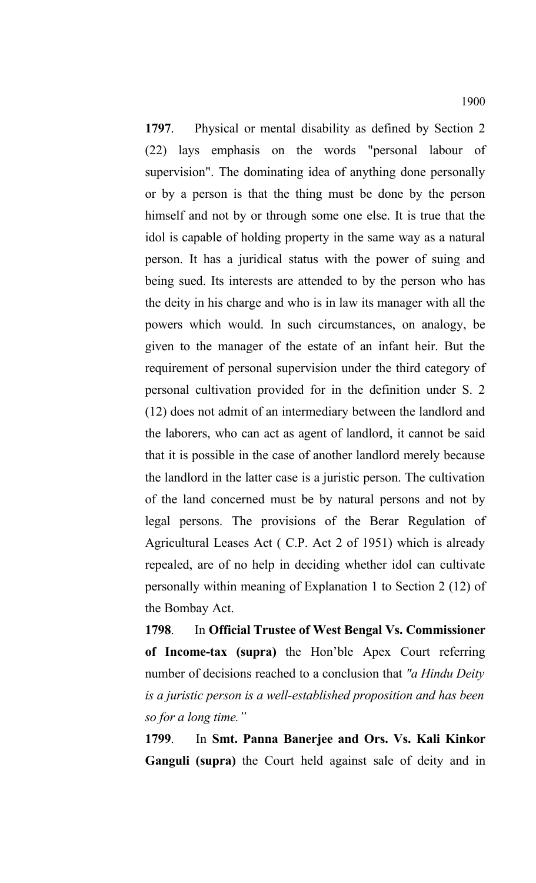**1797**. Physical or mental disability as defined by Section 2 (22) lays emphasis on the words "personal labour of supervision". The dominating idea of anything done personally or by a person is that the thing must be done by the person himself and not by or through some one else. It is true that the idol is capable of holding property in the same way as a natural person. It has a juridical status with the power of suing and being sued. Its interests are attended to by the person who has the deity in his charge and who is in law its manager with all the powers which would. In such circumstances, on analogy, be given to the manager of the estate of an infant heir. But the requirement of personal supervision under the third category of personal cultivation provided for in the definition under S. 2 (12) does not admit of an intermediary between the landlord and the laborers, who can act as agent of landlord, it cannot be said that it is possible in the case of another landlord merely because the landlord in the latter case is a juristic person. The cultivation of the land concerned must be by natural persons and not by legal persons. The provisions of the Berar Regulation of Agricultural Leases Act ( C.P. Act 2 of 1951) which is already repealed, are of no help in deciding whether idol can cultivate personally within meaning of Explanation 1 to Section 2 (12) of the Bombay Act.

**1798**. In **Official Trustee of West Bengal Vs. Commissioner of Income-tax (supra)** the Hon'ble Apex Court referring number of decisions reached to a conclusion that *"a Hindu Deity is a juristic person is a well-established proposition and has been so for a long time."*

**1799**. In **Smt. Panna Banerjee and Ors. Vs. Kali Kinkor Ganguli (supra)** the Court held against sale of deity and in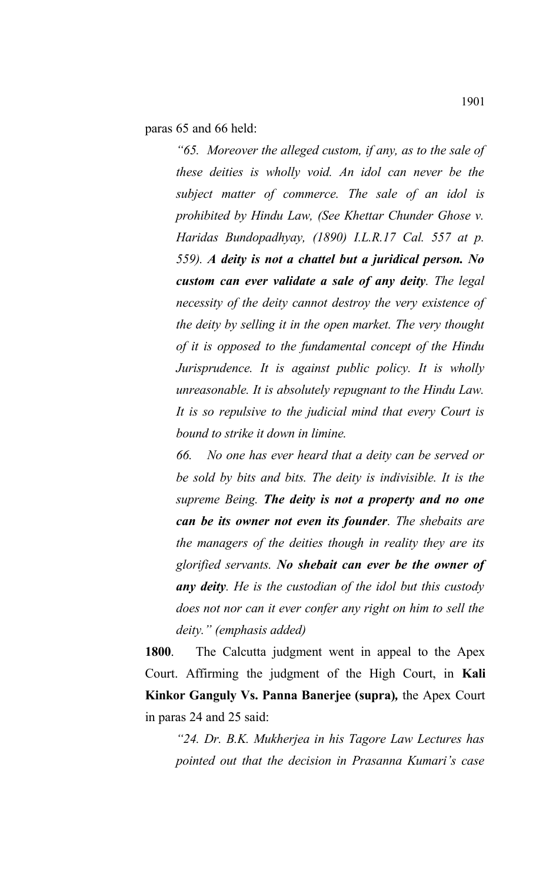paras 65 and 66 held:

*"65. Moreover the alleged custom, if any, as to the sale of these deities is wholly void. An idol can never be the subject matter of commerce. The sale of an idol is prohibited by Hindu Law, (See Khettar Chunder Ghose v. Haridas Bundopadhyay, (1890) I.L.R.17 Cal. 557 at p. 559). A deity is not a chattel but a juridical person. No custom can ever validate a sale of any deity. The legal necessity of the deity cannot destroy the very existence of the deity by selling it in the open market. The very thought of it is opposed to the fundamental concept of the Hindu Jurisprudence. It is against public policy. It is wholly unreasonable. It is absolutely repugnant to the Hindu Law. It is so repulsive to the judicial mind that every Court is bound to strike it down in limine.*

*66. No one has ever heard that a deity can be served or be sold by bits and bits. The deity is indivisible. It is the supreme Being. The deity is not a property and no one can be its owner not even its founder. The shebaits are the managers of the deities though in reality they are its glorified servants. No shebait can ever be the owner of any deity. He is the custodian of the idol but this custody does not nor can it ever confer any right on him to sell the deity." (emphasis added)*

**1800**. The Calcutta judgment went in appeal to the Apex Court. Affirming the judgment of the High Court, in **Kali Kinkor Ganguly Vs. Panna Banerjee (supra)***,* the Apex Court in paras 24 and 25 said:

*"24. Dr. B.K. Mukherjea in his Tagore Law Lectures has pointed out that the decision in Prasanna Kumari's case*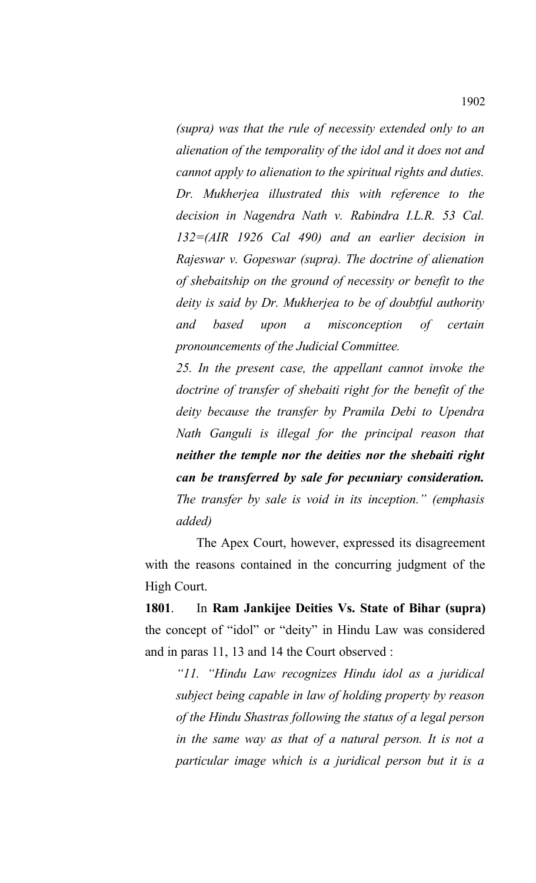*(supra) was that the rule of necessity extended only to an alienation of the temporality of the idol and it does not and cannot apply to alienation to the spiritual rights and duties. Dr. Mukherjea illustrated this with reference to the decision in Nagendra Nath v. Rabindra I.L.R. 53 Cal. 132=(AIR 1926 Cal 490) and an earlier decision in Rajeswar v. Gopeswar (supra). The doctrine of alienation of shebaitship on the ground of necessity or benefit to the deity is said by Dr. Mukherjea to be of doubtful authority and based upon a misconception of certain pronouncements of the Judicial Committee.*

*25. In the present case, the appellant cannot invoke the doctrine of transfer of shebaiti right for the benefit of the deity because the transfer by Pramila Debi to Upendra Nath Ganguli is illegal for the principal reason that neither the temple nor the deities nor the shebaiti right can be transferred by sale for pecuniary consideration. The transfer by sale is void in its inception." (emphasis added)*

The Apex Court, however, expressed its disagreement with the reasons contained in the concurring judgment of the High Court.

**1801**. In **Ram Jankijee Deities Vs. State of Bihar (supra)** the concept of "idol" or "deity" in Hindu Law was considered and in paras 11, 13 and 14 the Court observed :

*"11. "Hindu Law recognizes Hindu idol as a juridical subject being capable in law of holding property by reason of the Hindu Shastras following the status of a legal person in the same way as that of a natural person. It is not a particular image which is a juridical person but it is a*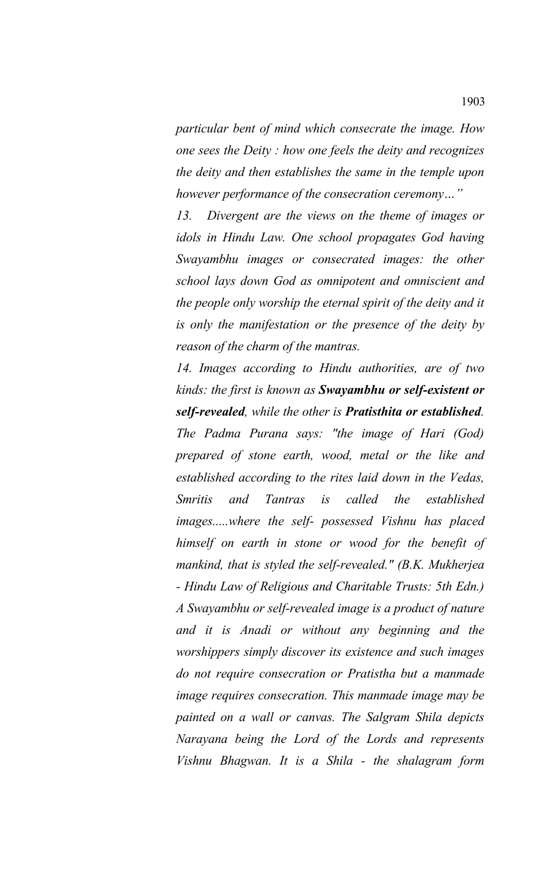*particular bent of mind which consecrate the image. How one sees the Deity : how one feels the deity and recognizes the deity and then establishes the same in the temple upon however performance of the consecration ceremony…"*

*13. Divergent are the views on the theme of images or idols in Hindu Law. One school propagates God having Swayambhu images or consecrated images: the other school lays down God as omnipotent and omniscient and the people only worship the eternal spirit of the deity and it is only the manifestation or the presence of the deity by reason of the charm of the mantras.*

*14. Images according to Hindu authorities, are of two kinds: the first is known as Swayambhu or self-existent or self-revealed, while the other is Pratisthita or established. The Padma Purana says: "the image of Hari (God) prepared of stone earth, wood, metal or the like and established according to the rites laid down in the Vedas, Smritis and Tantras is called the established images.....where the self- possessed Vishnu has placed himself on earth in stone or wood for the benefit of mankind, that is styled the self-revealed." (B.K. Mukherjea - Hindu Law of Religious and Charitable Trusts: 5th Edn.) A Swayambhu or self-revealed image is a product of nature and it is Anadi or without any beginning and the worshippers simply discover its existence and such images do not require consecration or Pratistha but a manmade image requires consecration. This manmade image may be painted on a wall or canvas. The Salgram Shila depicts Narayana being the Lord of the Lords and represents Vishnu Bhagwan. It is a Shila - the shalagram form*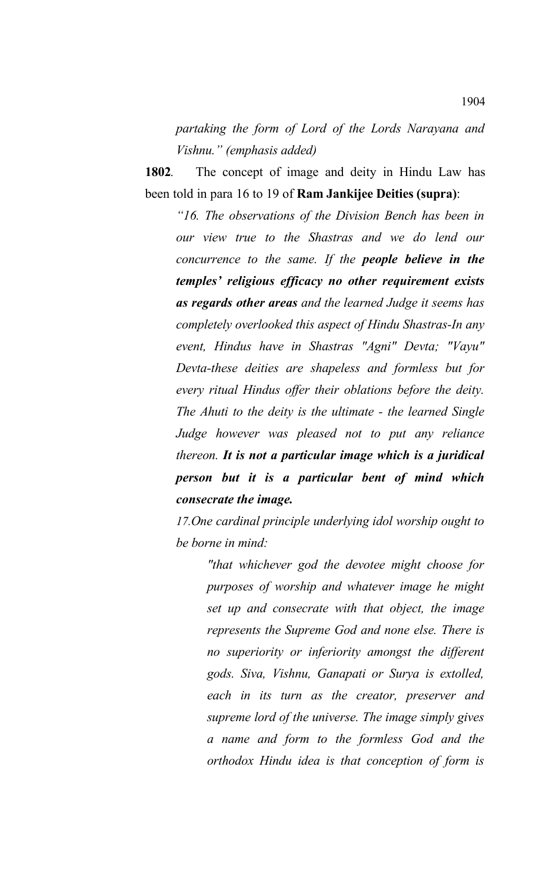*partaking the form of Lord of the Lords Narayana and Vishnu." (emphasis added)*

**1802***.* The concept of image and deity in Hindu Law has been told in para 16 to 19 of **Ram Jankijee Deities (supra)**:

*"16. The observations of the Division Bench has been in our view true to the Shastras and we do lend our concurrence to the same. If the people believe in the temples' religious efficacy no other requirement exists as regards other areas and the learned Judge it seems has completely overlooked this aspect of Hindu Shastras-In any event, Hindus have in Shastras "Agni" Devta; "Vayu" Devta-these deities are shapeless and formless but for every ritual Hindus offer their oblations before the deity. The Ahuti to the deity is the ultimate - the learned Single Judge however was pleased not to put any reliance thereon. It is not a particular image which is a juridical person but it is a particular bent of mind which consecrate the image.*

*17.One cardinal principle underlying idol worship ought to be borne in mind:*

*"that whichever god the devotee might choose for purposes of worship and whatever image he might set up and consecrate with that object, the image represents the Supreme God and none else. There is no superiority or inferiority amongst the different gods. Siva, Vishnu, Ganapati or Surya is extolled, each in its turn as the creator, preserver and supreme lord of the universe. The image simply gives a name and form to the formless God and the orthodox Hindu idea is that conception of form is*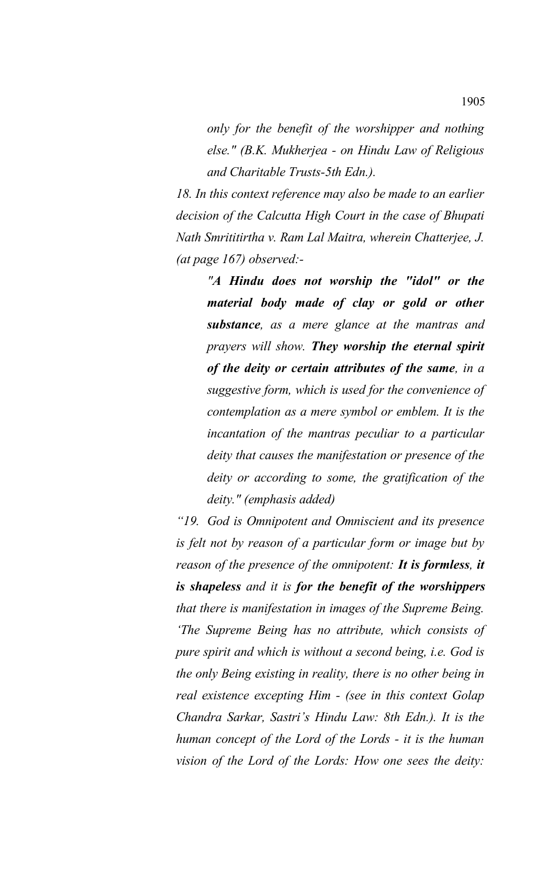*only for the benefit of the worshipper and nothing else." (B.K. Mukherjea - on Hindu Law of Religious and Charitable Trusts-5th Edn.).*

*18. In this context reference may also be made to an earlier decision of the Calcutta High Court in the case of Bhupati Nath Smrititirtha v. Ram Lal Maitra, wherein Chatterjee, J. (at page 167) observed:-* 

*"A Hindu does not worship the "idol" or the material body made of clay or gold or other substance, as a mere glance at the mantras and prayers will show. They worship the eternal spirit of the deity or certain attributes of the same, in a suggestive form, which is used for the convenience of contemplation as a mere symbol or emblem. It is the incantation of the mantras peculiar to a particular deity that causes the manifestation or presence of the deity or according to some, the gratification of the deity." (emphasis added)*

*"19. God is Omnipotent and Omniscient and its presence is felt not by reason of a particular form or image but by reason of the presence of the omnipotent: It is formless, it is shapeless and it is for the benefit of the worshippers that there is manifestation in images of the Supreme Being. 'The Supreme Being has no attribute, which consists of pure spirit and which is without a second being, i.e. God is the only Being existing in reality, there is no other being in real existence excepting Him - (see in this context Golap Chandra Sarkar, Sastri's Hindu Law: 8th Edn.). It is the human concept of the Lord of the Lords - it is the human vision of the Lord of the Lords: How one sees the deity:*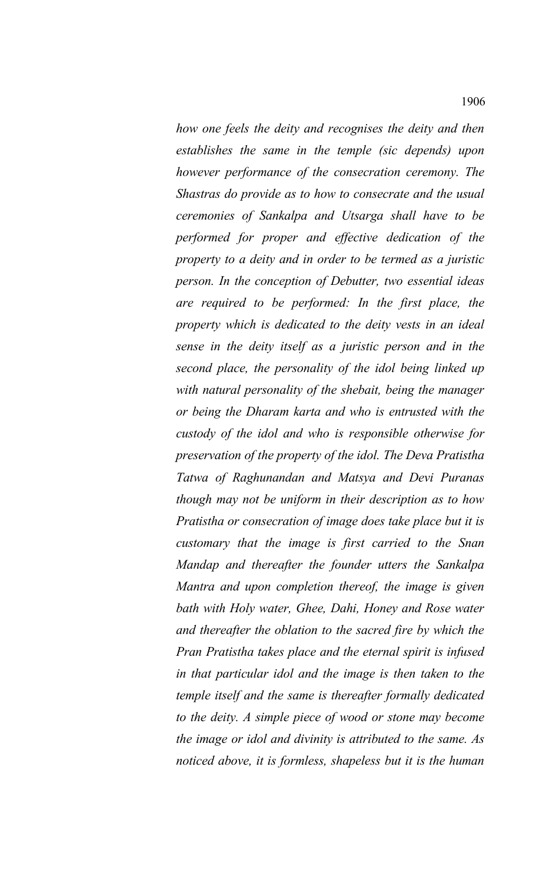*how one feels the deity and recognises the deity and then establishes the same in the temple (sic depends) upon however performance of the consecration ceremony. The Shastras do provide as to how to consecrate and the usual ceremonies of Sankalpa and Utsarga shall have to be performed for proper and effective dedication of the property to a deity and in order to be termed as a juristic person. In the conception of Debutter, two essential ideas are required to be performed: In the first place, the property which is dedicated to the deity vests in an ideal sense in the deity itself as a juristic person and in the second place, the personality of the idol being linked up with natural personality of the shebait, being the manager or being the Dharam karta and who is entrusted with the custody of the idol and who is responsible otherwise for preservation of the property of the idol. The Deva Pratistha Tatwa of Raghunandan and Matsya and Devi Puranas though may not be uniform in their description as to how Pratistha or consecration of image does take place but it is customary that the image is first carried to the Snan Mandap and thereafter the founder utters the Sankalpa Mantra and upon completion thereof, the image is given bath with Holy water, Ghee, Dahi, Honey and Rose water and thereafter the oblation to the sacred fire by which the Pran Pratistha takes place and the eternal spirit is infused in that particular idol and the image is then taken to the temple itself and the same is thereafter formally dedicated to the deity. A simple piece of wood or stone may become the image or idol and divinity is attributed to the same. As noticed above, it is formless, shapeless but it is the human*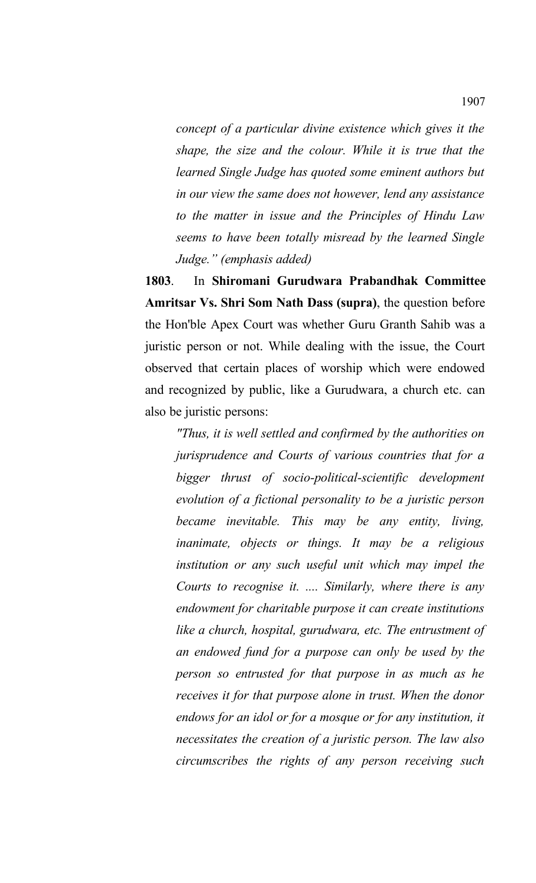*concept of a particular divine existence which gives it the shape, the size and the colour. While it is true that the learned Single Judge has quoted some eminent authors but in our view the same does not however, lend any assistance to the matter in issue and the Principles of Hindu Law seems to have been totally misread by the learned Single Judge." (emphasis added)* 

**1803**. In **Shiromani Gurudwara Prabandhak Committee Amritsar Vs. Shri Som Nath Dass (supra)**, the question before the Hon'ble Apex Court was whether Guru Granth Sahib was a juristic person or not. While dealing with the issue, the Court observed that certain places of worship which were endowed and recognized by public, like a Gurudwara, a church etc. can also be juristic persons:

*"Thus, it is well settled and confirmed by the authorities on jurisprudence and Courts of various countries that for a bigger thrust of socio-political-scientific development evolution of a fictional personality to be a juristic person became inevitable. This may be any entity, living, inanimate, objects or things. It may be a religious institution or any such useful unit which may impel the Courts to recognise it. .... Similarly, where there is any endowment for charitable purpose it can create institutions like a church, hospital, gurudwara, etc. The entrustment of an endowed fund for a purpose can only be used by the person so entrusted for that purpose in as much as he receives it for that purpose alone in trust. When the donor endows for an idol or for a mosque or for any institution, it necessitates the creation of a juristic person. The law also circumscribes the rights of any person receiving such*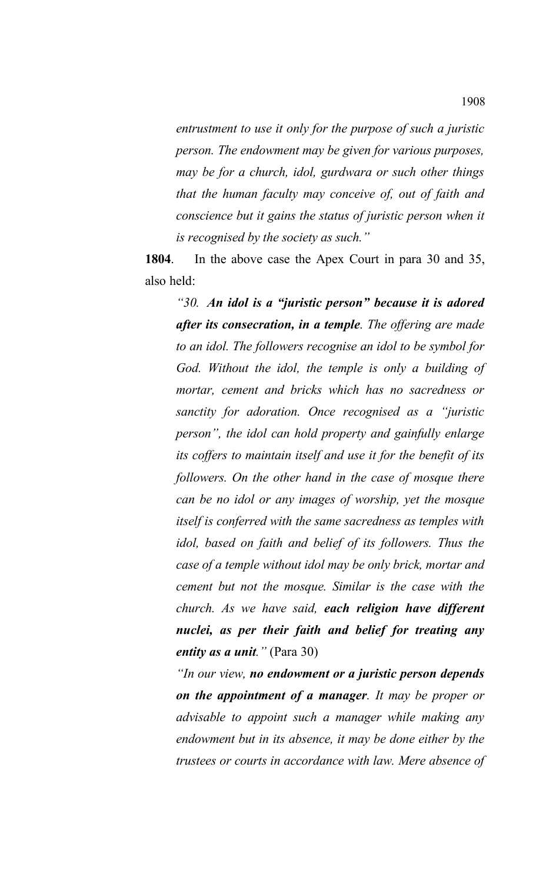*entrustment to use it only for the purpose of such a juristic person. The endowment may be given for various purposes, may be for a church, idol, gurdwara or such other things that the human faculty may conceive of, out of faith and conscience but it gains the status of juristic person when it is recognised by the society as such."* 

**1804**. In the above case the Apex Court in para 30 and 35, also held:

*"30. An idol is a "juristic person" because it is adored after its consecration, in a temple. The offering are made to an idol. The followers recognise an idol to be symbol for God. Without the idol, the temple is only a building of mortar, cement and bricks which has no sacredness or sanctity for adoration. Once recognised as a "juristic person", the idol can hold property and gainfully enlarge its coffers to maintain itself and use it for the benefit of its followers. On the other hand in the case of mosque there can be no idol or any images of worship, yet the mosque itself is conferred with the same sacredness as temples with idol, based on faith and belief of its followers. Thus the case of a temple without idol may be only brick, mortar and cement but not the mosque. Similar is the case with the church. As we have said, each religion have different nuclei, as per their faith and belief for treating any entity as a unit."* (Para 30)

*"In our view, no endowment or a juristic person depends on the appointment of a manager. It may be proper or advisable to appoint such a manager while making any endowment but in its absence, it may be done either by the trustees or courts in accordance with law. Mere absence of*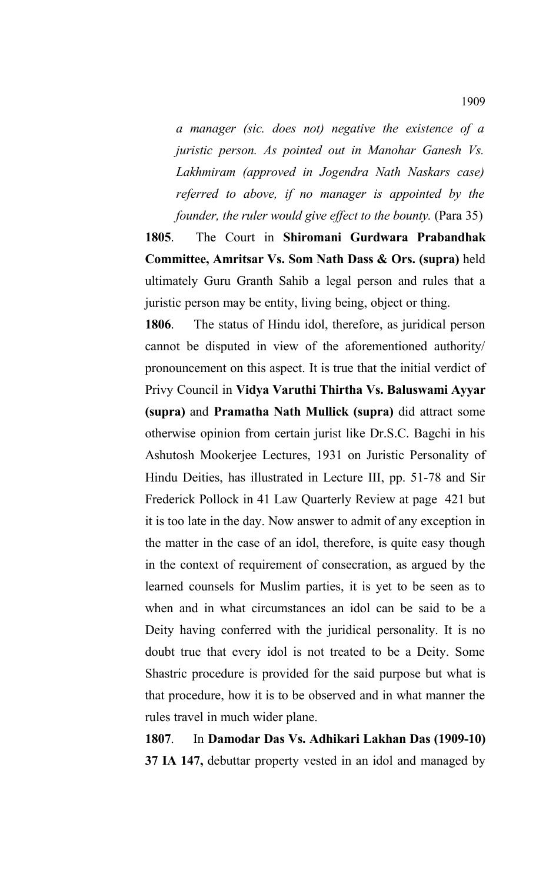*a manager (sic. does not) negative the existence of a juristic person. As pointed out in Manohar Ganesh Vs. Lakhmiram (approved in Jogendra Nath Naskars case) referred to above, if no manager is appointed by the founder, the ruler would give effect to the bounty.* (Para 35)

**1805**. The Court in **Shiromani Gurdwara Prabandhak Committee, Amritsar Vs. Som Nath Dass & Ors. (supra)** held ultimately Guru Granth Sahib a legal person and rules that a juristic person may be entity, living being, object or thing.

**1806**. The status of Hindu idol, therefore, as juridical person cannot be disputed in view of the aforementioned authority/ pronouncement on this aspect. It is true that the initial verdict of Privy Council in **Vidya Varuthi Thirtha Vs. Baluswami Ayyar (supra)** and **Pramatha Nath Mullick (supra)** did attract some otherwise opinion from certain jurist like Dr.S.C. Bagchi in his Ashutosh Mookerjee Lectures, 1931 on Juristic Personality of Hindu Deities, has illustrated in Lecture III, pp. 51-78 and Sir Frederick Pollock in 41 Law Quarterly Review at page 421 but it is too late in the day. Now answer to admit of any exception in the matter in the case of an idol, therefore, is quite easy though in the context of requirement of consecration, as argued by the learned counsels for Muslim parties, it is yet to be seen as to when and in what circumstances an idol can be said to be a Deity having conferred with the juridical personality. It is no doubt true that every idol is not treated to be a Deity. Some Shastric procedure is provided for the said purpose but what is that procedure, how it is to be observed and in what manner the rules travel in much wider plane.

**1807**. In **Damodar Das Vs. Adhikari Lakhan Das (1909-10) 37 IA 147,** debuttar property vested in an idol and managed by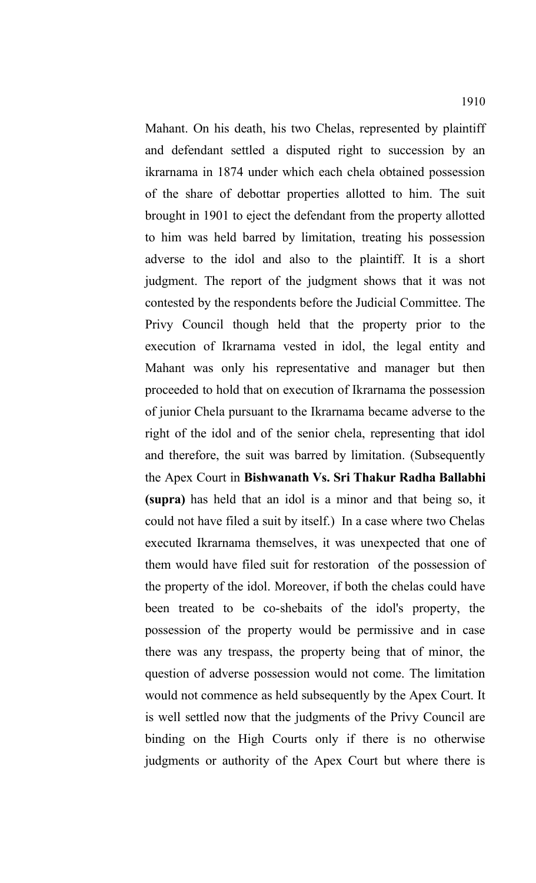Mahant. On his death, his two Chelas, represented by plaintiff and defendant settled a disputed right to succession by an ikrarnama in 1874 under which each chela obtained possession of the share of debottar properties allotted to him. The suit brought in 1901 to eject the defendant from the property allotted to him was held barred by limitation, treating his possession adverse to the idol and also to the plaintiff. It is a short judgment. The report of the judgment shows that it was not contested by the respondents before the Judicial Committee. The Privy Council though held that the property prior to the execution of Ikrarnama vested in idol, the legal entity and Mahant was only his representative and manager but then proceeded to hold that on execution of Ikrarnama the possession of junior Chela pursuant to the Ikrarnama became adverse to the right of the idol and of the senior chela, representing that idol and therefore, the suit was barred by limitation. (Subsequently the Apex Court in **Bishwanath Vs. Sri Thakur Radha Ballabhi (supra)** has held that an idol is a minor and that being so, it could not have filed a suit by itself.) In a case where two Chelas executed Ikrarnama themselves, it was unexpected that one of them would have filed suit for restoration of the possession of the property of the idol. Moreover, if both the chelas could have been treated to be co-shebaits of the idol's property, the possession of the property would be permissive and in case there was any trespass, the property being that of minor, the question of adverse possession would not come. The limitation would not commence as held subsequently by the Apex Court. It is well settled now that the judgments of the Privy Council are binding on the High Courts only if there is no otherwise judgments or authority of the Apex Court but where there is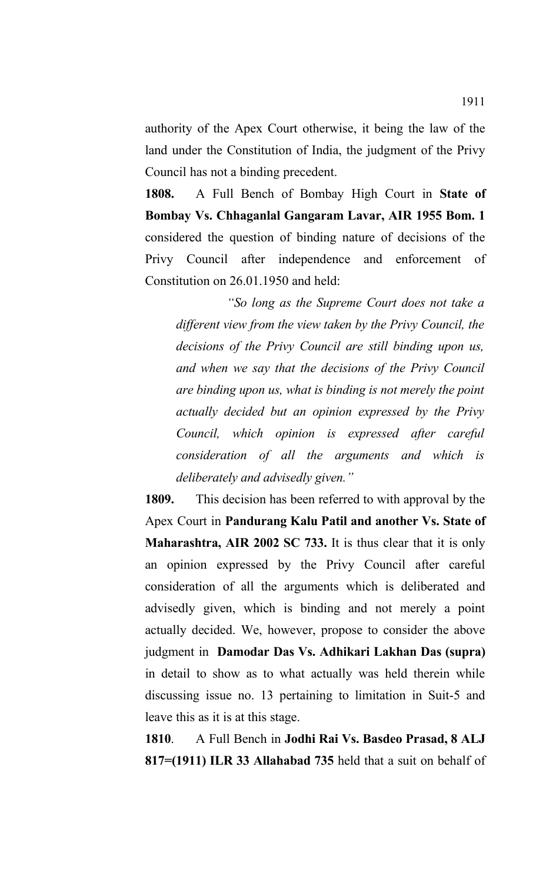authority of the Apex Court otherwise, it being the law of the land under the Constitution of India, the judgment of the Privy Council has not a binding precedent.

**1808.** A Full Bench of Bombay High Court in **State of Bombay Vs. Chhaganlal Gangaram Lavar, AIR 1955 Bom. 1** considered the question of binding nature of decisions of the Privy Council after independence and enforcement of Constitution on 26.01.1950 and held:

*"So long as the Supreme Court does not take a different view from the view taken by the Privy Council, the decisions of the Privy Council are still binding upon us, and when we say that the decisions of the Privy Council are binding upon us, what is binding is not merely the point actually decided but an opinion expressed by the Privy Council, which opinion is expressed after careful consideration of all the arguments and which is deliberately and advisedly given."*

**1809.** This decision has been referred to with approval by the Apex Court in **Pandurang Kalu Patil and another Vs. State of Maharashtra, AIR 2002 SC 733.** It is thus clear that it is only an opinion expressed by the Privy Council after careful consideration of all the arguments which is deliberated and advisedly given, which is binding and not merely a point actually decided. We, however, propose to consider the above judgment in **Damodar Das Vs. Adhikari Lakhan Das (supra)** in detail to show as to what actually was held therein while discussing issue no. 13 pertaining to limitation in Suit-5 and leave this as it is at this stage.

**1810**. A Full Bench in **Jodhi Rai Vs. Basdeo Prasad, 8 ALJ 817=(1911) ILR 33 Allahabad 735** held that a suit on behalf of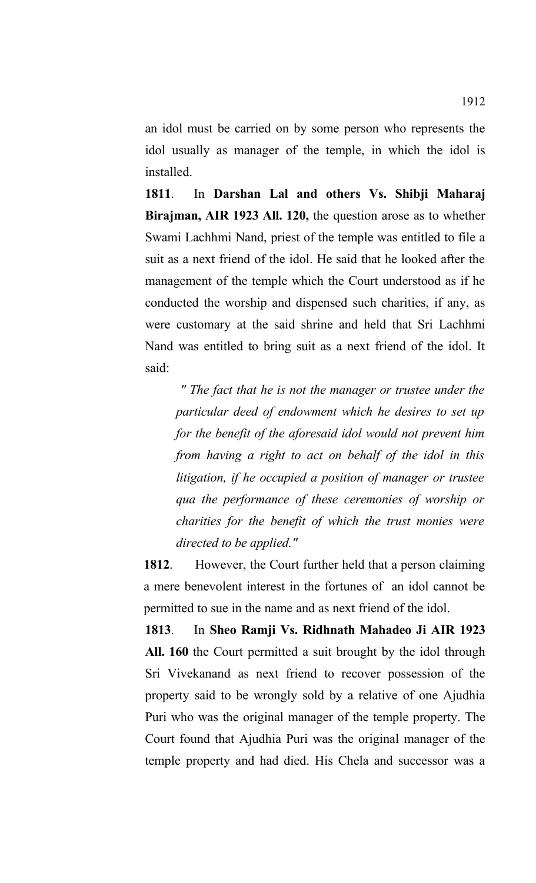an idol must be carried on by some person who represents the idol usually as manager of the temple, in which the idol is installed.

**1811**. In **Darshan Lal and others Vs. Shibji Maharaj Birajman, AIR 1923 All. 120,** the question arose as to whether Swami Lachhmi Nand, priest of the temple was entitled to file a suit as a next friend of the idol. He said that he looked after the management of the temple which the Court understood as if he conducted the worship and dispensed such charities, if any, as were customary at the said shrine and held that Sri Lachhmi Nand was entitled to bring suit as a next friend of the idol. It said:

*" The fact that he is not the manager or trustee under the particular deed of endowment which he desires to set up for the benefit of the aforesaid idol would not prevent him from having a right to act on behalf of the idol in this litigation, if he occupied a position of manager or trustee qua the performance of these ceremonies of worship or charities for the benefit of which the trust monies were directed to be applied."* 

**1812**. However, the Court further held that a person claiming a mere benevolent interest in the fortunes of an idol cannot be permitted to sue in the name and as next friend of the idol.

**1813**. In **Sheo Ramji Vs. Ridhnath Mahadeo Ji AIR 1923 All. 160** the Court permitted a suit brought by the idol through Sri Vivekanand as next friend to recover possession of the property said to be wrongly sold by a relative of one Ajudhia Puri who was the original manager of the temple property. The Court found that Ajudhia Puri was the original manager of the temple property and had died. His Chela and successor was a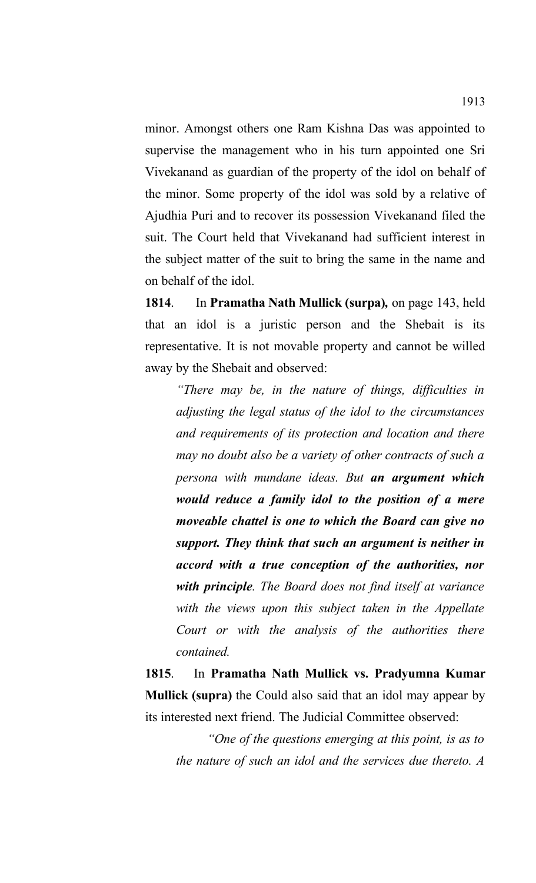minor. Amongst others one Ram Kishna Das was appointed to supervise the management who in his turn appointed one Sri Vivekanand as guardian of the property of the idol on behalf of the minor. Some property of the idol was sold by a relative of Ajudhia Puri and to recover its possession Vivekanand filed the suit. The Court held that Vivekanand had sufficient interest in the subject matter of the suit to bring the same in the name and on behalf of the idol.

**1814**. In **Pramatha Nath Mullick (surpa)***,* on page 143, held that an idol is a juristic person and the Shebait is its representative. It is not movable property and cannot be willed away by the Shebait and observed:

*"There may be, in the nature of things, difficulties in adjusting the legal status of the idol to the circumstances and requirements of its protection and location and there may no doubt also be a variety of other contracts of such a persona with mundane ideas. But an argument which would reduce a family idol to the position of a mere moveable chattel is one to which the Board can give no support. They think that such an argument is neither in accord with a true conception of the authorities, nor with principle. The Board does not find itself at variance with the views upon this subject taken in the Appellate Court or with the analysis of the authorities there contained.*

**1815**. In **Pramatha Nath Mullick vs. Pradyumna Kumar Mullick (supra)** the Could also said that an idol may appear by its interested next friend. The Judicial Committee observed:

*"One of the questions emerging at this point, is as to the nature of such an idol and the services due thereto. A*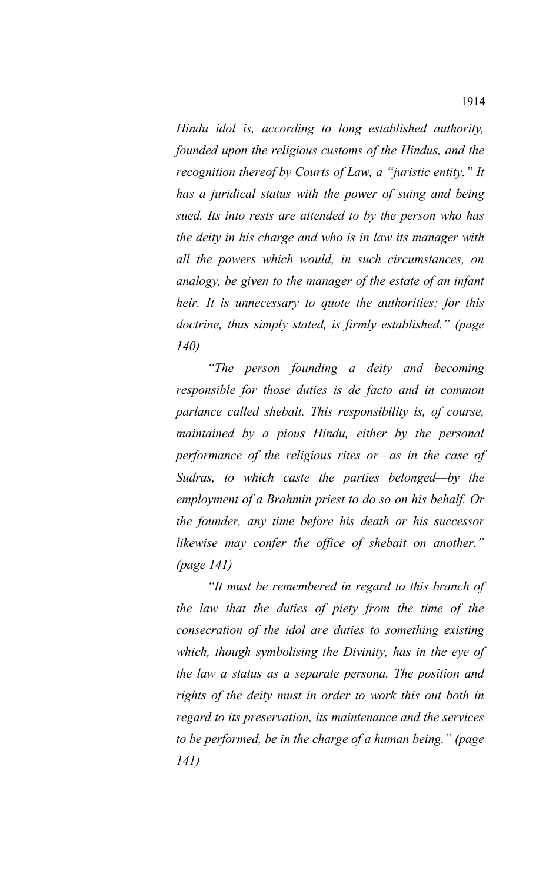*Hindu idol is, according to long established authority, founded upon the religious customs of the Hindus, and the recognition thereof by Courts of Law, a "juristic entity." It has a juridical status with the power of suing and being sued. Its into rests are attended to by the person who has the deity in his charge and who is in law its manager with all the powers which would, in such circumstances, on analogy, be given to the manager of the estate of an infant heir. It is unnecessary to quote the authorities; for this doctrine, thus simply stated, is firmly established." (page 140)* 

*"The person founding a deity and becoming responsible for those duties is de facto and in common parlance called shebait. This responsibility is, of course, maintained by a pious Hindu, either by the personal performance of the religious rites or—as in the case of Sudras, to which caste the parties belonged—by the employment of a Brahmin priest to do so on his behalf. Or the founder, any time before his death or his successor likewise may confer the office of shebait on another." (page 141)* 

*"It must be remembered in regard to this branch of the law that the duties of piety from the time of the consecration of the idol are duties to something existing which, though symbolising the Divinity, has in the eye of the law a status as a separate persona. The position and rights of the deity must in order to work this out both in regard to its preservation, its maintenance and the services to be performed, be in the charge of a human being." (page 141)*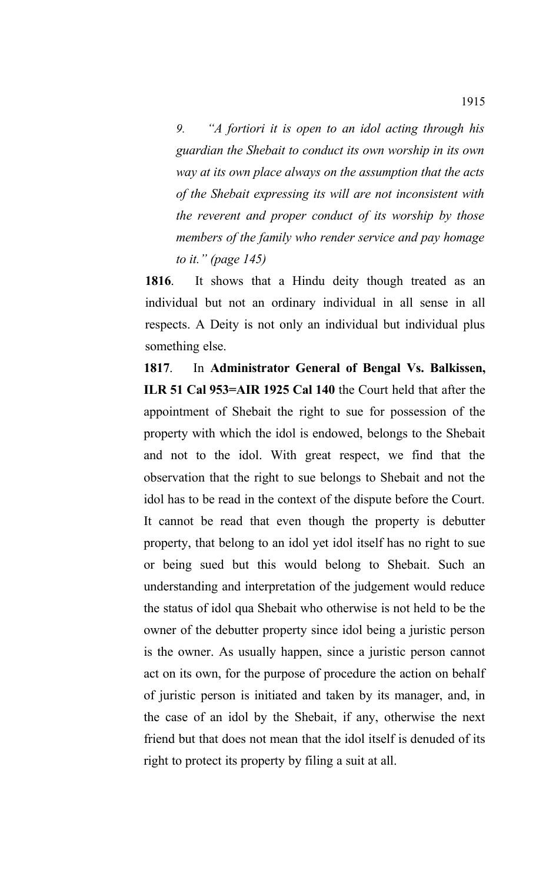*9. "A fortiori it is open to an idol acting through his guardian the Shebait to conduct its own worship in its own way at its own place always on the assumption that the acts of the Shebait expressing its will are not inconsistent with the reverent and proper conduct of its worship by those members of the family who render service and pay homage to it." (page 145)*

**1816**. It shows that a Hindu deity though treated as an individual but not an ordinary individual in all sense in all respects. A Deity is not only an individual but individual plus something else.

**1817**. In **Administrator General of Bengal Vs. Balkissen, ILR 51 Cal 953=AIR 1925 Cal 140** the Court held that after the appointment of Shebait the right to sue for possession of the property with which the idol is endowed, belongs to the Shebait and not to the idol. With great respect, we find that the observation that the right to sue belongs to Shebait and not the idol has to be read in the context of the dispute before the Court. It cannot be read that even though the property is debutter property, that belong to an idol yet idol itself has no right to sue or being sued but this would belong to Shebait. Such an understanding and interpretation of the judgement would reduce the status of idol qua Shebait who otherwise is not held to be the owner of the debutter property since idol being a juristic person is the owner. As usually happen, since a juristic person cannot act on its own, for the purpose of procedure the action on behalf of juristic person is initiated and taken by its manager, and, in the case of an idol by the Shebait, if any, otherwise the next friend but that does not mean that the idol itself is denuded of its right to protect its property by filing a suit at all.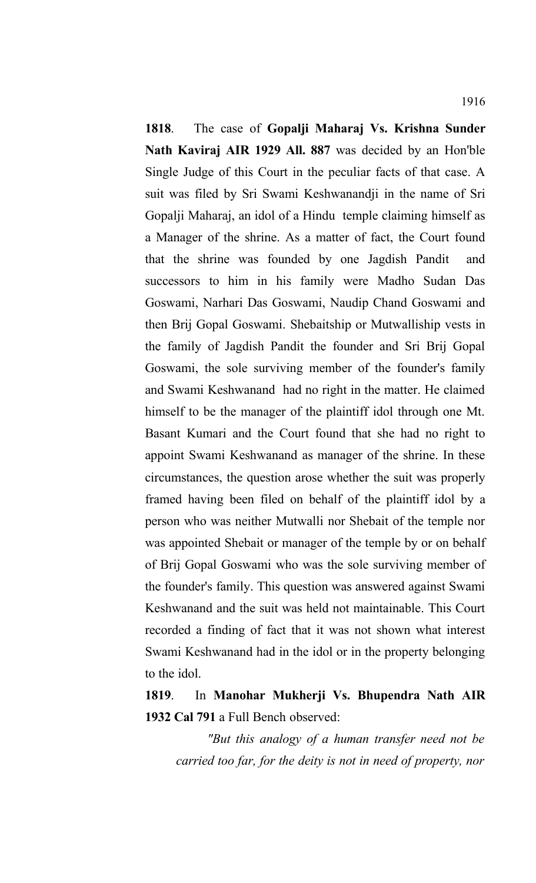**1818**. The case of **Gopalji Maharaj Vs. Krishna Sunder Nath Kaviraj AIR 1929 All. 887** was decided by an Hon'ble Single Judge of this Court in the peculiar facts of that case. A suit was filed by Sri Swami Keshwanandji in the name of Sri Gopalji Maharaj, an idol of a Hindu temple claiming himself as a Manager of the shrine. As a matter of fact, the Court found that the shrine was founded by one Jagdish Pandit and successors to him in his family were Madho Sudan Das Goswami, Narhari Das Goswami, Naudip Chand Goswami and then Brij Gopal Goswami. Shebaitship or Mutwalliship vests in the family of Jagdish Pandit the founder and Sri Brij Gopal Goswami, the sole surviving member of the founder's family and Swami Keshwanand had no right in the matter. He claimed himself to be the manager of the plaintiff idol through one Mt. Basant Kumari and the Court found that she had no right to appoint Swami Keshwanand as manager of the shrine. In these circumstances, the question arose whether the suit was properly framed having been filed on behalf of the plaintiff idol by a person who was neither Mutwalli nor Shebait of the temple nor was appointed Shebait or manager of the temple by or on behalf of Brij Gopal Goswami who was the sole surviving member of the founder's family. This question was answered against Swami Keshwanand and the suit was held not maintainable. This Court recorded a finding of fact that it was not shown what interest Swami Keshwanand had in the idol or in the property belonging to the idol.

## **1819**. In **Manohar Mukherji Vs. Bhupendra Nath AIR 1932 Cal 791** a Full Bench observed:

*"But this analogy of a human transfer need not be carried too far, for the deity is not in need of property, nor*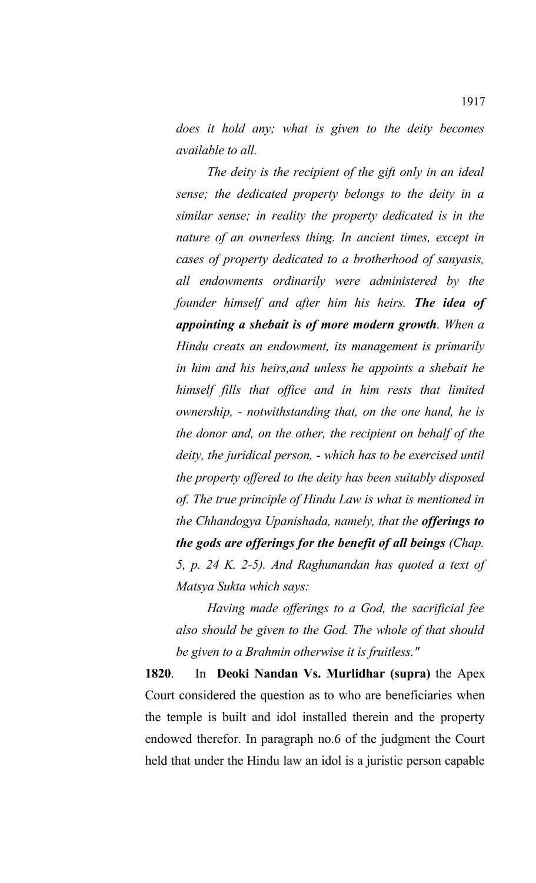*does it hold any; what is given to the deity becomes available to all.*

*The deity is the recipient of the gift only in an ideal sense; the dedicated property belongs to the deity in a similar sense; in reality the property dedicated is in the nature of an ownerless thing. In ancient times, except in cases of property dedicated to a brotherhood of sanyasis, all endowments ordinarily were administered by the founder himself and after him his heirs. The idea of appointing a shebait is of more modern growth. When a Hindu creats an endowment, its management is primarily in him and his heirs,and unless he appoints a shebait he himself fills that office and in him rests that limited ownership, - notwithstanding that, on the one hand, he is the donor and, on the other, the recipient on behalf of the deity, the juridical person, - which has to be exercised until the property offered to the deity has been suitably disposed of. The true principle of Hindu Law is what is mentioned in the Chhandogya Upanishada, namely, that the offerings to the gods are offerings for the benefit of all beings (Chap. 5, p. 24 K. 2-5). And Raghunandan has quoted a text of Matsya Sukta which says:*

*Having made offerings to a God, the sacrificial fee also should be given to the God. The whole of that should be given to a Brahmin otherwise it is fruitless."*

**1820**. In **Deoki Nandan Vs. Murlidhar (supra)** the Apex Court considered the question as to who are beneficiaries when the temple is built and idol installed therein and the property endowed therefor. In paragraph no.6 of the judgment the Court held that under the Hindu law an idol is a juristic person capable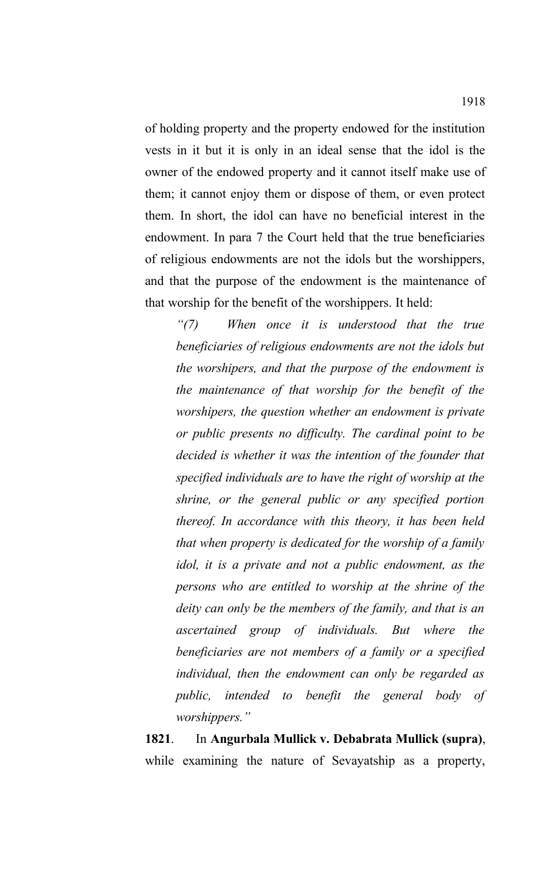of holding property and the property endowed for the institution vests in it but it is only in an ideal sense that the idol is the owner of the endowed property and it cannot itself make use of them; it cannot enjoy them or dispose of them, or even protect them. In short, the idol can have no beneficial interest in the endowment. In para 7 the Court held that the true beneficiaries of religious endowments are not the idols but the worshippers, and that the purpose of the endowment is the maintenance of that worship for the benefit of the worshippers. It held:

*"(7) When once it is understood that the true beneficiaries of religious endowments are not the idols but the worshipers, and that the purpose of the endowment is the maintenance of that worship for the benefit of the worshipers, the question whether an endowment is private or public presents no difficulty. The cardinal point to be decided is whether it was the intention of the founder that specified individuals are to have the right of worship at the shrine, or the general public or any specified portion thereof. In accordance with this theory, it has been held that when property is dedicated for the worship of a family idol, it is a private and not a public endowment, as the persons who are entitled to worship at the shrine of the deity can only be the members of the family, and that is an ascertained group of individuals. But where the beneficiaries are not members of a family or a specified individual, then the endowment can only be regarded as public, intended to benefit the general body of worshippers."*

**1821**. In **Angurbala Mullick v. Debabrata Mullick (supra)**, while examining the nature of Sevayatship as a property,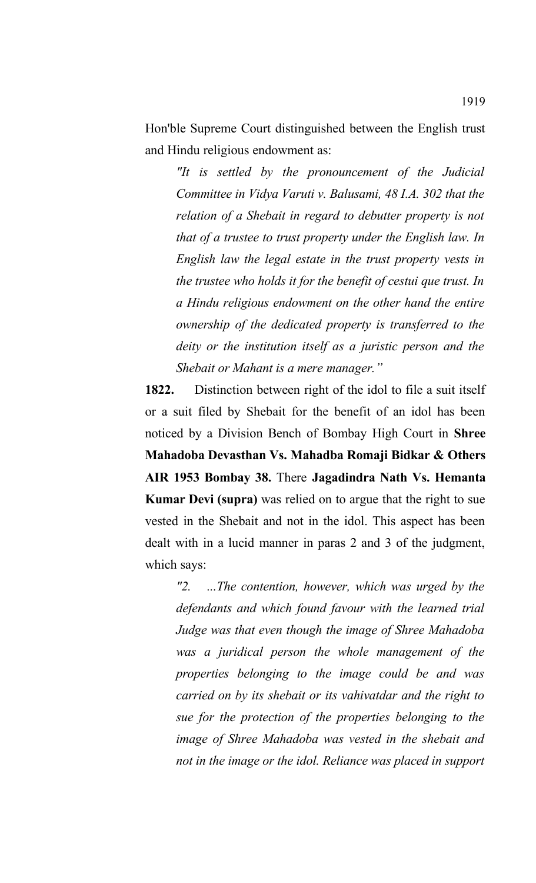Hon'ble Supreme Court distinguished between the English trust and Hindu religious endowment as:

*"It is settled by the pronouncement of the Judicial Committee in Vidya Varuti v. Balusami, 48 I.A. 302 that the relation of a Shebait in regard to debutter property is not that of a trustee to trust property under the English law. In English law the legal estate in the trust property vests in the trustee who holds it for the benefit of cestui que trust. In a Hindu religious endowment on the other hand the entire ownership of the dedicated property is transferred to the deity or the institution itself as a juristic person and the Shebait or Mahant is a mere manager."* 

**1822.** Distinction between right of the idol to file a suit itself or a suit filed by Shebait for the benefit of an idol has been noticed by a Division Bench of Bombay High Court in **Shree Mahadoba Devasthan Vs. Mahadba Romaji Bidkar & Others AIR 1953 Bombay 38.** There **Jagadindra Nath Vs. Hemanta Kumar Devi (supra)** was relied on to argue that the right to sue vested in the Shebait and not in the idol. This aspect has been dealt with in a lucid manner in paras 2 and 3 of the judgment, which says:

*"2. ...The contention, however, which was urged by the defendants and which found favour with the learned trial Judge was that even though the image of Shree Mahadoba was a juridical person the whole management of the properties belonging to the image could be and was carried on by its shebait or its vahivatdar and the right to sue for the protection of the properties belonging to the image of Shree Mahadoba was vested in the shebait and not in the image or the idol. Reliance was placed in support*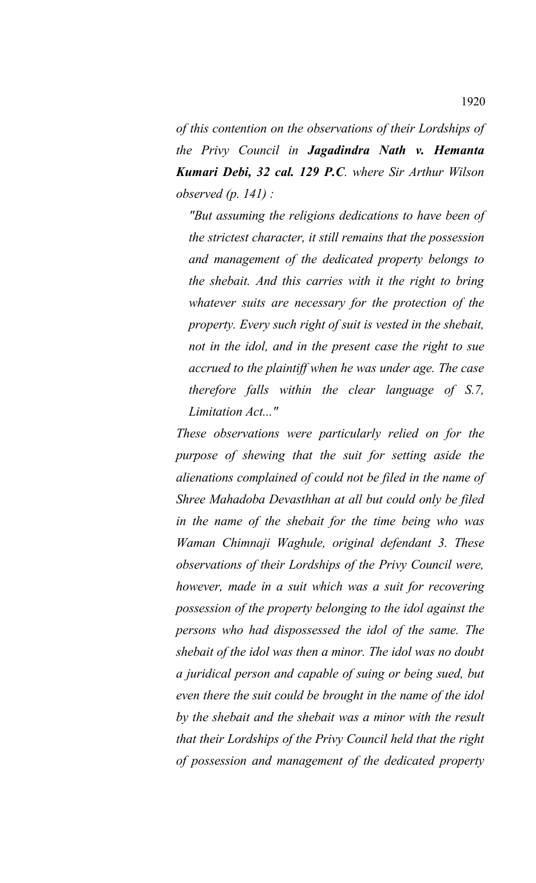*of this contention on the observations of their Lordships of the Privy Council in Jagadindra Nath v. Hemanta Kumari Debi, 32 cal. 129 P.C. where Sir Arthur Wilson observed (p. 141) :*

*"But assuming the religions dedications to have been of the strictest character, it still remains that the possession and management of the dedicated property belongs to the shebait. And this carries with it the right to bring whatever suits are necessary for the protection of the property. Every such right of suit is vested in the shebait, not in the idol, and in the present case the right to sue accrued to the plaintiff when he was under age. The case therefore falls within the clear language of S.7, Limitation Act..."*

*These observations were particularly relied on for the purpose of shewing that the suit for setting aside the alienations complained of could not be filed in the name of Shree Mahadoba Devasthhan at all but could only be filed in the name of the shebait for the time being who was Waman Chimnaji Waghule, original defendant 3. These observations of their Lordships of the Privy Council were, however, made in a suit which was a suit for recovering possession of the property belonging to the idol against the persons who had dispossessed the idol of the same. The shebait of the idol was then a minor. The idol was no doubt a juridical person and capable of suing or being sued, but even there the suit could be brought in the name of the idol by the shebait and the shebait was a minor with the result that their Lordships of the Privy Council held that the right of possession and management of the dedicated property*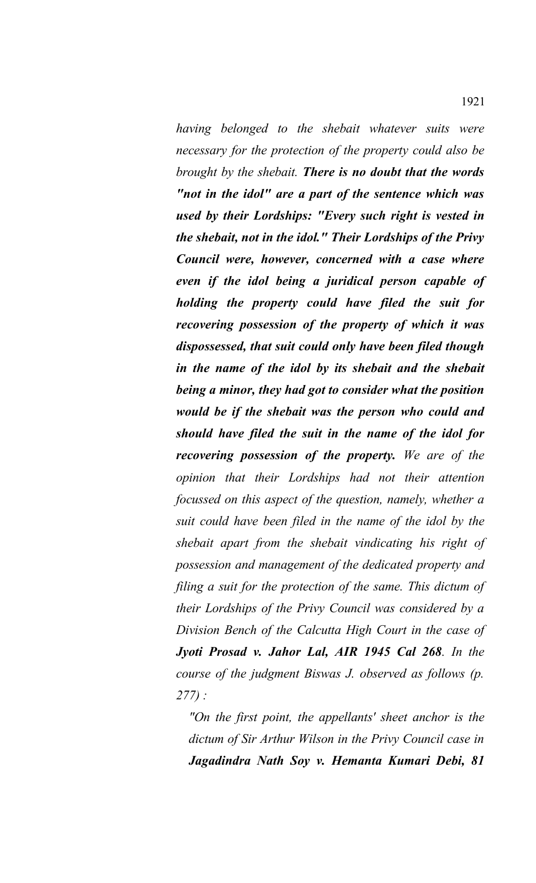*having belonged to the shebait whatever suits were necessary for the protection of the property could also be brought by the shebait. There is no doubt that the words "not in the idol" are a part of the sentence which was used by their Lordships: "Every such right is vested in the shebait, not in the idol." Their Lordships of the Privy Council were, however, concerned with a case where even if the idol being a juridical person capable of holding the property could have filed the suit for recovering possession of the property of which it was dispossessed, that suit could only have been filed though in the name of the idol by its shebait and the shebait being a minor, they had got to consider what the position would be if the shebait was the person who could and should have filed the suit in the name of the idol for recovering possession of the property. We are of the opinion that their Lordships had not their attention focussed on this aspect of the question, namely, whether a suit could have been filed in the name of the idol by the shebait apart from the shebait vindicating his right of possession and management of the dedicated property and filing a suit for the protection of the same. This dictum of their Lordships of the Privy Council was considered by a Division Bench of the Calcutta High Court in the case of Jyoti Prosad v. Jahor Lal, AIR 1945 Cal 268. In the course of the judgment Biswas J. observed as follows (p. 277) :*

*"On the first point, the appellants' sheet anchor is the dictum of Sir Arthur Wilson in the Privy Council case in Jagadindra Nath Soy v. Hemanta Kumari Debi, 81*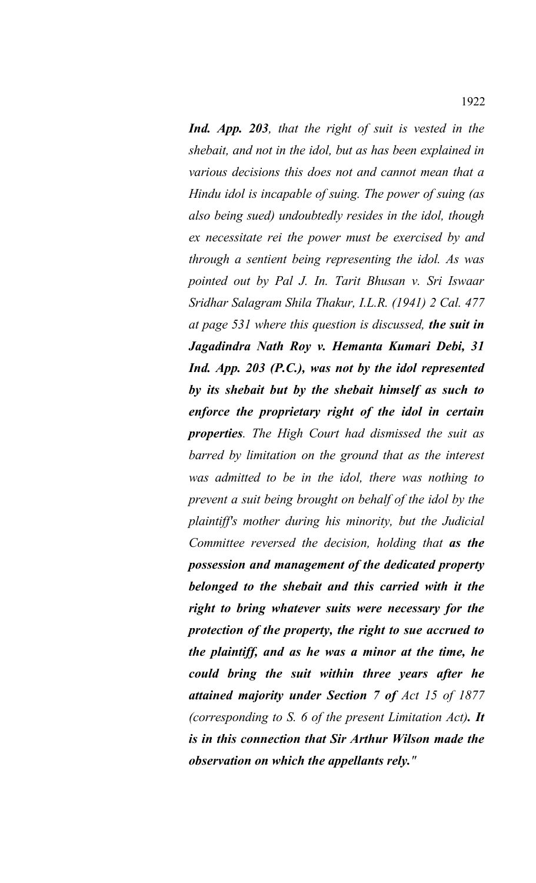*Ind. App. 203, that the right of suit is vested in the shebait, and not in the idol, but as has been explained in various decisions this does not and cannot mean that a Hindu idol is incapable of suing. The power of suing (as also being sued) undoubtedly resides in the idol, though ex necessitate rei the power must be exercised by and through a sentient being representing the idol. As was pointed out by Pal J. In. Tarit Bhusan v. Sri Iswaar Sridhar Salagram Shila Thakur, I.L.R. (1941) 2 Cal. 477 at page 531 where this question is discussed, the suit in Jagadindra Nath Roy v. Hemanta Kumari Debi, 31 Ind. App. 203 (P.C.), was not by the idol represented by its shebait but by the shebait himself as such to enforce the proprietary right of the idol in certain properties. The High Court had dismissed the suit as barred by limitation on the ground that as the interest was admitted to be in the idol, there was nothing to prevent a suit being brought on behalf of the idol by the plaintiff's mother during his minority, but the Judicial Committee reversed the decision, holding that as the possession and management of the dedicated property belonged to the shebait and this carried with it the right to bring whatever suits were necessary for the protection of the property, the right to sue accrued to the plaintiff, and as he was a minor at the time, he could bring the suit within three years after he attained majority under Section 7 of Act 15 of 1877 (corresponding to S. 6 of the present Limitation Act). It is in this connection that Sir Arthur Wilson made the observation on which the appellants rely."*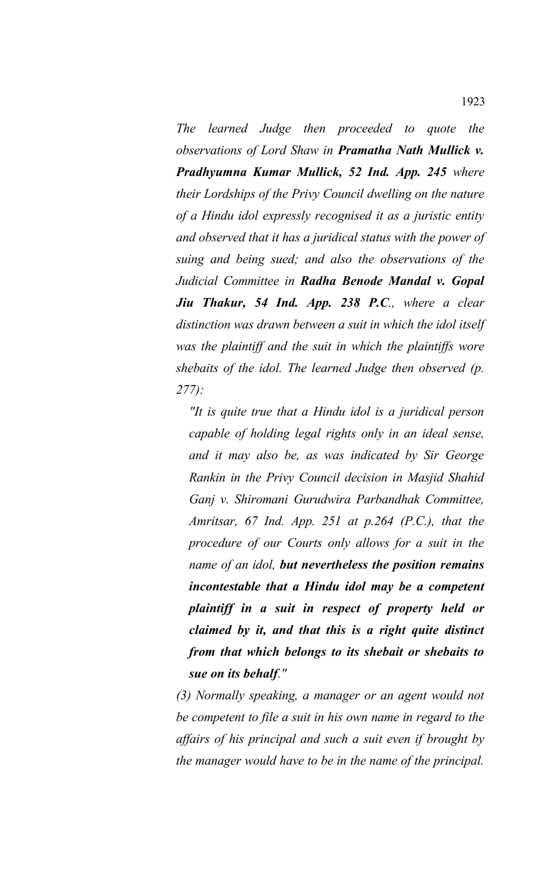*The learned Judge then proceeded to quote the observations of Lord Shaw in Pramatha Nath Mullick v. Pradhyumna Kumar Mullick, 52 Ind. App. 245 where their Lordships of the Privy Council dwelling on the nature of a Hindu idol expressly recognised it as a juristic entity and observed that it has a juridical status with the power of suing and being sued; and also the observations of the Judicial Committee in Radha Benode Mandal v. Gopal Jiu Thakur, 54 Ind. App. 238 P.C., where a clear distinction was drawn between a suit in which the idol itself was the plaintiff and the suit in which the plaintiffs wore shebaits of the idol. The learned Judge then observed (p. 277):*

*"It is quite true that a Hindu idol is a juridical person capable of holding legal rights only in an ideal sense, and it may also be, as was indicated by Sir George Rankin in the Privy Council decision in Masjid Shahid Ganj v. Shiromani Gurudwira Parbandhak Committee, Amritsar, 67 Ind. App. 251 at p.264 (P.C.), that the procedure of our Courts only allows for a suit in the name of an idol, but nevertheless the position remains incontestable that a Hindu idol may be a competent plaintiff in a suit in respect of property held or claimed by it, and that this is a right quite distinct from that which belongs to its shebait or shebaits to sue on its behalf."*

*(3) Normally speaking, a manager or an agent would not be competent to file a suit in his own name in regard to the affairs of his principal and such a suit even if brought by the manager would have to be in the name of the principal.*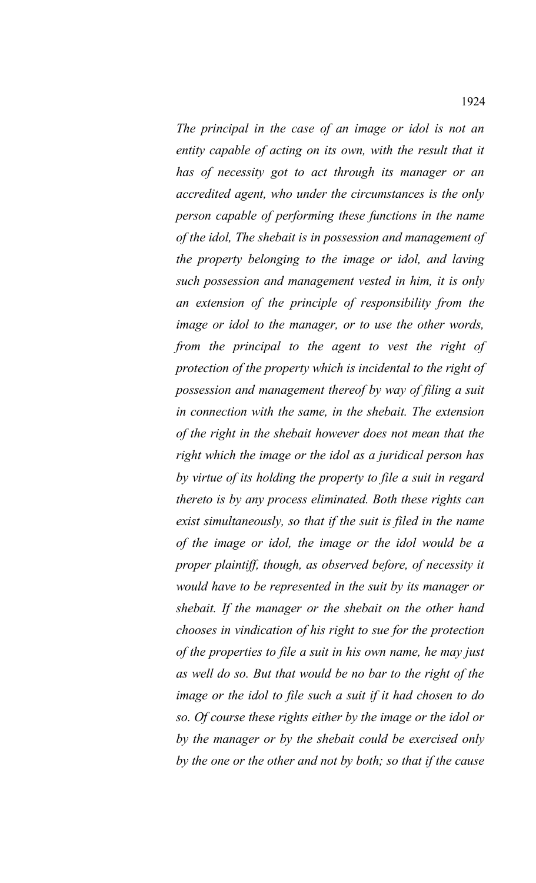*The principal in the case of an image or idol is not an entity capable of acting on its own, with the result that it has of necessity got to act through its manager or an accredited agent, who under the circumstances is the only person capable of performing these functions in the name of the idol, The shebait is in possession and management of the property belonging to the image or idol, and laving such possession and management vested in him, it is only an extension of the principle of responsibility from the image or idol to the manager, or to use the other words, from the principal to the agent to vest the right of protection of the property which is incidental to the right of possession and management thereof by way of filing a suit in connection with the same, in the shebait. The extension of the right in the shebait however does not mean that the right which the image or the idol as a juridical person has by virtue of its holding the property to file a suit in regard thereto is by any process eliminated. Both these rights can exist simultaneously, so that if the suit is filed in the name of the image or idol, the image or the idol would be a proper plaintiff, though, as observed before, of necessity it would have to be represented in the suit by its manager or shebait. If the manager or the shebait on the other hand chooses in vindication of his right to sue for the protection of the properties to file a suit in his own name, he may just as well do so. But that would be no bar to the right of the image or the idol to file such a suit if it had chosen to do so. Of course these rights either by the image or the idol or by the manager or by the shebait could be exercised only by the one or the other and not by both; so that if the cause*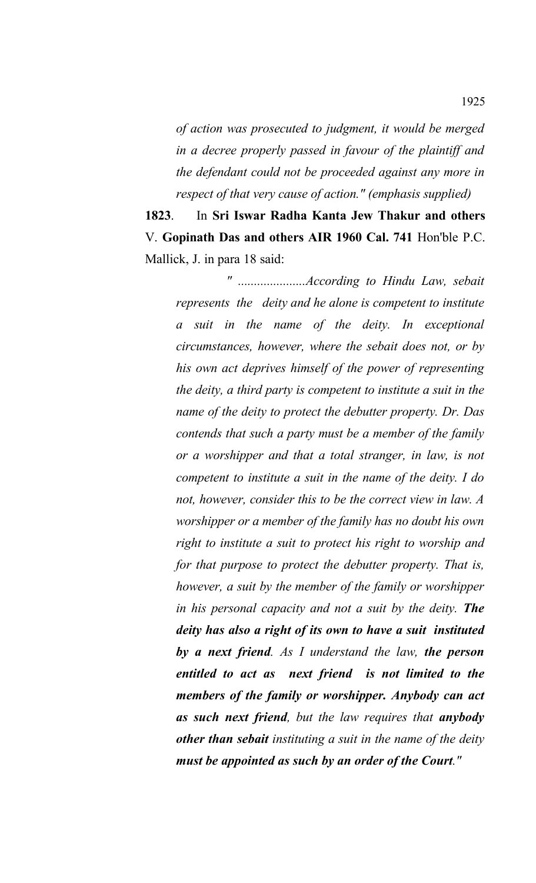*of action was prosecuted to judgment, it would be merged in a decree properly passed in favour of the plaintiff and the defendant could not be proceeded against any more in respect of that very cause of action." (emphasis supplied)*

**1823**. In **Sri Iswar Radha Kanta Jew Thakur and others** V. **Gopinath Das and others AIR 1960 Cal. 741** Hon'ble P.C. Mallick, J. in para 18 said:

*" .....................According to Hindu Law, sebait represents the deity and he alone is competent to institute a suit in the name of the deity. In exceptional circumstances, however, where the sebait does not, or by his own act deprives himself of the power of representing the deity, a third party is competent to institute a suit in the name of the deity to protect the debutter property. Dr. Das contends that such a party must be a member of the family or a worshipper and that a total stranger, in law, is not competent to institute a suit in the name of the deity. I do not, however, consider this to be the correct view in law. A worshipper or a member of the family has no doubt his own right to institute a suit to protect his right to worship and for that purpose to protect the debutter property. That is, however, a suit by the member of the family or worshipper in his personal capacity and not a suit by the deity. The deity has also a right of its own to have a suit instituted by a next friend. As I understand the law, the person entitled to act as next friend is not limited to the members of the family or worshipper. Anybody can act as such next friend, but the law requires that anybody other than sebait instituting a suit in the name of the deity must be appointed as such by an order of the Court."*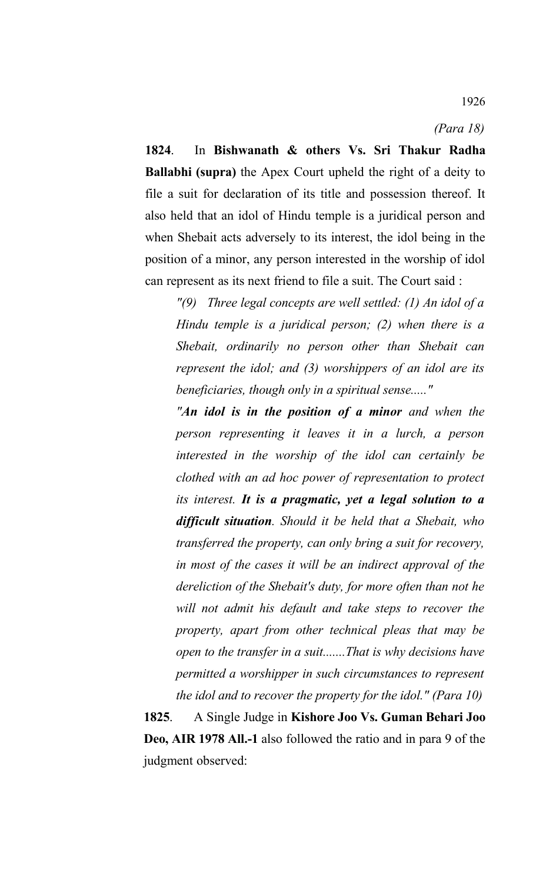1926

**1824**. In **Bishwanath & others Vs. Sri Thakur Radha Ballabhi (supra)** the Apex Court upheld the right of a deity to file a suit for declaration of its title and possession thereof. It also held that an idol of Hindu temple is a juridical person and when Shebait acts adversely to its interest, the idol being in the position of a minor, any person interested in the worship of idol can represent as its next friend to file a suit. The Court said :

*"(9) Three legal concepts are well settled: (1) An idol of a Hindu temple is a juridical person; (2) when there is a Shebait, ordinarily no person other than Shebait can represent the idol; and (3) worshippers of an idol are its beneficiaries, though only in a spiritual sense....."*

*"An idol is in the position of a minor and when the person representing it leaves it in a lurch, a person interested in the worship of the idol can certainly be clothed with an ad hoc power of representation to protect its interest. It is a pragmatic, yet a legal solution to a difficult situation. Should it be held that a Shebait, who transferred the property, can only bring a suit for recovery, in most of the cases it will be an indirect approval of the dereliction of the Shebait's duty, for more often than not he will not admit his default and take steps to recover the property, apart from other technical pleas that may be open to the transfer in a suit.......That is why decisions have permitted a worshipper in such circumstances to represent the idol and to recover the property for the idol." (Para 10)*

**1825**. A Single Judge in **Kishore Joo Vs. Guman Behari Joo Deo, AIR 1978 All.-1** also followed the ratio and in para 9 of the judgment observed: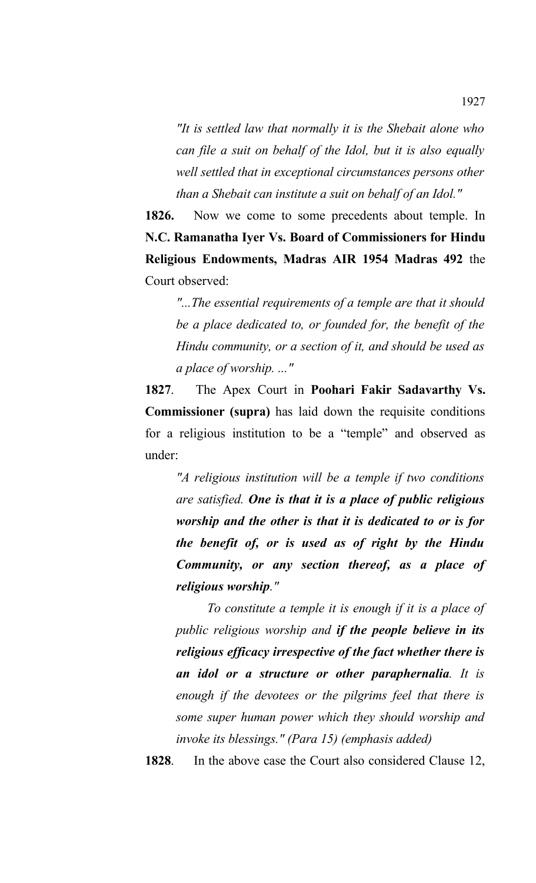*"It is settled law that normally it is the Shebait alone who can file a suit on behalf of the Idol, but it is also equally well settled that in exceptional circumstances persons other than a Shebait can institute a suit on behalf of an Idol."*

**1826.** Now we come to some precedents about temple. In **N.C. Ramanatha Iyer Vs. Board of Commissioners for Hindu Religious Endowments, Madras AIR 1954 Madras 492** the Court observed:

*"...The essential requirements of a temple are that it should be a place dedicated to, or founded for, the benefit of the Hindu community, or a section of it, and should be used as a place of worship. ..."*

**1827**. The Apex Court in **Poohari Fakir Sadavarthy Vs. Commissioner (supra)** has laid down the requisite conditions for a religious institution to be a "temple" and observed as under:

*"A religious institution will be a temple if two conditions are satisfied. One is that it is a place of public religious worship and the other is that it is dedicated to or is for the benefit of, or is used as of right by the Hindu Community, or any section thereof, as a place of religious worship."* 

*To constitute a temple it is enough if it is a place of public religious worship and if the people believe in its religious efficacy irrespective of the fact whether there is an idol or a structure or other paraphernalia. It is enough if the devotees or the pilgrims feel that there is some super human power which they should worship and invoke its blessings." (Para 15) (emphasis added)*

**1828**. In the above case the Court also considered Clause 12,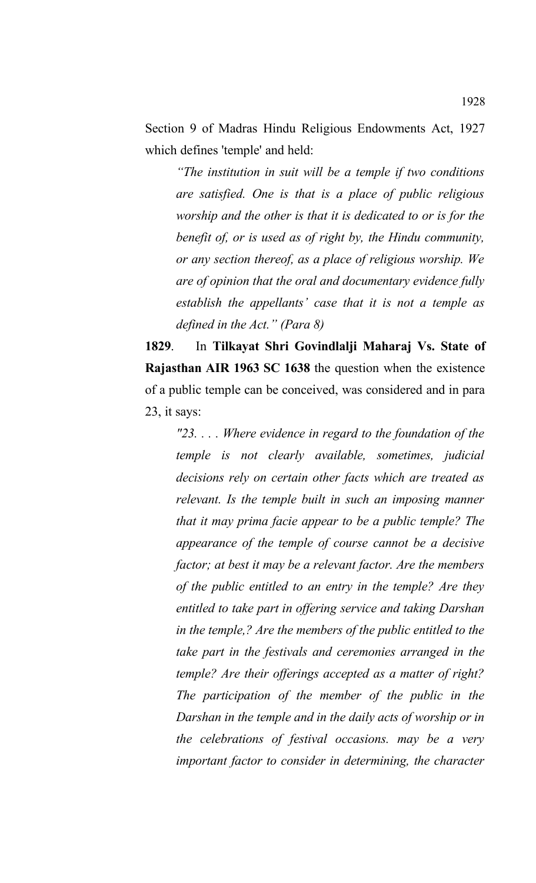Section 9 of Madras Hindu Religious Endowments Act, 1927 which defines 'temple' and held:

*"The institution in suit will be a temple if two conditions are satisfied. One is that is a place of public religious worship and the other is that it is dedicated to or is for the benefit of, or is used as of right by, the Hindu community, or any section thereof, as a place of religious worship. We are of opinion that the oral and documentary evidence fully establish the appellants' case that it is not a temple as defined in the Act." (Para 8)*

**1829**. In **Tilkayat Shri Govindlalji Maharaj Vs. State of Rajasthan AIR 1963 SC 1638** the question when the existence of a public temple can be conceived, was considered and in para 23, it says:

*"23. . . . Where evidence in regard to the foundation of the temple is not clearly available, sometimes, judicial decisions rely on certain other facts which are treated as relevant. Is the temple built in such an imposing manner that it may prima facie appear to be a public temple? The appearance of the temple of course cannot be a decisive factor; at best it may be a relevant factor. Are the members of the public entitled to an entry in the temple? Are they entitled to take part in offering service and taking Darshan in the temple,? Are the members of the public entitled to the take part in the festivals and ceremonies arranged in the temple? Are their offerings accepted as a matter of right? The participation of the member of the public in the Darshan in the temple and in the daily acts of worship or in the celebrations of festival occasions. may be a very important factor to consider in determining, the character*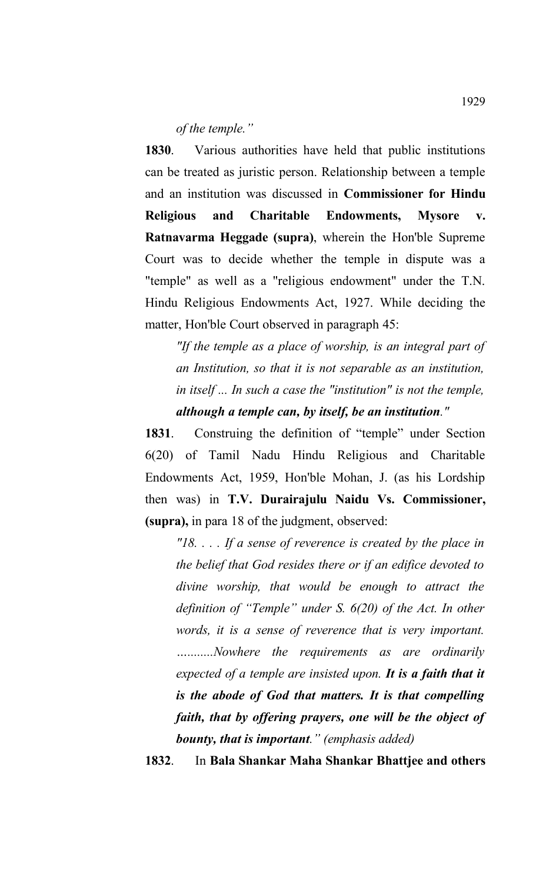*of the temple."*

**1830**. Various authorities have held that public institutions can be treated as juristic person. Relationship between a temple and an institution was discussed in **Commissioner for Hindu Religious and Charitable Endowments, Mysore v. Ratnavarma Heggade (supra)**, wherein the Hon'ble Supreme Court was to decide whether the temple in dispute was a "temple" as well as a "religious endowment" under the T.N. Hindu Religious Endowments Act, 1927. While deciding the matter, Hon'ble Court observed in paragraph 45:

*"If the temple as a place of worship, is an integral part of an Institution, so that it is not separable as an institution, in itself ... In such a case the "institution" is not the temple, although a temple can, by itself, be an institution."*

**1831**. Construing the definition of "temple" under Section 6(20) of Tamil Nadu Hindu Religious and Charitable Endowments Act, 1959, Hon'ble Mohan, J. (as his Lordship then was) in **T.V. Durairajulu Naidu Vs. Commissioner, (supra),** in para 18 of the judgment, observed:

*"18. . . . If a sense of reverence is created by the place in the belief that God resides there or if an edifice devoted to divine worship, that would be enough to attract the definition of "Temple" under S. 6(20) of the Act. In other words, it is a sense of reverence that is very important. …........Nowhere the requirements as are ordinarily expected of a temple are insisted upon. It is a faith that it is the abode of God that matters. It is that compelling faith, that by offering prayers, one will be the object of bounty, that is important." (emphasis added)* 

**1832**. In **Bala Shankar Maha Shankar Bhattjee and others**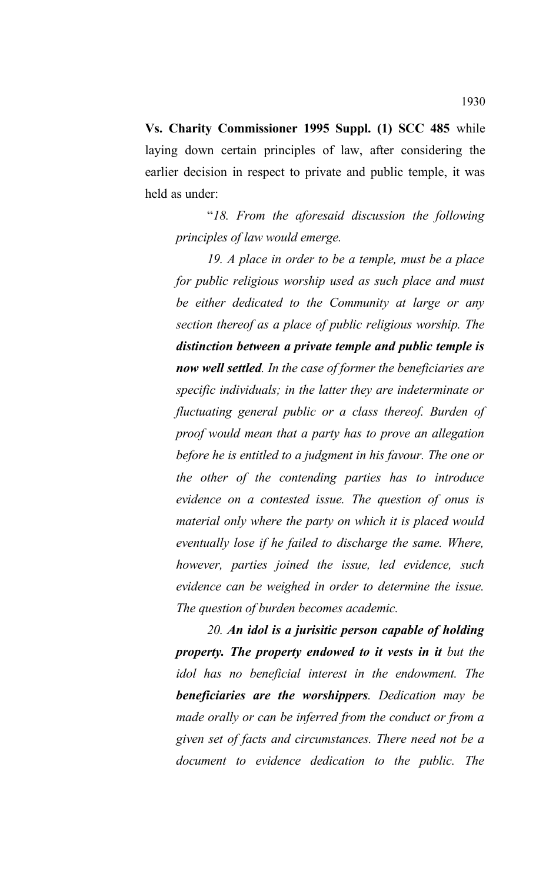**Vs. Charity Commissioner 1995 Suppl. (1) SCC 485** while laying down certain principles of law, after considering the earlier decision in respect to private and public temple, it was held as under:

"*18. From the aforesaid discussion the following principles of law would emerge.*

*19. A place in order to be a temple, must be a place for public religious worship used as such place and must be either dedicated to the Community at large or any section thereof as a place of public religious worship. The distinction between a private temple and public temple is now well settled. In the case of former the beneficiaries are specific individuals; in the latter they are indeterminate or fluctuating general public or a class thereof. Burden of proof would mean that a party has to prove an allegation before he is entitled to a judgment in his favour. The one or the other of the contending parties has to introduce evidence on a contested issue. The question of onus is material only where the party on which it is placed would eventually lose if he failed to discharge the same. Where, however, parties joined the issue, led evidence, such evidence can be weighed in order to determine the issue. The question of burden becomes academic.*

*20. An idol is a jurisitic person capable of holding property. The property endowed to it vests in it but the idol has no beneficial interest in the endowment. The beneficiaries are the worshippers. Dedication may be made orally or can be inferred from the conduct or from a given set of facts and circumstances. There need not be a document to evidence dedication to the public. The*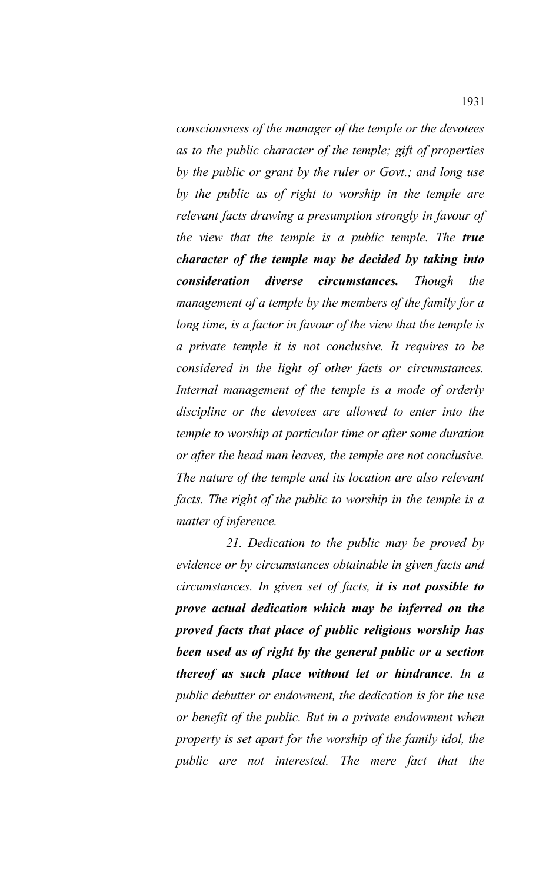*consciousness of the manager of the temple or the devotees as to the public character of the temple; gift of properties by the public or grant by the ruler or Govt.; and long use by the public as of right to worship in the temple are relevant facts drawing a presumption strongly in favour of the view that the temple is a public temple. The true character of the temple may be decided by taking into consideration diverse circumstances. Though the management of a temple by the members of the family for a long time, is a factor in favour of the view that the temple is a private temple it is not conclusive. It requires to be considered in the light of other facts or circumstances. Internal management of the temple is a mode of orderly discipline or the devotees are allowed to enter into the temple to worship at particular time or after some duration or after the head man leaves, the temple are not conclusive. The nature of the temple and its location are also relevant facts. The right of the public to worship in the temple is a matter of inference.*

*21. Dedication to the public may be proved by evidence or by circumstances obtainable in given facts and circumstances. In given set of facts, it is not possible to prove actual dedication which may be inferred on the proved facts that place of public religious worship has been used as of right by the general public or a section thereof as such place without let or hindrance. In a public debutter or endowment, the dedication is for the use or benefit of the public. But in a private endowment when property is set apart for the worship of the family idol, the public are not interested. The mere fact that the*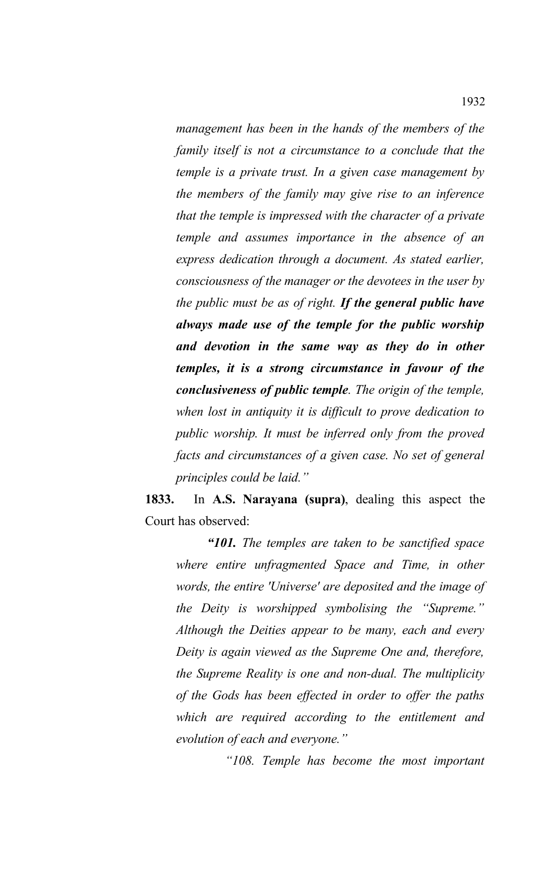*management has been in the hands of the members of the family itself is not a circumstance to a conclude that the temple is a private trust. In a given case management by the members of the family may give rise to an inference that the temple is impressed with the character of a private temple and assumes importance in the absence of an express dedication through a document. As stated earlier, consciousness of the manager or the devotees in the user by the public must be as of right. If the general public have always made use of the temple for the public worship and devotion in the same way as they do in other temples, it is a strong circumstance in favour of the conclusiveness of public temple. The origin of the temple, when lost in antiquity it is difficult to prove dedication to public worship. It must be inferred only from the proved facts and circumstances of a given case. No set of general principles could be laid."*

**1833.** In **A.S. Narayana (supra)**, dealing this aspect the Court has observed:

*"101. The temples are taken to be sanctified space where entire unfragmented Space and Time, in other words, the entire 'Universe' are deposited and the image of the Deity is worshipped symbolising the "Supreme." Although the Deities appear to be many, each and every Deity is again viewed as the Supreme One and, therefore, the Supreme Reality is one and non-dual. The multiplicity of the Gods has been effected in order to offer the paths which are required according to the entitlement and evolution of each and everyone."*

*"108. Temple has become the most important*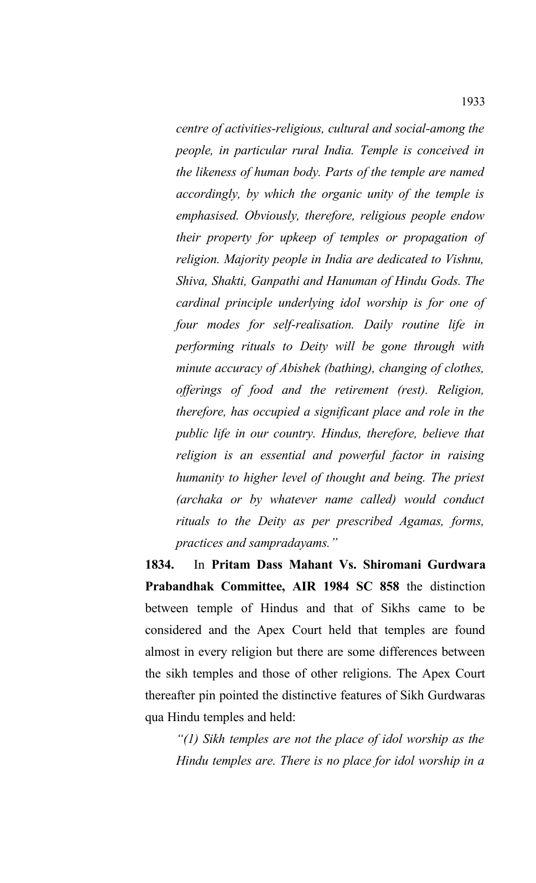*centre of activities-religious, cultural and social-among the people, in particular rural India. Temple is conceived in the likeness of human body. Parts of the temple are named accordingly, by which the organic unity of the temple is emphasised. Obviously, therefore, religious people endow their property for upkeep of temples or propagation of religion. Majority people in India are dedicated to Vishnu, Shiva, Shakti, Ganpathi and Hanuman of Hindu Gods. The cardinal principle underlying idol worship is for one of four modes for self-realisation. Daily routine life in performing rituals to Deity will be gone through with minute accuracy of Abishek (bathing), changing of clothes, offerings of food and the retirement (rest). Religion, therefore, has occupied a significant place and role in the public life in our country. Hindus, therefore, believe that religion is an essential and powerful factor in raising humanity to higher level of thought and being. The priest (archaka or by whatever name called) would conduct rituals to the Deity as per prescribed Agamas, forms, practices and sampradayams."*

**1834.** In **Pritam Dass Mahant Vs. Shiromani Gurdwara Prabandhak Committee, AIR 1984 SC 858** the distinction between temple of Hindus and that of Sikhs came to be considered and the Apex Court held that temples are found almost in every religion but there are some differences between the sikh temples and those of other religions. The Apex Court thereafter pin pointed the distinctive features of Sikh Gurdwaras qua Hindu temples and held:

*"(1) Sikh temples are not the place of idol worship as the Hindu temples are. There is no place for idol worship in a*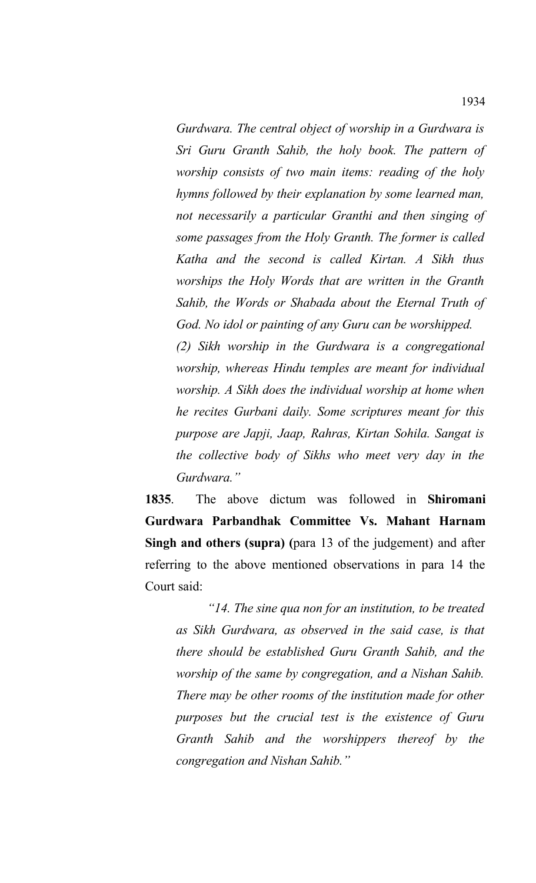*Gurdwara. The central object of worship in a Gurdwara is Sri Guru Granth Sahib, the holy book. The pattern of worship consists of two main items: reading of the holy hymns followed by their explanation by some learned man, not necessarily a particular Granthi and then singing of some passages from the Holy Granth. The former is called Katha and the second is called Kirtan. A Sikh thus worships the Holy Words that are written in the Granth Sahib, the Words or Shabada about the Eternal Truth of God. No idol or painting of any Guru can be worshipped. (2) Sikh worship in the Gurdwara is a congregational worship, whereas Hindu temples are meant for individual worship. A Sikh does the individual worship at home when he recites Gurbani daily. Some scriptures meant for this purpose are Japji, Jaap, Rahras, Kirtan Sohila. Sangat is the collective body of Sikhs who meet very day in the Gurdwara."*

**1835**. The above dictum was followed in **Shiromani Gurdwara Parbandhak Committee Vs. Mahant Harnam Singh and others (supra) (**para 13 of the judgement) and after referring to the above mentioned observations in para 14 the Court said:

*"14. The sine qua non for an institution, to be treated as Sikh Gurdwara, as observed in the said case, is that there should be established Guru Granth Sahib, and the worship of the same by congregation, and a Nishan Sahib. There may be other rooms of the institution made for other purposes but the crucial test is the existence of Guru Granth Sahib and the worshippers thereof by the congregation and Nishan Sahib."*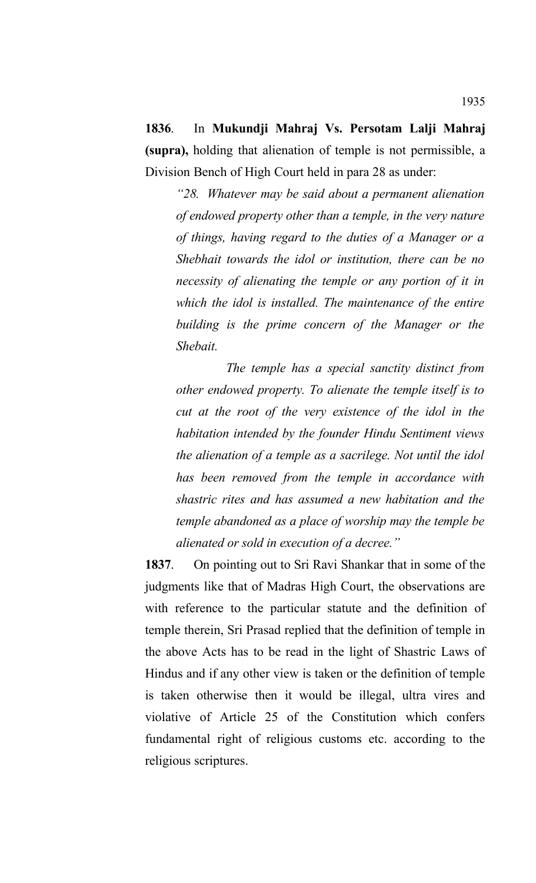**1836**. In **Mukundji Mahraj Vs. Persotam Lalji Mahraj (supra),** holding that alienation of temple is not permissible, a Division Bench of High Court held in para 28 as under:

*"28. Whatever may be said about a permanent alienation of endowed property other than a temple, in the very nature of things, having regard to the duties of a Manager or a Shebhait towards the idol or institution, there can be no necessity of alienating the temple or any portion of it in which the idol is installed. The maintenance of the entire building is the prime concern of the Manager or the Shebait.*

*The temple has a special sanctity distinct from other endowed property. To alienate the temple itself is to cut at the root of the very existence of the idol in the habitation intended by the founder Hindu Sentiment views the alienation of a temple as a sacrilege. Not until the idol has been removed from the temple in accordance with shastric rites and has assumed a new habitation and the temple abandoned as a place of worship may the temple be alienated or sold in execution of a decree."*

**1837**. On pointing out to Sri Ravi Shankar that in some of the judgments like that of Madras High Court, the observations are with reference to the particular statute and the definition of temple therein, Sri Prasad replied that the definition of temple in the above Acts has to be read in the light of Shastric Laws of Hindus and if any other view is taken or the definition of temple is taken otherwise then it would be illegal, ultra vires and violative of Article 25 of the Constitution which confers fundamental right of religious customs etc. according to the religious scriptures.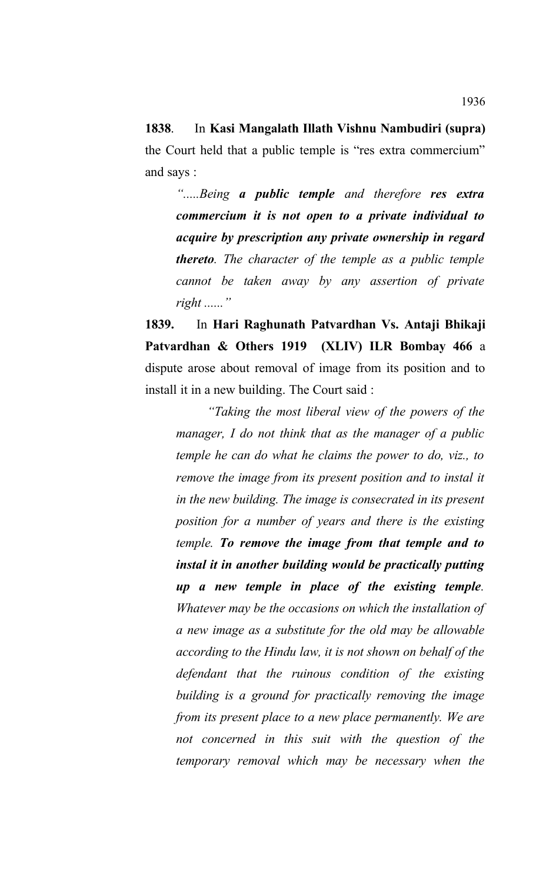**1838**. In **Kasi Mangalath Illath Vishnu Nambudiri (supra)** the Court held that a public temple is "res extra commercium" and says :

*".....Being a public temple and therefore res extra commercium it is not open to a private individual to acquire by prescription any private ownership in regard thereto. The character of the temple as a public temple cannot be taken away by any assertion of private right ......"*

**1839.** In **Hari Raghunath Patvardhan Vs. Antaji Bhikaji Patvardhan & Others 1919 (XLIV) ILR Bombay 466** a dispute arose about removal of image from its position and to install it in a new building. The Court said :

*"Taking the most liberal view of the powers of the manager, I do not think that as the manager of a public temple he can do what he claims the power to do, viz., to remove the image from its present position and to instal it in the new building. The image is consecrated in its present position for a number of years and there is the existing temple. To remove the image from that temple and to instal it in another building would be practically putting up a new temple in place of the existing temple. Whatever may be the occasions on which the installation of a new image as a substitute for the old may be allowable according to the Hindu law, it is not shown on behalf of the defendant that the ruinous condition of the existing building is a ground for practically removing the image from its present place to a new place permanently. We are not concerned in this suit with the question of the temporary removal which may be necessary when the*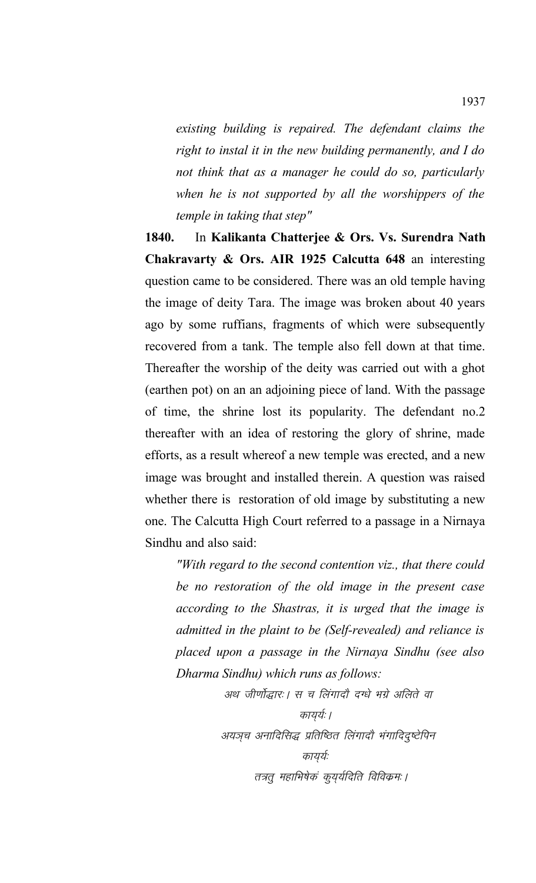*existing building is repaired. The defendant claims the right to instal it in the new building permanently, and I do not think that as a manager he could do so, particularly when he is not supported by all the worshippers of the temple in taking that step"*

**1840.** In **Kalikanta Chatterjee & Ors. Vs. Surendra Nath Chakravarty & Ors. AIR 1925 Calcutta 648** an interesting question came to be considered. There was an old temple having the image of deity Tara. The image was broken about 40 years ago by some ruffians, fragments of which were subsequently recovered from a tank. The temple also fell down at that time. Thereafter the worship of the deity was carried out with a ghot (earthen pot) on an an adjoining piece of land. With the passage of time, the shrine lost its popularity. The defendant no.2 thereafter with an idea of restoring the glory of shrine, made efforts, as a result whereof a new temple was erected, and a new image was brought and installed therein. A question was raised whether there is restoration of old image by substituting a new one. The Calcutta High Court referred to a passage in a Nirnaya Sindhu and also said:

*"With regard to the second contention viz., that there could be no restoration of the old image in the present case according to the Shastras, it is urged that the image is admitted in the plaint to be (Self-revealed) and reliance is placed upon a passage in the Nirnaya Sindhu (see also Dharma Sindhu) which runs as follows:*

> अथ जीर्णोद्धारः। स च लिंगादौ दग्धे भग्रे अलिते वा कायर्यः । अयञ्च अनादिसिद्ध प्रतिष्ठित लिंगादौ भंगादिद्घ्टेपिन

कायर्यः तत्रत् महाभिषेकं कुयुर्यदिति विविकमः ।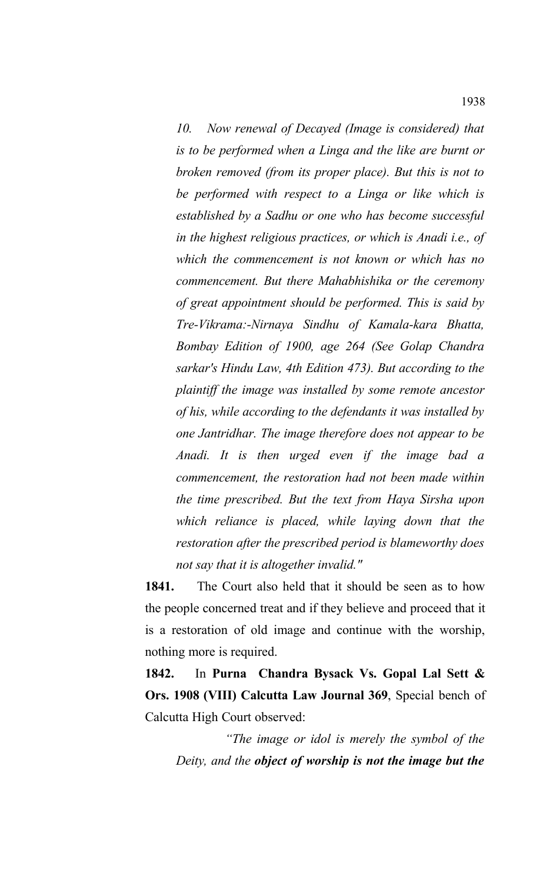*10. Now renewal of Decayed (Image is considered) that is to be performed when a Linga and the like are burnt or broken removed (from its proper place). But this is not to be performed with respect to a Linga or like which is established by a Sadhu or one who has become successful in the highest religious practices, or which is Anadi i.e., of which the commencement is not known or which has no commencement. But there Mahabhishika or the ceremony of great appointment should be performed. This is said by Tre-Vikrama:-Nirnaya Sindhu of Kamala-kara Bhatta, Bombay Edition of 1900, age 264 (See Golap Chandra sarkar's Hindu Law, 4th Edition 473). But according to the plaintiff the image was installed by some remote ancestor of his, while according to the defendants it was installed by one Jantridhar. The image therefore does not appear to be Anadi. It is then urged even if the image bad a commencement, the restoration had not been made within the time prescribed. But the text from Haya Sirsha upon which reliance is placed, while laying down that the restoration after the prescribed period is blameworthy does not say that it is altogether invalid."*

**1841.** The Court also held that it should be seen as to how the people concerned treat and if they believe and proceed that it is a restoration of old image and continue with the worship, nothing more is required.

**1842.** In **Purna Chandra Bysack Vs. Gopal Lal Sett & Ors. 1908 (VIII) Calcutta Law Journal 369**, Special bench of Calcutta High Court observed:

*"The image or idol is merely the symbol of the Deity, and the object of worship is not the image but the*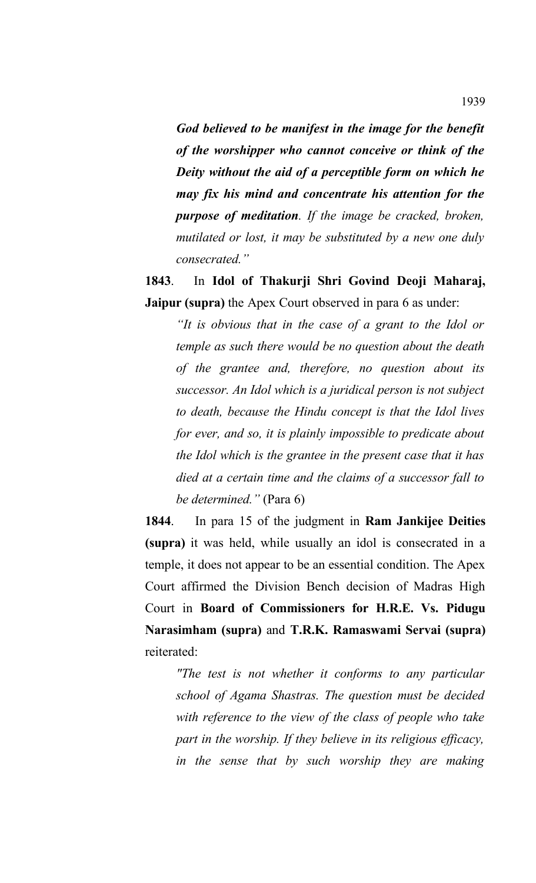*God believed to be manifest in the image for the benefit of the worshipper who cannot conceive or think of the Deity without the aid of a perceptible form on which he may fix his mind and concentrate his attention for the purpose of meditation. If the image be cracked, broken, mutilated or lost, it may be substituted by a new one duly consecrated."*

**1843**. In **Idol of Thakurji Shri Govind Deoji Maharaj, Jaipur (supra)** the Apex Court observed in para 6 as under:

*"It is obvious that in the case of a grant to the Idol or temple as such there would be no question about the death of the grantee and, therefore, no question about its successor. An Idol which is a juridical person is not subject to death, because the Hindu concept is that the Idol lives for ever, and so, it is plainly impossible to predicate about the Idol which is the grantee in the present case that it has died at a certain time and the claims of a successor fall to be determined."* (Para 6)

**1844**. In para 15 of the judgment in **Ram Jankijee Deities (supra)** it was held, while usually an idol is consecrated in a temple, it does not appear to be an essential condition. The Apex Court affirmed the Division Bench decision of Madras High Court in **Board of Commissioners for H.R.E. Vs. Pidugu Narasimham (supra)** and **T.R.K. Ramaswami Servai (supra)** reiterated:

*"The test is not whether it conforms to any particular school of Agama Shastras. The question must be decided with reference to the view of the class of people who take part in the worship. If they believe in its religious efficacy, in the sense that by such worship they are making*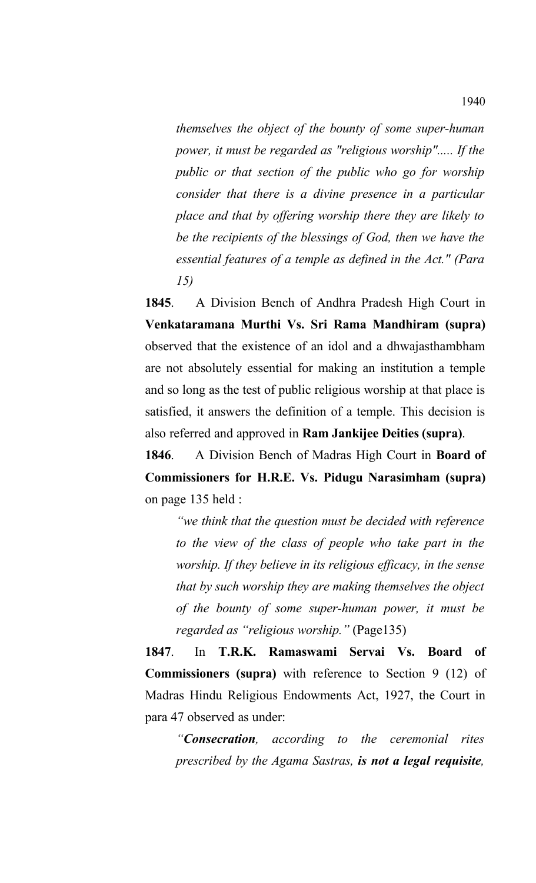*themselves the object of the bounty of some super-human power, it must be regarded as "religious worship"..... If the public or that section of the public who go for worship consider that there is a divine presence in a particular place and that by offering worship there they are likely to be the recipients of the blessings of God, then we have the essential features of a temple as defined in the Act." (Para 15)* 

**1845**. A Division Bench of Andhra Pradesh High Court in **Venkataramana Murthi Vs. Sri Rama Mandhiram (supra)** observed that the existence of an idol and a dhwajasthambham are not absolutely essential for making an institution a temple and so long as the test of public religious worship at that place is satisfied, it answers the definition of a temple. This decision is also referred and approved in **Ram Jankijee Deities (supra)**.

**1846**. A Division Bench of Madras High Court in **Board of Commissioners for H.R.E. Vs. Pidugu Narasimham (supra)** on page 135 held :

*"we think that the question must be decided with reference to the view of the class of people who take part in the worship. If they believe in its religious efficacy, in the sense that by such worship they are making themselves the object of the bounty of some super-human power, it must be regarded as "religious worship."* (Page135)

**1847**. In **T.R.K. Ramaswami Servai Vs. Board of Commissioners (supra)** with reference to Section 9 (12) of Madras Hindu Religious Endowments Act, 1927, the Court in para 47 observed as under:

*"Consecration, according to the ceremonial rites prescribed by the Agama Sastras, is not a legal requisite,*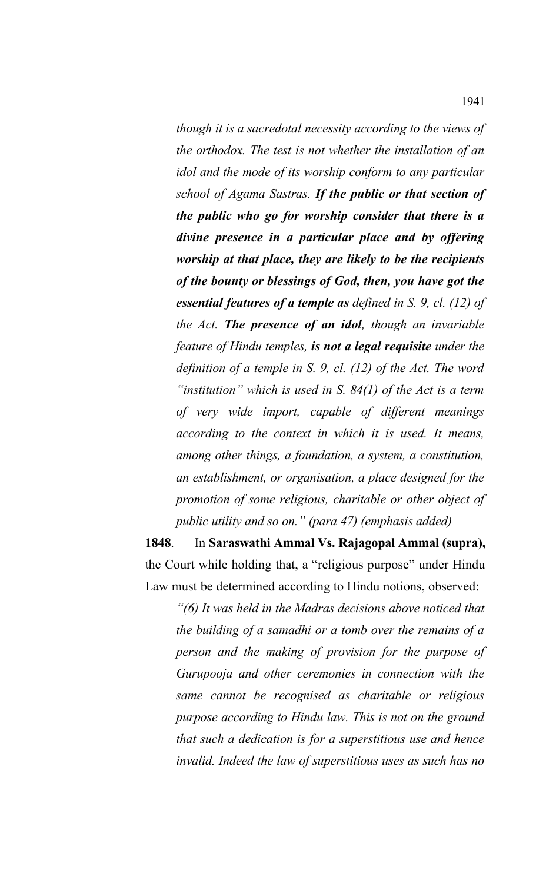*though it is a sacredotal necessity according to the views of the orthodox. The test is not whether the installation of an idol and the mode of its worship conform to any particular school of Agama Sastras. If the public or that section of the public who go for worship consider that there is a divine presence in a particular place and by offering worship at that place, they are likely to be the recipients of the bounty or blessings of God, then, you have got the essential features of a temple as defined in S. 9, cl. (12) of the Act. The presence of an idol, though an invariable feature of Hindu temples, is not a legal requisite under the definition of a temple in S. 9, cl. (12) of the Act. The word "institution" which is used in S. 84(1) of the Act is a term of very wide import, capable of different meanings according to the context in which it is used. It means, among other things, a foundation, a system, a constitution, an establishment, or organisation, a place designed for the promotion of some religious, charitable or other object of public utility and so on." (para 47) (emphasis added)*

**1848**. In **Saraswathi Ammal Vs. Rajagopal Ammal (supra),** the Court while holding that, a "religious purpose" under Hindu Law must be determined according to Hindu notions, observed:

*"(6) It was held in the Madras decisions above noticed that the building of a samadhi or a tomb over the remains of a person and the making of provision for the purpose of Gurupooja and other ceremonies in connection with the same cannot be recognised as charitable or religious purpose according to Hindu law. This is not on the ground that such a dedication is for a superstitious use and hence invalid. Indeed the law of superstitious uses as such has no*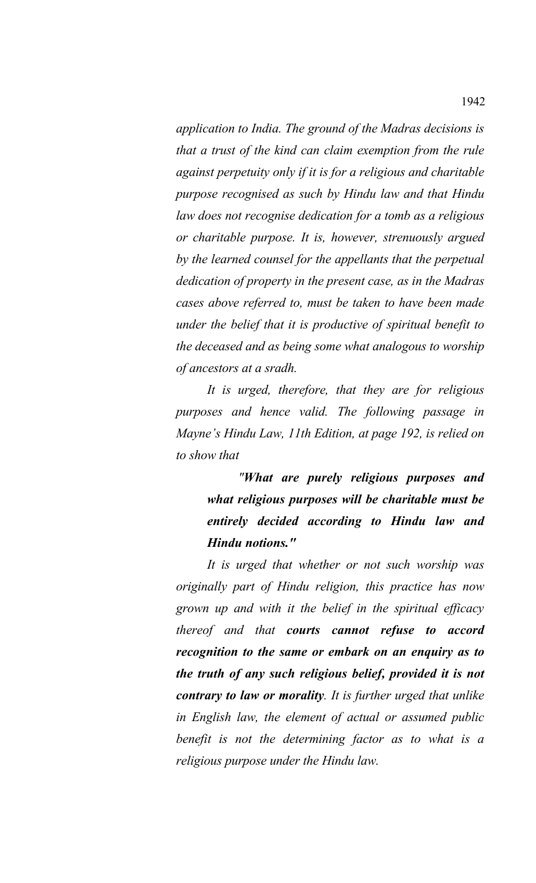*application to India. The ground of the Madras decisions is that a trust of the kind can claim exemption from the rule against perpetuity only if it is for a religious and charitable purpose recognised as such by Hindu law and that Hindu law does not recognise dedication for a tomb as a religious or charitable purpose. It is, however, strenuously argued by the learned counsel for the appellants that the perpetual dedication of property in the present case, as in the Madras cases above referred to, must be taken to have been made under the belief that it is productive of spiritual benefit to the deceased and as being some what analogous to worship of ancestors at a sradh.* 

*It is urged, therefore, that they are for religious purposes and hence valid. The following passage in Mayne's Hindu Law, 11th Edition, at page 192, is relied on to show that*

> *"What are purely religious purposes and what religious purposes will be charitable must be entirely decided according to Hindu law and Hindu notions."*

*It is urged that whether or not such worship was originally part of Hindu religion, this practice has now grown up and with it the belief in the spiritual efficacy thereof and that courts cannot refuse to accord recognition to the same or embark on an enquiry as to the truth of any such religious belief, provided it is not contrary to law or morality. It is further urged that unlike in English law, the element of actual or assumed public benefit is not the determining factor as to what is a religious purpose under the Hindu law.*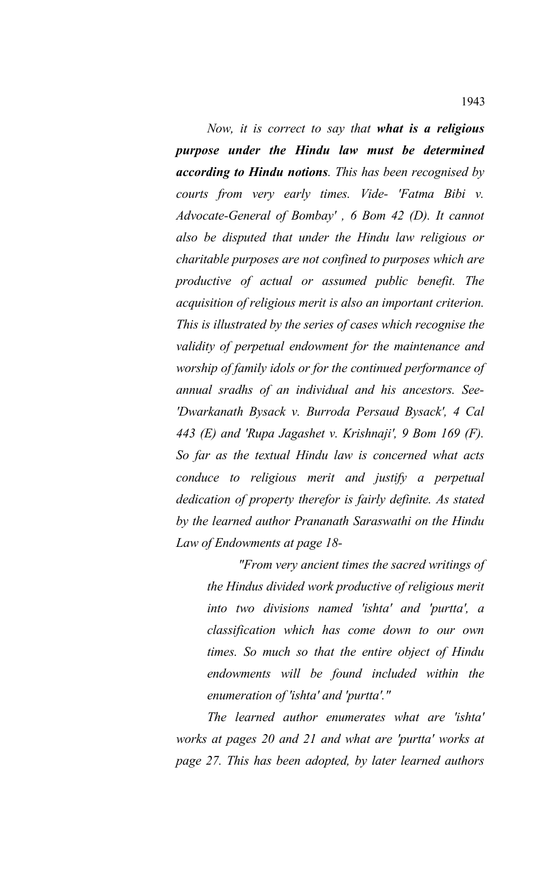*Now, it is correct to say that what is a religious purpose under the Hindu law must be determined according to Hindu notions. This has been recognised by courts from very early times. Vide- 'Fatma Bibi v. Advocate-General of Bombay' , 6 Bom 42 (D). It cannot also be disputed that under the Hindu law religious or charitable purposes are not confined to purposes which are productive of actual or assumed public benefit. The acquisition of religious merit is also an important criterion. This is illustrated by the series of cases which recognise the validity of perpetual endowment for the maintenance and worship of family idols or for the continued performance of annual sradhs of an individual and his ancestors. See- 'Dwarkanath Bysack v. Burroda Persaud Bysack', 4 Cal 443 (E) and 'Rupa Jagashet v. Krishnaji', 9 Bom 169 (F). So far as the textual Hindu law is concerned what acts conduce to religious merit and justify a perpetual dedication of property therefor is fairly definite. As stated by the learned author Prananath Saraswathi on the Hindu Law of Endowments at page 18-*

> *"From very ancient times the sacred writings of the Hindus divided work productive of religious merit into two divisions named 'ishta' and 'purtta', a classification which has come down to our own times. So much so that the entire object of Hindu endowments will be found included within the enumeration of 'ishta' and 'purtta'."*

*The learned author enumerates what are 'ishta' works at pages 20 and 21 and what are 'purtta' works at page 27. This has been adopted, by later learned authors*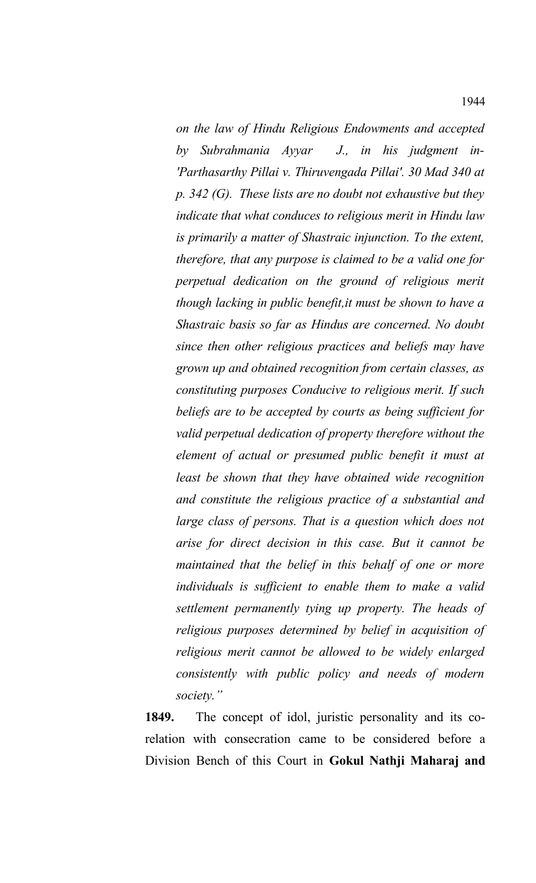*on the law of Hindu Religious Endowments and accepted by Subrahmania Ayyar J., in his judgment in- 'Parthasarthy Pillai v. Thiruvengada Pillai'. 30 Mad 340 at p. 342 (G). These lists are no doubt not exhaustive but they indicate that what conduces to religious merit in Hindu law is primarily a matter of Shastraic injunction. To the extent, therefore, that any purpose is claimed to be a valid one for perpetual dedication on the ground of religious merit though lacking in public benefit,it must be shown to have a Shastraic basis so far as Hindus are concerned. No doubt since then other religious practices and beliefs may have grown up and obtained recognition from certain classes, as constituting purposes Conducive to religious merit. If such beliefs are to be accepted by courts as being sufficient for valid perpetual dedication of property therefore without the element of actual or presumed public benefit it must at least be shown that they have obtained wide recognition and constitute the religious practice of a substantial and large class of persons. That is a question which does not arise for direct decision in this case. But it cannot be maintained that the belief in this behalf of one or more individuals is sufficient to enable them to make a valid settlement permanently tying up property. The heads of religious purposes determined by belief in acquisition of religious merit cannot be allowed to be widely enlarged consistently with public policy and needs of modern society."* 

**1849.** The concept of idol, juristic personality and its corelation with consecration came to be considered before a Division Bench of this Court in **Gokul Nathji Maharaj and**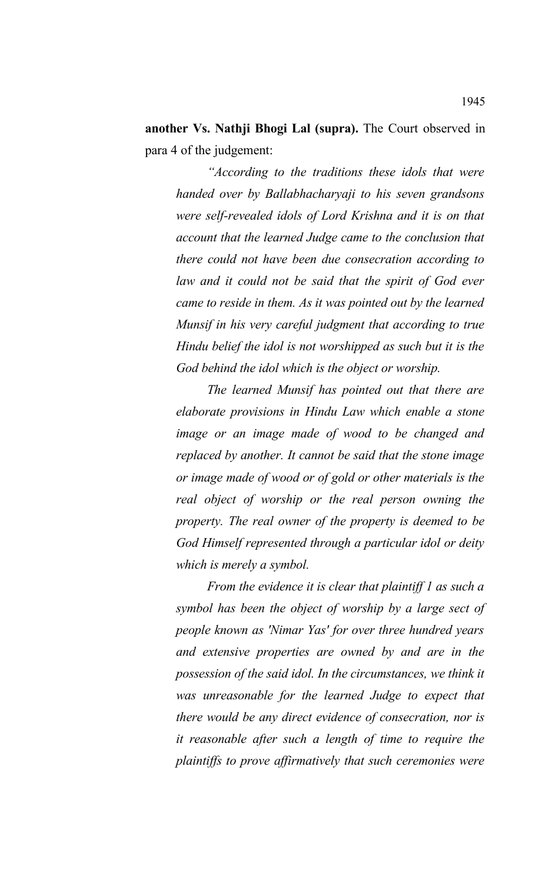**another Vs. Nathji Bhogi Lal (supra).** The Court observed in para 4 of the judgement:

*"According to the traditions these idols that were handed over by Ballabhacharyaji to his seven grandsons were self-revealed idols of Lord Krishna and it is on that account that the learned Judge came to the conclusion that there could not have been due consecration according to law and it could not be said that the spirit of God ever came to reside in them. As it was pointed out by the learned Munsif in his very careful judgment that according to true Hindu belief the idol is not worshipped as such but it is the God behind the idol which is the object or worship.* 

*The learned Munsif has pointed out that there are elaborate provisions in Hindu Law which enable a stone image or an image made of wood to be changed and replaced by another. It cannot be said that the stone image or image made of wood or of gold or other materials is the real object of worship or the real person owning the property. The real owner of the property is deemed to be God Himself represented through a particular idol or deity which is merely a symbol.* 

*From the evidence it is clear that plaintiff 1 as such a symbol has been the object of worship by a large sect of people known as 'Nimar Yas' for over three hundred years and extensive properties are owned by and are in the possession of the said idol. In the circumstances, we think it was unreasonable for the learned Judge to expect that there would be any direct evidence of consecration, nor is it reasonable after such a length of time to require the plaintiffs to prove affirmatively that such ceremonies were*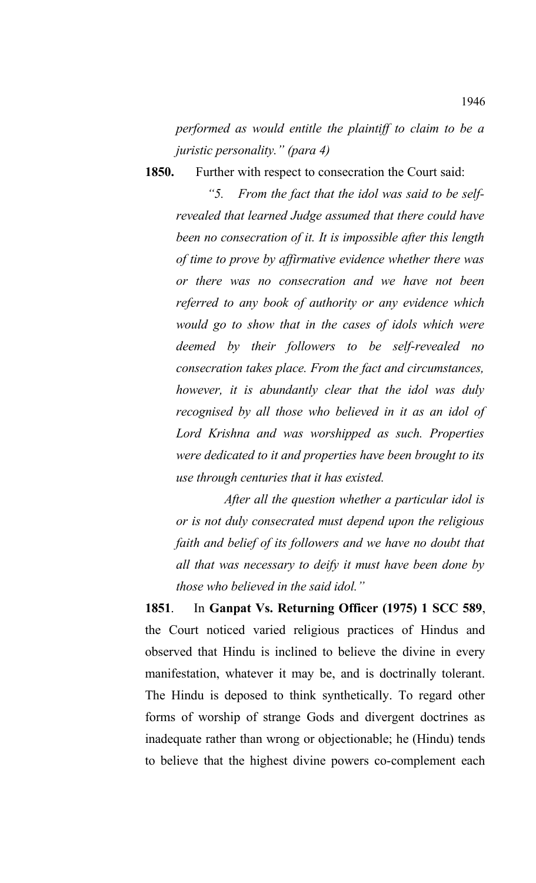*performed as would entitle the plaintiff to claim to be a juristic personality." (para 4)*

**1850.** Further with respect to consecration the Court said:

*"5. From the fact that the idol was said to be selfrevealed that learned Judge assumed that there could have been no consecration of it. It is impossible after this length of time to prove by affirmative evidence whether there was or there was no consecration and we have not been referred to any book of authority or any evidence which would go to show that in the cases of idols which were deemed by their followers to be self-revealed no consecration takes place. From the fact and circumstances, however, it is abundantly clear that the idol was duly recognised by all those who believed in it as an idol of Lord Krishna and was worshipped as such. Properties were dedicated to it and properties have been brought to its use through centuries that it has existed.* 

*After all the question whether a particular idol is or is not duly consecrated must depend upon the religious faith and belief of its followers and we have no doubt that all that was necessary to deify it must have been done by those who believed in the said idol."*

**1851**. In **Ganpat Vs. Returning Officer (1975) 1 SCC 589**, the Court noticed varied religious practices of Hindus and observed that Hindu is inclined to believe the divine in every manifestation, whatever it may be, and is doctrinally tolerant. The Hindu is deposed to think synthetically. To regard other forms of worship of strange Gods and divergent doctrines as inadequate rather than wrong or objectionable; he (Hindu) tends to believe that the highest divine powers co-complement each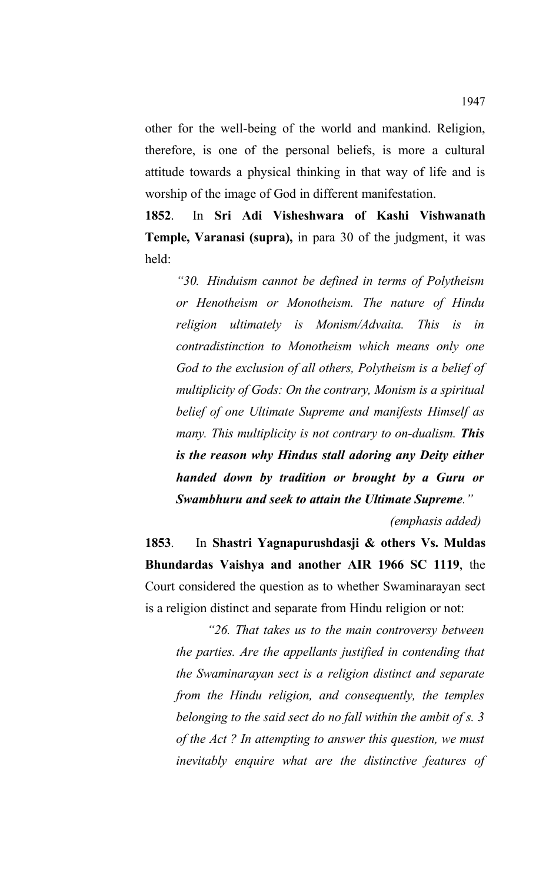other for the well-being of the world and mankind. Religion, therefore, is one of the personal beliefs, is more a cultural attitude towards a physical thinking in that way of life and is worship of the image of God in different manifestation.

**1852**. In **Sri Adi Visheshwara of Kashi Vishwanath Temple, Varanasi (supra),** in para 30 of the judgment, it was held:

*"30. Hinduism cannot be defined in terms of Polytheism or Henotheism or Monotheism. The nature of Hindu religion ultimately is Monism/Advaita. This is in contradistinction to Monotheism which means only one God to the exclusion of all others, Polytheism is a belief of multiplicity of Gods: On the contrary, Monism is a spiritual belief of one Ultimate Supreme and manifests Himself as many. This multiplicity is not contrary to on-dualism. This is the reason why Hindus stall adoring any Deity either handed down by tradition or brought by a Guru or Swambhuru and seek to attain the Ultimate Supreme."*

 *(emphasis added)* 

**1853**. In **Shastri Yagnapurushdasji & others Vs. Muldas Bhundardas Vaishya and another AIR 1966 SC 1119**, the Court considered the question as to whether Swaminarayan sect is a religion distinct and separate from Hindu religion or not:

*"26. That takes us to the main controversy between the parties. Are the appellants justified in contending that the Swaminarayan sect is a religion distinct and separate from the Hindu religion, and consequently, the temples belonging to the said sect do no fall within the ambit of s. 3 of the Act ? In attempting to answer this question, we must inevitably enquire what are the distinctive features of*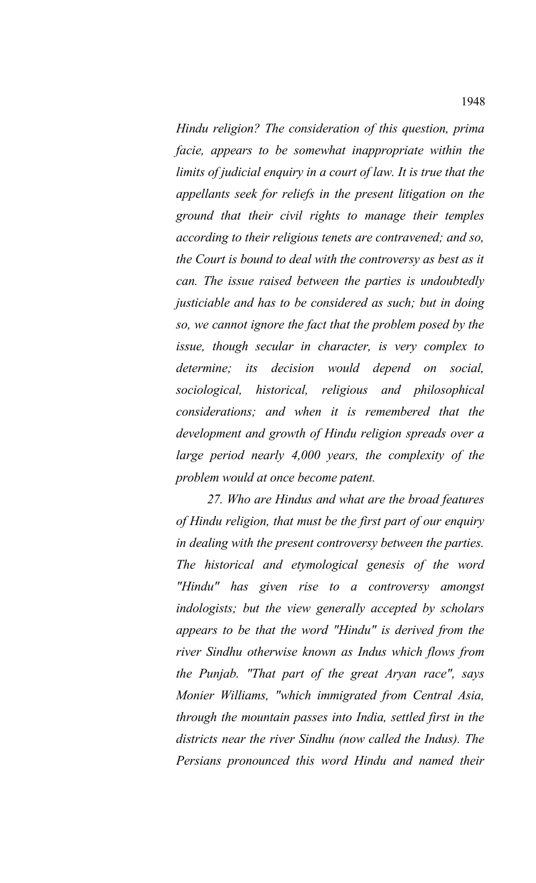*Hindu religion? The consideration of this question, prima facie, appears to be somewhat inappropriate within the limits of judicial enquiry in a court of law. It is true that the appellants seek for reliefs in the present litigation on the ground that their civil rights to manage their temples according to their religious tenets are contravened; and so, the Court is bound to deal with the controversy as best as it can. The issue raised between the parties is undoubtedly justiciable and has to be considered as such; but in doing so, we cannot ignore the fact that the problem posed by the issue, though secular in character, is very complex to determine; its decision would depend on social, sociological, historical, religious and philosophical considerations; and when it is remembered that the development and growth of Hindu religion spreads over a large period nearly 4,000 years, the complexity of the problem would at once become patent.* 

*27. Who are Hindus and what are the broad features of Hindu religion, that must be the first part of our enquiry in dealing with the present controversy between the parties. The historical and etymological genesis of the word "Hindu" has given rise to a controversy amongst indologists; but the view generally accepted by scholars appears to be that the word "Hindu" is derived from the river Sindhu otherwise known as Indus which flows from the Punjab. "That part of the great Aryan race", says Monier Williams, "which immigrated from Central Asia, through the mountain passes into India, settled first in the districts near the river Sindhu (now called the Indus). The Persians pronounced this word Hindu and named their*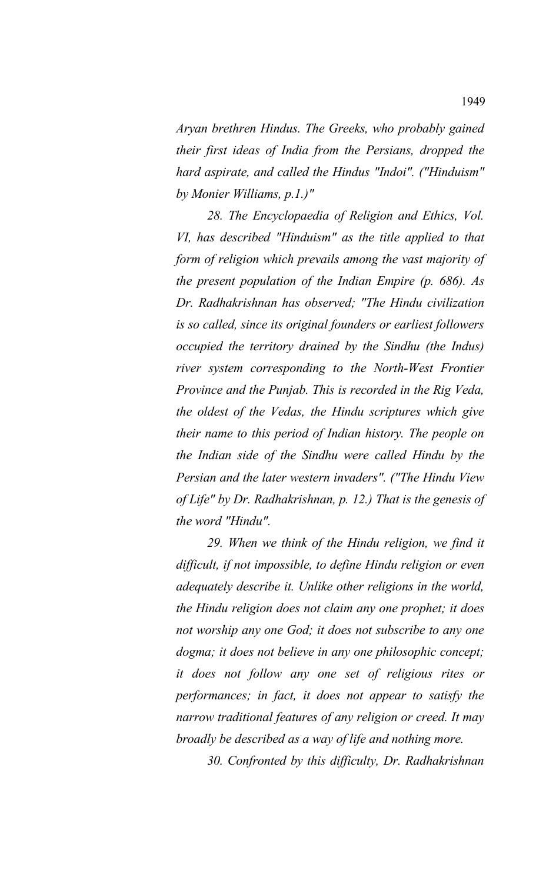*Aryan brethren Hindus. The Greeks, who probably gained their first ideas of India from the Persians, dropped the hard aspirate, and called the Hindus "Indoi". ("Hinduism" by Monier Williams, p.1.)"* 

*28. The Encyclopaedia of Religion and Ethics, Vol. VI, has described "Hinduism" as the title applied to that form of religion which prevails among the vast majority of the present population of the Indian Empire (p. 686). As Dr. Radhakrishnan has observed; "The Hindu civilization is so called, since its original founders or earliest followers occupied the territory drained by the Sindhu (the Indus) river system corresponding to the North-West Frontier Province and the Punjab. This is recorded in the Rig Veda, the oldest of the Vedas, the Hindu scriptures which give their name to this period of Indian history. The people on the Indian side of the Sindhu were called Hindu by the Persian and the later western invaders". ("The Hindu View of Life" by Dr. Radhakrishnan, p. 12.) That is the genesis of the word "Hindu".* 

*29. When we think of the Hindu religion, we find it difficult, if not impossible, to define Hindu religion or even adequately describe it. Unlike other religions in the world, the Hindu religion does not claim any one prophet; it does not worship any one God; it does not subscribe to any one dogma; it does not believe in any one philosophic concept; it does not follow any one set of religious rites or performances; in fact, it does not appear to satisfy the narrow traditional features of any religion or creed. It may broadly be described as a way of life and nothing more.* 

*30. Confronted by this difficulty, Dr. Radhakrishnan*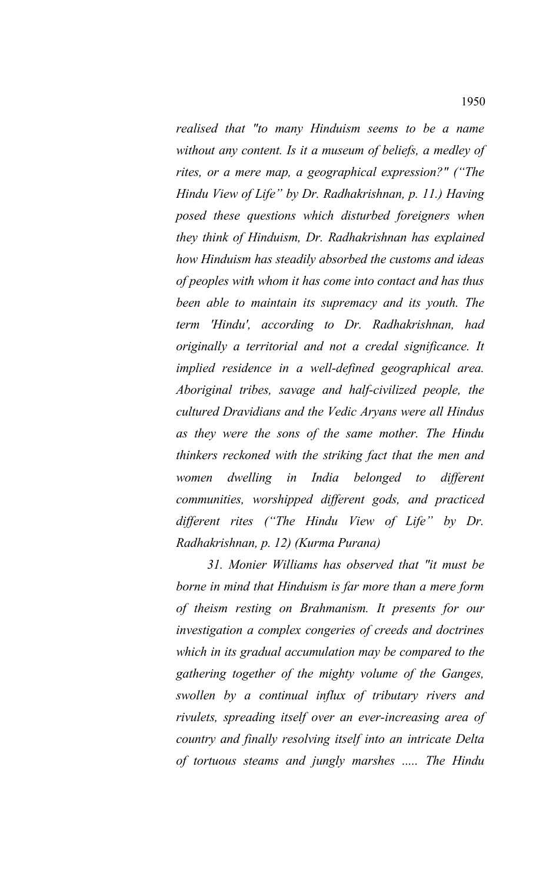*realised that "to many Hinduism seems to be a name without any content. Is it a museum of beliefs, a medley of rites, or a mere map, a geographical expression?" ("The Hindu View of Life" by Dr. Radhakrishnan, p. 11.) Having posed these questions which disturbed foreigners when they think of Hinduism, Dr. Radhakrishnan has explained how Hinduism has steadily absorbed the customs and ideas of peoples with whom it has come into contact and has thus been able to maintain its supremacy and its youth. The term 'Hindu', according to Dr. Radhakrishnan, had originally a territorial and not a credal significance. It implied residence in a well-defined geographical area. Aboriginal tribes, savage and half-civilized people, the cultured Dravidians and the Vedic Aryans were all Hindus as they were the sons of the same mother. The Hindu thinkers reckoned with the striking fact that the men and women dwelling in India belonged to different communities, worshipped different gods, and practiced different rites ("The Hindu View of Life" by Dr. Radhakrishnan, p. 12) (Kurma Purana)* 

*31. Monier Williams has observed that "it must be borne in mind that Hinduism is far more than a mere form of theism resting on Brahmanism. It presents for our investigation a complex congeries of creeds and doctrines which in its gradual accumulation may be compared to the gathering together of the mighty volume of the Ganges, swollen by a continual influx of tributary rivers and rivulets, spreading itself over an ever-increasing area of country and finally resolving itself into an intricate Delta of tortuous steams and jungly marshes ..... The Hindu*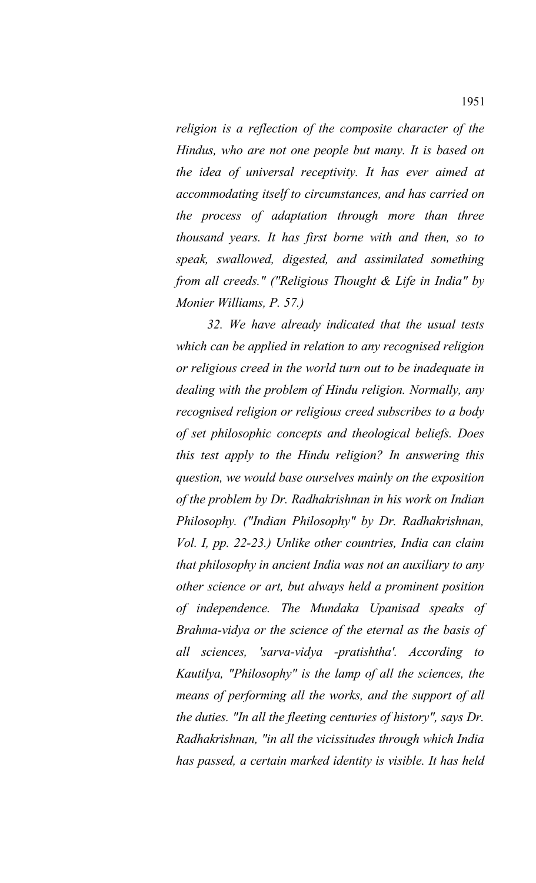*religion is a reflection of the composite character of the Hindus, who are not one people but many. It is based on the idea of universal receptivity. It has ever aimed at accommodating itself to circumstances, and has carried on the process of adaptation through more than three thousand years. It has first borne with and then, so to speak, swallowed, digested, and assimilated something from all creeds." ("Religious Thought & Life in India" by Monier Williams, P. 57.)* 

*32. We have already indicated that the usual tests which can be applied in relation to any recognised religion or religious creed in the world turn out to be inadequate in dealing with the problem of Hindu religion. Normally, any recognised religion or religious creed subscribes to a body of set philosophic concepts and theological beliefs. Does this test apply to the Hindu religion? In answering this question, we would base ourselves mainly on the exposition of the problem by Dr. Radhakrishnan in his work on Indian Philosophy. ("Indian Philosophy" by Dr. Radhakrishnan, Vol. I, pp. 22-23.) Unlike other countries, India can claim that philosophy in ancient India was not an auxiliary to any other science or art, but always held a prominent position of independence. The Mundaka Upanisad speaks of Brahma-vidya or the science of the eternal as the basis of all sciences, 'sarva-vidya -pratishtha'. According to Kautilya, "Philosophy" is the lamp of all the sciences, the means of performing all the works, and the support of all the duties. "In all the fleeting centuries of history", says Dr. Radhakrishnan, "in all the vicissitudes through which India has passed, a certain marked identity is visible. It has held*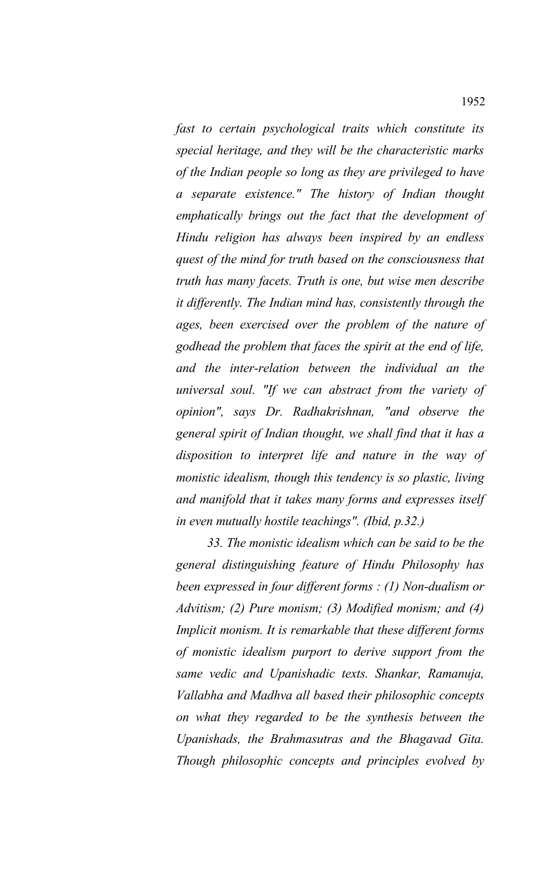*fast to certain psychological traits which constitute its special heritage, and they will be the characteristic marks of the Indian people so long as they are privileged to have a separate existence." The history of Indian thought emphatically brings out the fact that the development of Hindu religion has always been inspired by an endless quest of the mind for truth based on the consciousness that truth has many facets. Truth is one, but wise men describe it differently. The Indian mind has, consistently through the ages, been exercised over the problem of the nature of godhead the problem that faces the spirit at the end of life, and the inter-relation between the individual an the universal soul. "If we can abstract from the variety of opinion", says Dr. Radhakrishnan, "and observe the general spirit of Indian thought, we shall find that it has a disposition to interpret life and nature in the way of monistic idealism, though this tendency is so plastic, living and manifold that it takes many forms and expresses itself in even mutually hostile teachings". (Ibid, p.32.)* 

*33. The monistic idealism which can be said to be the general distinguishing feature of Hindu Philosophy has been expressed in four different forms : (1) Non-dualism or Advitism; (2) Pure monism; (3) Modified monism; and (4) Implicit monism. It is remarkable that these different forms of monistic idealism purport to derive support from the same vedic and Upanishadic texts. Shankar, Ramanuja, Vallabha and Madhva all based their philosophic concepts on what they regarded to be the synthesis between the Upanishads, the Brahmasutras and the Bhagavad Gita. Though philosophic concepts and principles evolved by*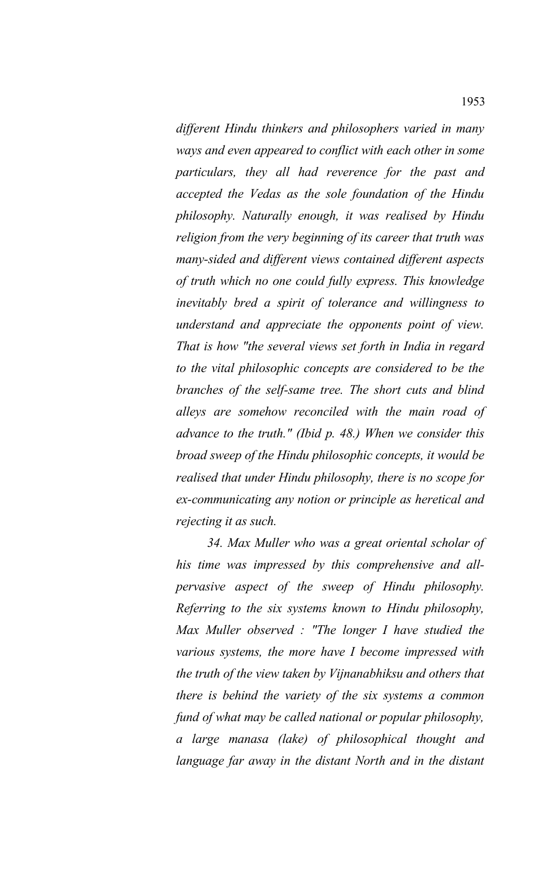*different Hindu thinkers and philosophers varied in many ways and even appeared to conflict with each other in some particulars, they all had reverence for the past and accepted the Vedas as the sole foundation of the Hindu philosophy. Naturally enough, it was realised by Hindu religion from the very beginning of its career that truth was many-sided and different views contained different aspects of truth which no one could fully express. This knowledge inevitably bred a spirit of tolerance and willingness to understand and appreciate the opponents point of view. That is how "the several views set forth in India in regard to the vital philosophic concepts are considered to be the branches of the self-same tree. The short cuts and blind alleys are somehow reconciled with the main road of advance to the truth." (Ibid p. 48.) When we consider this broad sweep of the Hindu philosophic concepts, it would be realised that under Hindu philosophy, there is no scope for ex-communicating any notion or principle as heretical and rejecting it as such.* 

*34. Max Muller who was a great oriental scholar of his time was impressed by this comprehensive and allpervasive aspect of the sweep of Hindu philosophy. Referring to the six systems known to Hindu philosophy, Max Muller observed : "The longer I have studied the various systems, the more have I become impressed with the truth of the view taken by Vijnanabhiksu and others that there is behind the variety of the six systems a common fund of what may be called national or popular philosophy, a large manasa (lake) of philosophical thought and language far away in the distant North and in the distant*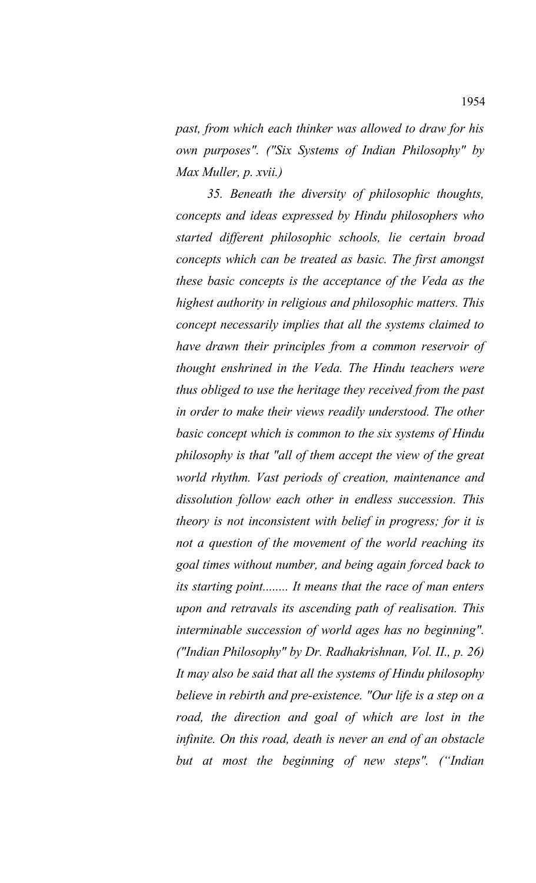*past, from which each thinker was allowed to draw for his own purposes". ("Six Systems of Indian Philosophy" by Max Muller, p. xvii.)* 

*35. Beneath the diversity of philosophic thoughts, concepts and ideas expressed by Hindu philosophers who started different philosophic schools, lie certain broad concepts which can be treated as basic. The first amongst these basic concepts is the acceptance of the Veda as the highest authority in religious and philosophic matters. This concept necessarily implies that all the systems claimed to have drawn their principles from a common reservoir of thought enshrined in the Veda. The Hindu teachers were thus obliged to use the heritage they received from the past in order to make their views readily understood. The other basic concept which is common to the six systems of Hindu philosophy is that "all of them accept the view of the great world rhythm. Vast periods of creation, maintenance and dissolution follow each other in endless succession. This theory is not inconsistent with belief in progress; for it is not a question of the movement of the world reaching its goal times without number, and being again forced back to its starting point........ It means that the race of man enters upon and retravals its ascending path of realisation. This interminable succession of world ages has no beginning". ("Indian Philosophy" by Dr. Radhakrishnan, Vol. II., p. 26) It may also be said that all the systems of Hindu philosophy believe in rebirth and pre-existence. "Our life is a step on a road, the direction and goal of which are lost in the infinite. On this road, death is never an end of an obstacle but at most the beginning of new steps". ("Indian*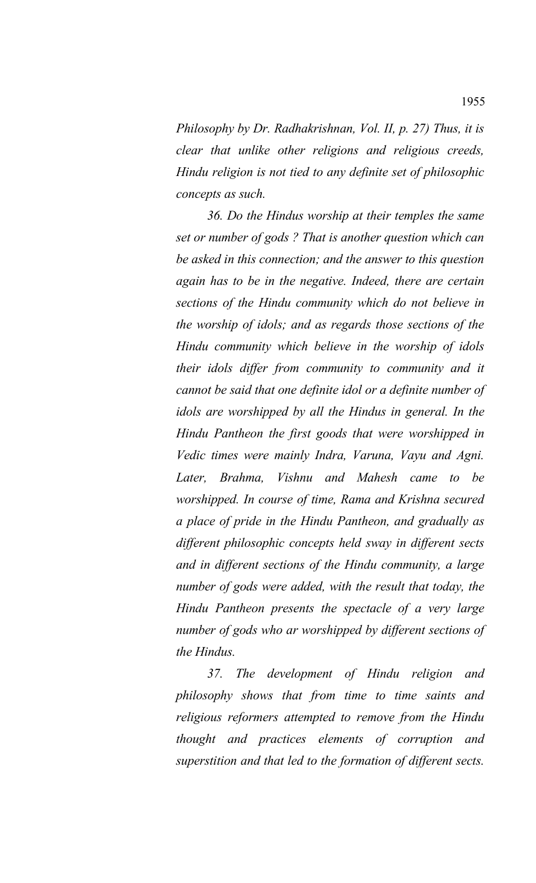*Philosophy by Dr. Radhakrishnan, Vol. II, p. 27) Thus, it is clear that unlike other religions and religious creeds, Hindu religion is not tied to any definite set of philosophic concepts as such.* 

*36. Do the Hindus worship at their temples the same set or number of gods ? That is another question which can be asked in this connection; and the answer to this question again has to be in the negative. Indeed, there are certain sections of the Hindu community which do not believe in the worship of idols; and as regards those sections of the Hindu community which believe in the worship of idols their idols differ from community to community and it cannot be said that one definite idol or a definite number of idols are worshipped by all the Hindus in general. In the Hindu Pantheon the first goods that were worshipped in Vedic times were mainly Indra, Varuna, Vayu and Agni. Later, Brahma, Vishnu and Mahesh came to be worshipped. In course of time, Rama and Krishna secured a place of pride in the Hindu Pantheon, and gradually as different philosophic concepts held sway in different sects and in different sections of the Hindu community, a large number of gods were added, with the result that today, the Hindu Pantheon presents the spectacle of a very large number of gods who ar worshipped by different sections of the Hindus.* 

*37. The development of Hindu religion and philosophy shows that from time to time saints and religious reformers attempted to remove from the Hindu thought and practices elements of corruption and superstition and that led to the formation of different sects.*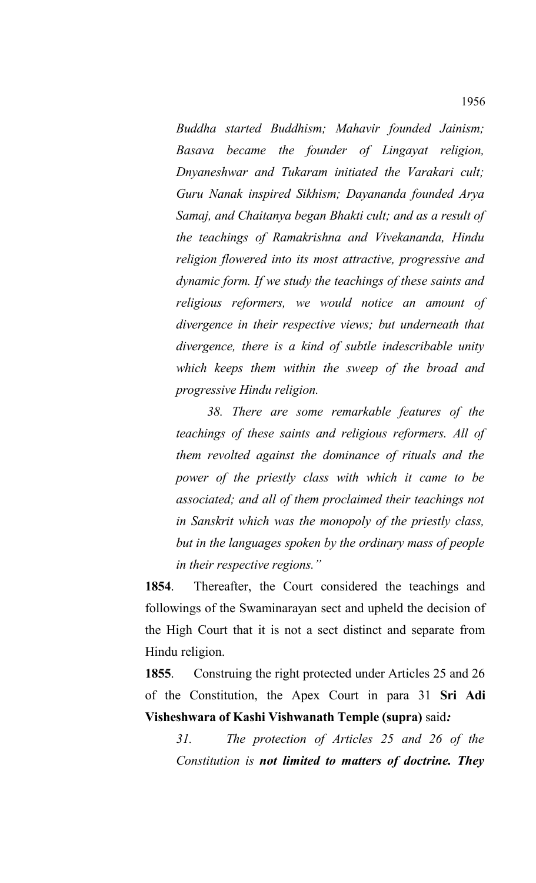*Buddha started Buddhism; Mahavir founded Jainism; Basava became the founder of Lingayat religion, Dnyaneshwar and Tukaram initiated the Varakari cult; Guru Nanak inspired Sikhism; Dayananda founded Arya Samaj, and Chaitanya began Bhakti cult; and as a result of the teachings of Ramakrishna and Vivekananda, Hindu religion flowered into its most attractive, progressive and dynamic form. If we study the teachings of these saints and religious reformers, we would notice an amount of divergence in their respective views; but underneath that divergence, there is a kind of subtle indescribable unity which keeps them within the sweep of the broad and progressive Hindu religion.* 

*38. There are some remarkable features of the teachings of these saints and religious reformers. All of them revolted against the dominance of rituals and the power of the priestly class with which it came to be associated; and all of them proclaimed their teachings not in Sanskrit which was the monopoly of the priestly class, but in the languages spoken by the ordinary mass of people in their respective regions."*

**1854**. Thereafter, the Court considered the teachings and followings of the Swaminarayan sect and upheld the decision of the High Court that it is not a sect distinct and separate from Hindu religion.

**1855**. Construing the right protected under Articles 25 and 26 of the Constitution, the Apex Court in para 31 **Sri Adi Visheshwara of Kashi Vishwanath Temple (supra)** said*:*

*31. The protection of Articles 25 and 26 of the Constitution is not limited to matters of doctrine. They*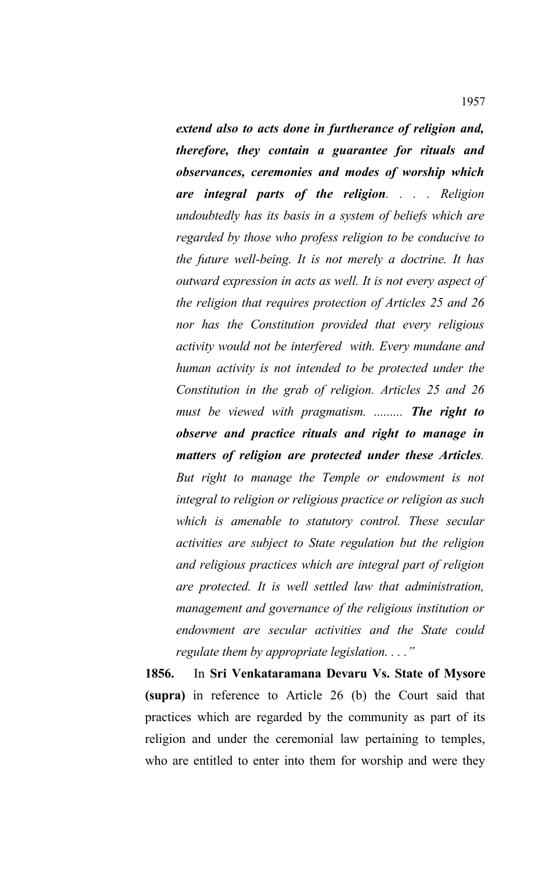*extend also to acts done in furtherance of religion and, therefore, they contain a guarantee for rituals and observances, ceremonies and modes of worship which are integral parts of the religion. . . . Religion undoubtedly has its basis in a system of beliefs which are regarded by those who profess religion to be conducive to the future well-being. It is not merely a doctrine. It has outward expression in acts as well. It is not every aspect of the religion that requires protection of Articles 25 and 26 nor has the Constitution provided that every religious activity would not be interfered with. Every mundane and human activity is not intended to be protected under the Constitution in the grab of religion. Articles 25 and 26 must be viewed with pragmatism. ......... The right to observe and practice rituals and right to manage in matters of religion are protected under these Articles. But right to manage the Temple or endowment is not integral to religion or religious practice or religion as such which is amenable to statutory control. These secular activities are subject to State regulation but the religion and religious practices which are integral part of religion are protected. It is well settled law that administration, management and governance of the religious institution or endowment are secular activities and the State could regulate them by appropriate legislation. . . ."* 

**1856.** In **Sri Venkataramana Devaru Vs. State of Mysore (supra)** in reference to Article 26 (b) the Court said that practices which are regarded by the community as part of its religion and under the ceremonial law pertaining to temples, who are entitled to enter into them for worship and were they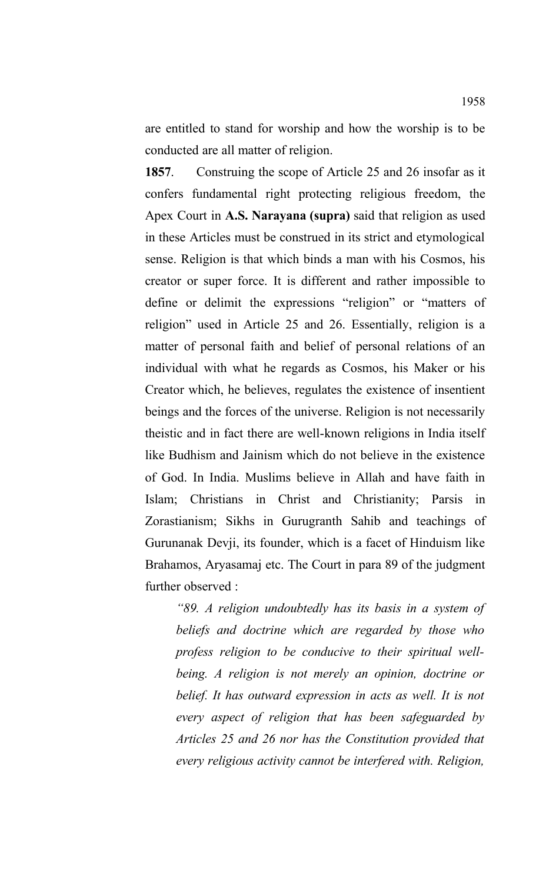are entitled to stand for worship and how the worship is to be conducted are all matter of religion.

**1857**. Construing the scope of Article 25 and 26 insofar as it confers fundamental right protecting religious freedom, the Apex Court in **A.S. Narayana (supra)** said that religion as used in these Articles must be construed in its strict and etymological sense. Religion is that which binds a man with his Cosmos, his creator or super force. It is different and rather impossible to define or delimit the expressions "religion" or "matters of religion" used in Article 25 and 26. Essentially, religion is a matter of personal faith and belief of personal relations of an individual with what he regards as Cosmos, his Maker or his Creator which, he believes, regulates the existence of insentient beings and the forces of the universe. Religion is not necessarily theistic and in fact there are well-known religions in India itself like Budhism and Jainism which do not believe in the existence of God. In India. Muslims believe in Allah and have faith in Islam; Christians in Christ and Christianity; Parsis in Zorastianism; Sikhs in Gurugranth Sahib and teachings of Gurunanak Devji, its founder, which is a facet of Hinduism like Brahamos, Aryasamaj etc. The Court in para 89 of the judgment further observed :

*"89. A religion undoubtedly has its basis in a system of beliefs and doctrine which are regarded by those who profess religion to be conducive to their spiritual wellbeing. A religion is not merely an opinion, doctrine or belief. It has outward expression in acts as well. It is not every aspect of religion that has been safeguarded by Articles 25 and 26 nor has the Constitution provided that every religious activity cannot be interfered with. Religion,*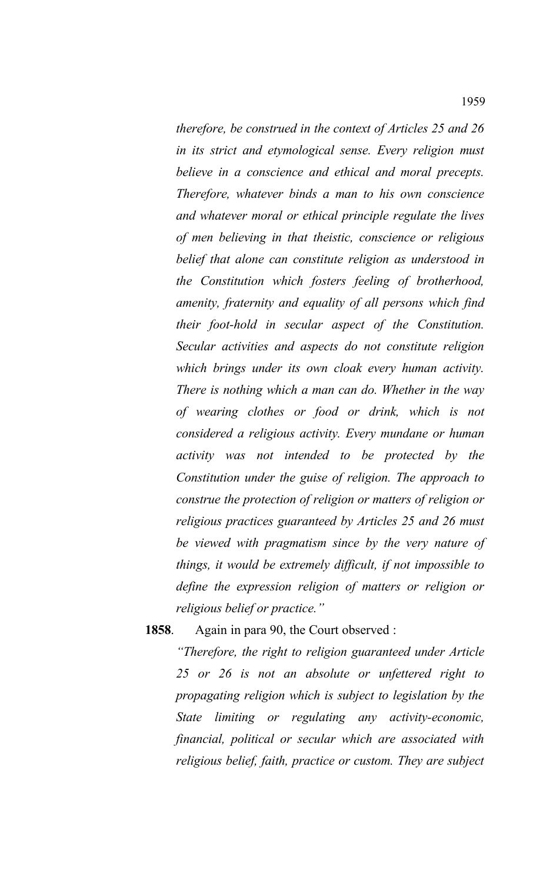*therefore, be construed in the context of Articles 25 and 26 in its strict and etymological sense. Every religion must believe in a conscience and ethical and moral precepts. Therefore, whatever binds a man to his own conscience and whatever moral or ethical principle regulate the lives of men believing in that theistic, conscience or religious belief that alone can constitute religion as understood in the Constitution which fosters feeling of brotherhood, amenity, fraternity and equality of all persons which find their foot-hold in secular aspect of the Constitution. Secular activities and aspects do not constitute religion which brings under its own cloak every human activity. There is nothing which a man can do. Whether in the way of wearing clothes or food or drink, which is not considered a religious activity. Every mundane or human activity was not intended to be protected by the Constitution under the guise of religion. The approach to construe the protection of religion or matters of religion or religious practices guaranteed by Articles 25 and 26 must be viewed with pragmatism since by the very nature of things, it would be extremely difficult, if not impossible to define the expression religion of matters or religion or religious belief or practice."*

**1858**. Again in para 90, the Court observed :

*"Therefore, the right to religion guaranteed under Article 25 or 26 is not an absolute or unfettered right to propagating religion which is subject to legislation by the State limiting or regulating any activity-economic, financial, political or secular which are associated with religious belief, faith, practice or custom. They are subject*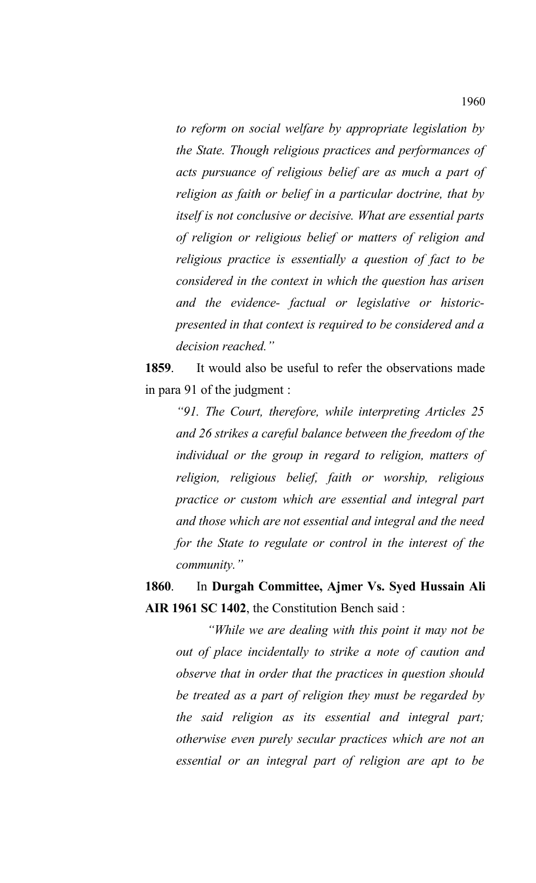*to reform on social welfare by appropriate legislation by the State. Though religious practices and performances of acts pursuance of religious belief are as much a part of religion as faith or belief in a particular doctrine, that by itself is not conclusive or decisive. What are essential parts of religion or religious belief or matters of religion and religious practice is essentially a question of fact to be considered in the context in which the question has arisen and the evidence- factual or legislative or historicpresented in that context is required to be considered and a decision reached."*

**1859**. It would also be useful to refer the observations made in para 91 of the judgment :

*"91. The Court, therefore, while interpreting Articles 25 and 26 strikes a careful balance between the freedom of the individual or the group in regard to religion, matters of religion, religious belief, faith or worship, religious practice or custom which are essential and integral part and those which are not essential and integral and the need for the State to regulate or control in the interest of the community."*

**1860**. In **Durgah Committee, Ajmer Vs. Syed Hussain Ali AIR 1961 SC 1402**, the Constitution Bench said :

*"While we are dealing with this point it may not be out of place incidentally to strike a note of caution and observe that in order that the practices in question should be treated as a part of religion they must be regarded by the said religion as its essential and integral part; otherwise even purely secular practices which are not an essential or an integral part of religion are apt to be*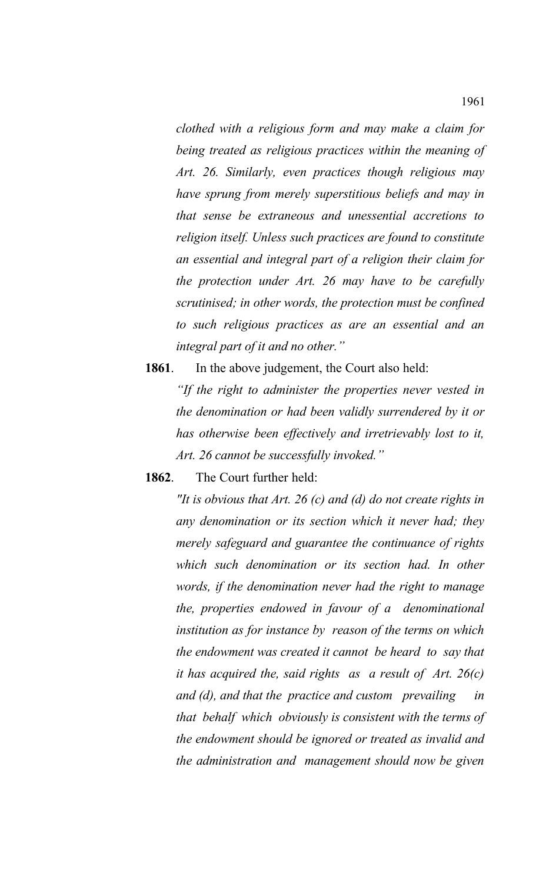*clothed with a religious form and may make a claim for being treated as religious practices within the meaning of Art. 26. Similarly, even practices though religious may have sprung from merely superstitious beliefs and may in that sense be extraneous and unessential accretions to religion itself. Unless such practices are found to constitute an essential and integral part of a religion their claim for the protection under Art. 26 may have to be carefully scrutinised; in other words, the protection must be confined to such religious practices as are an essential and an integral part of it and no other."*

**1861**. In the above judgement, the Court also held:

*"If the right to administer the properties never vested in the denomination or had been validly surrendered by it or has otherwise been effectively and irretrievably lost to it, Art. 26 cannot be successfully invoked."*

## **1862**. The Court further held:

*"It is obvious that Art. 26 (c) and (d) do not create rights in any denomination or its section which it never had; they merely safeguard and guarantee the continuance of rights which such denomination or its section had. In other words, if the denomination never had the right to manage the, properties endowed in favour of a denominational institution as for instance by reason of the terms on which the endowment was created it cannot be heard to say that it has acquired the, said rights as a result of Art. 26(c) and (d), and that the practice and custom prevailing in that behalf which obviously is consistent with the terms of the endowment should be ignored or treated as invalid and the administration and management should now be given*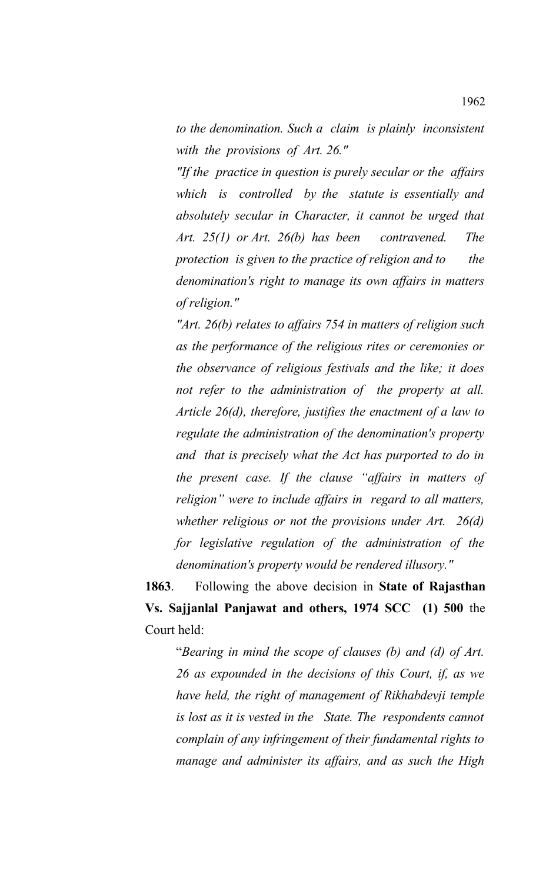*to the denomination. Such a claim is plainly inconsistent with the provisions of Art. 26."* 

*"If the practice in question is purely secular or the affairs which is controlled by the statute is essentially and absolutely secular in Character, it cannot be urged that Art. 25(1) or Art. 26(b) has been contravened. The protection is given to the practice of religion and to* the *denomination's right to manage its own affairs in matters of religion."* 

*"Art. 26(b) relates to affairs 754 in matters of religion such as the performance of the religious rites or ceremonies or the observance of religious festivals and the like; it does not refer to the administration of the property at all. Article 26(d), therefore, justifies the enactment of a law to regulate the administration of the denomination's property and that is precisely what the Act has purported to do in the present case. If the clause "affairs in matters of religion" were to include affairs in regard to all matters, whether religious or not the provisions under Art. 26(d) for legislative regulation of the administration of the denomination's property would be rendered illusory."*

**1863**. Following the above decision in **State of Rajasthan Vs. Sajjanlal Panjawat and others, 1974 SCC (1) 500** the Court held:

"*Bearing in mind the scope of clauses (b) and (d) of Art. 26 as expounded in the decisions of this Court, if, as we have held, the right of management of Rikhabdevji temple is lost as it is vested in the State. The respondents cannot complain of any infringement of their fundamental rights to manage and administer its affairs, and as such the High*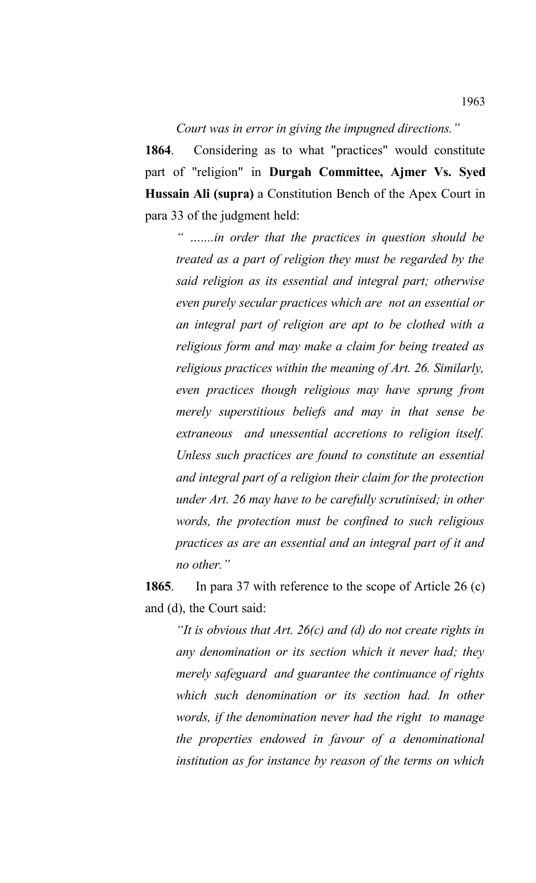*Court was in error in giving the impugned directions."* 

**1864**. Considering as to what "practices" would constitute part of "religion" in **Durgah Committee, Ajmer Vs. Syed Hussain Ali (supra)** a Constitution Bench of the Apex Court in para 33 of the judgment held:

*" …....in order that the practices in question should be treated as a part of religion they must be regarded by the said religion as its essential and integral part; otherwise even purely secular practices which are not an essential or an integral part of religion are apt to be clothed with a religious form and may make a claim for being treated as religious practices within the meaning of Art. 26. Similarly, even practices though religious may have sprung from merely superstitious beliefs and may in that sense be extraneous and unessential accretions to religion itself. Unless such practices are found to constitute an essential and integral part of a religion their claim for the protection under Art. 26 may have to be carefully scrutinised; in other words, the protection must be confined to such religious practices as are an essential and an integral part of it and no other."*

**1865**. In para 37 with reference to the scope of Article 26 (c) and (d), the Court said:

*"It is obvious that Art. 26(c) and (d) do not create rights in any denomination or its section which it never had; they merely safeguard and guarantee the continuance of rights which such denomination or its section had. In other words, if the denomination never had the right to manage the properties endowed in favour of a denominational institution as for instance by reason of the terms on which*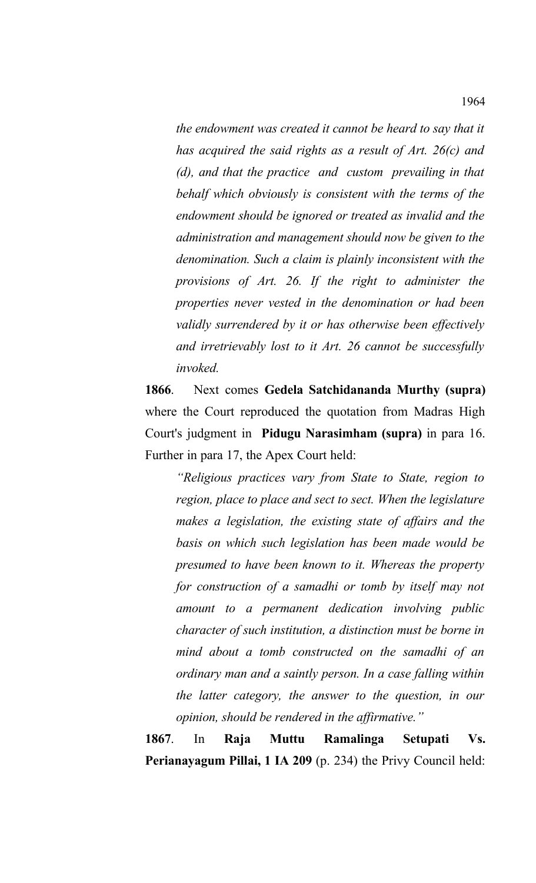*the endowment was created it cannot be heard to say that it has acquired the said rights as a result of Art. 26(c) and (d), and that the practice and custom prevailing in that behalf which obviously is consistent with the terms of the endowment should be ignored or treated as invalid and the administration and management should now be given to the denomination. Such a claim is plainly inconsistent with the provisions of Art. 26. If the right to administer the properties never vested in the denomination or had been validly surrendered by it or has otherwise been effectively and irretrievably lost to it Art. 26 cannot be successfully invoked.*

**1866**. Next comes **Gedela Satchidananda Murthy (supra)** where the Court reproduced the quotation from Madras High Court's judgment in **Pidugu Narasimham (supra)** in para 16. Further in para 17, the Apex Court held:

*"Religious practices vary from State to State, region to region, place to place and sect to sect. When the legislature makes a legislation, the existing state of affairs and the basis on which such legislation has been made would be presumed to have been known to it. Whereas the property for construction of a samadhi or tomb by itself may not amount to a permanent dedication involving public character of such institution, a distinction must be borne in mind about a tomb constructed on the samadhi of an ordinary man and a saintly person. In a case falling within the latter category, the answer to the question, in our opinion, should be rendered in the affirmative."*

**1867**. In **Raja Muttu Ramalinga Setupati Vs. Perianayagum Pillai, 1 IA 209** (p. 234) the Privy Council held: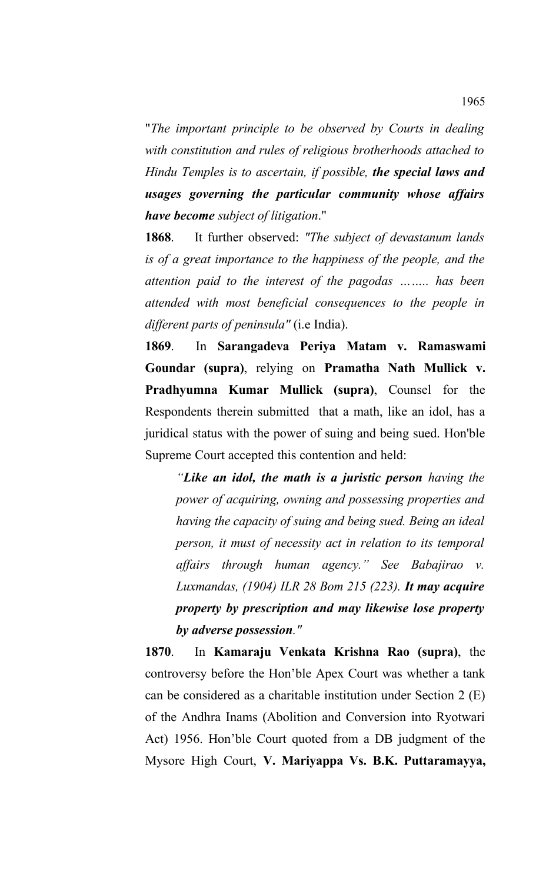"*The important principle to be observed by Courts in dealing with constitution and rules of religious brotherhoods attached to Hindu Temples is to ascertain, if possible, the special laws and usages governing the particular community whose affairs have become subject of litigation*."

**1868**. It further observed: *"The subject of devastanum lands is of a great importance to the happiness of the people, and the attention paid to the interest of the pagodas …….. has been attended with most beneficial consequences to the people in different parts of peninsula"* (i.e India).

**1869**. In **Sarangadeva Periya Matam v. Ramaswami Goundar (supra)**, relying on **Pramatha Nath Mullick v. Pradhyumna Kumar Mullick (supra)**, Counsel for the Respondents therein submitted that a math, like an idol, has a juridical status with the power of suing and being sued. Hon'ble Supreme Court accepted this contention and held:

*"Like an idol, the math is a juristic person having the power of acquiring, owning and possessing properties and having the capacity of suing and being sued. Being an ideal person, it must of necessity act in relation to its temporal affairs through human agency." See Babajirao v. Luxmandas, (1904) ILR 28 Bom 215 (223). It may acquire property by prescription and may likewise lose property by adverse possession."* 

**1870**. In **Kamaraju Venkata Krishna Rao (supra)**, the controversy before the Hon'ble Apex Court was whether a tank can be considered as a charitable institution under Section 2 (E) of the Andhra Inams (Abolition and Conversion into Ryotwari Act) 1956. Hon'ble Court quoted from a DB judgment of the Mysore High Court, **V. Mariyappa Vs. B.K. Puttaramayya,**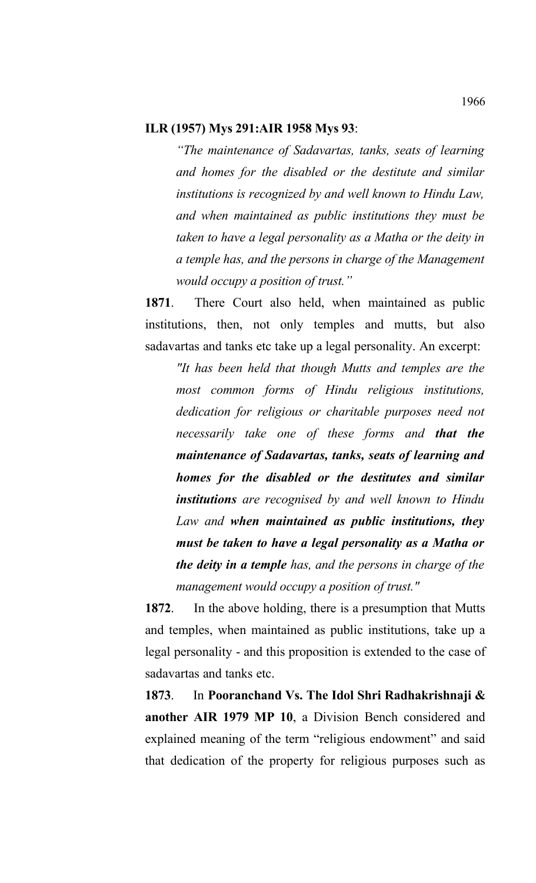## **ILR (1957) Mys 291:AIR 1958 Mys 93**:

*"The maintenance of Sadavartas, tanks, seats of learning and homes for the disabled or the destitute and similar institutions is recognized by and well known to Hindu Law, and when maintained as public institutions they must be taken to have a legal personality as a Matha or the deity in a temple has, and the persons in charge of the Management would occupy a position of trust."* 

**1871**. There Court also held, when maintained as public institutions, then, not only temples and mutts, but also sadavartas and tanks etc take up a legal personality. An excerpt:

*"It has been held that though Mutts and temples are the most common forms of Hindu religious institutions, dedication for religious or charitable purposes need not necessarily take one of these forms and that the maintenance of Sadavartas, tanks, seats of learning and homes for the disabled or the destitutes and similar institutions are recognised by and well known to Hindu Law and when maintained as public institutions, they must be taken to have a legal personality as a Matha or the deity in a temple has, and the persons in charge of the management would occupy a position of trust."* 

**1872**. In the above holding, there is a presumption that Mutts and temples, when maintained as public institutions, take up a legal personality - and this proposition is extended to the case of sadavartas and tanks etc.

**1873**. In **Pooranchand Vs. The Idol Shri Radhakrishnaji & another AIR 1979 MP 10**, a Division Bench considered and explained meaning of the term "religious endowment" and said that dedication of the property for religious purposes such as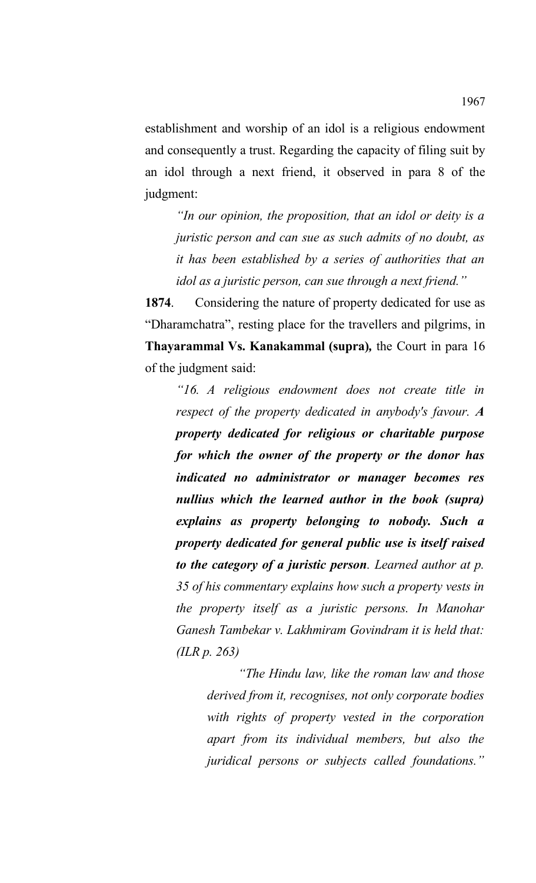establishment and worship of an idol is a religious endowment and consequently a trust. Regarding the capacity of filing suit by an idol through a next friend, it observed in para 8 of the judgment:

*"In our opinion, the proposition, that an idol or deity is a juristic person and can sue as such admits of no doubt, as it has been established by a series of authorities that an idol as a juristic person, can sue through a next friend."*

**1874**. Considering the nature of property dedicated for use as "Dharamchatra", resting place for the travellers and pilgrims, in **Thayarammal Vs. Kanakammal (supra)***,* the Court in para 16 of the judgment said:

*"16. A religious endowment does not create title in respect of the property dedicated in anybody's favour. A property dedicated for religious or charitable purpose for which the owner of the property or the donor has indicated no administrator or manager becomes res nullius which the learned author in the book (supra) explains as property belonging to nobody. Such a property dedicated for general public use is itself raised to the category of a juristic person. Learned author at p. 35 of his commentary explains how such a property vests in the property itself as a juristic persons. In Manohar Ganesh Tambekar v. Lakhmiram Govindram it is held that: (ILR p. 263)*

*"The Hindu law, like the roman law and those derived from it, recognises, not only corporate bodies with rights of property vested in the corporation apart from its individual members, but also the juridical persons or subjects called foundations."*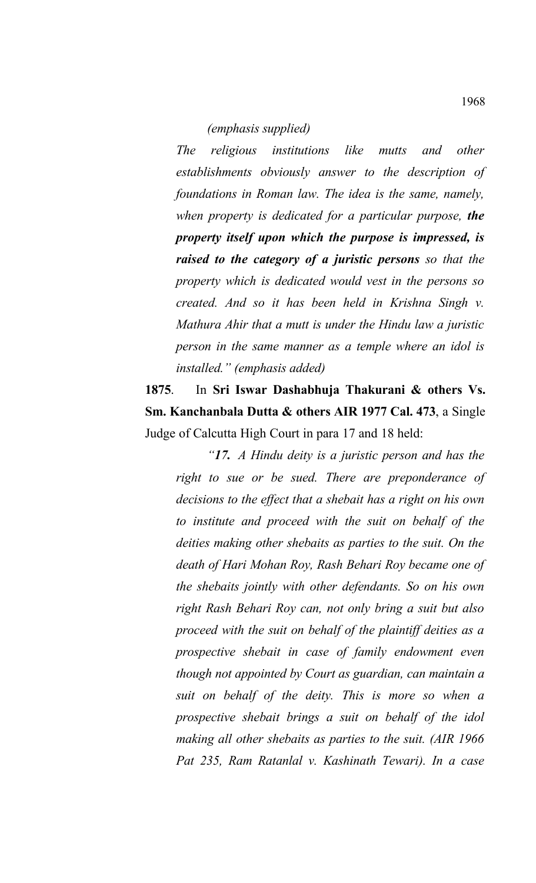*The religious institutions like mutts and other establishments obviously answer to the description of foundations in Roman law. The idea is the same, namely, when property is dedicated for a particular purpose, the property itself upon which the purpose is impressed, is raised to the category of a juristic persons so that the property which is dedicated would vest in the persons so created. And so it has been held in Krishna Singh v. Mathura Ahir that a mutt is under the Hindu law a juristic person in the same manner as a temple where an idol is installed." (emphasis added)*

**1875**. In **Sri Iswar Dashabhuja Thakurani & others Vs. Sm. Kanchanbala Dutta & others AIR 1977 Cal. 473**, a Single Judge of Calcutta High Court in para 17 and 18 held:

*"17. A Hindu deity is a juristic person and has the right to sue or be sued. There are preponderance of decisions to the effect that a shebait has a right on his own to institute and proceed with the suit on behalf of the deities making other shebaits as parties to the suit. On the death of Hari Mohan Roy, Rash Behari Roy became one of the shebaits jointly with other defendants. So on his own right Rash Behari Roy can, not only bring a suit but also proceed with the suit on behalf of the plaintiff deities as a prospective shebait in case of family endowment even though not appointed by Court as guardian, can maintain a suit on behalf of the deity. This is more so when a prospective shebait brings a suit on behalf of the idol making all other shebaits as parties to the suit. (AIR 1966 Pat 235, Ram Ratanlal v. Kashinath Tewari). In a case*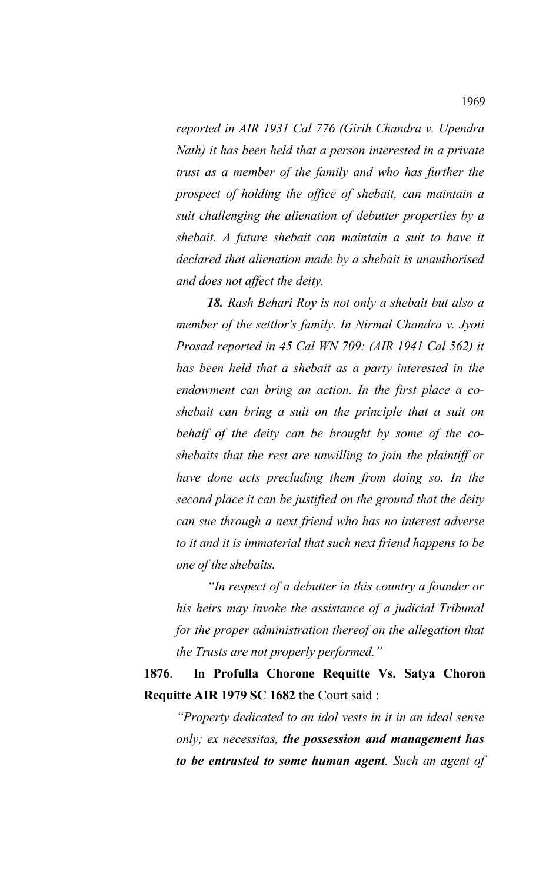*reported in AIR 1931 Cal 776 (Girih Chandra v. Upendra Nath) it has been held that a person interested in a private trust as a member of the family and who has further the prospect of holding the office of shebait, can maintain a suit challenging the alienation of debutter properties by a shebait. A future shebait can maintain a suit to have it declared that alienation made by a shebait is unauthorised and does not affect the deity.* 

*18. Rash Behari Roy is not only a shebait but also a member of the settlor's family. In Nirmal Chandra v. Jyoti Prosad reported in 45 Cal WN 709: (AIR 1941 Cal 562) it has been held that a shebait as a party interested in the endowment can bring an action. In the first place a coshebait can bring a suit on the principle that a suit on behalf of the deity can be brought by some of the coshebaits that the rest are unwilling to join the plaintiff or have done acts precluding them from doing so. In the second place it can be justified on the ground that the deity can sue through a next friend who has no interest adverse to it and it is immaterial that such next friend happens to be one of the shebaits.*

*"In respect of a debutter in this country a founder or his heirs may invoke the assistance of a judicial Tribunal for the proper administration thereof on the allegation that the Trusts are not properly performed."* 

**1876**. In **Profulla Chorone Requitte Vs. Satya Choron Requitte AIR 1979 SC 1682** the Court said :

*"Property dedicated to an idol vests in it in an ideal sense only; ex necessitas, the possession and management has to be entrusted to some human agent. Such an agent of*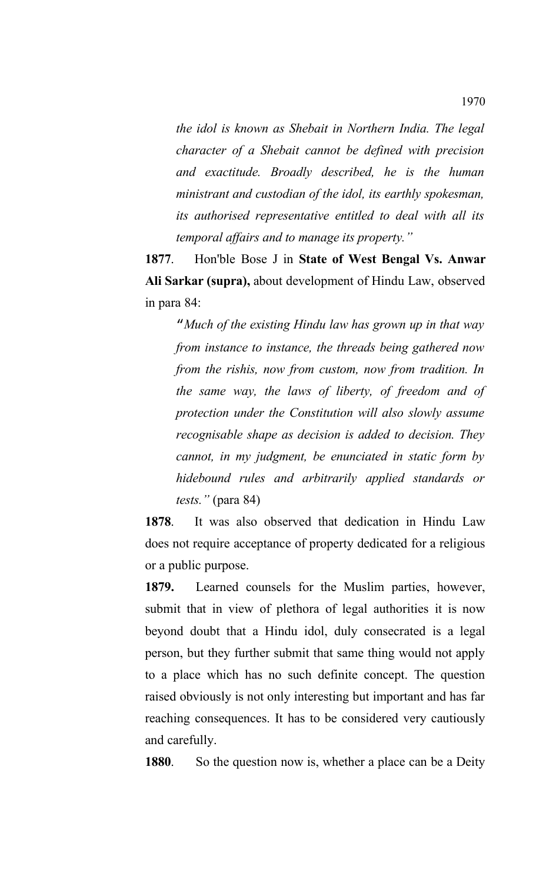*the idol is known as Shebait in Northern India. The legal character of a Shebait cannot be defined with precision and exactitude. Broadly described, he is the human ministrant and custodian of the idol, its earthly spokesman, its authorised representative entitled to deal with all its temporal affairs and to manage its property."*

**1877**. Hon'ble Bose J in **State of West Bengal Vs. Anwar Ali Sarkar (supra),** about development of Hindu Law, observed in para 84:

"*Much of the existing Hindu law has grown up in that way from instance to instance, the threads being gathered now from the rishis, now from custom, now from tradition. In the same way, the laws of liberty, of freedom and of protection under the Constitution will also slowly assume recognisable shape as decision is added to decision. They cannot, in my judgment, be enunciated in static form by hidebound rules and arbitrarily applied standards or tests."* (para 84)

**1878**. It was also observed that dedication in Hindu Law does not require acceptance of property dedicated for a religious or a public purpose.

**1879.** Learned counsels for the Muslim parties, however, submit that in view of plethora of legal authorities it is now beyond doubt that a Hindu idol, duly consecrated is a legal person, but they further submit that same thing would not apply to a place which has no such definite concept. The question raised obviously is not only interesting but important and has far reaching consequences. It has to be considered very cautiously and carefully.

**1880**. So the question now is, whether a place can be a Deity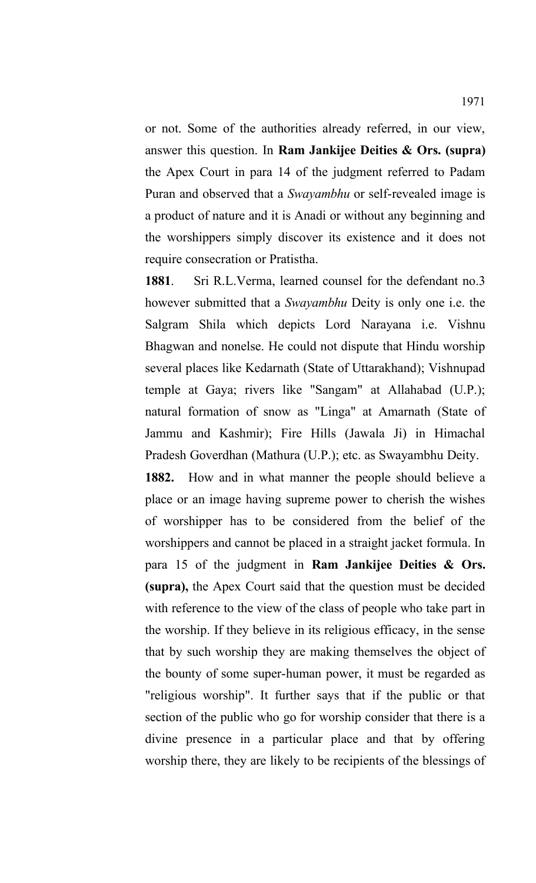or not. Some of the authorities already referred, in our view, answer this question. In **Ram Jankijee Deities & Ors. (supra)** the Apex Court in para 14 of the judgment referred to Padam Puran and observed that a *Swayambhu* or self-revealed image is a product of nature and it is Anadi or without any beginning and the worshippers simply discover its existence and it does not require consecration or Pratistha.

**1881**. Sri R.L.Verma, learned counsel for the defendant no.3 however submitted that a *Swayambhu* Deity is only one i.e. the Salgram Shila which depicts Lord Narayana i.e. Vishnu Bhagwan and nonelse. He could not dispute that Hindu worship several places like Kedarnath (State of Uttarakhand); Vishnupad temple at Gaya; rivers like "Sangam" at Allahabad (U.P.); natural formation of snow as "Linga" at Amarnath (State of Jammu and Kashmir); Fire Hills (Jawala Ji) in Himachal Pradesh Goverdhan (Mathura (U.P.); etc. as Swayambhu Deity.

**1882.** How and in what manner the people should believe a place or an image having supreme power to cherish the wishes of worshipper has to be considered from the belief of the worshippers and cannot be placed in a straight jacket formula. In para 15 of the judgment in **Ram Jankijee Deities & Ors. (supra),** the Apex Court said that the question must be decided with reference to the view of the class of people who take part in the worship. If they believe in its religious efficacy, in the sense that by such worship they are making themselves the object of the bounty of some super-human power, it must be regarded as "religious worship". It further says that if the public or that section of the public who go for worship consider that there is a divine presence in a particular place and that by offering worship there, they are likely to be recipients of the blessings of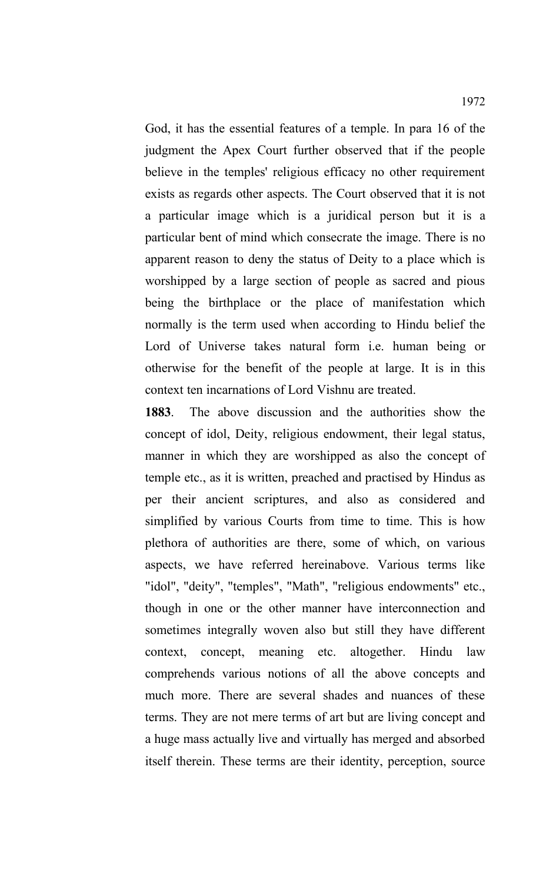God, it has the essential features of a temple. In para 16 of the judgment the Apex Court further observed that if the people believe in the temples' religious efficacy no other requirement exists as regards other aspects. The Court observed that it is not a particular image which is a juridical person but it is a particular bent of mind which consecrate the image. There is no apparent reason to deny the status of Deity to a place which is worshipped by a large section of people as sacred and pious being the birthplace or the place of manifestation which normally is the term used when according to Hindu belief the Lord of Universe takes natural form i.e. human being or otherwise for the benefit of the people at large. It is in this context ten incarnations of Lord Vishnu are treated.

**1883**. The above discussion and the authorities show the concept of idol, Deity, religious endowment, their legal status, manner in which they are worshipped as also the concept of temple etc., as it is written, preached and practised by Hindus as per their ancient scriptures, and also as considered and simplified by various Courts from time to time. This is how plethora of authorities are there, some of which, on various aspects, we have referred hereinabove. Various terms like "idol", "deity", "temples", "Math", "religious endowments" etc., though in one or the other manner have interconnection and sometimes integrally woven also but still they have different context, concept, meaning etc. altogether. Hindu law comprehends various notions of all the above concepts and much more. There are several shades and nuances of these terms. They are not mere terms of art but are living concept and a huge mass actually live and virtually has merged and absorbed itself therein. These terms are their identity, perception, source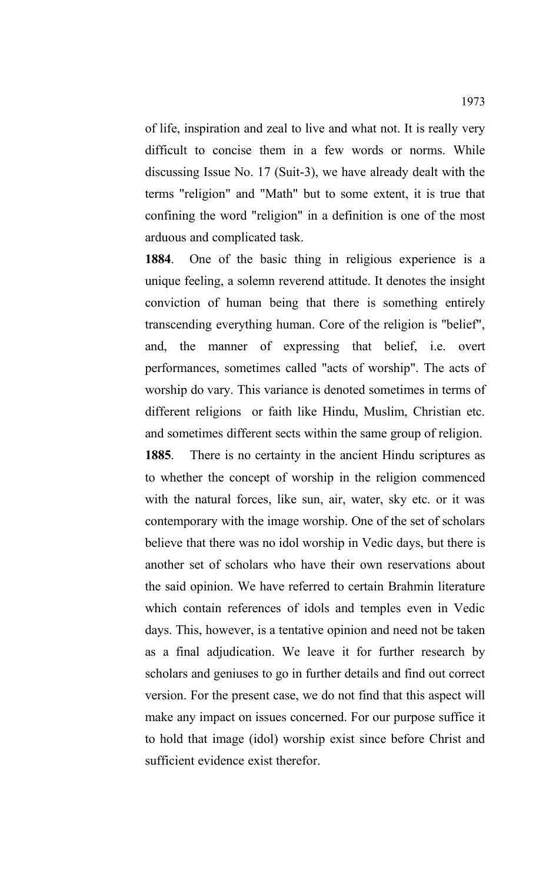of life, inspiration and zeal to live and what not. It is really very difficult to concise them in a few words or norms. While discussing Issue No. 17 (Suit-3), we have already dealt with the terms "religion" and "Math" but to some extent, it is true that confining the word "religion" in a definition is one of the most arduous and complicated task.

**1884**. One of the basic thing in religious experience is a unique feeling, a solemn reverend attitude. It denotes the insight conviction of human being that there is something entirely transcending everything human. Core of the religion is "belief", and, the manner of expressing that belief, i.e. overt performances, sometimes called "acts of worship". The acts of worship do vary. This variance is denoted sometimes in terms of different religions or faith like Hindu, Muslim, Christian etc. and sometimes different sects within the same group of religion.

**1885**. There is no certainty in the ancient Hindu scriptures as to whether the concept of worship in the religion commenced with the natural forces, like sun, air, water, sky etc. or it was contemporary with the image worship. One of the set of scholars believe that there was no idol worship in Vedic days, but there is another set of scholars who have their own reservations about the said opinion. We have referred to certain Brahmin literature which contain references of idols and temples even in Vedic days. This, however, is a tentative opinion and need not be taken as a final adjudication. We leave it for further research by scholars and geniuses to go in further details and find out correct version. For the present case, we do not find that this aspect will make any impact on issues concerned. For our purpose suffice it to hold that image (idol) worship exist since before Christ and sufficient evidence exist therefor.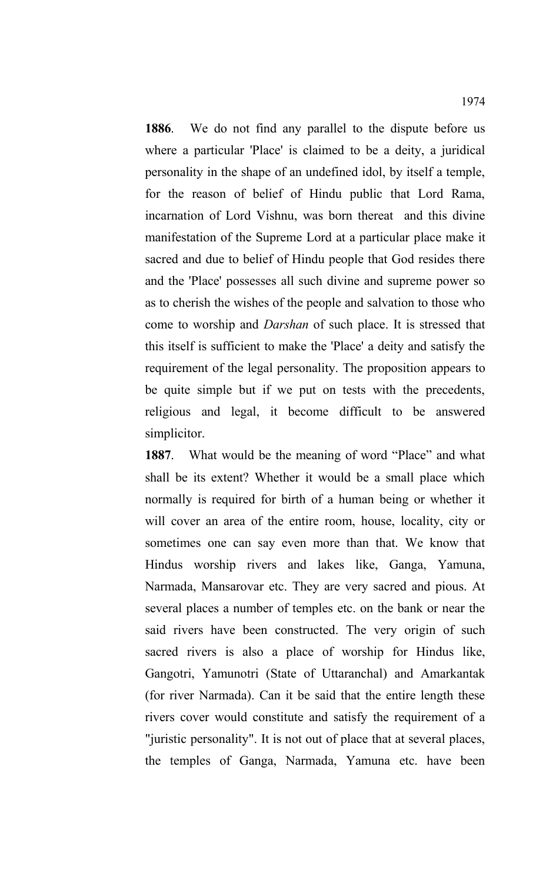**1886**. We do not find any parallel to the dispute before us where a particular 'Place' is claimed to be a deity, a juridical personality in the shape of an undefined idol, by itself a temple, for the reason of belief of Hindu public that Lord Rama, incarnation of Lord Vishnu, was born thereat and this divine manifestation of the Supreme Lord at a particular place make it sacred and due to belief of Hindu people that God resides there and the 'Place' possesses all such divine and supreme power so as to cherish the wishes of the people and salvation to those who come to worship and *Darshan* of such place. It is stressed that this itself is sufficient to make the 'Place' a deity and satisfy the requirement of the legal personality. The proposition appears to be quite simple but if we put on tests with the precedents, religious and legal, it become difficult to be answered simplicitor.

**1887**. What would be the meaning of word "Place" and what shall be its extent? Whether it would be a small place which normally is required for birth of a human being or whether it will cover an area of the entire room, house, locality, city or sometimes one can say even more than that. We know that Hindus worship rivers and lakes like, Ganga, Yamuna, Narmada, Mansarovar etc. They are very sacred and pious. At several places a number of temples etc. on the bank or near the said rivers have been constructed. The very origin of such sacred rivers is also a place of worship for Hindus like, Gangotri, Yamunotri (State of Uttaranchal) and Amarkantak (for river Narmada). Can it be said that the entire length these rivers cover would constitute and satisfy the requirement of a "juristic personality". It is not out of place that at several places, the temples of Ganga, Narmada, Yamuna etc. have been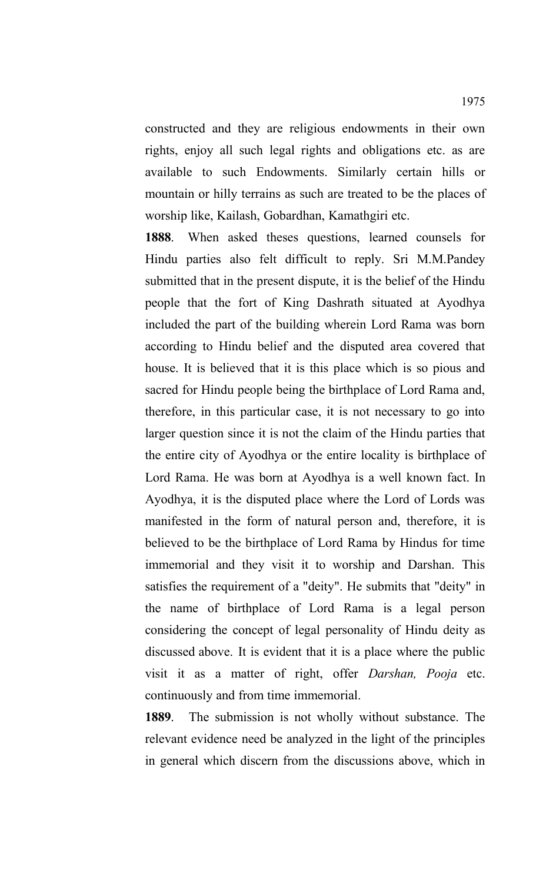constructed and they are religious endowments in their own rights, enjoy all such legal rights and obligations etc. as are available to such Endowments. Similarly certain hills or mountain or hilly terrains as such are treated to be the places of worship like, Kailash, Gobardhan, Kamathgiri etc.

**1888**. When asked theses questions, learned counsels for Hindu parties also felt difficult to reply. Sri M.M.Pandey submitted that in the present dispute, it is the belief of the Hindu people that the fort of King Dashrath situated at Ayodhya included the part of the building wherein Lord Rama was born according to Hindu belief and the disputed area covered that house. It is believed that it is this place which is so pious and sacred for Hindu people being the birthplace of Lord Rama and, therefore, in this particular case, it is not necessary to go into larger question since it is not the claim of the Hindu parties that the entire city of Ayodhya or the entire locality is birthplace of Lord Rama. He was born at Ayodhya is a well known fact. In Ayodhya, it is the disputed place where the Lord of Lords was manifested in the form of natural person and, therefore, it is believed to be the birthplace of Lord Rama by Hindus for time immemorial and they visit it to worship and Darshan. This satisfies the requirement of a "deity". He submits that "deity" in the name of birthplace of Lord Rama is a legal person considering the concept of legal personality of Hindu deity as discussed above. It is evident that it is a place where the public visit it as a matter of right, offer *Darshan, Pooja* etc. continuously and from time immemorial.

**1889**. The submission is not wholly without substance. The relevant evidence need be analyzed in the light of the principles in general which discern from the discussions above, which in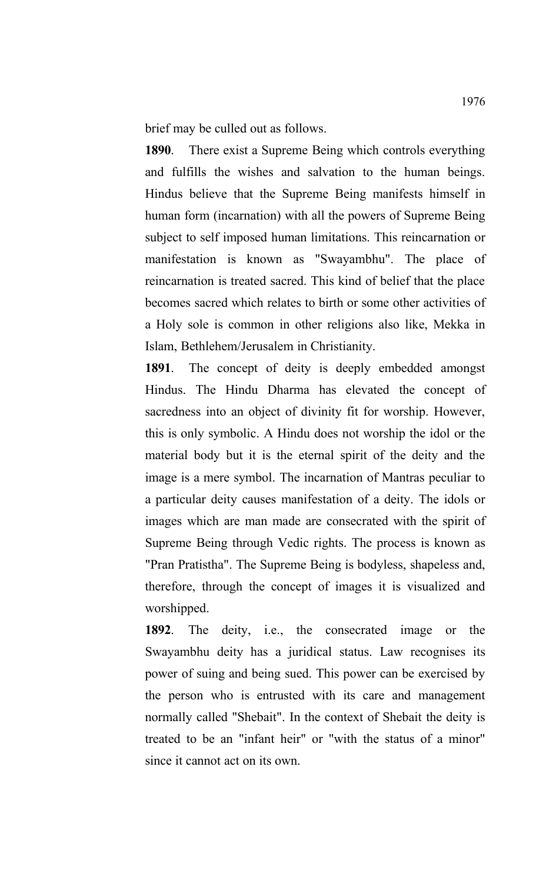brief may be culled out as follows.

**1890**. There exist a Supreme Being which controls everything and fulfills the wishes and salvation to the human beings. Hindus believe that the Supreme Being manifests himself in human form (incarnation) with all the powers of Supreme Being subject to self imposed human limitations. This reincarnation or manifestation is known as "Swayambhu". The place of reincarnation is treated sacred. This kind of belief that the place becomes sacred which relates to birth or some other activities of a Holy sole is common in other religions also like, Mekka in Islam, Bethlehem/Jerusalem in Christianity.

**1891**. The concept of deity is deeply embedded amongst Hindus. The Hindu Dharma has elevated the concept of sacredness into an object of divinity fit for worship. However, this is only symbolic. A Hindu does not worship the idol or the material body but it is the eternal spirit of the deity and the image is a mere symbol. The incarnation of Mantras peculiar to a particular deity causes manifestation of a deity. The idols or images which are man made are consecrated with the spirit of Supreme Being through Vedic rights. The process is known as "Pran Pratistha". The Supreme Being is bodyless, shapeless and, therefore, through the concept of images it is visualized and worshipped.

**1892**. The deity, i.e., the consecrated image or the Swayambhu deity has a juridical status. Law recognises its power of suing and being sued. This power can be exercised by the person who is entrusted with its care and management normally called "Shebait". In the context of Shebait the deity is treated to be an "infant heir" or "with the status of a minor" since it cannot act on its own.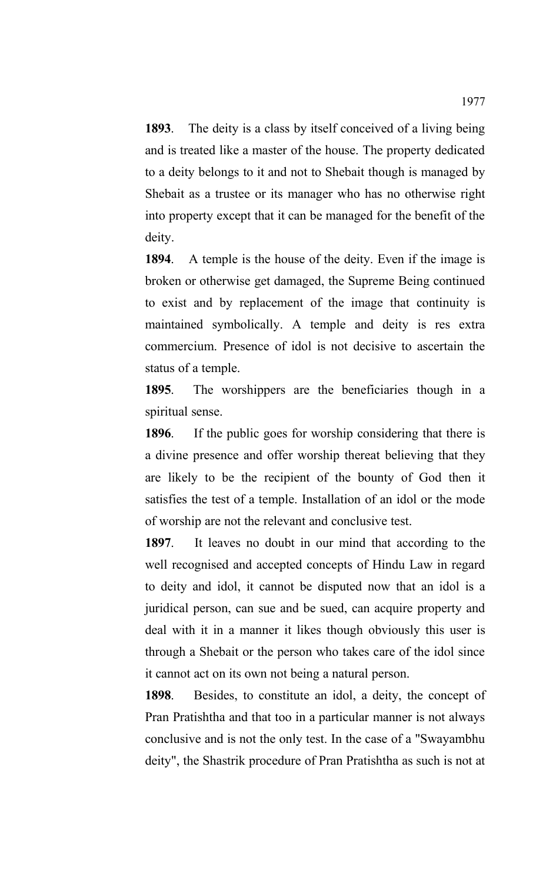**1893**. The deity is a class by itself conceived of a living being and is treated like a master of the house. The property dedicated to a deity belongs to it and not to Shebait though is managed by Shebait as a trustee or its manager who has no otherwise right into property except that it can be managed for the benefit of the deity.

**1894**. A temple is the house of the deity. Even if the image is broken or otherwise get damaged, the Supreme Being continued to exist and by replacement of the image that continuity is maintained symbolically. A temple and deity is res extra commercium. Presence of idol is not decisive to ascertain the status of a temple.

**1895**. The worshippers are the beneficiaries though in a spiritual sense.

**1896**. If the public goes for worship considering that there is a divine presence and offer worship thereat believing that they are likely to be the recipient of the bounty of God then it satisfies the test of a temple. Installation of an idol or the mode of worship are not the relevant and conclusive test.

**1897**. It leaves no doubt in our mind that according to the well recognised and accepted concepts of Hindu Law in regard to deity and idol, it cannot be disputed now that an idol is a juridical person, can sue and be sued, can acquire property and deal with it in a manner it likes though obviously this user is through a Shebait or the person who takes care of the idol since it cannot act on its own not being a natural person.

**1898**. Besides, to constitute an idol, a deity, the concept of Pran Pratishtha and that too in a particular manner is not always conclusive and is not the only test. In the case of a "Swayambhu deity", the Shastrik procedure of Pran Pratishtha as such is not at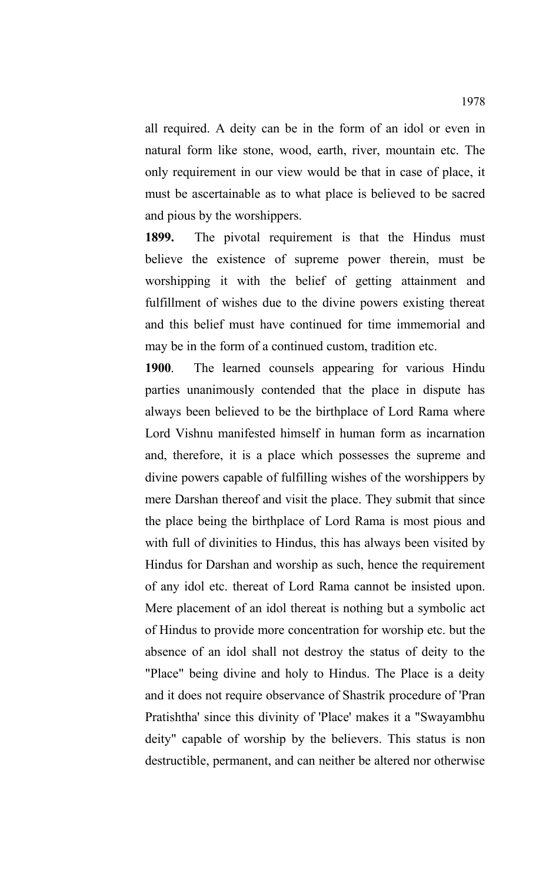all required. A deity can be in the form of an idol or even in natural form like stone, wood, earth, river, mountain etc. The only requirement in our view would be that in case of place, it must be ascertainable as to what place is believed to be sacred and pious by the worshippers.

**1899.** The pivotal requirement is that the Hindus must believe the existence of supreme power therein, must be worshipping it with the belief of getting attainment and fulfillment of wishes due to the divine powers existing thereat and this belief must have continued for time immemorial and may be in the form of a continued custom, tradition etc.

**1900**. The learned counsels appearing for various Hindu parties unanimously contended that the place in dispute has always been believed to be the birthplace of Lord Rama where Lord Vishnu manifested himself in human form as incarnation and, therefore, it is a place which possesses the supreme and divine powers capable of fulfilling wishes of the worshippers by mere Darshan thereof and visit the place. They submit that since the place being the birthplace of Lord Rama is most pious and with full of divinities to Hindus, this has always been visited by Hindus for Darshan and worship as such, hence the requirement of any idol etc. thereat of Lord Rama cannot be insisted upon. Mere placement of an idol thereat is nothing but a symbolic act of Hindus to provide more concentration for worship etc. but the absence of an idol shall not destroy the status of deity to the "Place" being divine and holy to Hindus. The Place is a deity and it does not require observance of Shastrik procedure of 'Pran Pratishtha' since this divinity of 'Place' makes it a "Swayambhu deity" capable of worship by the believers. This status is non destructible, permanent, and can neither be altered nor otherwise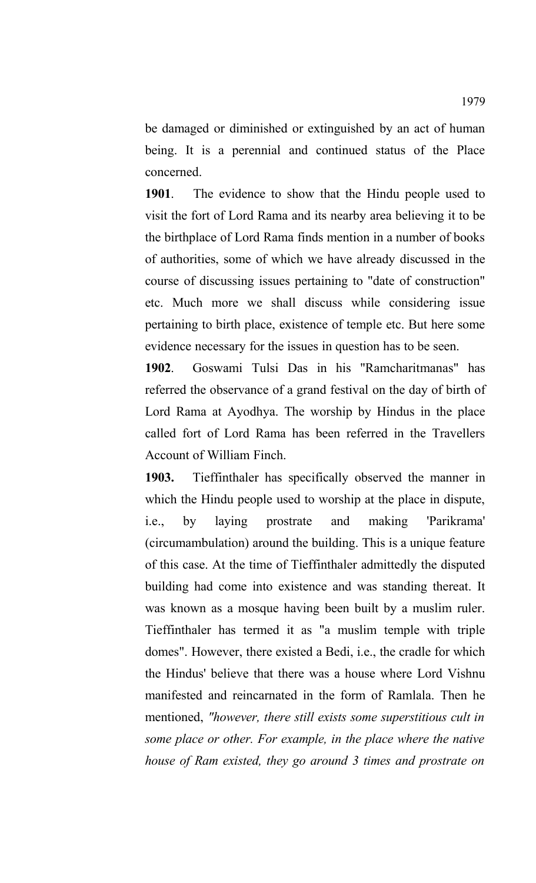be damaged or diminished or extinguished by an act of human being. It is a perennial and continued status of the Place concerned.

**1901**. The evidence to show that the Hindu people used to visit the fort of Lord Rama and its nearby area believing it to be the birthplace of Lord Rama finds mention in a number of books of authorities, some of which we have already discussed in the course of discussing issues pertaining to "date of construction" etc. Much more we shall discuss while considering issue pertaining to birth place, existence of temple etc. But here some evidence necessary for the issues in question has to be seen.

**1902**. Goswami Tulsi Das in his "Ramcharitmanas" has referred the observance of a grand festival on the day of birth of Lord Rama at Ayodhya. The worship by Hindus in the place called fort of Lord Rama has been referred in the Travellers Account of William Finch.

**1903.** Tieffinthaler has specifically observed the manner in which the Hindu people used to worship at the place in dispute, i.e., by laying prostrate and making 'Parikrama' (circumambulation) around the building. This is a unique feature of this case. At the time of Tieffinthaler admittedly the disputed building had come into existence and was standing thereat. It was known as a mosque having been built by a muslim ruler. Tieffinthaler has termed it as "a muslim temple with triple domes". However, there existed a Bedi, i.e., the cradle for which the Hindus' believe that there was a house where Lord Vishnu manifested and reincarnated in the form of Ramlala. Then he mentioned, *"however, there still exists some superstitious cult in some place or other. For example, in the place where the native house of Ram existed, they go around 3 times and prostrate on*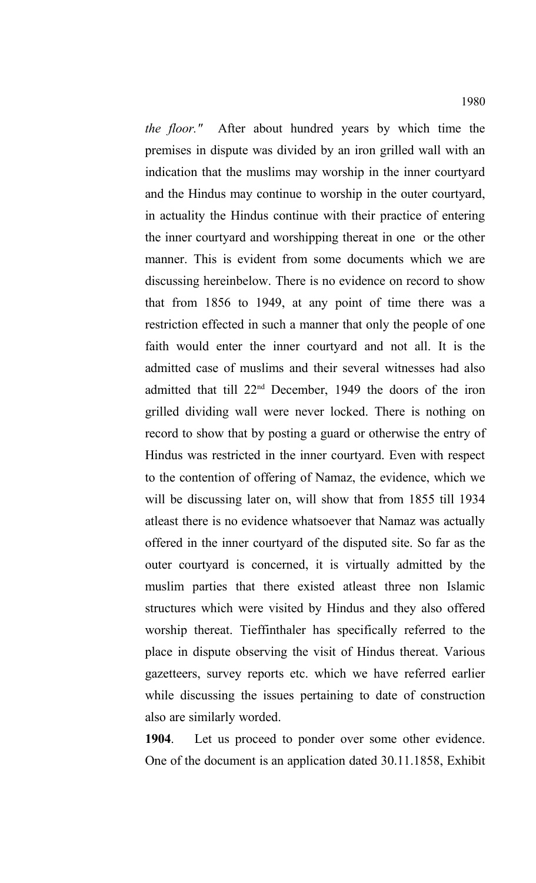*the floor."* After about hundred years by which time the premises in dispute was divided by an iron grilled wall with an indication that the muslims may worship in the inner courtyard and the Hindus may continue to worship in the outer courtyard, in actuality the Hindus continue with their practice of entering the inner courtyard and worshipping thereat in one or the other manner. This is evident from some documents which we are discussing hereinbelow. There is no evidence on record to show that from 1856 to 1949, at any point of time there was a restriction effected in such a manner that only the people of one faith would enter the inner courtyard and not all. It is the admitted case of muslims and their several witnesses had also admitted that till 22nd December, 1949 the doors of the iron grilled dividing wall were never locked. There is nothing on record to show that by posting a guard or otherwise the entry of Hindus was restricted in the inner courtyard. Even with respect to the contention of offering of Namaz, the evidence, which we will be discussing later on, will show that from 1855 till 1934 atleast there is no evidence whatsoever that Namaz was actually offered in the inner courtyard of the disputed site. So far as the outer courtyard is concerned, it is virtually admitted by the muslim parties that there existed atleast three non Islamic structures which were visited by Hindus and they also offered worship thereat. Tieffinthaler has specifically referred to the place in dispute observing the visit of Hindus thereat. Various gazetteers, survey reports etc. which we have referred earlier while discussing the issues pertaining to date of construction also are similarly worded.

**1904**. Let us proceed to ponder over some other evidence. One of the document is an application dated 30.11.1858, Exhibit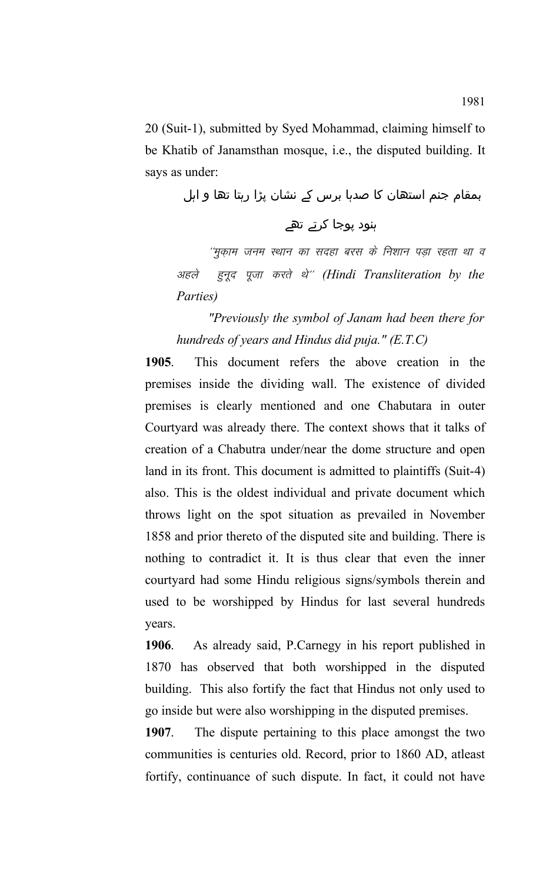20 (Suit-1), submitted by Syed Mohammad, claiming himself to be Khatib of Janamsthan mosque, i.e., the disputed building. It says as under:

بمقام جنم استھان کا صدہا برس کے نشان پڑا رہتا تھا و اہل

ہنود پوجا کرتے تھے

''मुक़ाम जनम स्थान का सदहा बरस के निशान पड़ा रहता था व अहले इनूद पूजा करते थे" (Hindi Transliteration by the *Parties)*

*"Previously the symbol of Janam had been there for hundreds of years and Hindus did puja." (E.T.C)*

**1905**. This document refers the above creation in the premises inside the dividing wall. The existence of divided premises is clearly mentioned and one Chabutara in outer Courtyard was already there. The context shows that it talks of creation of a Chabutra under/near the dome structure and open land in its front. This document is admitted to plaintiffs (Suit-4) also. This is the oldest individual and private document which throws light on the spot situation as prevailed in November 1858 and prior thereto of the disputed site and building. There is nothing to contradict it. It is thus clear that even the inner courtyard had some Hindu religious signs/symbols therein and used to be worshipped by Hindus for last several hundreds years.

**1906**. As already said, P.Carnegy in his report published in 1870 has observed that both worshipped in the disputed building. This also fortify the fact that Hindus not only used to go inside but were also worshipping in the disputed premises.

**1907**. The dispute pertaining to this place amongst the two communities is centuries old. Record, prior to 1860 AD, atleast fortify, continuance of such dispute. In fact, it could not have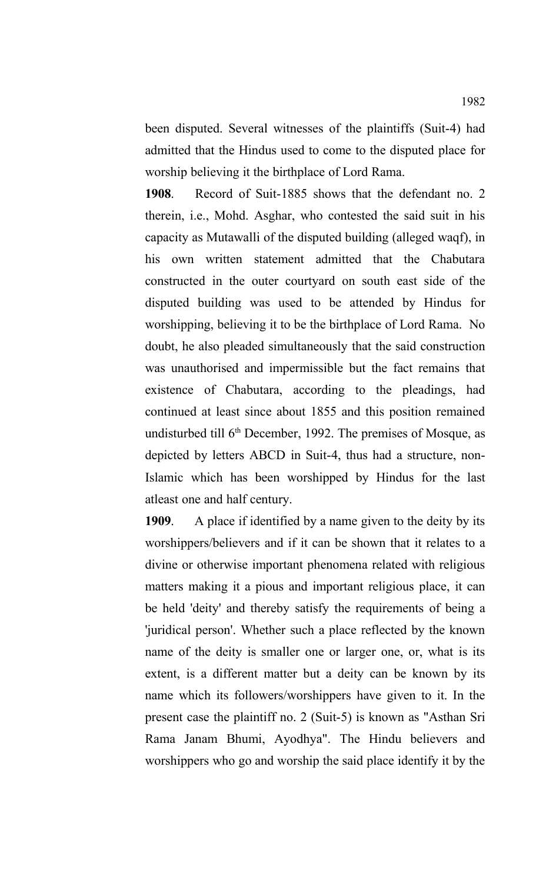been disputed. Several witnesses of the plaintiffs (Suit-4) had admitted that the Hindus used to come to the disputed place for worship believing it the birthplace of Lord Rama.

**1908**. Record of Suit-1885 shows that the defendant no. 2 therein, i.e., Mohd. Asghar, who contested the said suit in his capacity as Mutawalli of the disputed building (alleged waqf), in his own written statement admitted that the Chabutara constructed in the outer courtyard on south east side of the disputed building was used to be attended by Hindus for worshipping, believing it to be the birthplace of Lord Rama. No doubt, he also pleaded simultaneously that the said construction was unauthorised and impermissible but the fact remains that existence of Chabutara, according to the pleadings, had continued at least since about 1855 and this position remained undisturbed till  $6<sup>th</sup>$  December, 1992. The premises of Mosque, as depicted by letters ABCD in Suit-4, thus had a structure, non-Islamic which has been worshipped by Hindus for the last atleast one and half century.

**1909**. A place if identified by a name given to the deity by its worshippers/believers and if it can be shown that it relates to a divine or otherwise important phenomena related with religious matters making it a pious and important religious place, it can be held 'deity' and thereby satisfy the requirements of being a 'juridical person'. Whether such a place reflected by the known name of the deity is smaller one or larger one, or, what is its extent, is a different matter but a deity can be known by its name which its followers/worshippers have given to it. In the present case the plaintiff no. 2 (Suit-5) is known as "Asthan Sri Rama Janam Bhumi, Ayodhya". The Hindu believers and worshippers who go and worship the said place identify it by the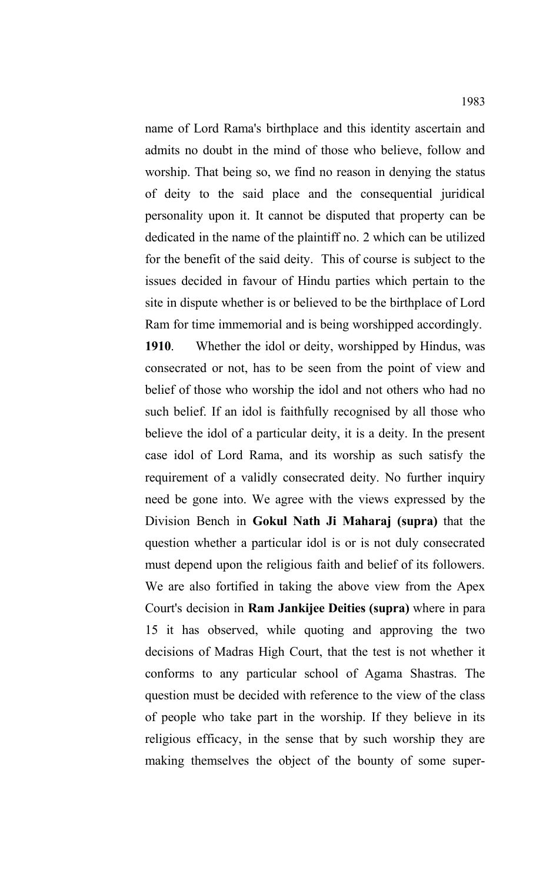name of Lord Rama's birthplace and this identity ascertain and admits no doubt in the mind of those who believe, follow and worship. That being so, we find no reason in denying the status of deity to the said place and the consequential juridical personality upon it. It cannot be disputed that property can be dedicated in the name of the plaintiff no. 2 which can be utilized for the benefit of the said deity. This of course is subject to the issues decided in favour of Hindu parties which pertain to the site in dispute whether is or believed to be the birthplace of Lord Ram for time immemorial and is being worshipped accordingly.

**1910**. Whether the idol or deity, worshipped by Hindus, was consecrated or not, has to be seen from the point of view and belief of those who worship the idol and not others who had no such belief. If an idol is faithfully recognised by all those who believe the idol of a particular deity, it is a deity. In the present case idol of Lord Rama, and its worship as such satisfy the requirement of a validly consecrated deity. No further inquiry need be gone into. We agree with the views expressed by the Division Bench in **Gokul Nath Ji Maharaj (supra)** that the question whether a particular idol is or is not duly consecrated must depend upon the religious faith and belief of its followers. We are also fortified in taking the above view from the Apex Court's decision in **Ram Jankijee Deities (supra)** where in para 15 it has observed, while quoting and approving the two decisions of Madras High Court, that the test is not whether it conforms to any particular school of Agama Shastras. The question must be decided with reference to the view of the class of people who take part in the worship. If they believe in its religious efficacy, in the sense that by such worship they are making themselves the object of the bounty of some super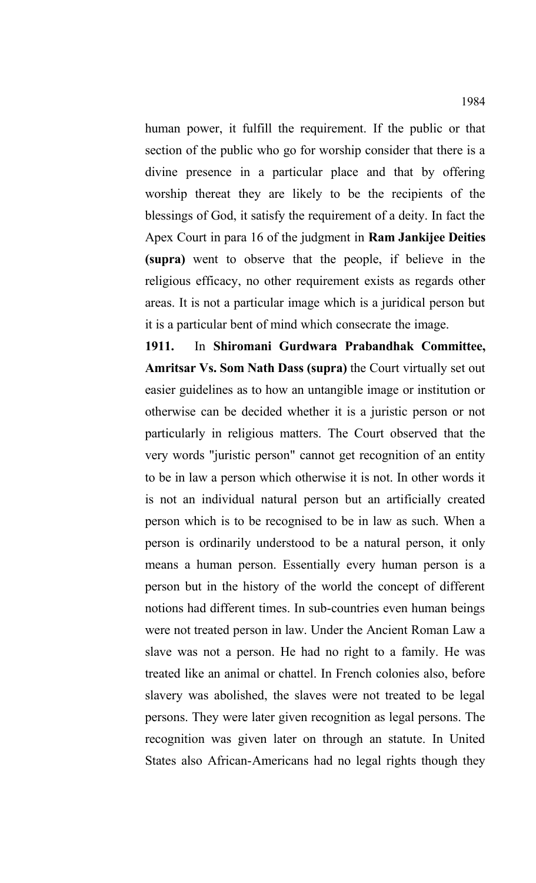human power, it fulfill the requirement. If the public or that section of the public who go for worship consider that there is a divine presence in a particular place and that by offering worship thereat they are likely to be the recipients of the blessings of God, it satisfy the requirement of a deity. In fact the Apex Court in para 16 of the judgment in **Ram Jankijee Deities (supra)** went to observe that the people, if believe in the religious efficacy, no other requirement exists as regards other areas. It is not a particular image which is a juridical person but it is a particular bent of mind which consecrate the image.

**1911.** In **Shiromani Gurdwara Prabandhak Committee, Amritsar Vs. Som Nath Dass (supra)** the Court virtually set out easier guidelines as to how an untangible image or institution or otherwise can be decided whether it is a juristic person or not particularly in religious matters. The Court observed that the very words "juristic person" cannot get recognition of an entity to be in law a person which otherwise it is not. In other words it is not an individual natural person but an artificially created person which is to be recognised to be in law as such. When a person is ordinarily understood to be a natural person, it only means a human person. Essentially every human person is a person but in the history of the world the concept of different notions had different times. In sub-countries even human beings were not treated person in law. Under the Ancient Roman Law a slave was not a person. He had no right to a family. He was treated like an animal or chattel. In French colonies also, before slavery was abolished, the slaves were not treated to be legal persons. They were later given recognition as legal persons. The recognition was given later on through an statute. In United States also African-Americans had no legal rights though they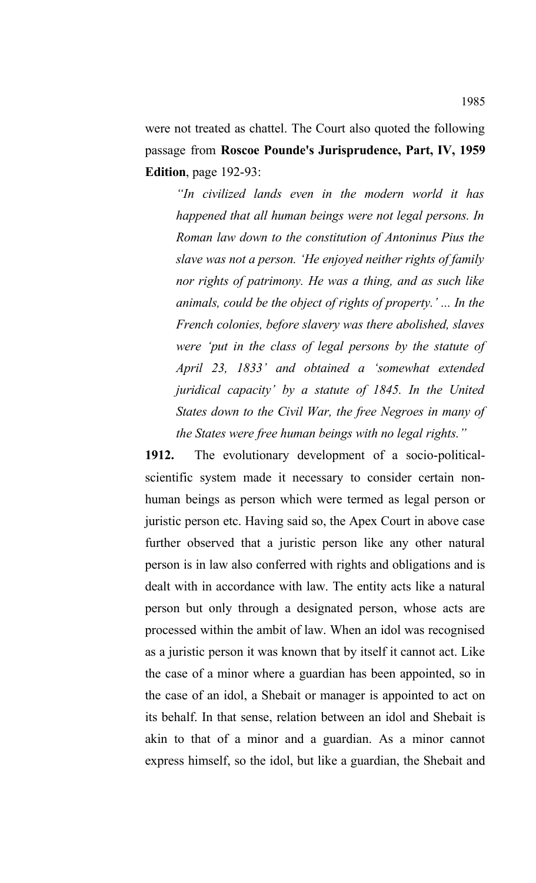were not treated as chattel. The Court also quoted the following passage from **Roscoe Pounde's Jurisprudence, Part, IV, 1959 Edition**, page 192-93:

*"In civilized lands even in the modern world it has happened that all human beings were not legal persons. In Roman law down to the constitution of Antoninus Pius the slave was not a person. 'He enjoyed neither rights of family nor rights of patrimony. He was a thing, and as such like animals, could be the object of rights of property.' ... In the French colonies, before slavery was there abolished, slaves were 'put in the class of legal persons by the statute of April 23, 1833' and obtained a 'somewhat extended juridical capacity' by a statute of 1845. In the United States down to the Civil War, the free Negroes in many of the States were free human beings with no legal rights."* 

**1912.** The evolutionary development of a socio-politicalscientific system made it necessary to consider certain nonhuman beings as person which were termed as legal person or juristic person etc. Having said so, the Apex Court in above case further observed that a juristic person like any other natural person is in law also conferred with rights and obligations and is dealt with in accordance with law. The entity acts like a natural person but only through a designated person, whose acts are processed within the ambit of law. When an idol was recognised as a juristic person it was known that by itself it cannot act. Like the case of a minor where a guardian has been appointed, so in the case of an idol, a Shebait or manager is appointed to act on its behalf. In that sense, relation between an idol and Shebait is akin to that of a minor and a guardian. As a minor cannot express himself, so the idol, but like a guardian, the Shebait and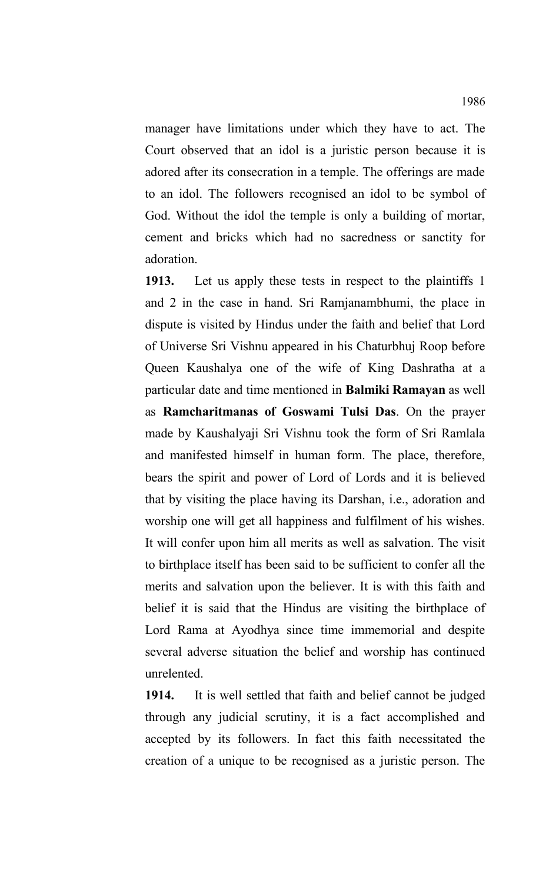manager have limitations under which they have to act. The Court observed that an idol is a juristic person because it is adored after its consecration in a temple. The offerings are made to an idol. The followers recognised an idol to be symbol of God. Without the idol the temple is only a building of mortar, cement and bricks which had no sacredness or sanctity for adoration.

**1913.** Let us apply these tests in respect to the plaintiffs 1 and 2 in the case in hand. Sri Ramjanambhumi, the place in dispute is visited by Hindus under the faith and belief that Lord of Universe Sri Vishnu appeared in his Chaturbhuj Roop before Queen Kaushalya one of the wife of King Dashratha at a particular date and time mentioned in **Balmiki Ramayan** as well as **Ramcharitmanas of Goswami Tulsi Das**. On the prayer made by Kaushalyaji Sri Vishnu took the form of Sri Ramlala and manifested himself in human form. The place, therefore, bears the spirit and power of Lord of Lords and it is believed that by visiting the place having its Darshan, i.e., adoration and worship one will get all happiness and fulfilment of his wishes. It will confer upon him all merits as well as salvation. The visit to birthplace itself has been said to be sufficient to confer all the merits and salvation upon the believer. It is with this faith and belief it is said that the Hindus are visiting the birthplace of Lord Rama at Ayodhya since time immemorial and despite several adverse situation the belief and worship has continued unrelented.

**1914.** It is well settled that faith and belief cannot be judged through any judicial scrutiny, it is a fact accomplished and accepted by its followers. In fact this faith necessitated the creation of a unique to be recognised as a juristic person. The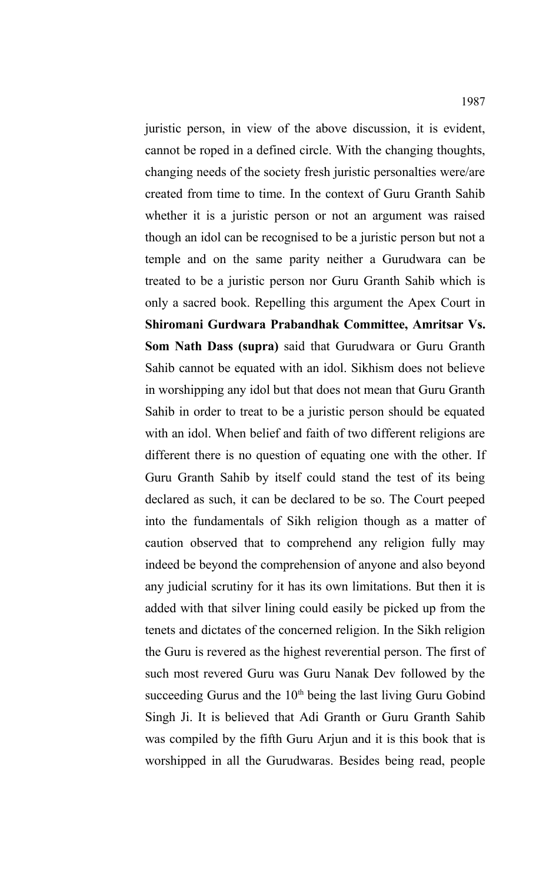juristic person, in view of the above discussion, it is evident, cannot be roped in a defined circle. With the changing thoughts, changing needs of the society fresh juristic personalties were/are created from time to time. In the context of Guru Granth Sahib whether it is a juristic person or not an argument was raised though an idol can be recognised to be a juristic person but not a temple and on the same parity neither a Gurudwara can be treated to be a juristic person nor Guru Granth Sahib which is only a sacred book. Repelling this argument the Apex Court in **Shiromani Gurdwara Prabandhak Committee, Amritsar Vs. Som Nath Dass (supra)** said that Gurudwara or Guru Granth Sahib cannot be equated with an idol. Sikhism does not believe in worshipping any idol but that does not mean that Guru Granth Sahib in order to treat to be a juristic person should be equated with an idol. When belief and faith of two different religions are different there is no question of equating one with the other. If Guru Granth Sahib by itself could stand the test of its being declared as such, it can be declared to be so. The Court peeped into the fundamentals of Sikh religion though as a matter of caution observed that to comprehend any religion fully may indeed be beyond the comprehension of anyone and also beyond any judicial scrutiny for it has its own limitations. But then it is added with that silver lining could easily be picked up from the tenets and dictates of the concerned religion. In the Sikh religion the Guru is revered as the highest reverential person. The first of such most revered Guru was Guru Nanak Dev followed by the succeeding Gurus and the  $10<sup>th</sup>$  being the last living Guru Gobind Singh Ji. It is believed that Adi Granth or Guru Granth Sahib was compiled by the fifth Guru Arjun and it is this book that is worshipped in all the Gurudwaras. Besides being read, people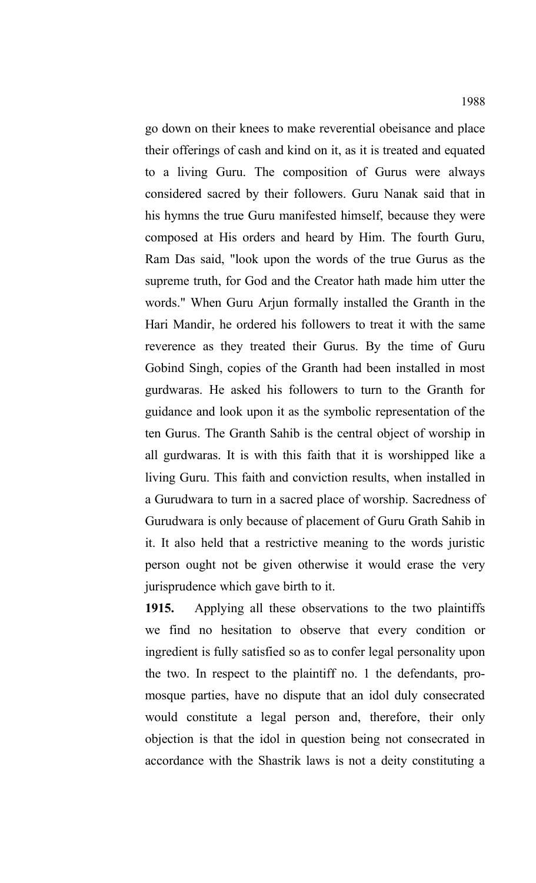go down on their knees to make reverential obeisance and place their offerings of cash and kind on it, as it is treated and equated to a living Guru. The composition of Gurus were always considered sacred by their followers. Guru Nanak said that in his hymns the true Guru manifested himself, because they were composed at His orders and heard by Him. The fourth Guru, Ram Das said, "look upon the words of the true Gurus as the supreme truth, for God and the Creator hath made him utter the words." When Guru Arjun formally installed the Granth in the Hari Mandir, he ordered his followers to treat it with the same reverence as they treated their Gurus. By the time of Guru Gobind Singh, copies of the Granth had been installed in most gurdwaras. He asked his followers to turn to the Granth for guidance and look upon it as the symbolic representation of the ten Gurus. The Granth Sahib is the central object of worship in all gurdwaras. It is with this faith that it is worshipped like a living Guru. This faith and conviction results, when installed in a Gurudwara to turn in a sacred place of worship. Sacredness of Gurudwara is only because of placement of Guru Grath Sahib in it. It also held that a restrictive meaning to the words juristic person ought not be given otherwise it would erase the very jurisprudence which gave birth to it.

**1915.** Applying all these observations to the two plaintiffs we find no hesitation to observe that every condition or ingredient is fully satisfied so as to confer legal personality upon the two. In respect to the plaintiff no. 1 the defendants, promosque parties, have no dispute that an idol duly consecrated would constitute a legal person and, therefore, their only objection is that the idol in question being not consecrated in accordance with the Shastrik laws is not a deity constituting a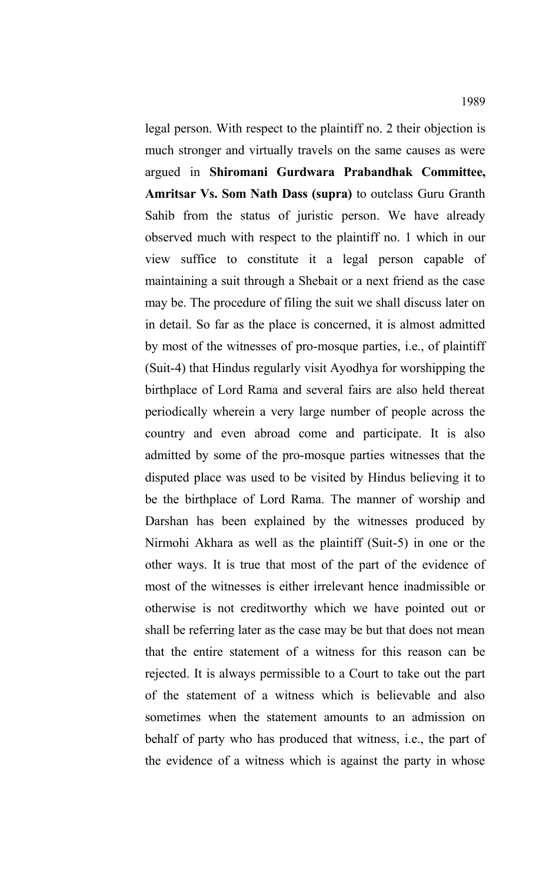legal person. With respect to the plaintiff no. 2 their objection is much stronger and virtually travels on the same causes as were argued in **Shiromani Gurdwara Prabandhak Committee, Amritsar Vs. Som Nath Dass (supra)** to outclass Guru Granth Sahib from the status of juristic person. We have already observed much with respect to the plaintiff no. 1 which in our view suffice to constitute it a legal person capable of maintaining a suit through a Shebait or a next friend as the case may be. The procedure of filing the suit we shall discuss later on in detail. So far as the place is concerned, it is almost admitted by most of the witnesses of pro-mosque parties, i.e., of plaintiff (Suit-4) that Hindus regularly visit Ayodhya for worshipping the birthplace of Lord Rama and several fairs are also held thereat periodically wherein a very large number of people across the country and even abroad come and participate. It is also admitted by some of the pro-mosque parties witnesses that the disputed place was used to be visited by Hindus believing it to be the birthplace of Lord Rama. The manner of worship and Darshan has been explained by the witnesses produced by Nirmohi Akhara as well as the plaintiff (Suit-5) in one or the other ways. It is true that most of the part of the evidence of most of the witnesses is either irrelevant hence inadmissible or otherwise is not creditworthy which we have pointed out or shall be referring later as the case may be but that does not mean that the entire statement of a witness for this reason can be rejected. It is always permissible to a Court to take out the part of the statement of a witness which is believable and also sometimes when the statement amounts to an admission on behalf of party who has produced that witness, i.e., the part of the evidence of a witness which is against the party in whose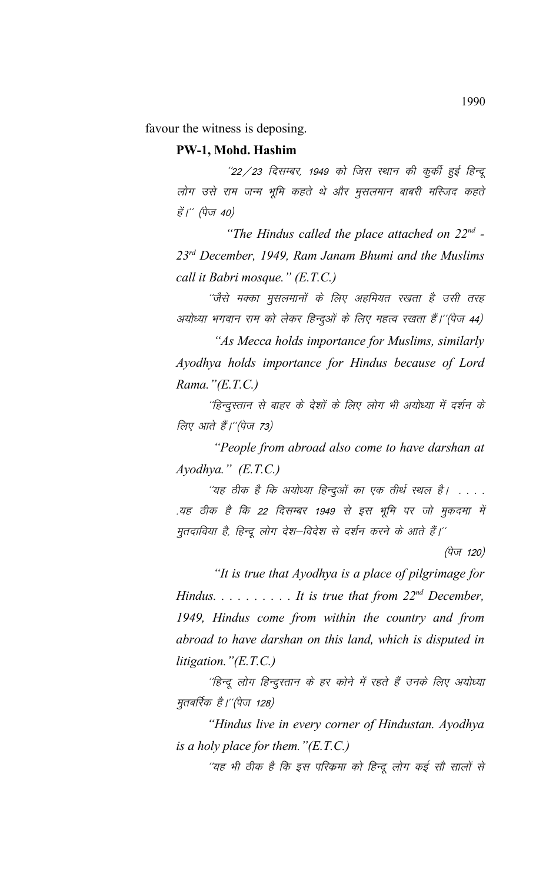favour the witness is deposing.

### **PW-1, Mohd. Hashim**

"22 / 23 दिसम्बर, 1949 को जिस स्थान की कुर्की हुई हिन्दू लोग उसे राम जन्म भूमि कहते थे और मुसलमान बाबरी मस्जिद कहते हें।'' (पेज 40)

*"The Hindus called the place attached on 22nd - 23rd December, 1949, Ram Janam Bhumi and the Muslims call it Babri mosque." (E.T.C.)*

´´जैसे मक्का मुसलमानों के लिए अहमियत रखता है उसी तरह अयोध्या भगवान राम को लेकर हिन्दुओं के लिए महत्व रखता हैं।''(पेज 44)

*"As Mecca holds importance for Muslims, similarly Ayodhya holds importance for Hindus because of Lord Rama."(E.T.C.)*

''हिन्दुस्तान से बाहर के देशों के लिए लोग भी अयोध्या में दर्शन के लिए आते हैं।''(पेज 73)

*"People from abroad also come to have darshan at Ayodhya." (E.T.C.)*

''यह ठीक है कि अयोध्या हिन्दुओं का एक तीर्थ स्थल है। . . . . .यह ठीक है कि 22 दिसम्बर 1949 से इस भूमि पर जो मुकदमा में मुतदाविया है, हिन्दू लोग देश–विदेश से दर्शन करने के आते हैं।''

(पेज 120)

*"It is true that Ayodhya is a place of pilgrimage for Hindus. . . . . . . . . . It is true that from 22nd December, 1949, Hindus come from within the country and from abroad to have darshan on this land, which is disputed in litigation."(E.T.C.)*

^हिन्दू लोग हिन्दुस्तान के हर कोने में रहते हैं उनके लिए अयोध्या मुतबर्रिक है।''(पेज 128)

*"Hindus live in every corner of Hindustan. Ayodhya is a holy place for them."(E.T.C.)*

''यह भी ठीक है कि इस परिकमा को हिन्दू लोग कई सौ सालों से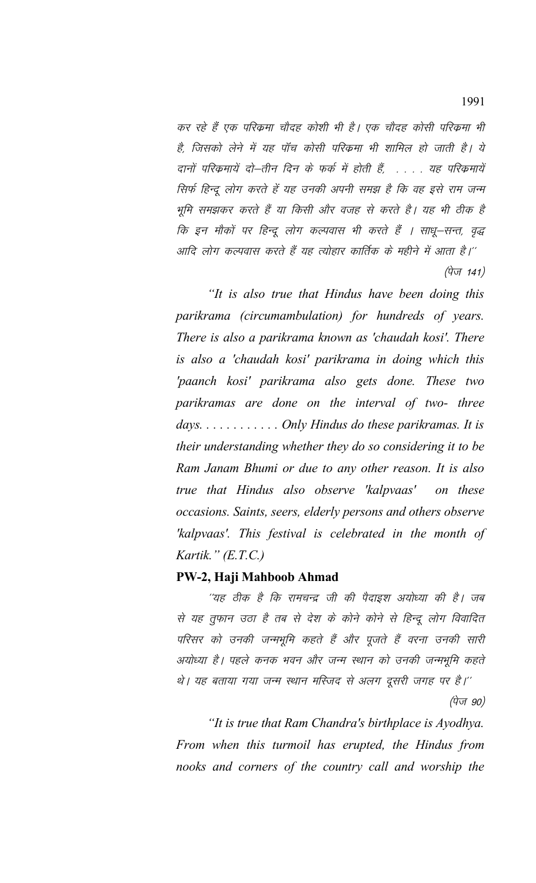कर रहे हैं एक परिक्रमा चौदह कोशी भी है। एक चौदह कोसी परिक्रमा भी है, जिसको लेने में यह पॉच कोसी परिक्रमा भी शामिल हो जाती है। ये दानों परिक्रमायें दो–तीन दिन के फर्क में होती हैं. . . . . यह परिक्रमायें सिर्फ हिन्द लोग करते हैं यह उनकी अपनी समझ है कि वह इसे राम जन्म भूमि समझकर करते हैं या किसी और वजह से करते है। यह भी ठीक है कि इन मौकों पर हिन्दू लोग कल्पवास भी करते हैं । साधू–सन्त, वृद्ध आदि लोग कल्पवास करते हैं यह त्योहार कार्तिक के महीने में आता है।''  $(\vec{q}_{\sqrt{112}} 141)$ 

*"It is also true that Hindus have been doing this parikrama (circumambulation) for hundreds of years. There is also a parikrama known as 'chaudah kosi'. There is also a 'chaudah kosi' parikrama in doing which this 'paanch kosi' parikrama also gets done. These two parikramas are done on the interval of two- three days. . . . . . . . . . . . Only Hindus do these parikramas. It is their understanding whether they do so considering it to be Ram Janam Bhumi or due to any other reason. It is also true that Hindus also observe 'kalpvaas' on these occasions. Saints, seers, elderly persons and others observe 'kalpvaas'. This festival is celebrated in the month of Kartik." (E.T.C.)*

### **PW-2, Haji Mahboob Ahmad**

''यह ठीक है कि रामचन्द्र जी की पैदाइश अयोध्या की है। जब से यह तुफान उठा है तब से देश के कोने कोने से हिन्दू लोग विवादित परिसर को उनकी जन्मभूमि कहते हैं और पूजते हैं वरना उनकी सारी अयोध्या है। पहले कनक भवन और जन्म स्थान को उनकी जन्मभूमि कहते थे। यह बताया गया जन्म स्थान मस्जिद से अलग दूसरी जगह पर है।'' (पेज 90)

*"It is true that Ram Chandra's birthplace is Ayodhya. From when this turmoil has erupted, the Hindus from nooks and corners of the country call and worship the*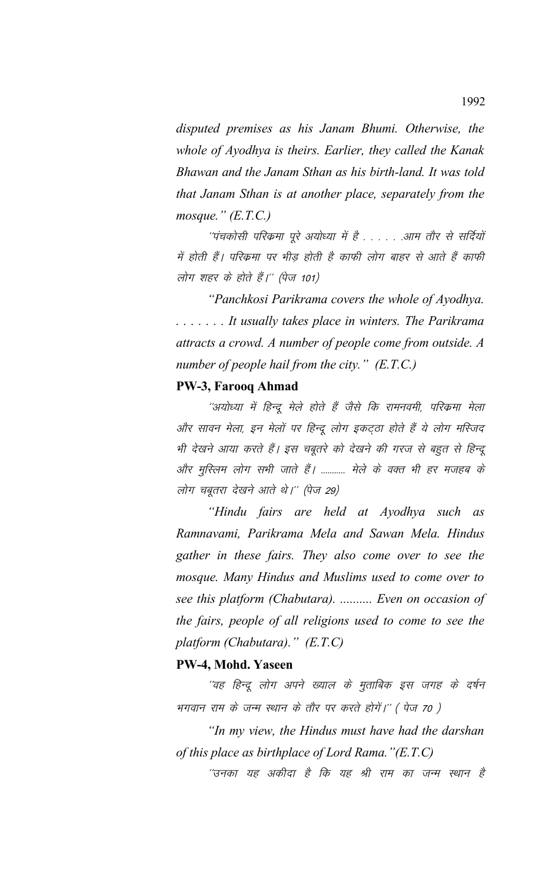*disputed premises as his Janam Bhumi. Otherwise, the whole of Ayodhya is theirs. Earlier, they called the Kanak Bhawan and the Janam Sthan as his birth-land. It was told that Janam Sthan is at another place, separately from the mosque." (E.T.C.)*

''पंचकोसी परिकमा पूरे अयोध्या में है . . . . . .आम तौर से सर्दियों में होती हैं। परिक्रमा पर भीड़ होती है काफी लोग बाहर से आते हैं काफी लोग शहर के होते हैं।'' (पेज 101)

*"Panchkosi Parikrama covers the whole of Ayodhya. . . . . . . . It usually takes place in winters. The Parikrama attracts a crowd. A number of people come from outside. A number of people hail from the city." (E.T.C.)*

## **PW-3, Farooq Ahmad**

''अयोध्या में हिन्दू मेले होते हैं जैसे कि रामनवमी, परिक्रमा मेला और सावन मेला, इन मेलों पर हिन्दू लोग इकट्ठा होते हैं ये लोग मस्जिद भी देखने आया करते हैं। इस चबूतरे को देखने की गरज से बहुत से हिन्दू और मुस्लिम लोग सभी जाते हैं। ........... मेले के वक्त भी हर मजहब के लोग चबूतरा देखने आते थे।" (पेज 29)

*"Hindu fairs are held at Ayodhya such as Ramnavami, Parikrama Mela and Sawan Mela. Hindus gather in these fairs. They also come over to see the mosque. Many Hindus and Muslims used to come over to see this platform (Chabutara). .......... Even on occasion of the fairs, people of all religions used to come to see the platform (Chabutara)." (E.T.C)* 

# **PW-4, Mohd. Yaseen**

''वह हिन्दू लोग अपने ख्याल के मुताबिक इस जगह के दर्षन भगवान राम के जन्म स्थान के तौर पर करते होगें।'' ( पेज 70 )

*"In my view, the Hindus must have had the darshan of this place as birthplace of Lord Rama."(E.T.C)*

´उनका यह अकीदा है कि यह श्री राम का जन्म स्थान है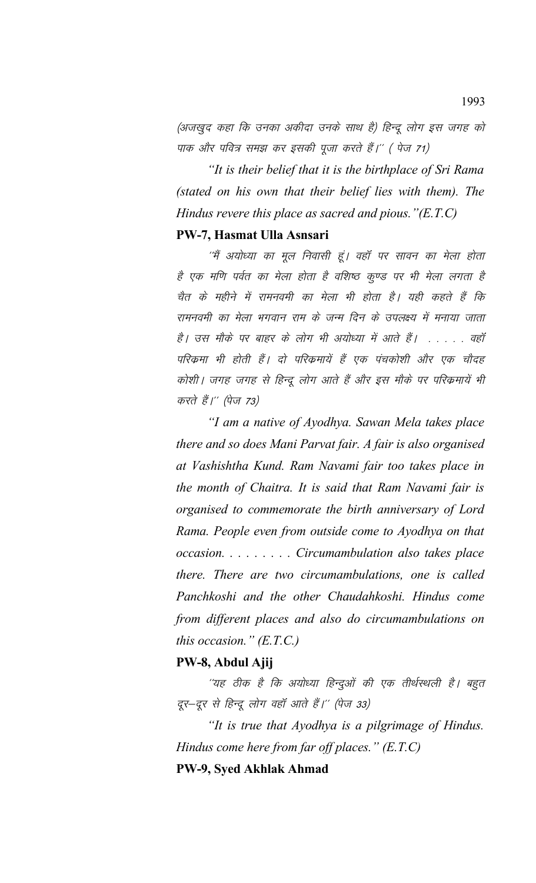(अजखुद कहा कि उनका अकीदा उनके साथ है) हिन्दू लोग इस जगह को पाक और पवित्र समझ कर इसकी पूजा करते हैं।'' ( पेज 71)

*"It is their belief that it is the birthplace of Sri Rama (stated on his own that their belief lies with them). The Hindus revere this place as sacred and pious."(E.T.C)*

### **PW-7, Hasmat Ulla Asnsari**

''मैं अयोध्या का मूल निवासी हूं। वहाँ पर सावन का मेला होता है एक मणि पर्वत का मेला होता है वशिष्ठ कृण्ड पर भी मेला लगता है चैत के महीने में रामनवमी का मेला भी होता है। यही कहते हैं कि रामनवमी का मेला भगवान राम के जन्म दिन के उपलक्ष्य में मनाया जाता है। उस मौके पर बाहर के लोग भी अयोध्या में आते हैं। . . . . . वहाँ परिक्रमा भी होती हैं। दो परिक्रमायें हैं एक पंचकोशी और एक चौदह कोशी। जगह जगह से हिन्दू लोग आते हैं और इस मौके पर परिक्रमायें भी करते हैं।'' (पेज 73)

*"I am a native of Ayodhya. Sawan Mela takes place there and so does Mani Parvat fair. A fair is also organised at Vashishtha Kund. Ram Navami fair too takes place in the month of Chaitra. It is said that Ram Navami fair is organised to commemorate the birth anniversary of Lord Rama. People even from outside come to Ayodhya on that occasion. . . . . . . . . Circumambulation also takes place there. There are two circumambulations, one is called Panchkoshi and the other Chaudahkoshi. Hindus come from different places and also do circumambulations on this occasion." (E.T.C.)*

## **PW-8, Abdul Ajij**

''यह ठीक है कि अयोध्या हिन्दुओं की एक तीर्थस्थली है। बहुत दूर-दूर से हिन्दू लोग वहाँ आते हैं।'' (पेज 33)

*"It is true that Ayodhya is a pilgrimage of Hindus. Hindus come here from far off places." (E.T.C)*

**PW-9, Syed Akhlak Ahmad**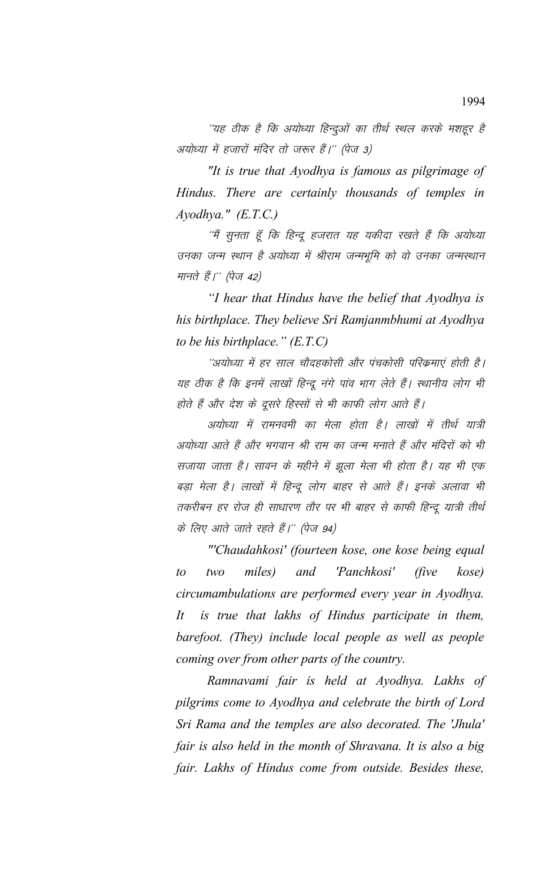''यह ठीक है कि अयोध्या हिन्दुओं का तीर्थ स्थल करके मशहूर है अयोध्या में हजारों मंदिर तो जरूर हैं।'' (पेज 3)

*"It is true that Ayodhya is famous as pilgrimage of Hindus. There are certainly thousands of temples in Ayodhya." (E.T.C.)*

''मैं सुनता हूँ कि हिन्दू हजरात यह यकीदा रखते हैं कि अयोध्या उनका जन्म स्थान है अयोध्या में श्रीराम जन्मभूमि को वो उनका जन्मस्थान मानते हैं।'' (पेज 42)

*"I hear that Hindus have the belief that Ayodhya is his birthplace. They believe Sri Ramjanmbhumi at Ayodhya to be his birthplace." (E.T.C)*

''अयोध्या में हर साल चौदहकोसी और पंचकोसी परिक्रमाएं होती है। यह ठीक है कि इनमें लाखों हिन्दू नंगे पांव भाग लेते हैं। स्थानीय लोग भी होते हैं और देश के दूसरे हिस्सों से भी काफी लोग आते हैं।

अयोध्या में रामनवमी का मेला होता है। लाखों में तीर्थ यात्री अयोध्या आते हैं और भगवान श्री राम का जन्म मनाते हैं और मंदिरों को भी सजाया जाता है। सावन के महीने में झूला मेला भी होता है। यह भी एक बड़ा मेला है। लाखों में हिन्दू लोग बाहर से आते हैं। इनके अलावा भी तकरीबन हर रोज ही साधारण तौर पर भी बाहर से काफी हिन्दू यात्री तीर्थ के लिए आते जाते रहते हैं।'' (पेज 94)

*"'Chaudahkosi' (fourteen kose, one kose being equal to two miles) and 'Panchkosi' (five kose) circumambulations are performed every year in Ayodhya. It is true that lakhs of Hindus participate in them, barefoot. (They) include local people as well as people coming over from other parts of the country.*

*Ramnavami fair is held at Ayodhya. Lakhs of pilgrims come to Ayodhya and celebrate the birth of Lord Sri Rama and the temples are also decorated. The 'Jhula' fair is also held in the month of Shravana. It is also a big fair. Lakhs of Hindus come from outside. Besides these,*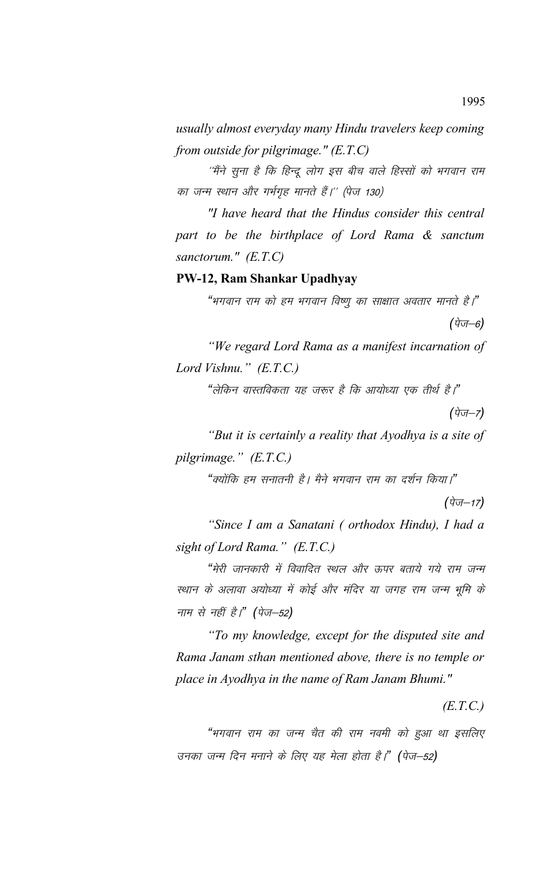*usually almost everyday many Hindu travelers keep coming from outside for pilgrimage." (E.T.C)*

''मैंने सूना है कि हिन्दू लोग इस बीच वाले हिस्सों को भगवान राम का जन्म स्थान और गर्भगृह मानते हैं।'' (पेज 130)

*"I have heard that the Hindus consider this central part to be the birthplace of Lord Rama & sanctum sanctorum." (E.T.C)*

## **PW-12, Ram Shankar Upadhyay**

"भगवान राम को हम भगवान विष्णु का साक्षात अवतार मानते है।"

 $(\vec{q}_{\overline{df}-6})$ 

*"We regard Lord Rama as a manifest incarnation of Lord Vishnu." (E.T.C.)*

"लेकिन वास्तविकता यह जरूर है कि आयोध्या एक तीर्थ है।"

*(पेज–7)* 

*"But it is certainly a reality that Ayodhya is a site of pilgrimage." (E.T.C.)*

"क्योंकि हम सनातनी है। मैने भगवान राम का दर्शन किया।"

 $(\vec{q}$  $\vec{q}$  $-17)$ 

*"Since I am a Sanatani ( orthodox Hindu), I had a sight of Lord Rama." (E.T.C.)*

"मेरी जानकारी में विवादित स्थल और ऊपर बताये गये राम जन्म स्थान के अलावा अयोध्या में कोई और मंदिर या जगह राम जन्म भूमि के नाम से नहीं है*।*" (पेज–52)

*"To my knowledge, except for the disputed site and Rama Janam sthan mentioned above, there is no temple or place in Ayodhya in the name of Ram Janam Bhumi."* 

*(E.T.C.)*

"भगवान राम का जन्म चैत की राम नवमी को <u>हु</u>आ था इसलिए उनका जन्म दिन मनाने के लिए यह मेला होता है।" (पेज–52)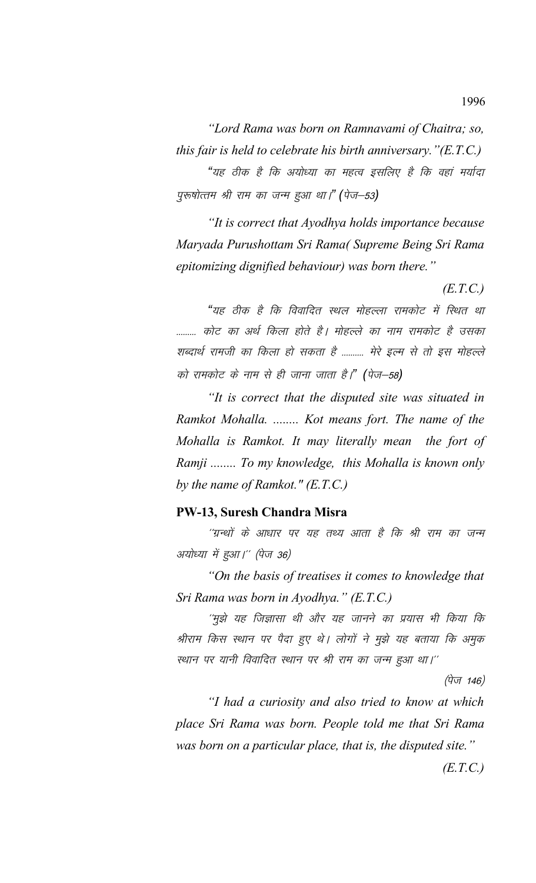*"Lord Rama was born on Ramnavami of Chaitra; so, this fair is held to celebrate his birth anniversary."(E.T.C.)* "यह ठीक है कि अयोध्या का महत्व इसलिए है कि वहां मर्यादा iq:"kk sRre Jh jke dk tUe gqvk FkkA*" (*ist&53*)*

*"It is correct that Ayodhya holds importance because Maryada Purushottam Sri Rama( Supreme Being Sri Rama epitomizing dignified behaviour) was born there."* 

*(E.T.C.)*

"यह ठीक है कि विवादित स्थल मोहल्ला रामकोट में स्थित था ......... कोट का अर्थ किला होते है। मोहल्ले का नाम रामकोट है उसका शब्दार्थ रामजी का किला हो सकता है .......... मेरे इल्म से तो इस मोहल्ले *को रामकोट के नाम से ही जाना जाता है।*" (पेज–58)

*"It is correct that the disputed site was situated in Ramkot Mohalla. ........ Kot means fort. The name of the Mohalla is Ramkot. It may literally mean the fort of Ramji ........ To my knowledge, this Mohalla is known only by the name of Ramkot." (E.T.C.)*

## **PW-13, Suresh Chandra Misra**

''ग्रन्थों के आधार पर यह तथ्य आता है कि श्री राम का जन्म अयोध्या में हुआ।" (पेज 36)

*"On the basis of treatises it comes to knowledge that Sri Rama was born in Ayodhya." (E.T.C.)*

''मुझे यह जिज्ञासा थी और यह जानने का प्रयास भी किया कि श्रीराम किस स्थान पर पैदा हुए थे। लोगों ने मुझे यह बताया कि अमुक स्थान पर यानी विवादित स्थान पर श्री राम का जन्म हुआ था।''

(पेज 146)

*"I had a curiosity and also tried to know at which place Sri Rama was born. People told me that Sri Rama was born on a particular place, that is, the disputed site."* 

1996

*(E.T.C.)*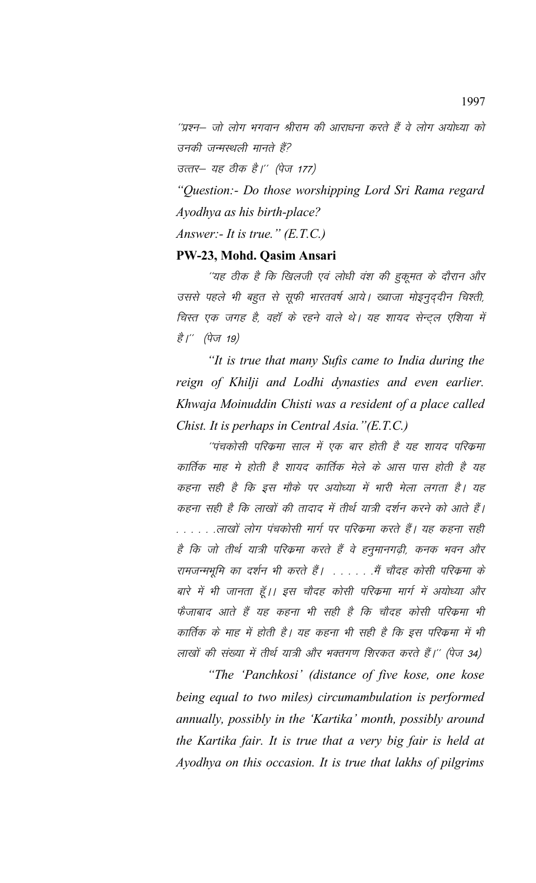''प्रश्न– जो लोग भगवान श्रीराम की आराधना करते हैं वे लोग अयोध्या को <u>उनकी जन्मस्थली मानते हैं?</u>

उत्तर– यह ठीक है।'' (पेज 177)

*"Question:- Do those worshipping Lord Sri Rama regard Ayodhya as his birth-place? Answer:- It is true." (E.T.C.)*

### **PW-23, Mohd. Qasim Ansari**

''यह ठीक है कि खिलजी एवं लोधी वंश की हुकूमत के दौरान और उससे पहले भी बहुत से सूफी भारतवर्ष आये। ख्वाजा मोइनुद्दीन चिश्ती, चिस्त एक जगह है, वहाँ के रहने वाले थे। यह शायद सेन्टल एशिया में है।'' (पेज 19)

*"It is true that many Sufis came to India during the reign of Khilji and Lodhi dynasties and even earlier. Khwaja Moinuddin Chisti was a resident of a place called Chist. It is perhaps in Central Asia."(E.T.C.)*

''पंचकोसी परिक्रमा साल में एक बार होती है यह शायद परिक्रमा कार्तिक माह मे होती है शायद कार्तिक मेले के आस पास होती है यह कहना सही है कि इस मौके पर अयोध्या में भारी मेला लगता है। यह कहना सही है कि लाखों की तादाद में तीर्थ यात्री दर्शन करने को आते हैं। . . . . . .लाखों लोग पंचकोसी मार्ग पर परिकमा करते हैं। यह कहना सही है कि जो तीर्थ यात्री परिकमा करते हैं वे हनुमानगढ़ी, कनक भवन और रामजन्मभूमि का दर्शन भी करते हैं। . . . . . . मैं चौदह कोसी परिक्रमा के बारे में भी जानता हूँ।। इस चौदह कोसी परिक्रमा मार्ग में अयोध्या और फैजाबाद आते हैं यह कहना भी सही है कि चौदह कोसी परिक्रमा भी कार्तिक के माह में होती है। यह कहना भी सही है कि इस परिकमा में भी लाखों की संख्या में तीर्थ यात्री और भक्तगण शिरकत करते हैं।'' (पेज 34)

*"The 'Panchkosi' (distance of five kose, one kose being equal to two miles) circumambulation is performed annually, possibly in the 'Kartika' month, possibly around the Kartika fair. It is true that a very big fair is held at Ayodhya on this occasion. It is true that lakhs of pilgrims*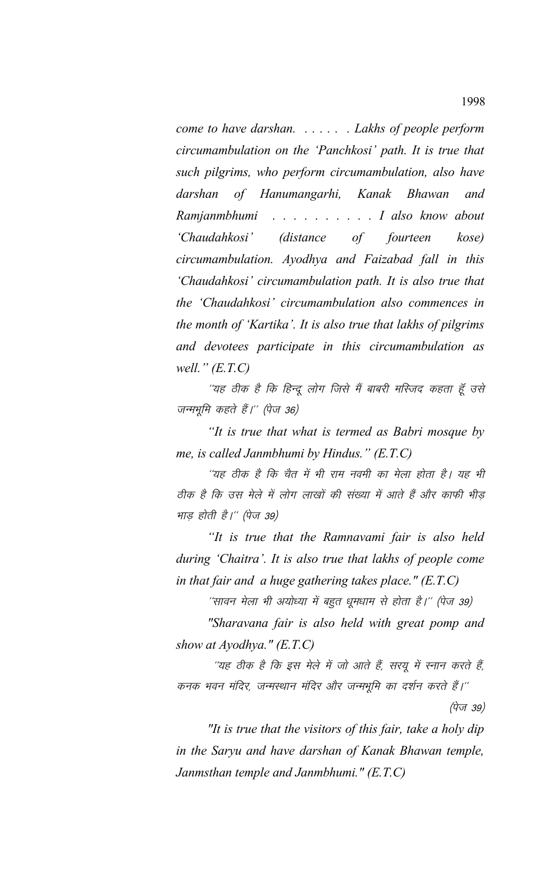*come to have darshan. . . . . . . Lakhs of people perform circumambulation on the 'Panchkosi' path. It is true that such pilgrims, who perform circumambulation, also have darshan of Hanumangarhi, Kanak Bhawan and Ramjanmbhumi . . . . . . . . . . I also know about 'Chaudahkosi' (distance of fourteen kose) circumambulation. Ayodhya and Faizabad fall in this 'Chaudahkosi' circumambulation path. It is also true that the 'Chaudahkosi' circumambulation also commences in the month of 'Kartika'. It is also true that lakhs of pilgrims and devotees participate in this circumambulation as well." (E.T.C)*

''यह ठीक है कि हिन्दू लोग जिसे मैं बाबरी मस्जिद कहता हूँ उसे जन्मभूमि कहते हैं।'' (पेज 36)

*"It is true that what is termed as Babri mosque by me, is called Janmbhumi by Hindus." (E.T.C)*

''यह ठीक है कि चैत में भी राम नवमी का मेला होता है। यह भी ठीक है कि उस मेले में लोग लाखों की संख्या में आते हैं और काफी भीड़ भाड़ होती है।'' (पेज 39)

*"It is true that the Ramnavami fair is also held during 'Chaitra'. It is also true that lakhs of people come in that fair and a huge gathering takes place." (E.T.C)*

''सावन मेला भी अयोध्या में बहुत धूमधाम से होता है।'' (पेज 39)

*"Sharavana fair is also held with great pomp and show at Ayodhya." (E.T.C)*

''यह ठीक है कि इस मेले में जो आते हैं, सरयू में स्नान करते हैं, कनक भवन मंदिर, जन्मस्थान मंदिर और जन्मभूमि का दर्शन करते हैं।''  $(\dot{q}_{\overline{y}}, 39)$ 

*"It is true that the visitors of this fair, take a holy dip in the Saryu and have darshan of Kanak Bhawan temple, Janmsthan temple and Janmbhumi." (E.T.C)*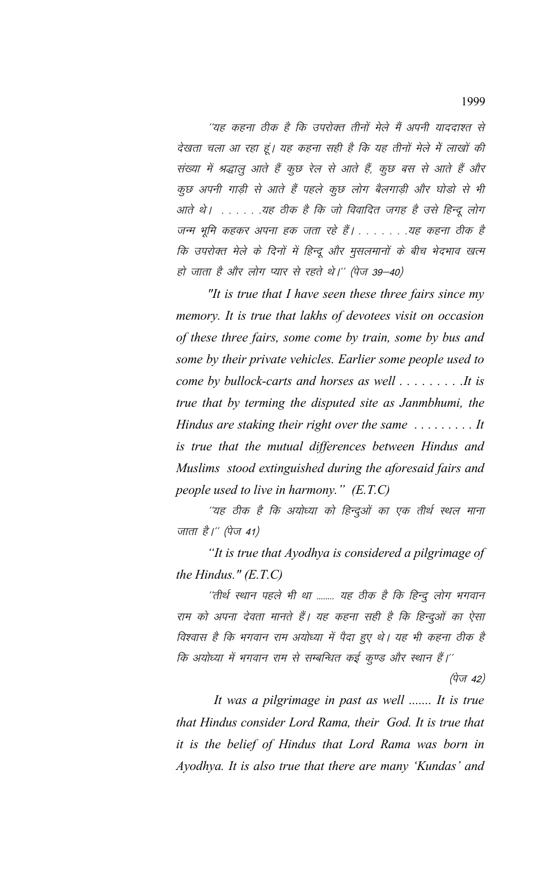´'यह कहना ठीक है कि उपरोक्त तीनों मेले मैं अपनी याददाश्त से देखता चला आ रहा हूं। यह कहना सही है कि यह तीनों मेले में लाखों की संख्या में श्रद्धालू आते हैं कुछ रेल से आते हैं, कुछ बस से आते हैं और कुछ अपनी गाड़ी से आते हैं पहले कुछ लोग बैलगाड़ी और घोड़ो से भी आते थे। . . . . . .यह ठीक है कि जो विवादित जगह है उसे हिन्दू लोग जन्म भूमि कहकर अपना हक जता रहे हैं। . . . . . . .यह कहना ठीक है कि उपरोक्त मेले के दिनों में हिन्दू और मुसलमानों के बीच भेदभाव खत्म हो जाता है और लोग प्यार से रहते थे।'' (पेज 39–40)

*"It is true that I have seen these three fairs since my memory. It is true that lakhs of devotees visit on occasion of these three fairs, some come by train, some by bus and some by their private vehicles. Earlier some people used to come by bullock-carts and horses as well . . . . . . . . .It is true that by terming the disputed site as Janmbhumi, the Hindus are staking their right over the same . . . . . . . . . It is true that the mutual differences between Hindus and Muslims stood extinguished during the aforesaid fairs and people used to live in harmony." (E.T.C)*

''यह ठीक है कि अयोध्या को हिन्दुओं का एक तीर्थ स्थल माना जाता है।" (पेज 41)

*"It is true that Ayodhya is considered a pilgrimage of the Hindus." (E.T.C)*

''तीर्थ स्थान पहले भी था ........ यह ठीक है कि हिन्दु लोग भगवान राम को अपना देवता मानते हैं। यह कहना सही है कि हिन्दुओं का ऐसा विश्वास है कि भगवान राम अयोध्या में पैदा हुए थे। यह भी कहना ठीक है कि अयोध्या में भगवान राम से सम्बन्धित कई कूण्ड और स्थान हैं।''

 $(\dot{\vec{q}}\vec{\sigma}$  42)

*It was a pilgrimage in past as well ....... It is true that Hindus consider Lord Rama, their God. It is true that it is the belief of Hindus that Lord Rama was born in Ayodhya. It is also true that there are many 'Kundas' and*